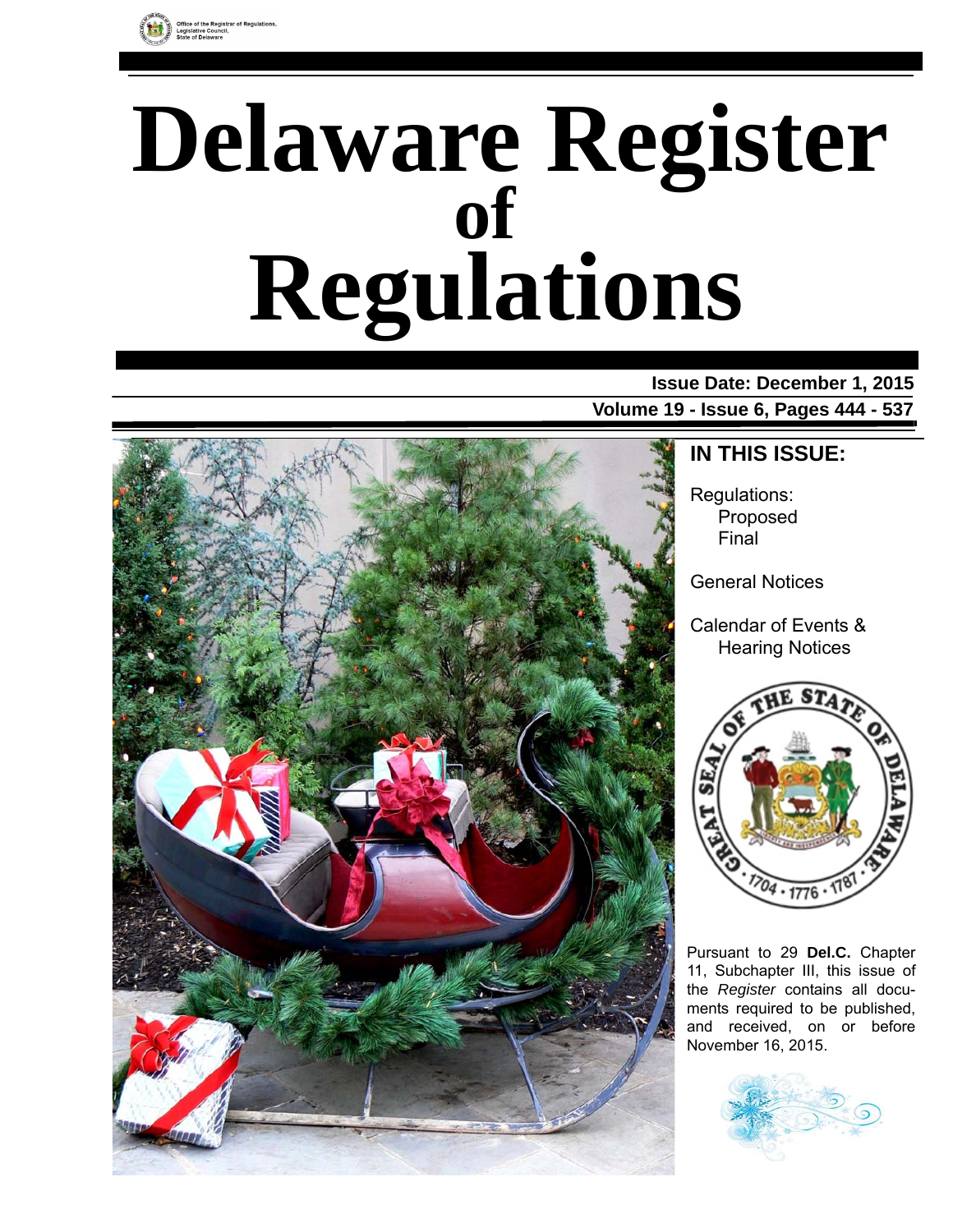

# **Delaware Register Regulations of**

### **Issue Date: December 1, 2015 Volume 19 - Issue 6, Pages 444 - 537**



### **IN THIS ISSUE:**

Regulations: Proposed Final

General Notices

Calendar of Events & Hearing Notices



Pursuant to 29 **Del.C.** Chapter 11, Subchapter III, this issue of the *Register* contains all documents required to be published, and received, on or before November 16, 2015.

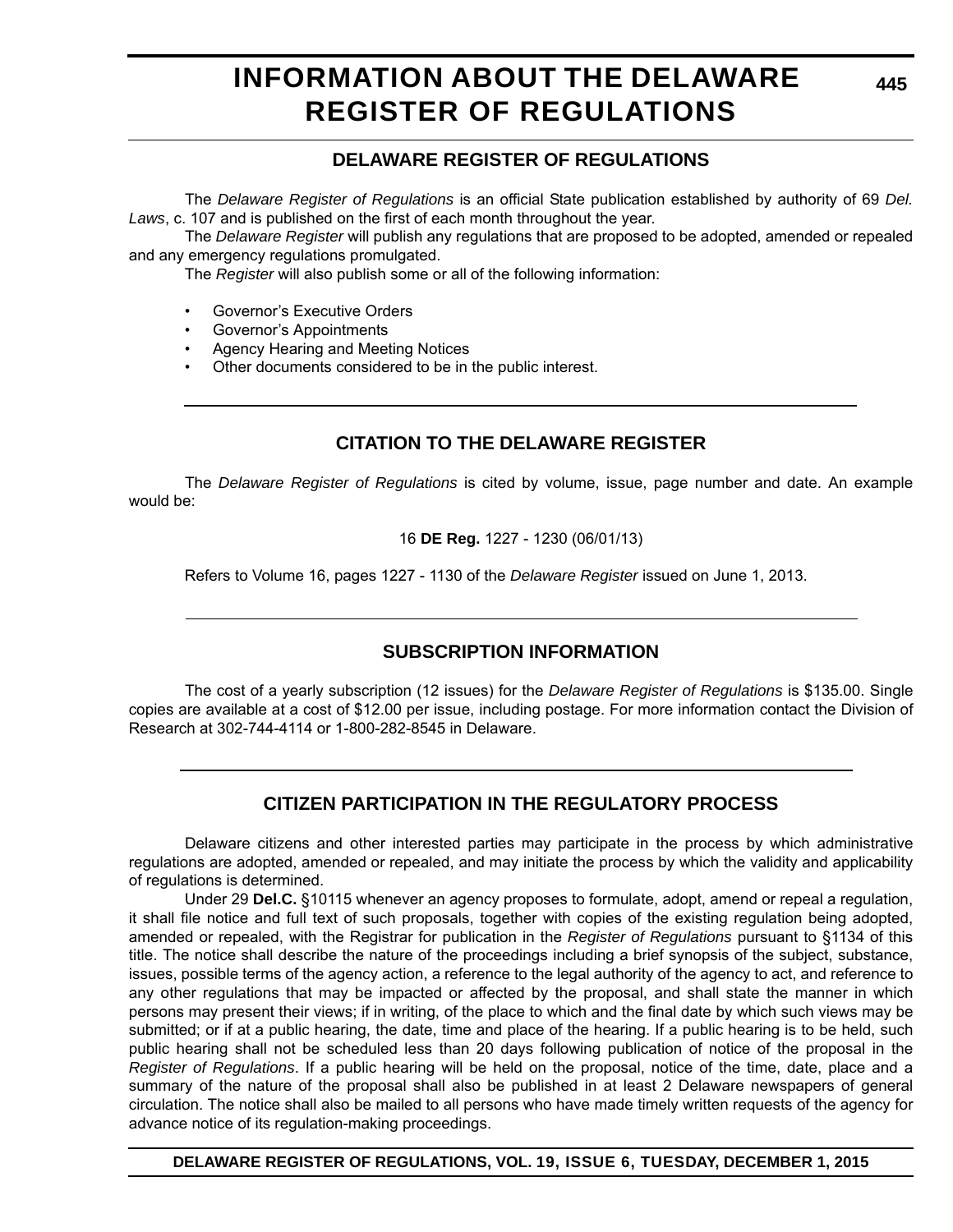# **INFORMATION ABOUT THE DELAWARE REGISTER OF REGULATIONS**

### **DELAWARE REGISTER OF REGULATIONS**

The *Delaware Register of Regulations* is an official State publication established by authority of 69 *Del. Laws*, c. 107 and is published on the first of each month throughout the year.

The *Delaware Register* will publish any regulations that are proposed to be adopted, amended or repealed and any emergency regulations promulgated.

The *Register* will also publish some or all of the following information:

- Governor's Executive Orders
- Governor's Appointments
- Agency Hearing and Meeting Notices
- Other documents considered to be in the public interest.

### **CITATION TO THE DELAWARE REGISTER**

The *Delaware Register of Regulations* is cited by volume, issue, page number and date. An example would be:

16 **DE Reg.** 1227 - 1230 (06/01/13)

Refers to Volume 16, pages 1227 - 1130 of the *Delaware Register* issued on June 1, 2013.

### **SUBSCRIPTION INFORMATION**

The cost of a yearly subscription (12 issues) for the *Delaware Register of Regulations* is \$135.00. Single copies are available at a cost of \$12.00 per issue, including postage. For more information contact the Division of Research at 302-744-4114 or 1-800-282-8545 in Delaware.

### **CITIZEN PARTICIPATION IN THE REGULATORY PROCESS**

Delaware citizens and other interested parties may participate in the process by which administrative regulations are adopted, amended or repealed, and may initiate the process by which the validity and applicability of regulations is determined.

Under 29 **Del.C.** §10115 whenever an agency proposes to formulate, adopt, amend or repeal a regulation, it shall file notice and full text of such proposals, together with copies of the existing regulation being adopted, amended or repealed, with the Registrar for publication in the *Register of Regulations* pursuant to §1134 of this title. The notice shall describe the nature of the proceedings including a brief synopsis of the subject, substance, issues, possible terms of the agency action, a reference to the legal authority of the agency to act, and reference to any other regulations that may be impacted or affected by the proposal, and shall state the manner in which persons may present their views; if in writing, of the place to which and the final date by which such views may be submitted; or if at a public hearing, the date, time and place of the hearing. If a public hearing is to be held, such public hearing shall not be scheduled less than 20 days following publication of notice of the proposal in the *Register of Regulations*. If a public hearing will be held on the proposal, notice of the time, date, place and a summary of the nature of the proposal shall also be published in at least 2 Delaware newspapers of general circulation. The notice shall also be mailed to all persons who have made timely written requests of the agency for advance notice of its regulation-making proceedings.

**DELAWARE REGISTER OF REGULATIONS, VOL. 19, ISSUE 6, TUESDAY, DECEMBER 1, 2015**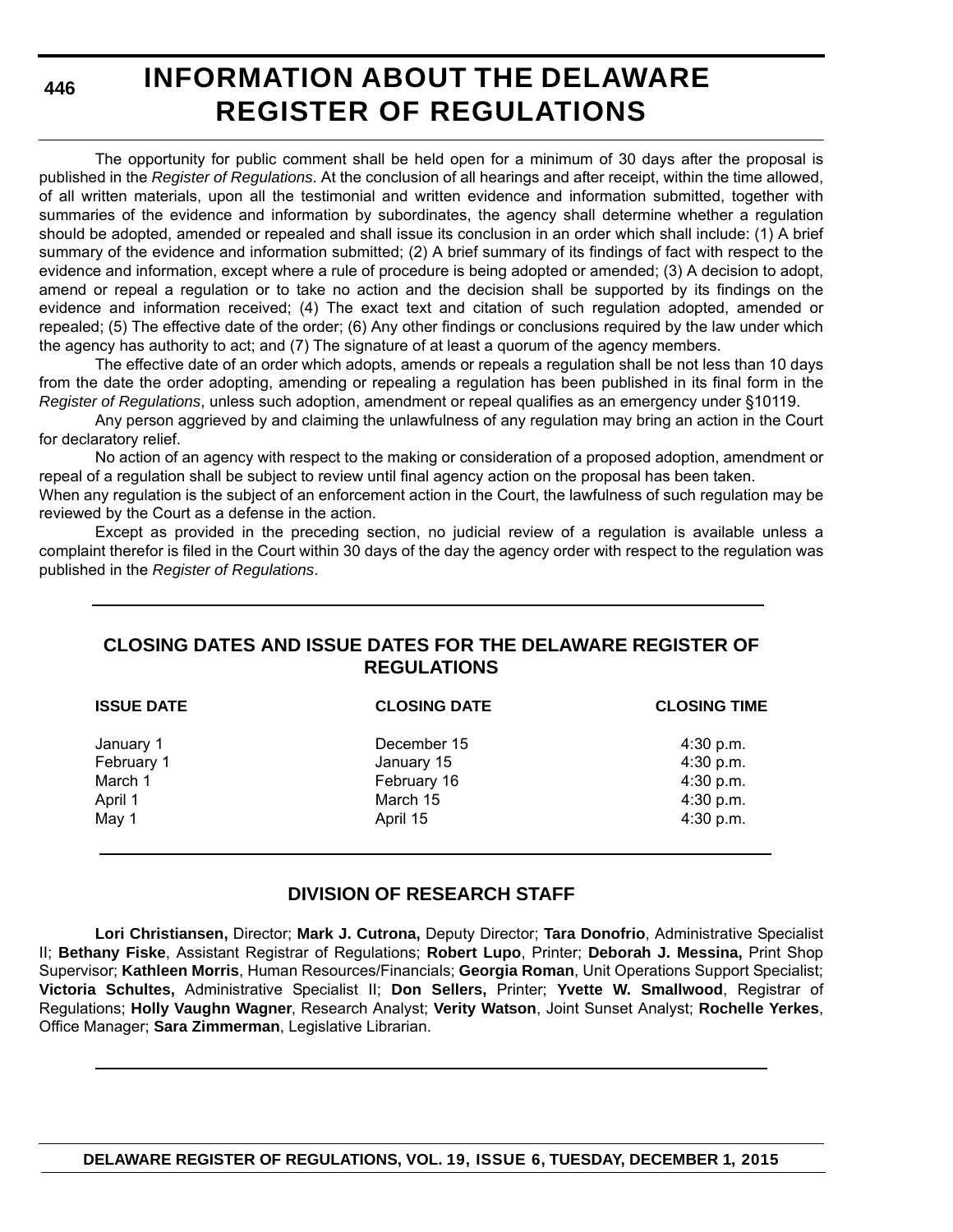**446**

# **INFORMATION ABOUT THE DELAWARE REGISTER OF REGULATIONS**

The opportunity for public comment shall be held open for a minimum of 30 days after the proposal is published in the *Register of Regulations*. At the conclusion of all hearings and after receipt, within the time allowed, of all written materials, upon all the testimonial and written evidence and information submitted, together with summaries of the evidence and information by subordinates, the agency shall determine whether a regulation should be adopted, amended or repealed and shall issue its conclusion in an order which shall include: (1) A brief summary of the evidence and information submitted; (2) A brief summary of its findings of fact with respect to the evidence and information, except where a rule of procedure is being adopted or amended; (3) A decision to adopt, amend or repeal a regulation or to take no action and the decision shall be supported by its findings on the evidence and information received; (4) The exact text and citation of such regulation adopted, amended or repealed; (5) The effective date of the order; (6) Any other findings or conclusions required by the law under which the agency has authority to act; and (7) The signature of at least a quorum of the agency members.

The effective date of an order which adopts, amends or repeals a regulation shall be not less than 10 days from the date the order adopting, amending or repealing a regulation has been published in its final form in the *Register of Regulations*, unless such adoption, amendment or repeal qualifies as an emergency under §10119.

Any person aggrieved by and claiming the unlawfulness of any regulation may bring an action in the Court for declaratory relief.

No action of an agency with respect to the making or consideration of a proposed adoption, amendment or repeal of a regulation shall be subject to review until final agency action on the proposal has been taken.

When any regulation is the subject of an enforcement action in the Court, the lawfulness of such regulation may be reviewed by the Court as a defense in the action.

Except as provided in the preceding section, no judicial review of a regulation is available unless a complaint therefor is filed in the Court within 30 days of the day the agency order with respect to the regulation was published in the *Register of Regulations*.

### **CLOSING DATES AND ISSUE DATES FOR THE DELAWARE REGISTER OF REGULATIONS**

| <b>ISSUE DATE</b> | <b>CLOSING DATE</b> | <b>CLOSING TIME</b> |
|-------------------|---------------------|---------------------|
| January 1         | December 15         | 4:30 p.m.           |
| February 1        | January 15          | 4:30 p.m.           |
| March 1           | February 16         | 4:30 p.m.           |
| April 1           | March 15            | 4:30 p.m.           |
| May 1             | April 15            | 4:30 p.m.           |
|                   |                     |                     |

### **DIVISION OF RESEARCH STAFF**

**Lori Christiansen,** Director; **Mark J. Cutrona,** Deputy Director; **Tara Donofrio**, Administrative Specialist II; **Bethany Fiske**, Assistant Registrar of Regulations; **Robert Lupo**, Printer; **Deborah J. Messina,** Print Shop Supervisor; **Kathleen Morris**, Human Resources/Financials; **Georgia Roman**, Unit Operations Support Specialist; **Victoria Schultes,** Administrative Specialist II; **Don Sellers,** Printer; **Yvette W. Smallwood**, Registrar of Regulations; **Holly Vaughn Wagner**, Research Analyst; **Verity Watson**, Joint Sunset Analyst; **Rochelle Yerkes**, Office Manager; **Sara Zimmerman**, Legislative Librarian.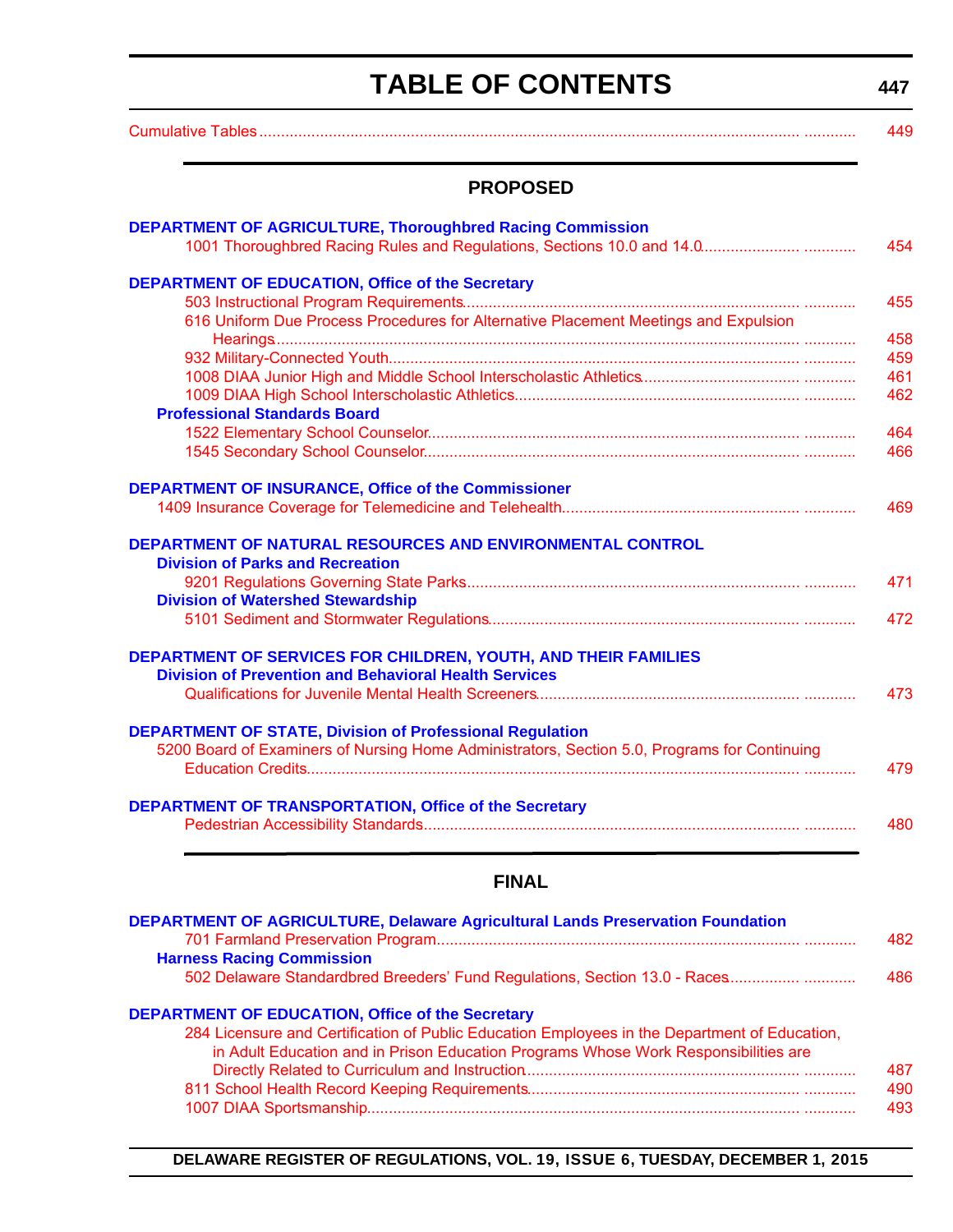# **TABLE OF CONTENTS**

**447**

<span id="page-3-0"></span>

| <b>PROPOSED</b>                                                                                                                       |  |
|---------------------------------------------------------------------------------------------------------------------------------------|--|
| <b>DEPARTMENT OF AGRICULTURE, Thoroughbred Racing Commission</b>                                                                      |  |
|                                                                                                                                       |  |
| <b>DEPARTMENT OF EDUCATION, Office of the Secretary</b>                                                                               |  |
|                                                                                                                                       |  |
| 616 Uniform Due Process Procedures for Alternative Placement Meetings and Expulsion                                                   |  |
|                                                                                                                                       |  |
|                                                                                                                                       |  |
|                                                                                                                                       |  |
| <b>Professional Standards Board</b>                                                                                                   |  |
|                                                                                                                                       |  |
|                                                                                                                                       |  |
| <b>DEPARTMENT OF INSURANCE, Office of the Commissioner</b>                                                                            |  |
|                                                                                                                                       |  |
|                                                                                                                                       |  |
| DEPARTMENT OF NATURAL RESOURCES AND ENVIRONMENTAL CONTROL                                                                             |  |
| <b>Division of Parks and Recreation</b>                                                                                               |  |
|                                                                                                                                       |  |
| <b>Division of Watershed Stewardship</b>                                                                                              |  |
|                                                                                                                                       |  |
|                                                                                                                                       |  |
|                                                                                                                                       |  |
| <b>DEPARTMENT OF SERVICES FOR CHILDREN, YOUTH, AND THEIR FAMILIES</b><br><b>Division of Prevention and Behavioral Health Services</b> |  |
|                                                                                                                                       |  |
|                                                                                                                                       |  |
| <b>DEPARTMENT OF STATE, Division of Professional Regulation</b>                                                                       |  |
| 5200 Board of Examiners of Nursing Home Administrators, Section 5.0, Programs for Continuing                                          |  |
|                                                                                                                                       |  |
| <b>DEPARTMENT OF TRANSPORTATION, Office of the Secretary</b>                                                                          |  |

### **FINAL**

| <b>DEPARTMENT OF AGRICULTURE, Delaware Agricultural Lands Preservation Foundation</b>         |      |
|-----------------------------------------------------------------------------------------------|------|
|                                                                                               | 482. |
| <b>Harness Racing Commission</b>                                                              |      |
| 502 Delaware Standardbred Breeders' Fund Regulations, Section 13.0 - Races                    | 486  |
| <b>DEPARTMENT OF EDUCATION, Office of the Secretary</b>                                       |      |
| 284 Licensure and Certification of Public Education Employees in the Department of Education, |      |
| in Adult Education and in Prison Education Programs Whose Work Responsibilities are           |      |
|                                                                                               | 487  |
|                                                                                               | 490  |
|                                                                                               | 493  |

**DELAWARE REGISTER OF REGULATIONS, VOL. 19, ISSUE 6, TUESDAY, DECEMBER 1, 2015**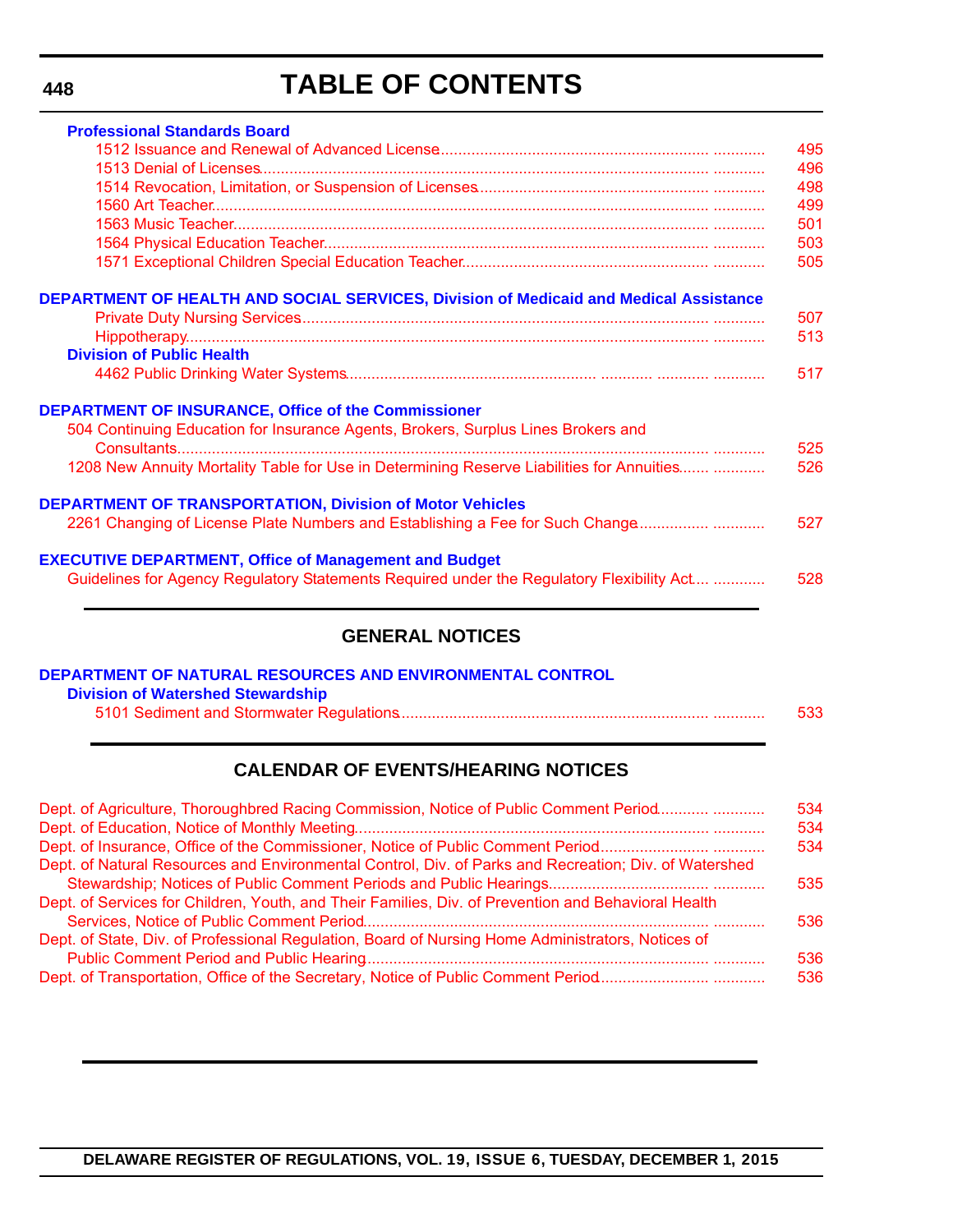**448**

# **TABLE OF CONTENTS**

| <b>Professional Standards Board</b>                                                          |     |
|----------------------------------------------------------------------------------------------|-----|
|                                                                                              | 495 |
|                                                                                              | 496 |
|                                                                                              | 498 |
|                                                                                              | 499 |
|                                                                                              | 501 |
|                                                                                              | 503 |
|                                                                                              | 505 |
| <b>DEPARTMENT OF HEALTH AND SOCIAL SERVICES, Division of Medicaid and Medical Assistance</b> |     |
|                                                                                              | 507 |
|                                                                                              | 513 |
| <b>Division of Public Health</b>                                                             |     |
|                                                                                              | 517 |
| DEPARTMENT OF INSURANCE, Office of the Commissioner                                          |     |
| 504 Continuing Education for Insurance Agents, Brokers, Surplus Lines Brokers and            |     |
|                                                                                              | 525 |
| 1208 New Annuity Mortality Table for Use in Determining Reserve Liabilities for Annuities    | 526 |
| <b>DEPARTMENT OF TRANSPORTATION, Division of Motor Vehicles</b>                              |     |
| 2261 Changing of License Plate Numbers and Establishing a Fee for Such Change                | 527 |
| <b>EXECUTIVE DEPARTMENT, Office of Management and Budget</b>                                 |     |
| Guidelines for Agency Regulatory Statements Required under the Regulatory Flexibility Act    | 528 |
|                                                                                              |     |

### **GENERAL NOTICES**

| DEPARTMENT OF NATURAL RESOURCES AND ENVIRONMENTAL CONTROL |     |
|-----------------------------------------------------------|-----|
| <b>Division of Watershed Stewardship</b>                  |     |
|                                                           | 533 |

### **CALENDAR OF EVENTS/HEARING NOTICES**

| Dept. of Agriculture, Thoroughbred Racing Commission, Notice of Public Comment Period                 | 534<br>534 |
|-------------------------------------------------------------------------------------------------------|------------|
|                                                                                                       | 534        |
| Dept. of Natural Resources and Environmental Control, Div. of Parks and Recreation; Div. of Watershed |            |
|                                                                                                       | 535        |
| Dept. of Services for Children, Youth, and Their Families, Div. of Prevention and Behavioral Health   |            |
|                                                                                                       | 536        |
| Dept. of State, Div. of Professional Regulation, Board of Nursing Home Administrators, Notices of     | 536        |
|                                                                                                       | 536        |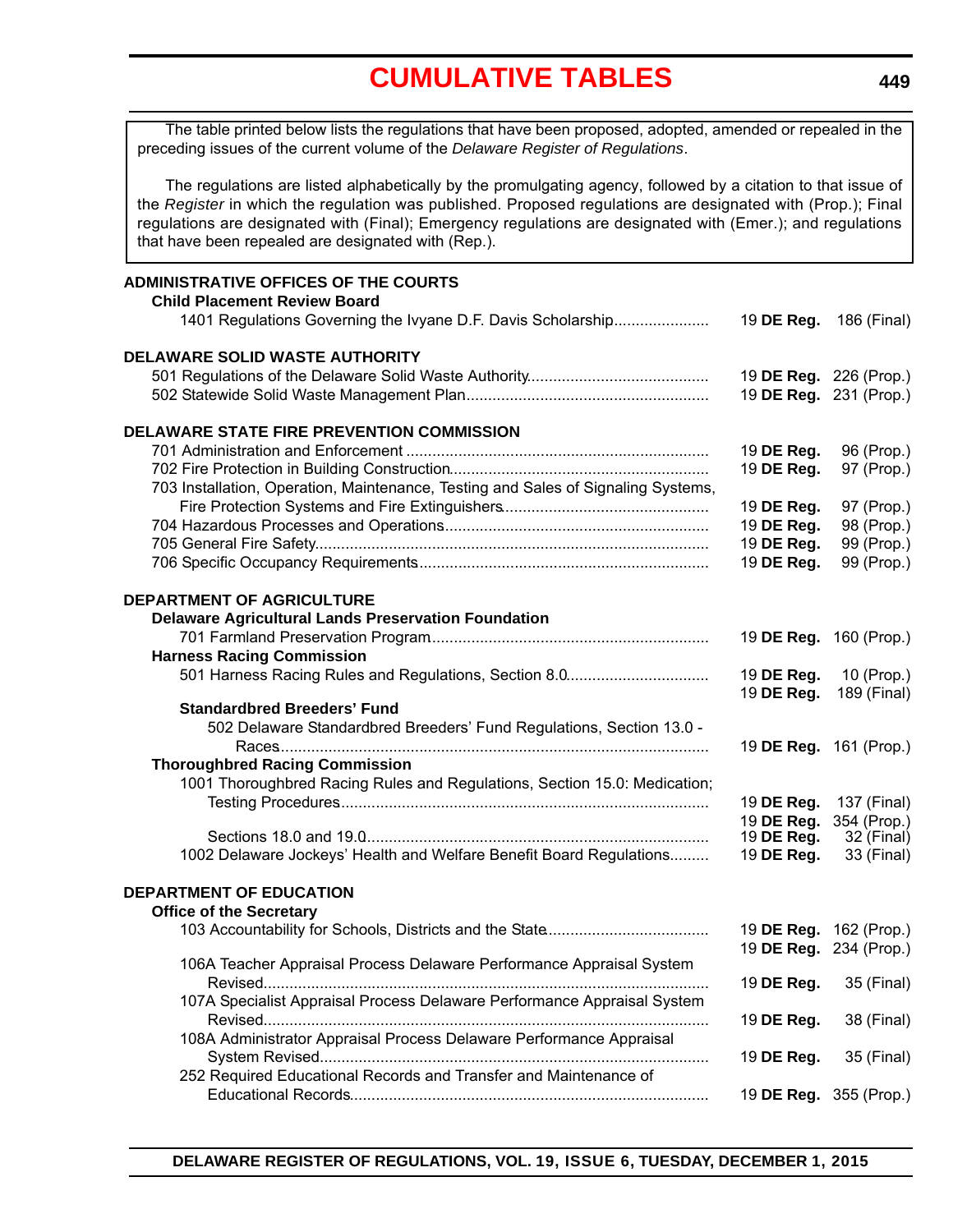<span id="page-5-0"></span>**ADMINISTRATIVE OFFICES OF THE COURTS Child Placement Review Board** 1401 Regulations Governing the Ivyane D.F. Davis Scholarship....................... 19 **DE Reg.** 186 (Final) **DELAWARE SOLID WASTE AUTHORITY** 501 Regulations of the Delaware Solid Waste Authority.......................................... 19 **DE Reg.** 226 (Prop.) 502 Statewide Solid Waste Management Plan......................................................... 19 **DE Reg.** 231 (Prop.) **DELAWARE STATE FIRE PREVENTION COMMISSION** 701 Administration and Enforcement ...................................................................... 19 **DE Reg.** 96 (Prop.) 702 Fire Protection in Building Construction............................................................ 19 **DE Reg.** 97 (Prop.) 703 Installation, Operation, Maintenance, Testing and Sales of Signaling Systems, Fire Protection Systems and Fire Extinguishers................................................ 19 **DE Reg.** 97 (Prop.) 704 Hazardous Processes and Operations.............................................................. 19 **DE Reg.** 98 (Prop.) 705 General Fire Safety........................................................................................... 19 **DE Reg.** 99 (Prop.) 706 Specific Occupancy Requirements.................................................................... 19 **DE Reg.** 99 (Prop.) **DEPARTMENT OF AGRICULTURE Delaware Agricultural Lands Preservation Foundation** 701 Farmland Preservation Program................................................................. 19 **DE Reg.** 160 (Prop.) **Harness Racing Commission** 501 Harness Racing Rules and Regulations, Section 8.0................................. 19 **DE Reg.** 10 (Prop.) 19 **DE Reg.** 189 (Final) **Standardbred Breeders' Fund** 502 Delaware Standardbred Breeders' Fund Regulations, Section 13.0 - Races.................................................................................................... 19 **DE Reg.** 161 (Prop.) **Thoroughbred Racing Commission** 1001 Thoroughbred Racing Rules and Regulations, Section 15.0: Medication; Testing Procedures...................................................................................... 19 **DE Reg.** 137 (Final) 19 **DE Reg.** 354 (Prop.) Sections 18.0 and 19.0................................................................................ 19 **DE Reg.** 32 (Final) 1002 Delaware Jockeys' Health and Welfare Benefit Board Regulations......... 19 **DE Reg.** 33 (Final) **DEPARTMENT OF EDUCATION Office of the Secretary** 103 Accountability for Schools, Districts and the State...................................... 19 **DE Reg.** 162 (Prop.) 19 **DE Reg.** 234 (Prop.) 106A Teacher Appraisal Process Delaware Performance Appraisal System Revised....................................................................................................... 19 **DE Reg.** 35 (Final) 107A Specialist Appraisal Process Delaware Performance Appraisal System Revised....................................................................................................... 19 **DE Reg.** 38 (Final) 108A Administrator Appraisal Process Delaware Performance Appraisal System Revised.......................................................................................... 19 **DE Reg.** 35 (Final) 252 Required Educational Records and Transfer and Maintenance of Educational Records................................................................................... 19 **DE Reg.** 355 (Prop.) The table printed below lists the regulations that have been proposed, adopted, amended or repealed in the preceding issues of the current volume of the *Delaware Register of Regulations*. The regulations are listed alphabetically by the promulgating agency, followed by a citation to that issue of the *Register* in which the regulation was published. Proposed regulations are designated with (Prop.); Final regulations are designated with (Final); Emergency regulations are designated with (Emer.); and regulations that have been repealed are designated with (Rep.).

**449**

**DELAWARE REGISTER OF REGULATIONS, VOL. 19, ISSUE 6, TUESDAY, DECEMBER 1, 2015**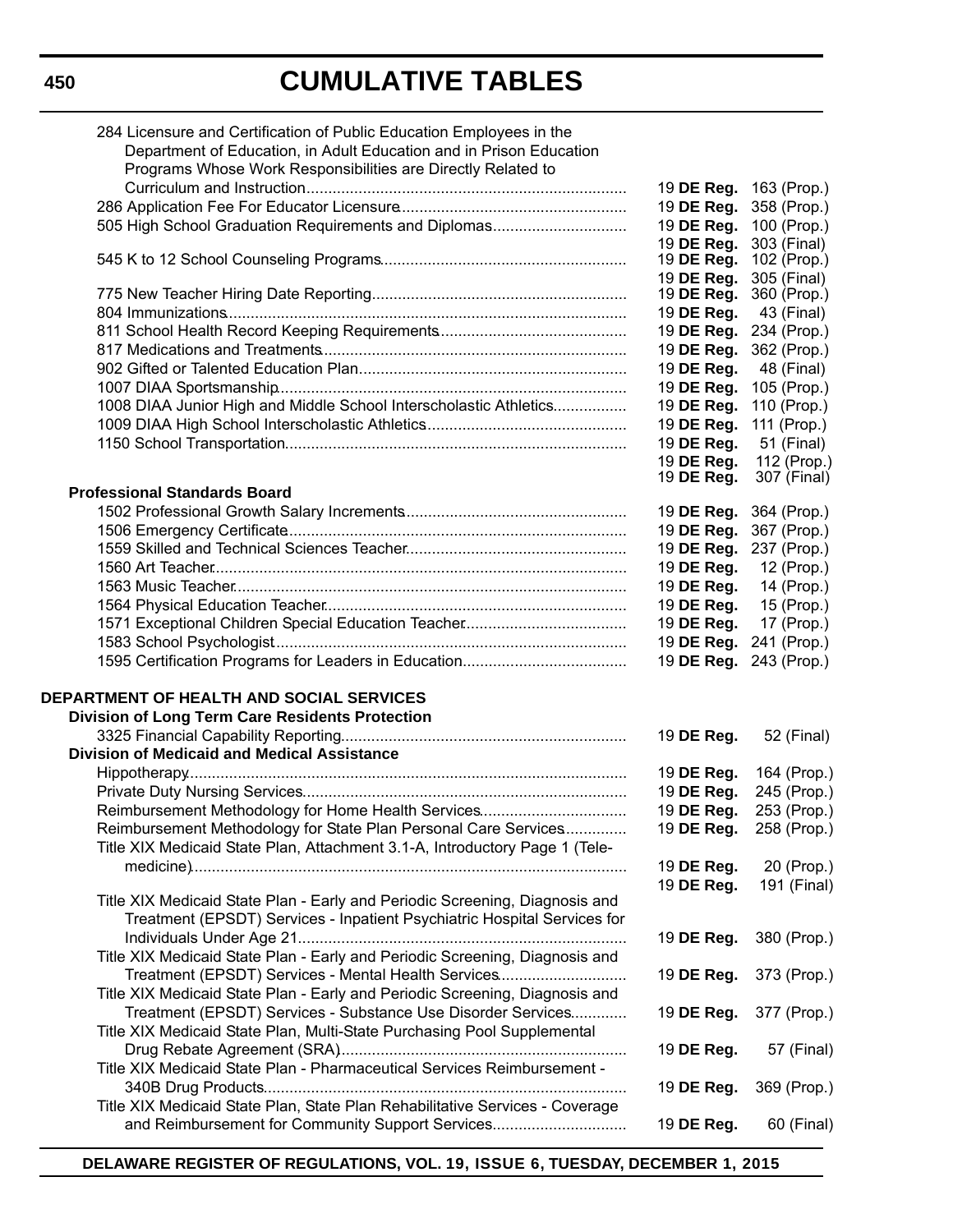| 284 Licensure and Certification of Public Education Employees in the<br>Department of Education, in Adult Education and in Prison Education<br>Programs Whose Work Responsibilities are Directly Related to |                          |             |
|-------------------------------------------------------------------------------------------------------------------------------------------------------------------------------------------------------------|--------------------------|-------------|
|                                                                                                                                                                                                             | 19 DE Reg.               | 163 (Prop.) |
|                                                                                                                                                                                                             | 19 DE Reg.               | 358 (Prop.) |
| 505 High School Graduation Requirements and Diplomas                                                                                                                                                        | 19 DE Reg.               | 100 (Prop.) |
|                                                                                                                                                                                                             | 19 DE Reg.               | 303 (Final) |
|                                                                                                                                                                                                             | 19 DE Reg.               | 102 (Prop.) |
|                                                                                                                                                                                                             | 19 DE Reg.               | 305 (Final) |
|                                                                                                                                                                                                             | 19 DE Reg.               | 360 (Prop.) |
|                                                                                                                                                                                                             | 19 DE Reg.               | 43 (Final)  |
|                                                                                                                                                                                                             | 19 DE Reg.               | 234 (Prop.) |
|                                                                                                                                                                                                             | 19 DE Reg.               | 362 (Prop.) |
|                                                                                                                                                                                                             | 19 DE Reg.               | 48 (Final)  |
|                                                                                                                                                                                                             | 19 DE Reg.               | 105 (Prop.) |
| 1008 DIAA Junior High and Middle School Interscholastic Athletics                                                                                                                                           | 19 DE Reg.               | 110 (Prop.) |
|                                                                                                                                                                                                             | 19 DE Reg.               | 111 (Prop.) |
|                                                                                                                                                                                                             | 19 DE Reg.               | 51 (Final)  |
|                                                                                                                                                                                                             | 19 DE Reg.               | 112 (Prop.) |
| <b>Professional Standards Board</b>                                                                                                                                                                         | 19 DE Reg.               | 307 (Final) |
|                                                                                                                                                                                                             | 19 DE Reg.               | 364 (Prop.) |
|                                                                                                                                                                                                             | 19 DE Reg.               | 367 (Prop.) |
|                                                                                                                                                                                                             | 19 DE Reg.               | 237 (Prop.) |
|                                                                                                                                                                                                             | 19 DE Reg.               | 12 (Prop.)  |
|                                                                                                                                                                                                             | 19 DE Reg.               | 14 (Prop.)  |
|                                                                                                                                                                                                             | 19 DE Reg.               | 15 (Prop.)  |
|                                                                                                                                                                                                             | 19 DE Reg.               | 17 (Prop.)  |
|                                                                                                                                                                                                             | 19 DE Reg.               | 241 (Prop.) |
|                                                                                                                                                                                                             | 19 DE Reg.               | 243 (Prop.) |
| DEPARTMENT OF HEALTH AND SOCIAL SERVICES<br><b>Division of Long Term Care Residents Protection</b>                                                                                                          | 19 DE Reg.               | 52 (Final)  |
| <b>Division of Medicaid and Medical Assistance</b>                                                                                                                                                          |                          |             |
|                                                                                                                                                                                                             | 19 DE Reg.               | 164 (Prop.) |
|                                                                                                                                                                                                             | 19 DE Reg.               | 245 (Prop.) |
| Reimbursement Methodology for Home Health Services                                                                                                                                                          |                          |             |
|                                                                                                                                                                                                             | 19 DE Reg.<br>19 DE Reg. | 253 (Prop.) |
| Reimbursement Methodology for State Plan Personal Care Services<br>Title XIX Medicaid State Plan, Attachment 3.1-A, Introductory Page 1 (Tele-                                                              |                          | 258 (Prop.) |
|                                                                                                                                                                                                             | 19 DE Reg.               | 20 (Prop.)  |
|                                                                                                                                                                                                             | 19 DE Reg.               | 191 (Final) |
| Title XIX Medicaid State Plan - Early and Periodic Screening, Diagnosis and                                                                                                                                 |                          |             |
| Treatment (EPSDT) Services - Inpatient Psychiatric Hospital Services for                                                                                                                                    |                          |             |
| Title XIX Medicaid State Plan - Early and Periodic Screening, Diagnosis and                                                                                                                                 | 19 DE Reg.               | 380 (Prop.) |
| Treatment (EPSDT) Services - Mental Health Services                                                                                                                                                         | 19 DE Reg.               | 373 (Prop.) |
|                                                                                                                                                                                                             |                          |             |
| Title XIX Medicaid State Plan - Early and Periodic Screening, Diagnosis and                                                                                                                                 |                          |             |
| Treatment (EPSDT) Services - Substance Use Disorder Services                                                                                                                                                | 19 DE Reg.               | 377 (Prop.) |
| Title XIX Medicaid State Plan, Multi-State Purchasing Pool Supplemental                                                                                                                                     |                          |             |
|                                                                                                                                                                                                             | 19 DE Reg.               | 57 (Final)  |
| Title XIX Medicaid State Plan - Pharmaceutical Services Reimbursement -                                                                                                                                     |                          |             |
|                                                                                                                                                                                                             | 19 DE Reg.               | 369 (Prop.) |
| Title XIX Medicaid State Plan, State Plan Rehabilitative Services - Coverage                                                                                                                                |                          |             |
| and Reimbursement for Community Support Services                                                                                                                                                            | 19 DE Reg.               | 60 (Final)  |

**DELAWARE REGISTER OF REGULATIONS, VOL. 19, ISSUE 6, TUESDAY, DECEMBER 1, 2015**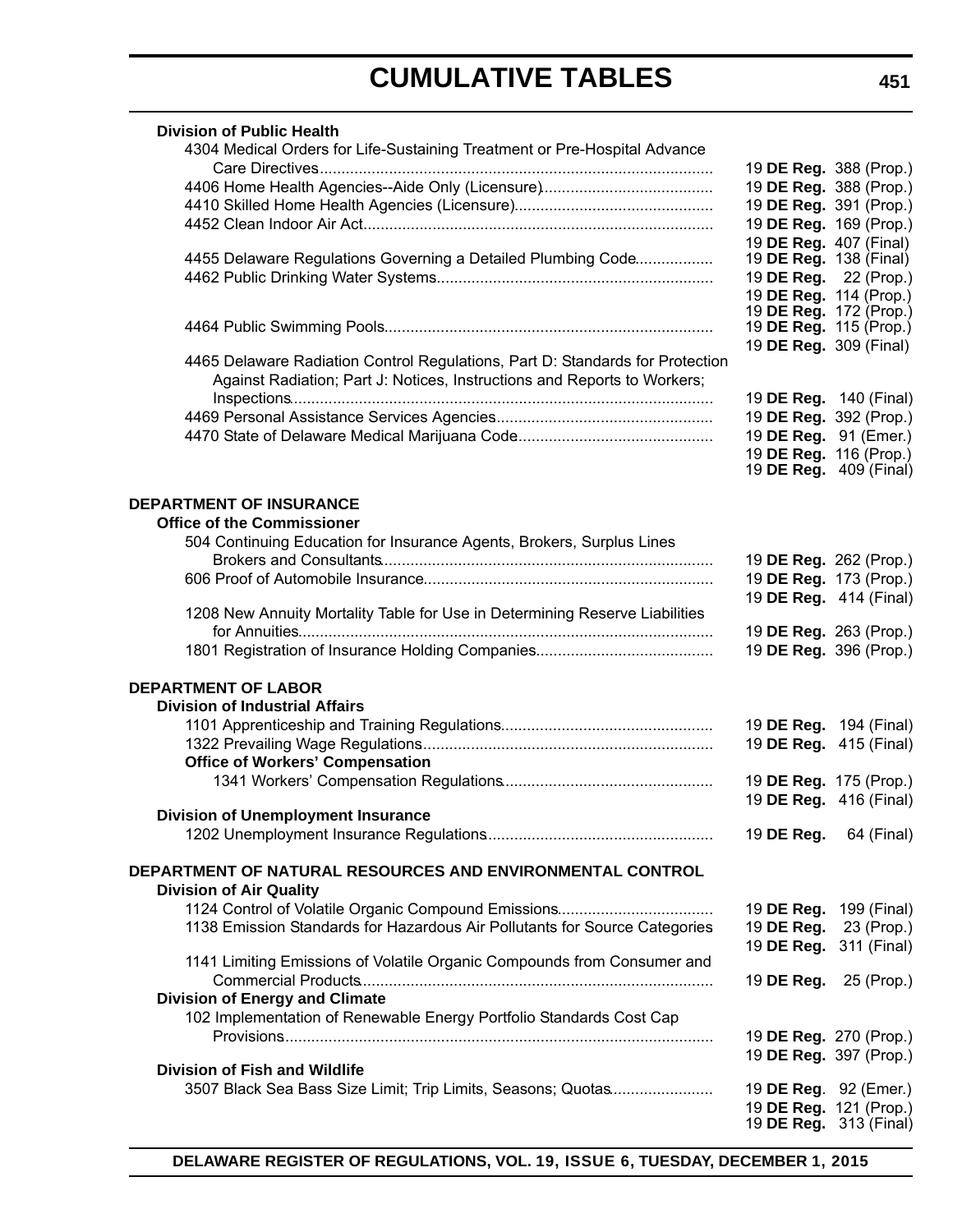| <b>Division of Public Health</b>                                              |                                                 |                               |
|-------------------------------------------------------------------------------|-------------------------------------------------|-------------------------------|
| 4304 Medical Orders for Life-Sustaining Treatment or Pre-Hospital Advance     |                                                 |                               |
|                                                                               |                                                 | 19 DE Reg. 388 (Prop.)        |
|                                                                               | 19 DE Reg. 388 (Prop.)                          |                               |
|                                                                               | 19 DE Reg. 391 (Prop.)                          |                               |
|                                                                               |                                                 | 19 DE Reg. 169 (Prop.)        |
|                                                                               | 19 DE Reg. 407 (Final)                          |                               |
| 4455 Delaware Regulations Governing a Detailed Plumbing Code                  | 19 <b>DE Reg.</b> 138 (Final)                   |                               |
|                                                                               | 19 DE Reg. 22 (Prop.)<br>19 DE Reg. 114 (Prop.) |                               |
|                                                                               | 19 <b>DE Reg.</b> 172 (Prop.)                   |                               |
|                                                                               | 19 <b>DE Reg.</b> 115 (Prop.)                   |                               |
|                                                                               | 19 DE Reg. 309 (Final)                          |                               |
| 4465 Delaware Radiation Control Regulations, Part D: Standards for Protection |                                                 |                               |
| Against Radiation; Part J: Notices, Instructions and Reports to Workers;      |                                                 |                               |
|                                                                               |                                                 | 19 <b>DE Reg.</b> 140 (Final) |
|                                                                               | 19 DE Reg. 392 (Prop.)                          |                               |
|                                                                               | 19 DE Reg. 91 (Emer.)                           |                               |
|                                                                               | 19 DE Reg. 116 (Prop.)                          |                               |
|                                                                               |                                                 | 19 <b>DE Reg.</b> 409 (Final) |
|                                                                               |                                                 |                               |
| <b>DEPARTMENT OF INSURANCE</b>                                                |                                                 |                               |
| <b>Office of the Commissioner</b>                                             |                                                 |                               |
| 504 Continuing Education for Insurance Agents, Brokers, Surplus Lines         |                                                 |                               |
|                                                                               | 19 DE Reg. 262 (Prop.)                          |                               |
|                                                                               | 19 DE Reg. 173 (Prop.)                          |                               |
|                                                                               |                                                 | 19 DE Reg. 414 (Final)        |
| 1208 New Annuity Mortality Table for Use in Determining Reserve Liabilities   |                                                 |                               |
|                                                                               |                                                 | 19 DE Reg. 263 (Prop.)        |
|                                                                               | 19 DE Reg. 396 (Prop.)                          |                               |
|                                                                               |                                                 |                               |
| <b>DEPARTMENT OF LABOR</b>                                                    |                                                 |                               |
| <b>Division of Industrial Affairs</b>                                         |                                                 |                               |
|                                                                               | 19 DE Reg. 194 (Final)                          |                               |
|                                                                               | 19 DE Reg. 415 (Final)                          |                               |
| <b>Office of Workers' Compensation</b>                                        |                                                 |                               |
|                                                                               | 19 DE Reg. 175 (Prop.)                          |                               |
|                                                                               |                                                 | 19 DE Reg. 416 (Final)        |
| <b>Division of Unemployment Insurance</b>                                     |                                                 |                               |
|                                                                               | 19 DE Reg.                                      | 64 (Final)                    |
|                                                                               |                                                 |                               |
| DEPARTMENT OF NATURAL RESOURCES AND ENVIRONMENTAL CONTROL                     |                                                 |                               |
| <b>Division of Air Quality</b>                                                |                                                 |                               |
|                                                                               |                                                 | 19 <b>DE Reg.</b> 199 (Final) |
| 1138 Emission Standards for Hazardous Air Pollutants for Source Categories    | 19 DE Reg.                                      | 23 (Prop.)                    |
|                                                                               |                                                 | 19 DE Reg. 311 (Final)        |
| 1141 Limiting Emissions of Volatile Organic Compounds from Consumer and       |                                                 |                               |
|                                                                               |                                                 | 19 <b>DE Reg.</b> 25 (Prop.)  |
| <b>Division of Energy and Climate</b>                                         |                                                 |                               |
| 102 Implementation of Renewable Energy Portfolio Standards Cost Cap           |                                                 |                               |
|                                                                               |                                                 | 19 DE Reg. 270 (Prop.)        |
|                                                                               |                                                 | 19 DE Reg. 397 (Prop.)        |
| <b>Division of Fish and Wildlife</b>                                          |                                                 |                               |
| 3507 Black Sea Bass Size Limit; Trip Limits, Seasons; Quotas                  | 19 DE Reg. 92 (Emer.)                           |                               |
|                                                                               | 19 DE Reg. 121 (Prop.)                          |                               |
|                                                                               |                                                 | 19 <b>DE Reg.</b> 313 (Final) |

**DELAWARE REGISTER OF REGULATIONS, VOL. 19, ISSUE 6, TUESDAY, DECEMBER 1, 2015**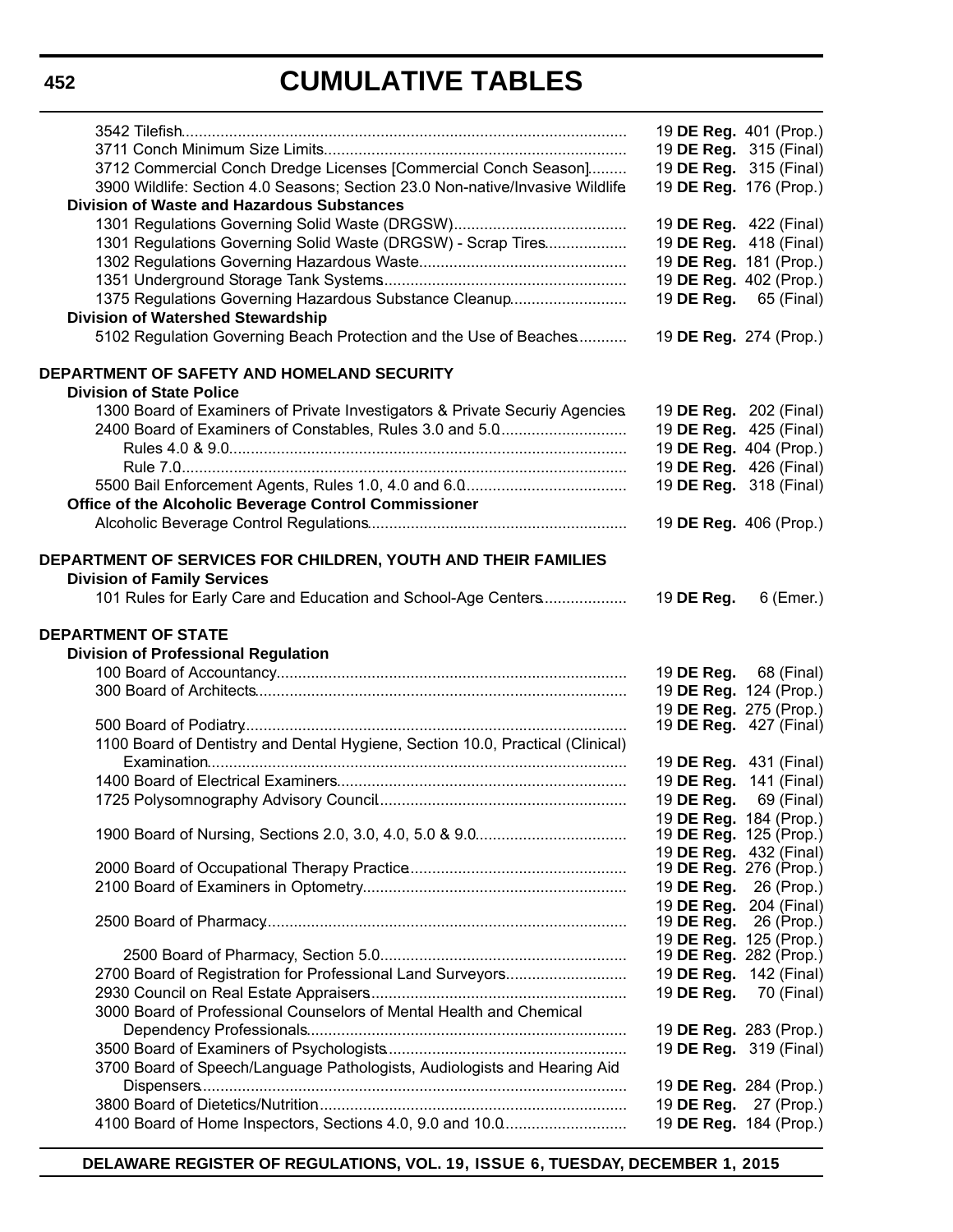|                                                                                                     | 19 DE Reg. 401 (Prop.)        |            |
|-----------------------------------------------------------------------------------------------------|-------------------------------|------------|
|                                                                                                     | 19 DE Reg. 315 (Final)        |            |
| 3712 Commercial Conch Dredge Licenses [Commercial Conch Season]                                     | 19 DE Reg. 315 (Final)        |            |
| 3900 Wildlife: Section 4.0 Seasons; Section 23.0 Non-native/Invasive Wildlife                       | 19 DE Reg. 176 (Prop.)        |            |
| <b>Division of Waste and Hazardous Substances</b>                                                   |                               |            |
|                                                                                                     | 19 DE Reg. 422 (Final)        |            |
|                                                                                                     |                               |            |
| 1301 Regulations Governing Solid Waste (DRGSW) - Scrap Tires                                        | 19 DE Reg. 418 (Final)        |            |
|                                                                                                     | 19 DE Reg. 181 (Prop.)        |            |
|                                                                                                     | 19 DE Reg. 402 (Prop.)        |            |
| 1375 Regulations Governing Hazardous Substance Cleanup                                              | 19 DE Reg. 65 (Final)         |            |
| <b>Division of Watershed Stewardship</b>                                                            |                               |            |
| 5102 Regulation Governing Beach Protection and the Use of Beaches                                   | 19 DE Reg. 274 (Prop.)        |            |
| DEPARTMENT OF SAFETY AND HOMELAND SECURITY                                                          |                               |            |
| <b>Division of State Police</b>                                                                     |                               |            |
| 1300 Board of Examiners of Private Investigators & Private Securiy Agencies.                        | 19 DE Reg. 202 (Final)        |            |
| 2400 Board of Examiners of Constables, Rules 3.0 and 5.0                                            | 19 DE Reg. 425 (Final)        |            |
|                                                                                                     | 19 DE Reg. 404 (Prop.)        |            |
|                                                                                                     | 19 DE Reg. 426 (Final)        |            |
|                                                                                                     | 19 DE Reg. 318 (Final)        |            |
| Office of the Alcoholic Beverage Control Commissioner                                               |                               |            |
|                                                                                                     | 19 DE Reg. 406 (Prop.)        |            |
|                                                                                                     |                               |            |
| DEPARTMENT OF SERVICES FOR CHILDREN, YOUTH AND THEIR FAMILIES                                       |                               |            |
| <b>Division of Family Services</b><br>101 Rules for Early Care and Education and School-Age Centers | 19 DE Reg.                    | 6 (Emer.)  |
|                                                                                                     |                               |            |
| <b>DEPARTMENT OF STATE</b><br><b>Division of Professional Regulation</b>                            |                               |            |
|                                                                                                     | 19 <b>DE Reg.</b> 68 (Final)  |            |
|                                                                                                     | 19 DE Reg. 124 (Prop.)        |            |
|                                                                                                     | 19 DE Reg. 275 (Prop.)        |            |
|                                                                                                     | 19 <b>DE Reg.</b> 427 (Final) |            |
| 1100 Board of Dentistry and Dental Hygiene, Section 10.0, Practical (Clinical)                      |                               |            |
|                                                                                                     | 19 DE Reg. 431 (Final)        |            |
|                                                                                                     | 19 DE Reg. 141 (Final)        |            |
|                                                                                                     | 19 <b>DE Reg.</b> 69 (Final)  |            |
|                                                                                                     | 19 DE Reg. 184 (Prop.)        |            |
|                                                                                                     | 19 DE Reg. 125 (Prop.)        |            |
|                                                                                                     | 19 DE Reg. 432 (Final)        |            |
|                                                                                                     | 19 <b>DE Reg.</b> 276 (Prop.) |            |
|                                                                                                     | 19 DE Reg. 26 (Prop.)         |            |
|                                                                                                     | 19 DE Reg. 204 (Final)        |            |
|                                                                                                     | 19 DE Reg.                    | 26 (Prop.) |
|                                                                                                     | 19 DE Reg. 125 (Prop.)        |            |
|                                                                                                     | 19 DE Reg. 282 (Prop.)        |            |
| 2700 Board of Registration for Professional Land Surveyors                                          | 19 DE Reg. 142 (Final)        |            |
|                                                                                                     | 19 DE Reg.                    | 70 (Final) |
| 3000 Board of Professional Counselors of Mental Health and Chemical                                 |                               |            |
|                                                                                                     | 19 DE Reg. 283 (Prop.)        |            |
|                                                                                                     | 19 DE Reg. 319 (Final)        |            |
| 3700 Board of Speech/Language Pathologists, Audiologists and Hearing Aid                            |                               |            |
|                                                                                                     | 19 DE Reg. 284 (Prop.)        |            |
|                                                                                                     | 19 <b>DE Reg.</b> 27 (Prop.)  |            |
|                                                                                                     | 19 DE Reg. 184 (Prop.)        |            |

**DELAWARE REGISTER OF REGULATIONS, VOL. 19, ISSUE 6, TUESDAY, DECEMBER 1, 2015**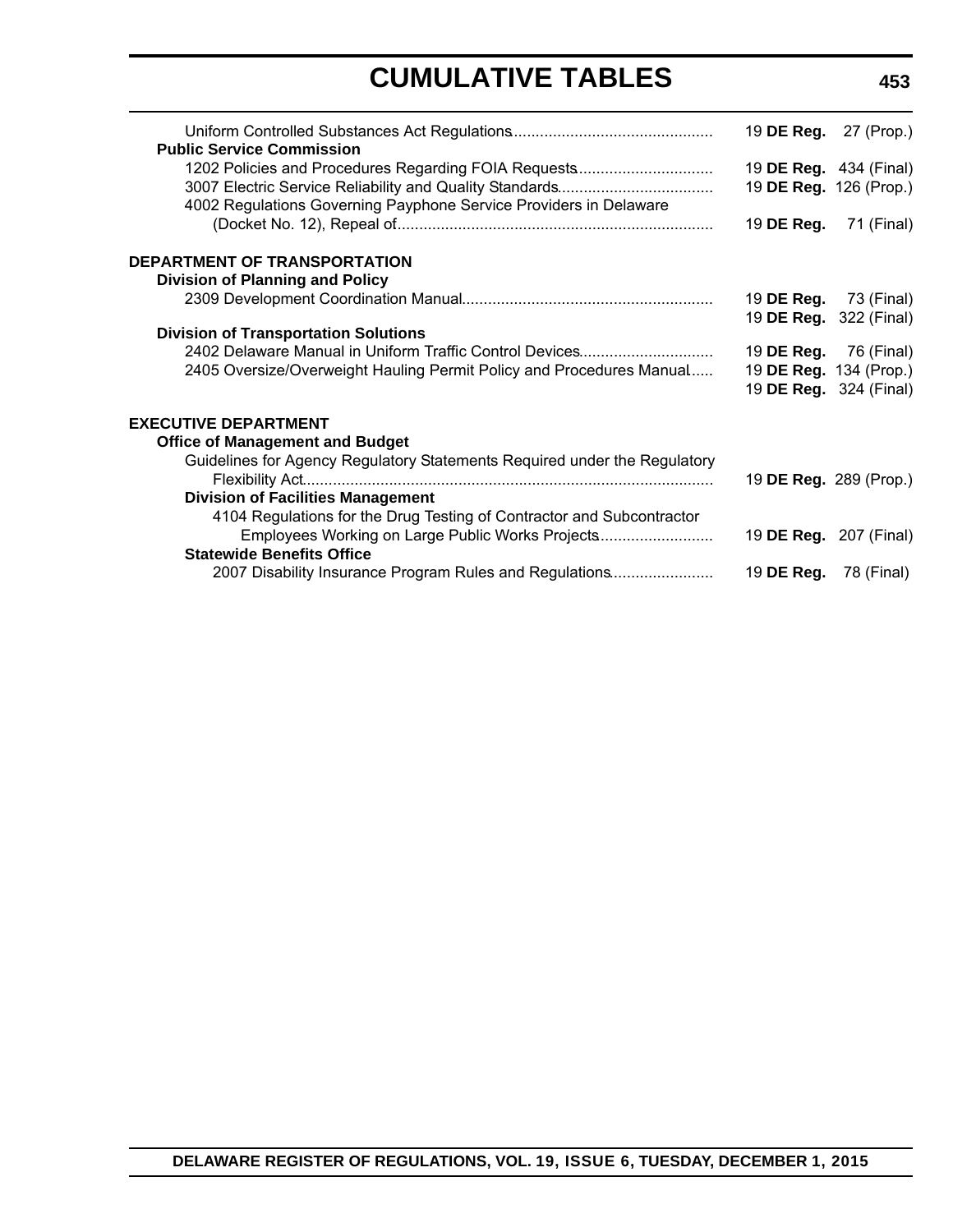| 19 <b>DE Reg.</b> 27 (Prop.) |                                                                |
|------------------------------|----------------------------------------------------------------|
|                              |                                                                |
| 19 DE Reg. 126 (Prop.)       |                                                                |
| 19 DE Reg.                   | 71 (Final)                                                     |
|                              |                                                                |
|                              |                                                                |
| 19 <b>DE Reg.</b> 73 (Final) |                                                                |
|                              | 19 DE Reg. 322 (Final)                                         |
|                              |                                                                |
| 19 <b>DE Reg.</b> 76 (Final) |                                                                |
| 19 DE Reg. 134 (Prop.)       |                                                                |
|                              | 19 DE Reg. 324 (Final)                                         |
|                              |                                                                |
|                              |                                                                |
|                              |                                                                |
| 19 DE Reg. 289 (Prop.)       |                                                                |
|                              |                                                                |
|                              |                                                                |
|                              |                                                                |
|                              |                                                                |
| 19 <b>DE Reg.</b> 78 (Final) |                                                                |
|                              | 19 <b>DE Reg.</b> 434 (Final)<br>19 <b>DE Reg.</b> 207 (Final) |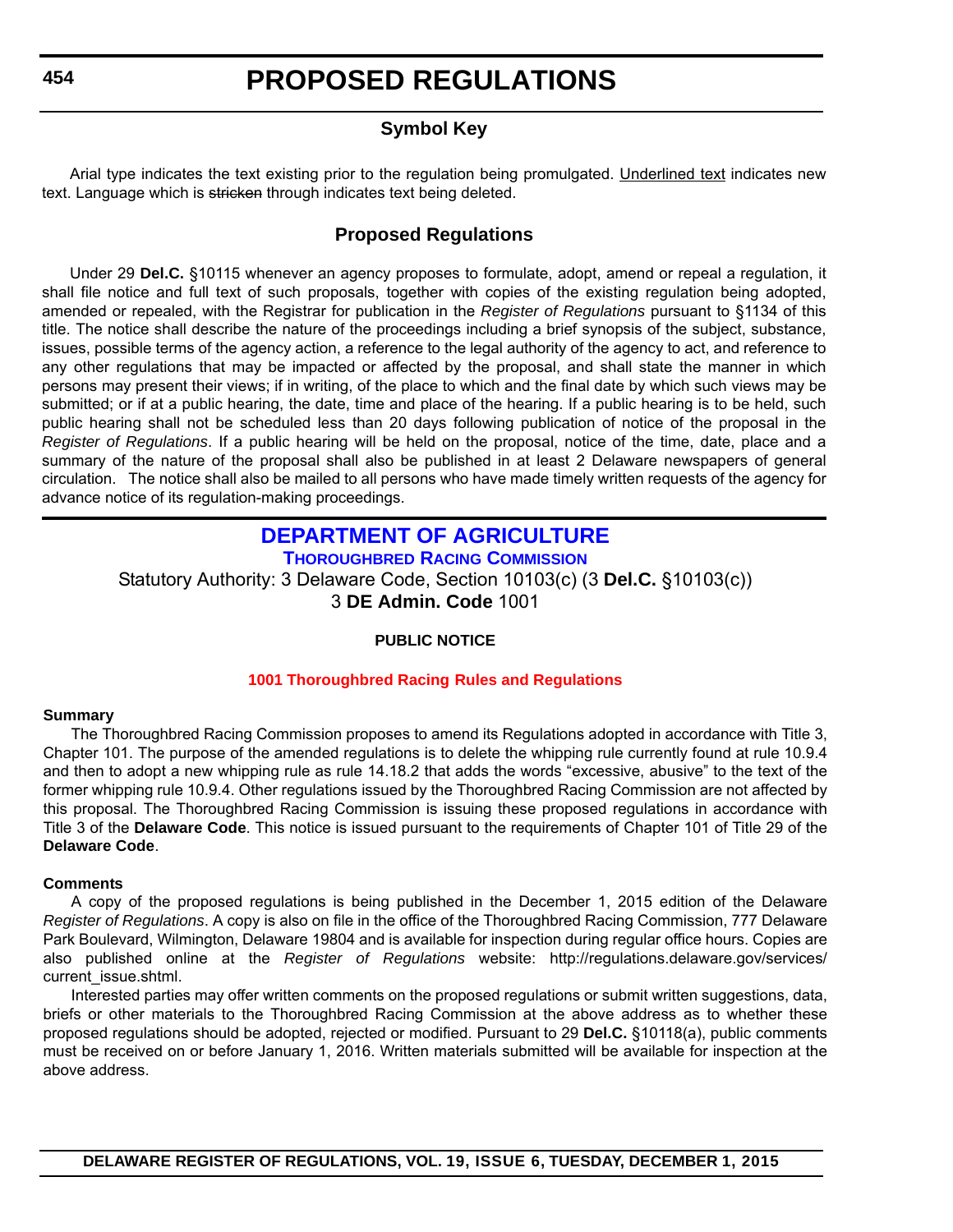### **Symbol Key**

<span id="page-10-0"></span>Arial type indicates the text existing prior to the regulation being promulgated. Underlined text indicates new text. Language which is stricken through indicates text being deleted.

### **Proposed Regulations**

Under 29 **Del.C.** §10115 whenever an agency proposes to formulate, adopt, amend or repeal a regulation, it shall file notice and full text of such proposals, together with copies of the existing regulation being adopted, amended or repealed, with the Registrar for publication in the *Register of Regulations* pursuant to §1134 of this title. The notice shall describe the nature of the proceedings including a brief synopsis of the subject, substance, issues, possible terms of the agency action, a reference to the legal authority of the agency to act, and reference to any other regulations that may be impacted or affected by the proposal, and shall state the manner in which persons may present their views; if in writing, of the place to which and the final date by which such views may be submitted; or if at a public hearing, the date, time and place of the hearing. If a public hearing is to be held, such public hearing shall not be scheduled less than 20 days following publication of notice of the proposal in the *Register of Regulations*. If a public hearing will be held on the proposal, notice of the time, date, place and a summary of the nature of the proposal shall also be published in at least 2 Delaware newspapers of general circulation. The notice shall also be mailed to all persons who have made timely written requests of the agency for advance notice of its regulation-making proceedings.

### **[DEPARTMENT OF AGRICULTURE](http://dda.delaware.gov/thoroughbred/index.shtml)**

**THOROUGHBRED RACING COMMISSION**

Statutory Authority: 3 Delaware Code, Section 10103(c) (3 **Del.C.** §10103(c))

3 **DE Admin. Code** 1001

#### **PUBLIC NOTICE**

#### **[1001 Thoroughbred Racing](#page-3-0) Rules and Regulations**

#### **Summary**

The Thoroughbred Racing Commission proposes to amend its Regulations adopted in accordance with Title 3, Chapter 101. The purpose of the amended regulations is to delete the whipping rule currently found at rule 10.9.4 and then to adopt a new whipping rule as rule 14.18.2 that adds the words "excessive, abusive" to the text of the former whipping rule 10.9.4. Other regulations issued by the Thoroughbred Racing Commission are not affected by this proposal. The Thoroughbred Racing Commission is issuing these proposed regulations in accordance with Title 3 of the **Delaware Code**. This notice is issued pursuant to the requirements of Chapter 101 of Title 29 of the **Delaware Code**.

#### **Comments**

A copy of the proposed regulations is being published in the December 1, 2015 edition of the Delaware *Register of Regulations*. A copy is also on file in the office of the Thoroughbred Racing Commission, 777 Delaware Park Boulevard, Wilmington, Delaware 19804 and is available for inspection during regular office hours. Copies are also published online at the *Register of Regulations* website: http://regulations.delaware.gov/services/ current\_issue.shtml.

Interested parties may offer written comments on the proposed regulations or submit written suggestions, data, briefs or other materials to the Thoroughbred Racing Commission at the above address as to whether these proposed regulations should be adopted, rejected or modified. Pursuant to 29 **Del.C.** §10118(a), public comments must be received on or before January 1, 2016. Written materials submitted will be available for inspection at the above address.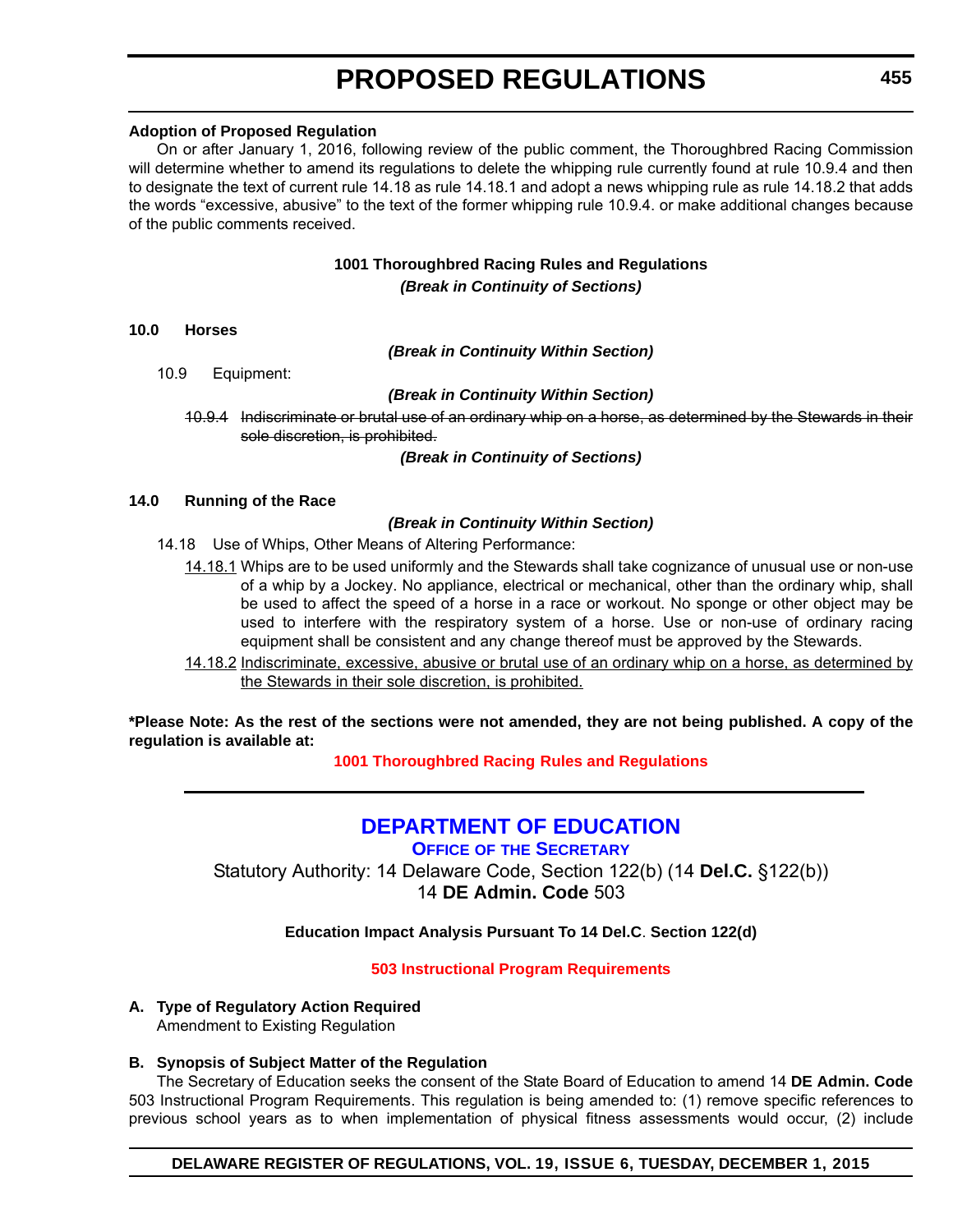#### <span id="page-11-0"></span>**Adoption of Proposed Regulation**

On or after January 1, 2016, following review of the public comment, the Thoroughbred Racing Commission will determine whether to amend its regulations to delete the whipping rule currently found at rule 10.9.4 and then to designate the text of current rule 14.18 as rule 14.18.1 and adopt a news whipping rule as rule 14.18.2 that adds the words "excessive, abusive" to the text of the former whipping rule 10.9.4. or make additional changes because of the public comments received.

#### **1001 Thoroughbred Racing Rules and Regulations** *(Break in Continuity of Sections)*

#### **10.0 Horses**

*(Break in Continuity Within Section)*

10.9 Equipment:

#### *(Break in Continuity Within Section)*

10.9.4 Indiscriminate or brutal use of an ordinary whip on a horse, as determined by the Stewards in their sole discretion, is prohibited.

*(Break in Continuity of Sections)*

#### **14.0 Running of the Race**

#### *(Break in Continuity Within Section)*

- 14.18 Use of Whips, Other Means of Altering Performance:
	- 14.18.1 Whips are to be used uniformly and the Stewards shall take cognizance of unusual use or non-use of a whip by a Jockey. No appliance, electrical or mechanical, other than the ordinary whip, shall be used to affect the speed of a horse in a race or workout. No sponge or other object may be used to interfere with the respiratory system of a horse. Use or non-use of ordinary racing equipment shall be consistent and any change thereof must be approved by the Stewards.
	- 14.18.2 Indiscriminate, excessive, abusive or brutal use of an ordinary whip on a horse, as determined by the Stewards in their sole discretion, is prohibited.

**\*Please Note: As the rest of the sections were not amended, they are not being published. A copy of the regulation is available at:**

**[1001 Thoroughbred Racing](http://regulations.delaware.gov/register/december2015/proposed/19 DE Reg 454 12-01-15.htm) Rules and Regulations**

### **[DEPARTMENT OF EDUCATION](http://www.doe.k12.de.us/site/default.aspx?PageID=1)**

**OFFICE OF THE SECRETARY**

Statutory Authority: 14 Delaware Code, Section 122(b) (14 **Del.C.** §122(b)) 14 **DE Admin. Code** 503

**Education Impact Analysis Pursuant To 14 Del.C**. **Section 122(d)**

#### **[503 Instructional Program Requirements](#page-3-0)**

#### **A. Type of Regulatory Action Required** Amendment to Existing Regulation

#### **B. Synopsis of Subject Matter of the Regulation**

The Secretary of Education seeks the consent of the State Board of Education to amend 14 **DE Admin. Code** 503 Instructional Program Requirements. This regulation is being amended to: (1) remove specific references to previous school years as to when implementation of physical fitness assessments would occur, (2) include

#### **DELAWARE REGISTER OF REGULATIONS, VOL. 19, ISSUE 6, TUESDAY, DECEMBER 1, 2015**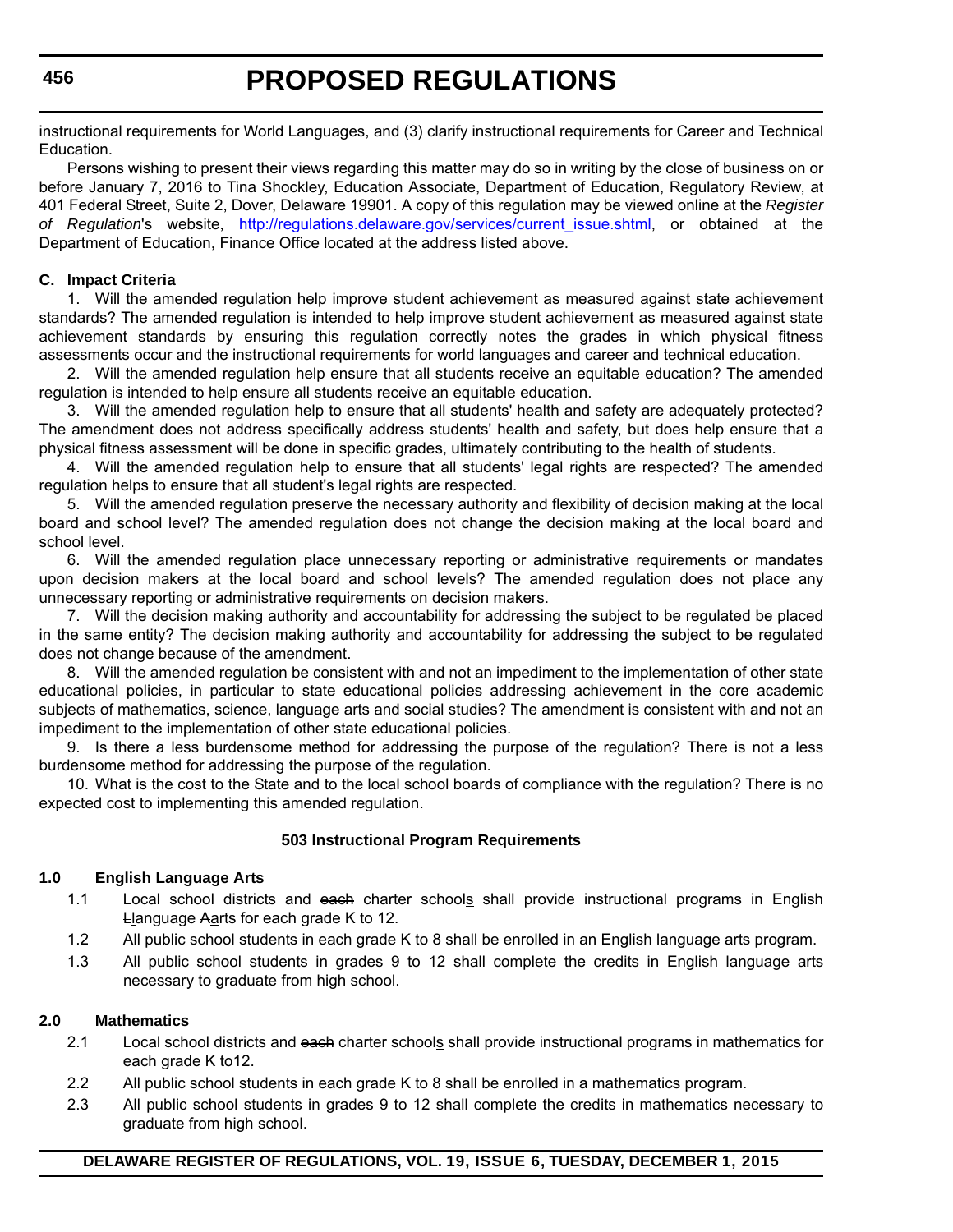instructional requirements for World Languages, and (3) clarify instructional requirements for Career and Technical Education.

Persons wishing to present their views regarding this matter may do so in writing by the close of business on or before January 7, 2016 to Tina Shockley, Education Associate, Department of Education, Regulatory Review, at 401 Federal Street, Suite 2, Dover, Delaware 19901. A copy of this regulation may be viewed online at the *Register of Regulation*'s website, [http://regulations.delaware.gov/services/current\\_issue.shtml,](http://regulations.delaware.gov/services/current_issue.shtml) or obtained at the Department of Education, Finance Office located at the address listed above.

#### **C. Impact Criteria**

1. Will the amended regulation help improve student achievement as measured against state achievement standards? The amended regulation is intended to help improve student achievement as measured against state achievement standards by ensuring this regulation correctly notes the grades in which physical fitness assessments occur and the instructional requirements for world languages and career and technical education.

2. Will the amended regulation help ensure that all students receive an equitable education? The amended regulation is intended to help ensure all students receive an equitable education.

3. Will the amended regulation help to ensure that all students' health and safety are adequately protected? The amendment does not address specifically address students' health and safety, but does help ensure that a physical fitness assessment will be done in specific grades, ultimately contributing to the health of students.

4. Will the amended regulation help to ensure that all students' legal rights are respected? The amended regulation helps to ensure that all student's legal rights are respected.

5. Will the amended regulation preserve the necessary authority and flexibility of decision making at the local board and school level? The amended regulation does not change the decision making at the local board and school level.

6. Will the amended regulation place unnecessary reporting or administrative requirements or mandates upon decision makers at the local board and school levels? The amended regulation does not place any unnecessary reporting or administrative requirements on decision makers.

7. Will the decision making authority and accountability for addressing the subject to be regulated be placed in the same entity? The decision making authority and accountability for addressing the subject to be regulated does not change because of the amendment.

8. Will the amended regulation be consistent with and not an impediment to the implementation of other state educational policies, in particular to state educational policies addressing achievement in the core academic subjects of mathematics, science, language arts and social studies? The amendment is consistent with and not an impediment to the implementation of other state educational policies.

9. Is there a less burdensome method for addressing the purpose of the regulation? There is not a less burdensome method for addressing the purpose of the regulation.

10. What is the cost to the State and to the local school boards of compliance with the regulation? There is no expected cost to implementing this amended regulation.

#### **503 Instructional Program Requirements**

#### **1.0 English Language Arts**

- 1.1 Local school districts and each charter schools shall provide instructional programs in English Llanguage Aarts for each grade K to 12.
- 1.2 All public school students in each grade K to 8 shall be enrolled in an English language arts program.
- 1.3 All public school students in grades 9 to 12 shall complete the credits in English language arts necessary to graduate from high school.

#### **2.0 Mathematics**

- 2.1 Local school districts and each charter schools shall provide instructional programs in mathematics for each grade K to12.
- 2.2 All public school students in each grade K to 8 shall be enrolled in a mathematics program.
- 2.3 All public school students in grades 9 to 12 shall complete the credits in mathematics necessary to graduate from high school.

#### **DELAWARE REGISTER OF REGULATIONS, VOL. 19, ISSUE 6, TUESDAY, DECEMBER 1, 2015**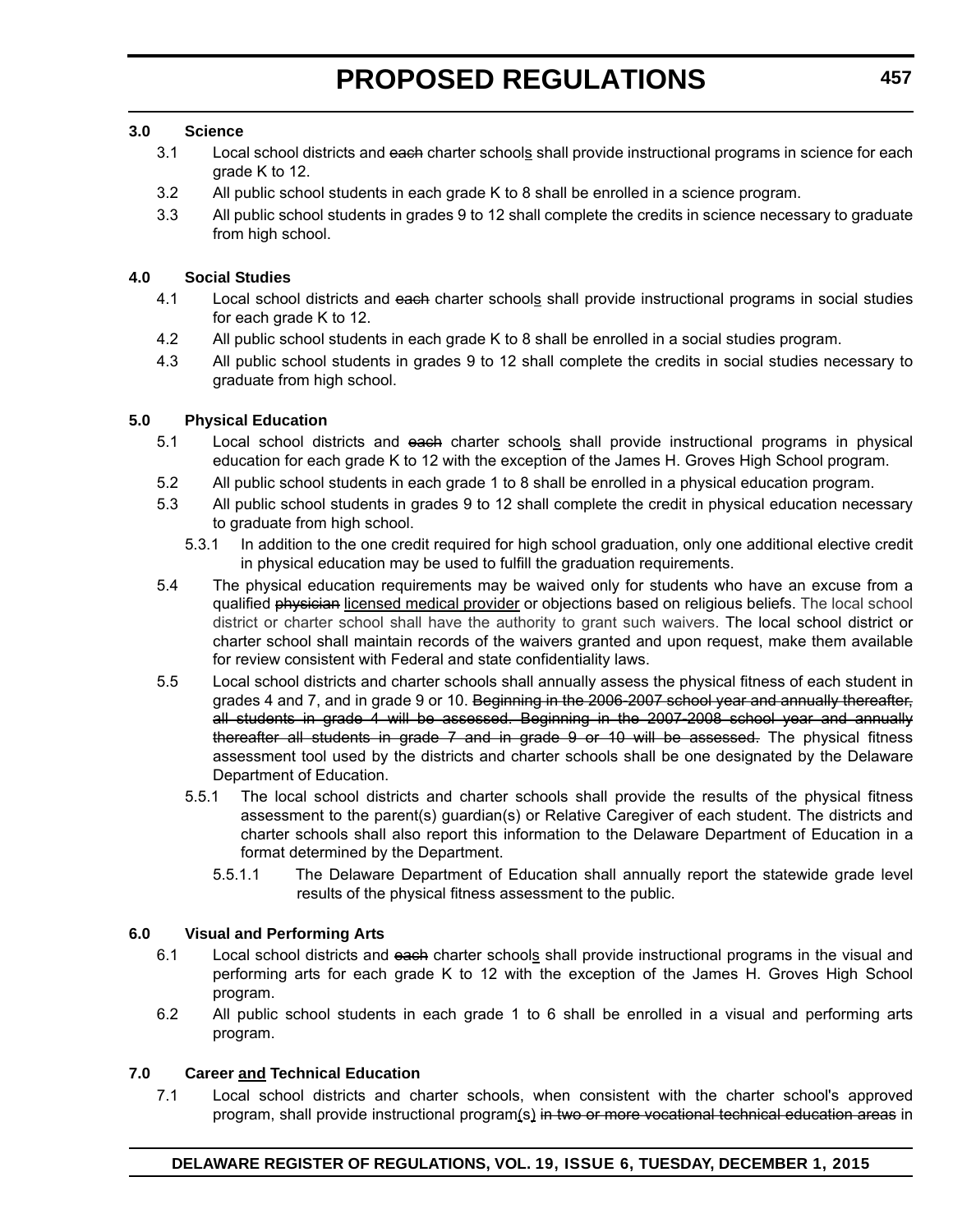#### **3.0 Science**

- 3.1 Local school districts and each charter schools shall provide instructional programs in science for each grade K to 12.
- 3.2 All public school students in each grade K to 8 shall be enrolled in a science program.
- 3.3 All public school students in grades 9 to 12 shall complete the credits in science necessary to graduate from high school.

#### **4.0 Social Studies**

- 4.1 Local school districts and each charter schools shall provide instructional programs in social studies for each grade K to 12.
- 4.2 All public school students in each grade K to 8 shall be enrolled in a social studies program.
- 4.3 All public school students in grades 9 to 12 shall complete the credits in social studies necessary to graduate from high school.

#### **5.0 Physical Education**

- 5.1 Local school districts and each charter schools shall provide instructional programs in physical education for each grade K to 12 with the exception of the James H. Groves High School program.
- 5.2 All public school students in each grade 1 to 8 shall be enrolled in a physical education program.
- 5.3 All public school students in grades 9 to 12 shall complete the credit in physical education necessary to graduate from high school.
	- 5.3.1 In addition to the one credit required for high school graduation, only one additional elective credit in physical education may be used to fulfill the graduation requirements.
- 5.4 The physical education requirements may be waived only for students who have an excuse from a qualified physician licensed medical provider or objections based on religious beliefs. The local school district or charter school shall have the authority to grant such waivers. The local school district or charter school shall maintain records of the waivers granted and upon request, make them available for review consistent with Federal and state confidentiality laws.
- 5.5 Local school districts and charter schools shall annually assess the physical fitness of each student in grades 4 and 7, and in grade 9 or 10. Beginning in the 2006-2007 school year and annually thereafter, all students in grade 4 will be assessed. Beginning in the 2007-2008 school year and annually thereafter all students in grade 7 and in grade 9 or 10 will be assessed. The physical fitness assessment tool used by the districts and charter schools shall be one designated by the Delaware Department of Education.
	- 5.5.1 The local school districts and charter schools shall provide the results of the physical fitness assessment to the parent(s) guardian(s) or Relative Caregiver of each student. The districts and charter schools shall also report this information to the Delaware Department of Education in a format determined by the Department.
		- 5.5.1.1 The Delaware Department of Education shall annually report the statewide grade level results of the physical fitness assessment to the public.

#### **6.0 Visual and Performing Arts**

- 6.1 Local school districts and each charter schools shall provide instructional programs in the visual and performing arts for each grade K to 12 with the exception of the James H. Groves High School program.
- 6.2 All public school students in each grade 1 to 6 shall be enrolled in a visual and performing arts program.

#### **7.0 Career and Technical Education**

7.1 Local school districts and charter schools, when consistent with the charter school's approved program, shall provide instructional program(s) in two or more vocational technical education areas in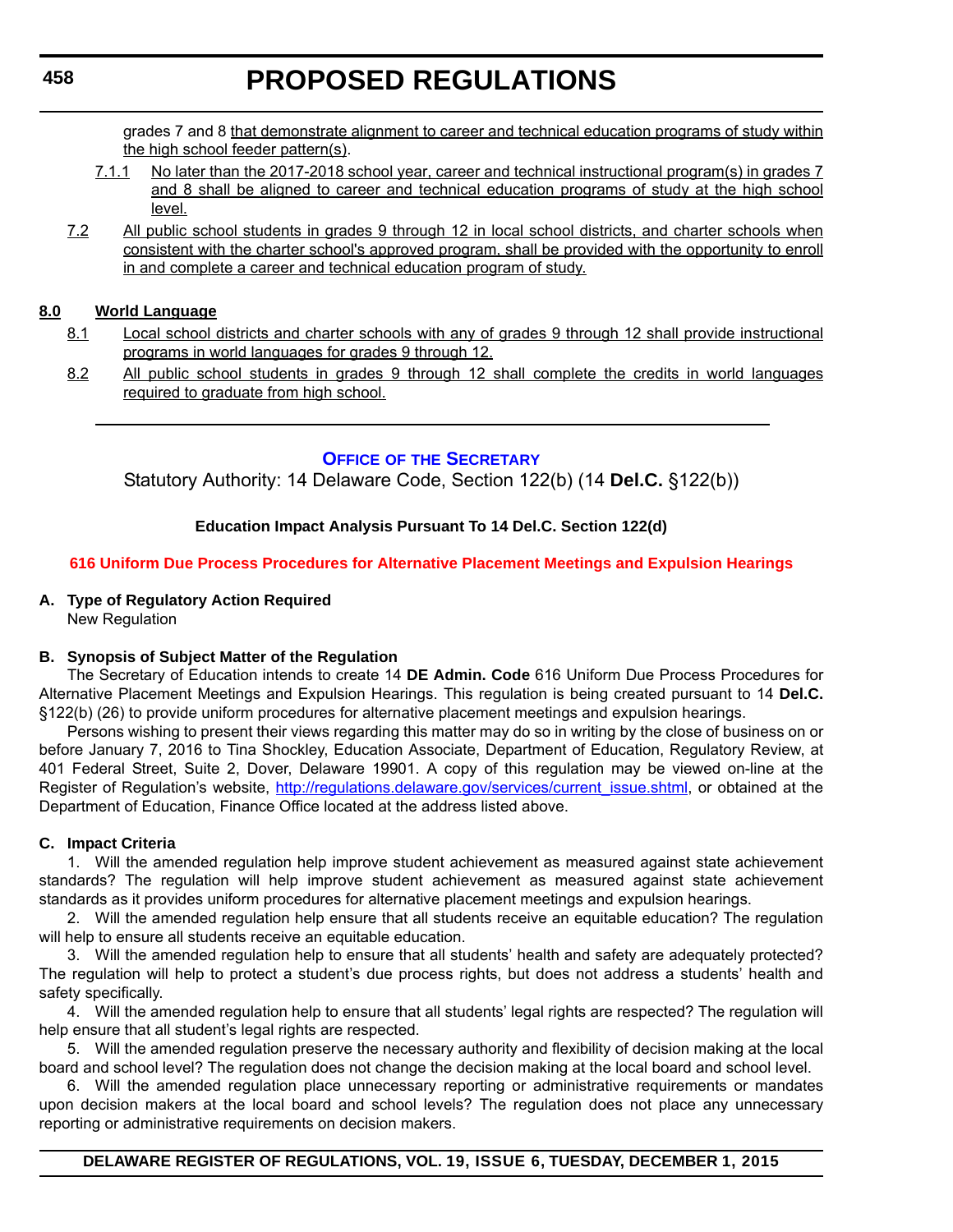<span id="page-14-0"></span>grades 7 and 8 that demonstrate alignment to career and technical education programs of study within the high school feeder pattern(s).

- 7.1.1 No later than the 2017-2018 school year, career and technical instructional program(s) in grades 7 and 8 shall be aligned to career and technical education programs of study at the high school level.
- 7.2 All public school students in grades 9 through 12 in local school districts, and charter schools when consistent with the charter school's approved program, shall be provided with the opportunity to enroll in and complete a career and technical education program of study.

#### **8.0 World Language**

- 8.1 Local school districts and charter schools with any of grades 9 through 12 shall provide instructional programs in world languages for grades 9 through 12.
- 8.2 All public school students in grades 9 through 12 shall complete the credits in world languages required to graduate from high school.

#### **OFFICE OF [THE SECRETARY](http://www.doe.k12.de.us/site/default.aspx?PageID=1)**

Statutory Authority: 14 Delaware Code, Section 122(b) (14 **Del.C.** §122(b))

#### **Education Impact Analysis Pursuant To 14 Del.C. Section 122(d)**

#### **[616 Uniform Due Process Procedures for Alternative Placement Meetings and Expulsion Hearings](#page-3-0)**

#### **A. Type of Regulatory Action Required**

New Regulation

#### **B. Synopsis of Subject Matter of the Regulation**

The Secretary of Education intends to create 14 **DE Admin. Code** 616 Uniform Due Process Procedures for Alternative Placement Meetings and Expulsion Hearings. This regulation is being created pursuant to 14 **Del.C.** §122(b) (26) to provide uniform procedures for alternative placement meetings and expulsion hearings.

Persons wishing to present their views regarding this matter may do so in writing by the close of business on or before January 7, 2016 to Tina Shockley, Education Associate, Department of Education, Regulatory Review, at 401 Federal Street, Suite 2, Dover, Delaware 19901. A copy of this regulation may be viewed on-line at the Register of Regulation's website, [http://regulations.delaware.gov/services/current\\_issue.shtml](http://regulations.delaware.gov/services/current_issue.shtml), or obtained at the Department of Education, Finance Office located at the address listed above.

#### **C. Impact Criteria**

1. Will the amended regulation help improve student achievement as measured against state achievement standards? The regulation will help improve student achievement as measured against state achievement standards as it provides uniform procedures for alternative placement meetings and expulsion hearings.

2. Will the amended regulation help ensure that all students receive an equitable education? The regulation will help to ensure all students receive an equitable education.

3. Will the amended regulation help to ensure that all students' health and safety are adequately protected? The regulation will help to protect a student's due process rights, but does not address a students' health and safety specifically.

4. Will the amended regulation help to ensure that all students' legal rights are respected? The regulation will help ensure that all student's legal rights are respected.

5. Will the amended regulation preserve the necessary authority and flexibility of decision making at the local board and school level? The regulation does not change the decision making at the local board and school level.

6. Will the amended regulation place unnecessary reporting or administrative requirements or mandates upon decision makers at the local board and school levels? The regulation does not place any unnecessary reporting or administrative requirements on decision makers.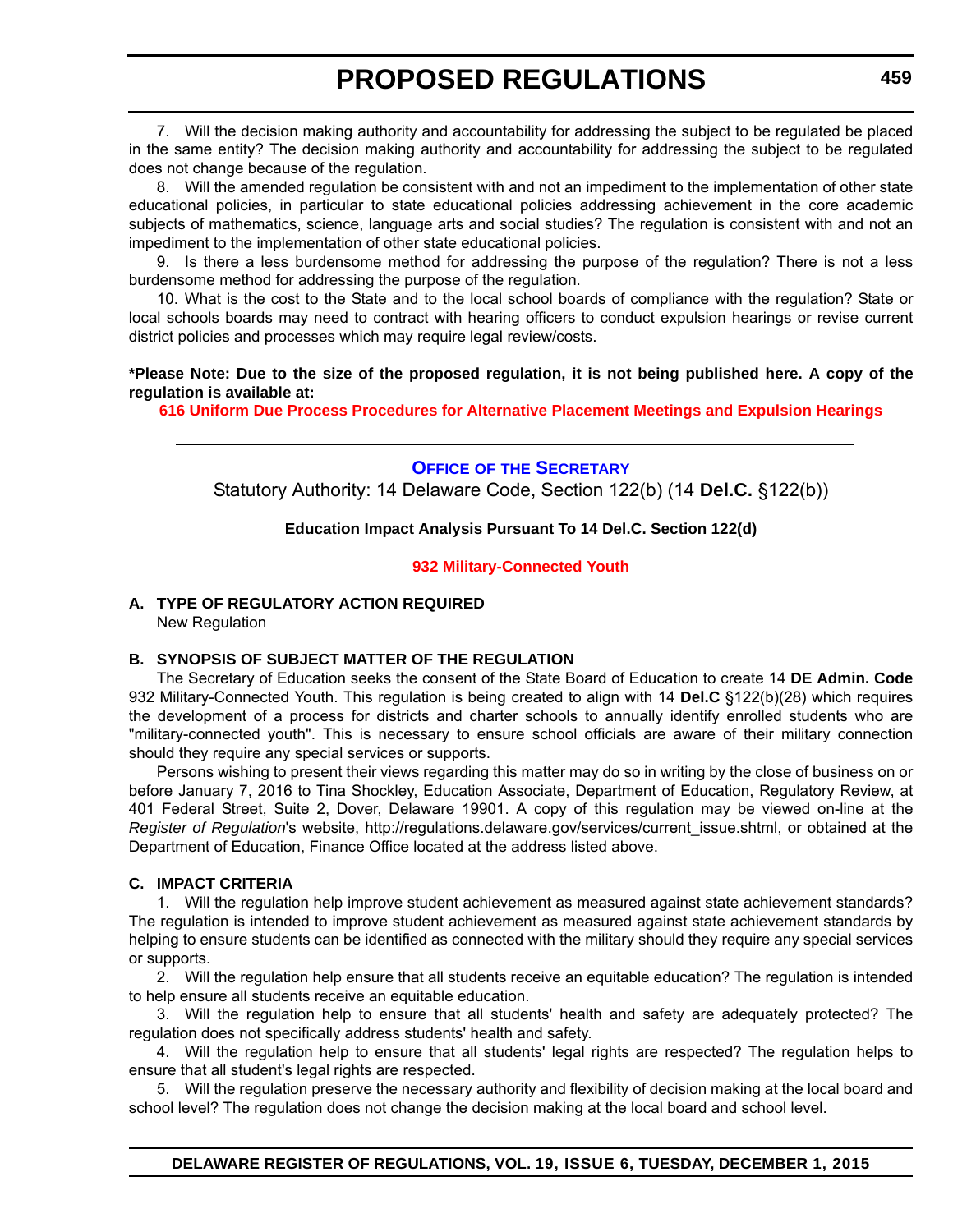<span id="page-15-0"></span>7. Will the decision making authority and accountability for addressing the subject to be regulated be placed in the same entity? The decision making authority and accountability for addressing the subject to be regulated does not change because of the regulation.

8. Will the amended regulation be consistent with and not an impediment to the implementation of other state educational policies, in particular to state educational policies addressing achievement in the core academic subjects of mathematics, science, language arts and social studies? The regulation is consistent with and not an impediment to the implementation of other state educational policies.

9. Is there a less burdensome method for addressing the purpose of the regulation? There is not a less burdensome method for addressing the purpose of the regulation.

10. What is the cost to the State and to the local school boards of compliance with the regulation? State or local schools boards may need to contract with hearing officers to conduct expulsion hearings or revise current district policies and processes which may require legal review/costs.

#### **\*Please Note: Due to the size of the proposed regulation, it is not being published here. A copy of the regulation is available at:**

**[616 Uniform Due Process Procedures for Alternative Placement Meetings and Expulsion Hearings](http://regulations.delaware.gov/register/december2015/proposed/19 DE Reg 458 12-01-15.htm)**

**OFFICE OF [THE SECRETARY](http://www.doe.k12.de.us/site/default.aspx?PageID=1)** Statutory Authority: 14 Delaware Code, Section 122(b) (14 **Del.C.** §122(b))

#### **Education Impact Analysis Pursuant To 14 Del.C. Section 122(d)**

#### **[932 Military-Connected Youth](#page-3-0)**

#### **A. TYPE OF REGULATORY ACTION REQUIRED** New Regulation

#### **B. SYNOPSIS OF SUBJECT MATTER OF THE REGULATION**

The Secretary of Education seeks the consent of the State Board of Education to create 14 **DE Admin. Code** 932 Military-Connected Youth. This regulation is being created to align with 14 **Del.C** §122(b)(28) which requires the development of a process for districts and charter schools to annually identify enrolled students who are "military-connected youth". This is necessary to ensure school officials are aware of their military connection should they require any special services or supports.

Persons wishing to present their views regarding this matter may do so in writing by the close of business on or before January 7, 2016 to Tina Shockley, Education Associate, Department of Education, Regulatory Review, at 401 Federal Street, Suite 2, Dover, Delaware 19901. A copy of this regulation may be viewed on-line at the *Register of Regulation*'s website, http://regulations.delaware.gov/services/current\_issue.shtml, or obtained at the Department of Education, Finance Office located at the address listed above.

#### **C. IMPACT CRITERIA**

1. Will the regulation help improve student achievement as measured against state achievement standards? The regulation is intended to improve student achievement as measured against state achievement standards by helping to ensure students can be identified as connected with the military should they require any special services or supports.

2. Will the regulation help ensure that all students receive an equitable education? The regulation is intended to help ensure all students receive an equitable education.

3. Will the regulation help to ensure that all students' health and safety are adequately protected? The regulation does not specifically address students' health and safety.

4. Will the regulation help to ensure that all students' legal rights are respected? The regulation helps to ensure that all student's legal rights are respected.

5. Will the regulation preserve the necessary authority and flexibility of decision making at the local board and school level? The regulation does not change the decision making at the local board and school level.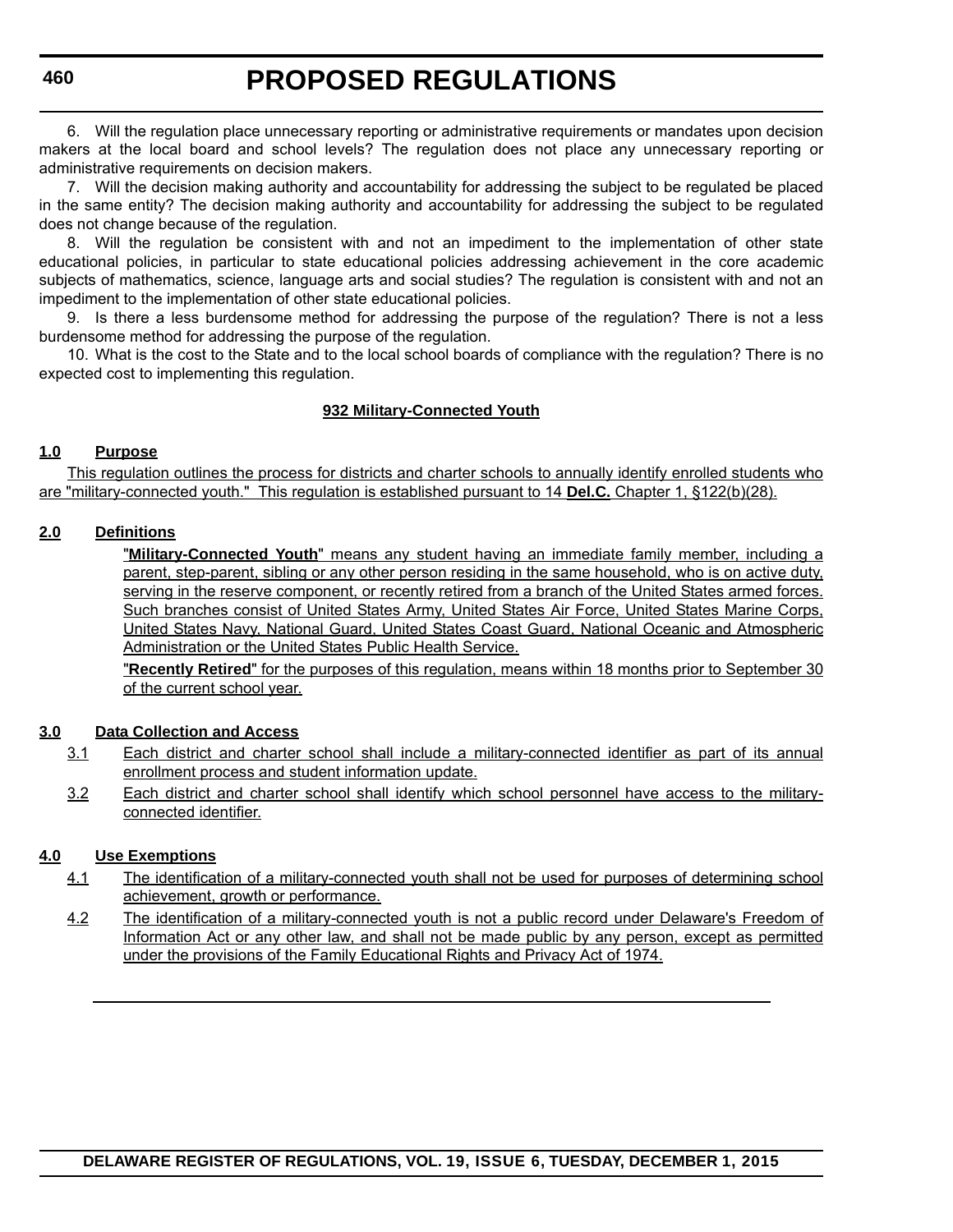6. Will the regulation place unnecessary reporting or administrative requirements or mandates upon decision makers at the local board and school levels? The regulation does not place any unnecessary reporting or administrative requirements on decision makers.

7. Will the decision making authority and accountability for addressing the subject to be regulated be placed in the same entity? The decision making authority and accountability for addressing the subject to be regulated does not change because of the regulation.

8. Will the regulation be consistent with and not an impediment to the implementation of other state educational policies, in particular to state educational policies addressing achievement in the core academic subjects of mathematics, science, language arts and social studies? The regulation is consistent with and not an impediment to the implementation of other state educational policies.

9. Is there a less burdensome method for addressing the purpose of the regulation? There is not a less burdensome method for addressing the purpose of the regulation.

10. What is the cost to the State and to the local school boards of compliance with the regulation? There is no expected cost to implementing this regulation.

#### **932 Military-Connected Youth**

#### **1.0 Purpose**

This regulation outlines the process for districts and charter schools to annually identify enrolled students who are "military-connected youth." This regulation is established pursuant to 14 **Del.C.** Chapter 1, §122(b)(28).

#### **2.0 Definitions**

"**Military-Connected Youth**" means any student having an immediate family member, including a parent, step-parent, sibling or any other person residing in the same household, who is on active duty, serving in the reserve component, or recently retired from a branch of the United States armed forces. Such branches consist of United States Army, United States Air Force, United States Marine Corps, United States Navy, National Guard, United States Coast Guard, National Oceanic and Atmospheric Administration or the United States Public Health Service.

"**Recently Retired**" for the purposes of this regulation, means within 18 months prior to September 30 of the current school year.

#### **3.0 Data Collection and Access**

- 3.1 Each district and charter school shall include a military-connected identifier as part of its annual enrollment process and student information update.
- 3.2 Each district and charter school shall identify which school personnel have access to the militaryconnected identifier.

#### **4.0 Use Exemptions**

- 4.1 The identification of a military-connected youth shall not be used for purposes of determining school achievement, growth or performance.
- 4.2 The identification of a military-connected youth is not a public record under Delaware's Freedom of Information Act or any other law, and shall not be made public by any person, except as permitted under the provisions of the Family Educational Rights and Privacy Act of 1974.

### **DELAWARE REGISTER OF REGULATIONS, VOL. 19, ISSUE 6, TUESDAY, DECEMBER 1, 2015**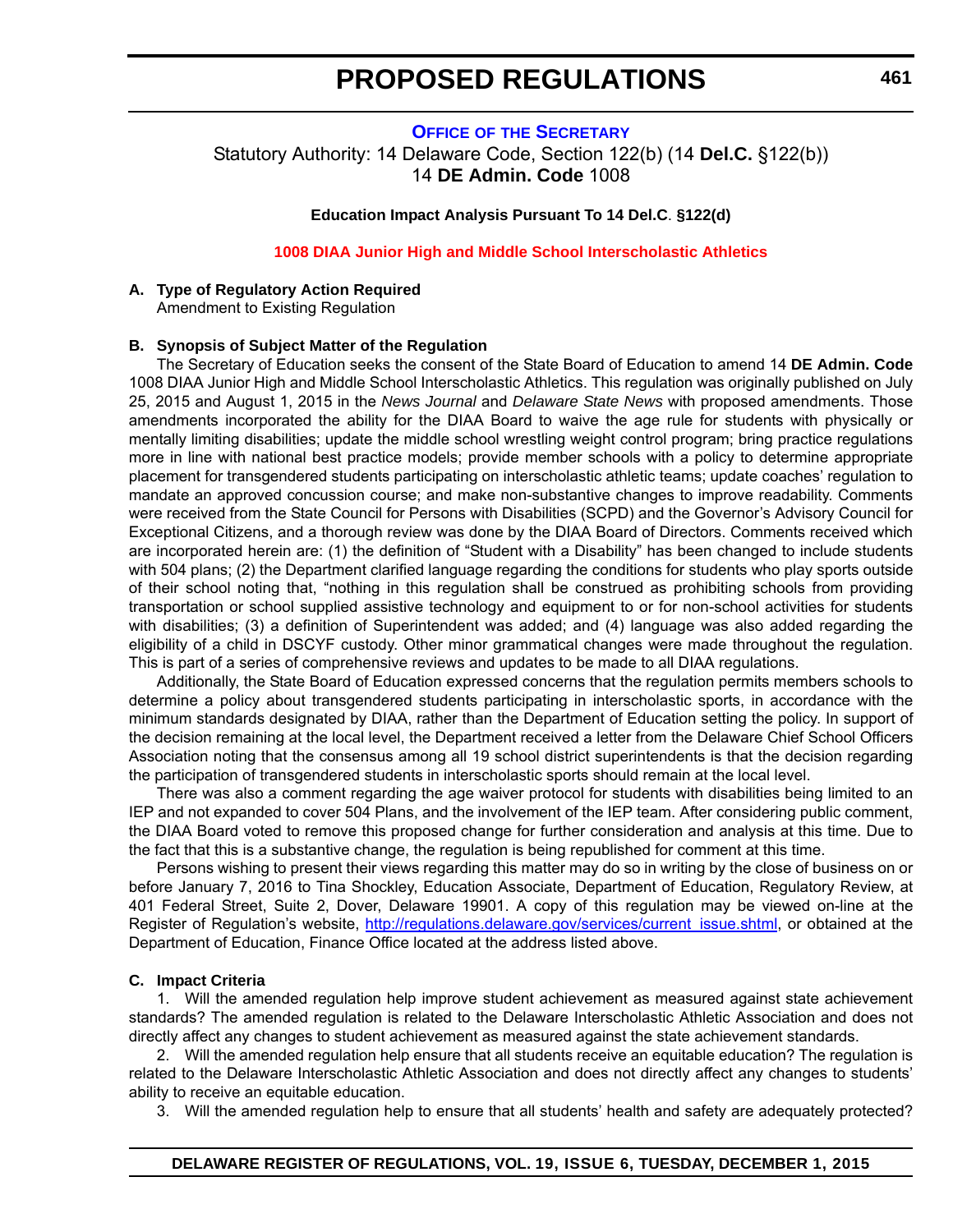### <span id="page-17-0"></span>**OFFICE OF [THE SECRETARY](http://www.doe.k12.de.us/site/default.aspx?PageID=1)** Statutory Authority: 14 Delaware Code, Section 122(b) (14 **Del.C.** §122(b))

14 **DE Admin. Code** 1008

#### **Education Impact Analysis Pursuant To 14 Del.C**. **§122(d)**

#### **[1008 DIAA Junior High and Middle School Interscholastic Athletics](#page-3-0)**

#### **A. Type of Regulatory Action Required**

Amendment to Existing Regulation

#### **B. Synopsis of Subject Matter of the Regulation**

The Secretary of Education seeks the consent of the State Board of Education to amend 14 **DE Admin. Code** 1008 DIAA Junior High and Middle School Interscholastic Athletics. This regulation was originally published on July 25, 2015 and August 1, 2015 in the *News Journal* and *Delaware State News* with proposed amendments. Those amendments incorporated the ability for the DIAA Board to waive the age rule for students with physically or mentally limiting disabilities; update the middle school wrestling weight control program; bring practice regulations more in line with national best practice models; provide member schools with a policy to determine appropriate placement for transgendered students participating on interscholastic athletic teams; update coaches' regulation to mandate an approved concussion course; and make non-substantive changes to improve readability. Comments were received from the State Council for Persons with Disabilities (SCPD) and the Governor's Advisory Council for Exceptional Citizens, and a thorough review was done by the DIAA Board of Directors. Comments received which are incorporated herein are: (1) the definition of "Student with a Disability" has been changed to include students with 504 plans; (2) the Department clarified language regarding the conditions for students who play sports outside of their school noting that, "nothing in this regulation shall be construed as prohibiting schools from providing transportation or school supplied assistive technology and equipment to or for non-school activities for students with disabilities; (3) a definition of Superintendent was added; and (4) language was also added regarding the eligibility of a child in DSCYF custody. Other minor grammatical changes were made throughout the regulation. This is part of a series of comprehensive reviews and updates to be made to all DIAA regulations.

Additionally, the State Board of Education expressed concerns that the regulation permits members schools to determine a policy about transgendered students participating in interscholastic sports, in accordance with the minimum standards designated by DIAA, rather than the Department of Education setting the policy. In support of the decision remaining at the local level, the Department received a letter from the Delaware Chief School Officers Association noting that the consensus among all 19 school district superintendents is that the decision regarding the participation of transgendered students in interscholastic sports should remain at the local level.

There was also a comment regarding the age waiver protocol for students with disabilities being limited to an IEP and not expanded to cover 504 Plans, and the involvement of the IEP team. After considering public comment, the DIAA Board voted to remove this proposed change for further consideration and analysis at this time. Due to the fact that this is a substantive change, the regulation is being republished for comment at this time.

Persons wishing to present their views regarding this matter may do so in writing by the close of business on or before January 7, 2016 to Tina Shockley, Education Associate, Department of Education, Regulatory Review, at 401 Federal Street, Suite 2, Dover, Delaware 19901. A copy of this regulation may be viewed on-line at the Register of Regulation's website, [http://regulations.delaware.gov/services/current\\_issue.shtml,](http://regulations.delaware.gov/services/current_issue.shtml) or obtained at the Department of Education, Finance Office located at the address listed above.

#### **C. Impact Criteria**

1. Will the amended regulation help improve student achievement as measured against state achievement standards? The amended regulation is related to the Delaware Interscholastic Athletic Association and does not directly affect any changes to student achievement as measured against the state achievement standards.

2. Will the amended regulation help ensure that all students receive an equitable education? The regulation is related to the Delaware Interscholastic Athletic Association and does not directly affect any changes to students' ability to receive an equitable education.

3. Will the amended regulation help to ensure that all students' health and safety are adequately protected?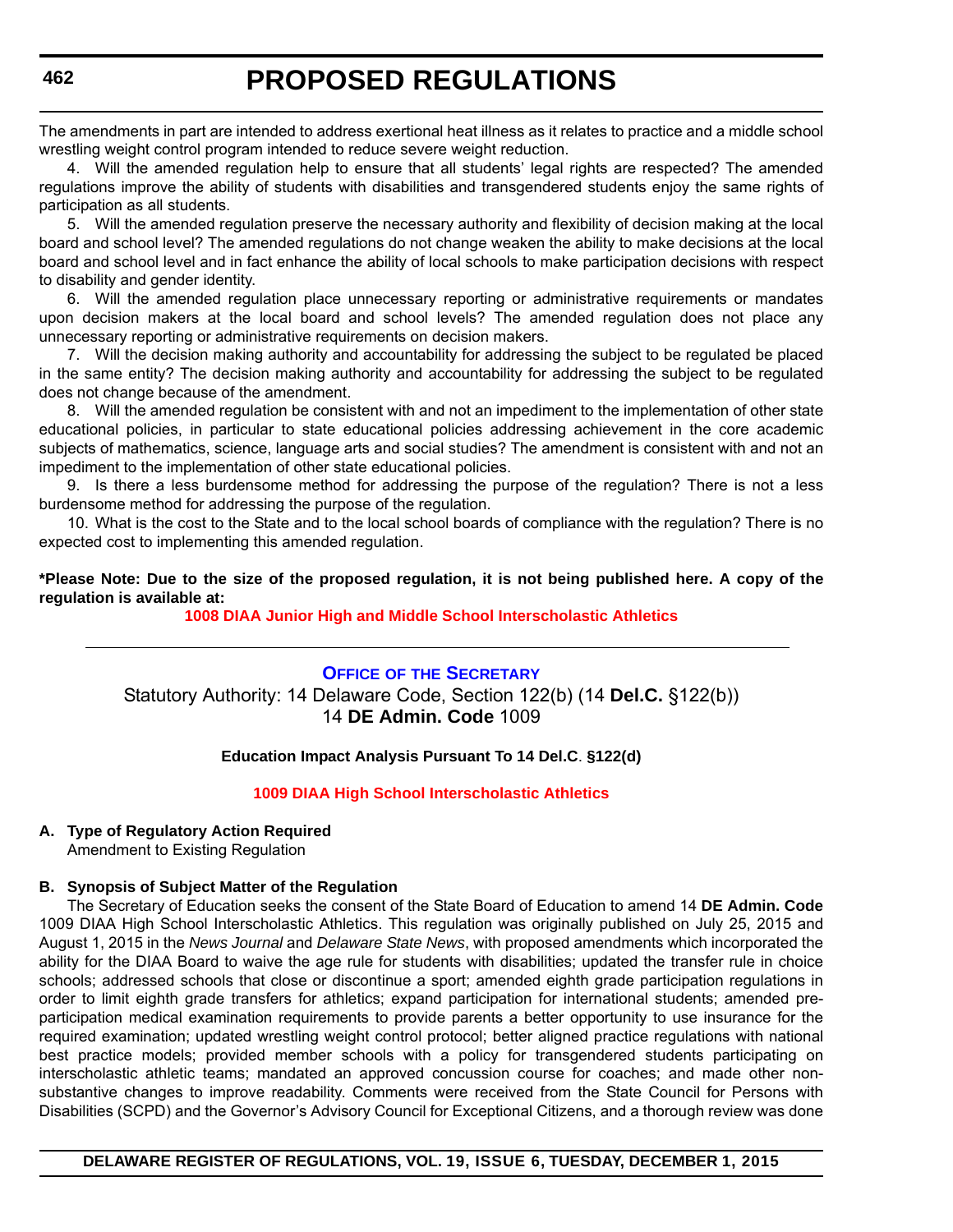<span id="page-18-0"></span>The amendments in part are intended to address exertional heat illness as it relates to practice and a middle school wrestling weight control program intended to reduce severe weight reduction.

4. Will the amended regulation help to ensure that all students' legal rights are respected? The amended regulations improve the ability of students with disabilities and transgendered students enjoy the same rights of participation as all students.

5. Will the amended regulation preserve the necessary authority and flexibility of decision making at the local board and school level? The amended regulations do not change weaken the ability to make decisions at the local board and school level and in fact enhance the ability of local schools to make participation decisions with respect to disability and gender identity.

6. Will the amended regulation place unnecessary reporting or administrative requirements or mandates upon decision makers at the local board and school levels? The amended regulation does not place any unnecessary reporting or administrative requirements on decision makers.

7. Will the decision making authority and accountability for addressing the subject to be regulated be placed in the same entity? The decision making authority and accountability for addressing the subject to be regulated does not change because of the amendment.

8. Will the amended regulation be consistent with and not an impediment to the implementation of other state educational policies, in particular to state educational policies addressing achievement in the core academic subjects of mathematics, science, language arts and social studies? The amendment is consistent with and not an impediment to the implementation of other state educational policies.

9. Is there a less burdensome method for addressing the purpose of the regulation? There is not a less burdensome method for addressing the purpose of the regulation.

10. What is the cost to the State and to the local school boards of compliance with the regulation? There is no expected cost to implementing this amended regulation.

**\*Please Note: Due to the size of the proposed regulation, it is not being published here. A copy of the regulation is available at:**

#### **[1008 DIAA Junior High and Middle School Interscholastic Athletics](http://regulations.delaware.gov/register/december2015/proposed/19 DE Reg 461 12-01-15.htm)**

### **OFFICE OF [THE SECRETARY](http://www.doe.k12.de.us/site/default.aspx?PageID=1)** Statutory Authority: 14 Delaware Code, Section 122(b) (14 **Del.C.** §122(b)) 14 **DE Admin. Code** 1009

#### **Education Impact Analysis Pursuant To 14 Del.C**. **§122(d)**

#### **[1009 DIAA High School Interscholastic Athletics](#page-3-0)**

### **A. Type of Regulatory Action Required**

Amendment to Existing Regulation

#### **B. Synopsis of Subject Matter of the Regulation**

The Secretary of Education seeks the consent of the State Board of Education to amend 14 **DE Admin. Code** 1009 DIAA High School Interscholastic Athletics. This regulation was originally published on July 25, 2015 and August 1, 2015 in the *News Journal* and *Delaware State News*, with proposed amendments which incorporated the ability for the DIAA Board to waive the age rule for students with disabilities; updated the transfer rule in choice schools; addressed schools that close or discontinue a sport; amended eighth grade participation regulations in order to limit eighth grade transfers for athletics; expand participation for international students; amended preparticipation medical examination requirements to provide parents a better opportunity to use insurance for the required examination; updated wrestling weight control protocol; better aligned practice regulations with national best practice models; provided member schools with a policy for transgendered students participating on interscholastic athletic teams; mandated an approved concussion course for coaches; and made other nonsubstantive changes to improve readability. Comments were received from the State Council for Persons with Disabilities (SCPD) and the Governor's Advisory Council for Exceptional Citizens, and a thorough review was done

#### **DELAWARE REGISTER OF REGULATIONS, VOL. 19, ISSUE 6, TUESDAY, DECEMBER 1, 2015**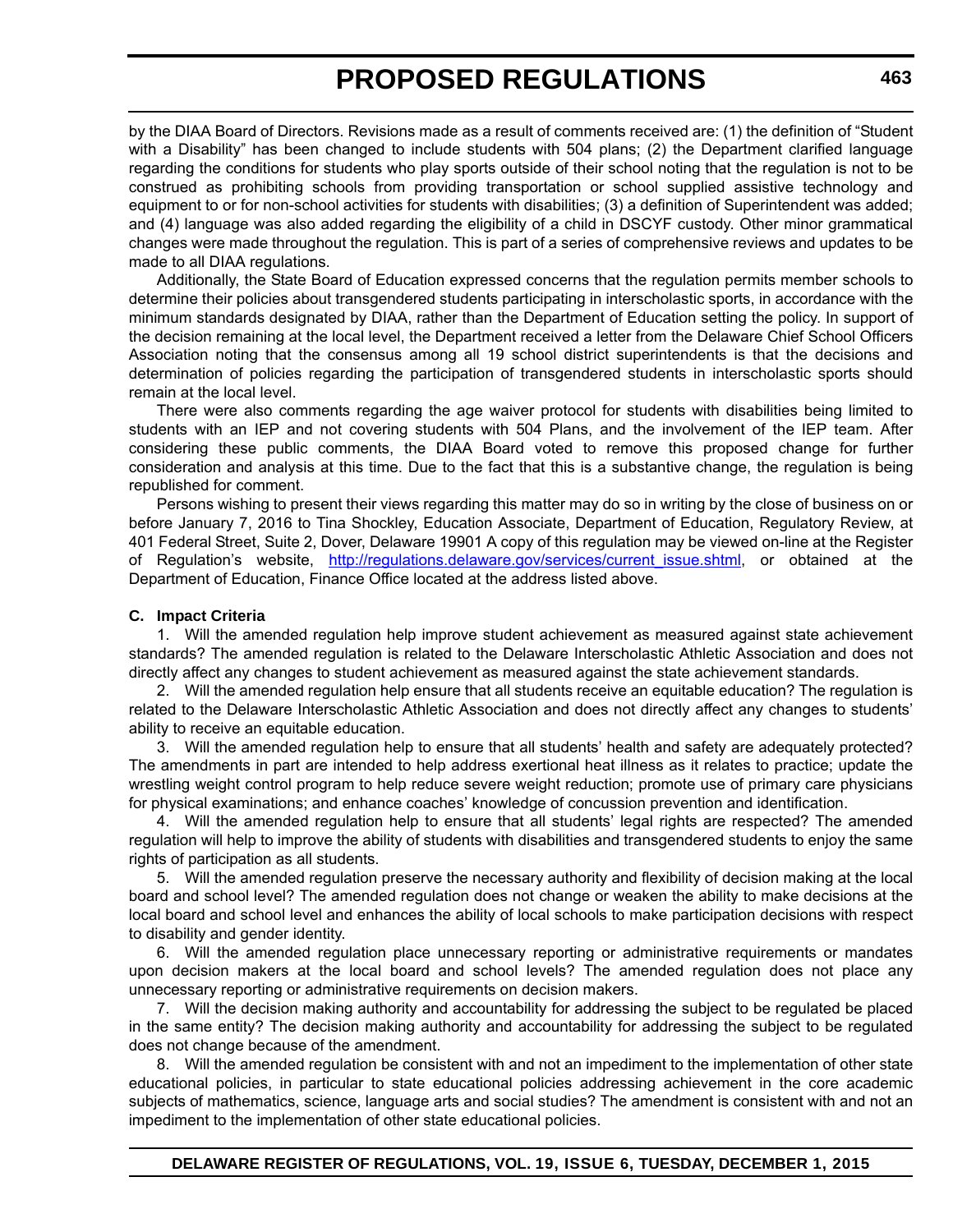by the DIAA Board of Directors. Revisions made as a result of comments received are: (1) the definition of "Student with a Disability" has been changed to include students with 504 plans; (2) the Department clarified language regarding the conditions for students who play sports outside of their school noting that the regulation is not to be construed as prohibiting schools from providing transportation or school supplied assistive technology and equipment to or for non-school activities for students with disabilities; (3) a definition of Superintendent was added; and (4) language was also added regarding the eligibility of a child in DSCYF custody. Other minor grammatical changes were made throughout the regulation. This is part of a series of comprehensive reviews and updates to be made to all DIAA regulations.

Additionally, the State Board of Education expressed concerns that the regulation permits member schools to determine their policies about transgendered students participating in interscholastic sports, in accordance with the minimum standards designated by DIAA, rather than the Department of Education setting the policy. In support of the decision remaining at the local level, the Department received a letter from the Delaware Chief School Officers Association noting that the consensus among all 19 school district superintendents is that the decisions and determination of policies regarding the participation of transgendered students in interscholastic sports should remain at the local level.

There were also comments regarding the age waiver protocol for students with disabilities being limited to students with an IEP and not covering students with 504 Plans, and the involvement of the IEP team. After considering these public comments, the DIAA Board voted to remove this proposed change for further consideration and analysis at this time. Due to the fact that this is a substantive change, the regulation is being republished for comment.

Persons wishing to present their views regarding this matter may do so in writing by the close of business on or before January 7, 2016 to Tina Shockley, Education Associate, Department of Education, Regulatory Review, at 401 Federal Street, Suite 2, Dover, Delaware 19901 A copy of this regulation may be viewed on-line at the Register of Regulation's website, [http://regulations.delaware.gov/services/current\\_issue.shtml](http://regulations.delaware.gov/services/current_issue.shtml), or obtained at the Department of Education, Finance Office located at the address listed above.

#### **C. Impact Criteria**

1. Will the amended regulation help improve student achievement as measured against state achievement standards? The amended regulation is related to the Delaware Interscholastic Athletic Association and does not directly affect any changes to student achievement as measured against the state achievement standards.

2. Will the amended regulation help ensure that all students receive an equitable education? The regulation is related to the Delaware Interscholastic Athletic Association and does not directly affect any changes to students' ability to receive an equitable education.

3. Will the amended regulation help to ensure that all students' health and safety are adequately protected? The amendments in part are intended to help address exertional heat illness as it relates to practice; update the wrestling weight control program to help reduce severe weight reduction; promote use of primary care physicians for physical examinations; and enhance coaches' knowledge of concussion prevention and identification.

4. Will the amended regulation help to ensure that all students' legal rights are respected? The amended regulation will help to improve the ability of students with disabilities and transgendered students to enjoy the same rights of participation as all students.

5. Will the amended regulation preserve the necessary authority and flexibility of decision making at the local board and school level? The amended regulation does not change or weaken the ability to make decisions at the local board and school level and enhances the ability of local schools to make participation decisions with respect to disability and gender identity.

6. Will the amended regulation place unnecessary reporting or administrative requirements or mandates upon decision makers at the local board and school levels? The amended regulation does not place any unnecessary reporting or administrative requirements on decision makers.

7. Will the decision making authority and accountability for addressing the subject to be regulated be placed in the same entity? The decision making authority and accountability for addressing the subject to be regulated does not change because of the amendment.

Will the amended regulation be consistent with and not an impediment to the implementation of other state educational policies, in particular to state educational policies addressing achievement in the core academic subjects of mathematics, science, language arts and social studies? The amendment is consistent with and not an impediment to the implementation of other state educational policies.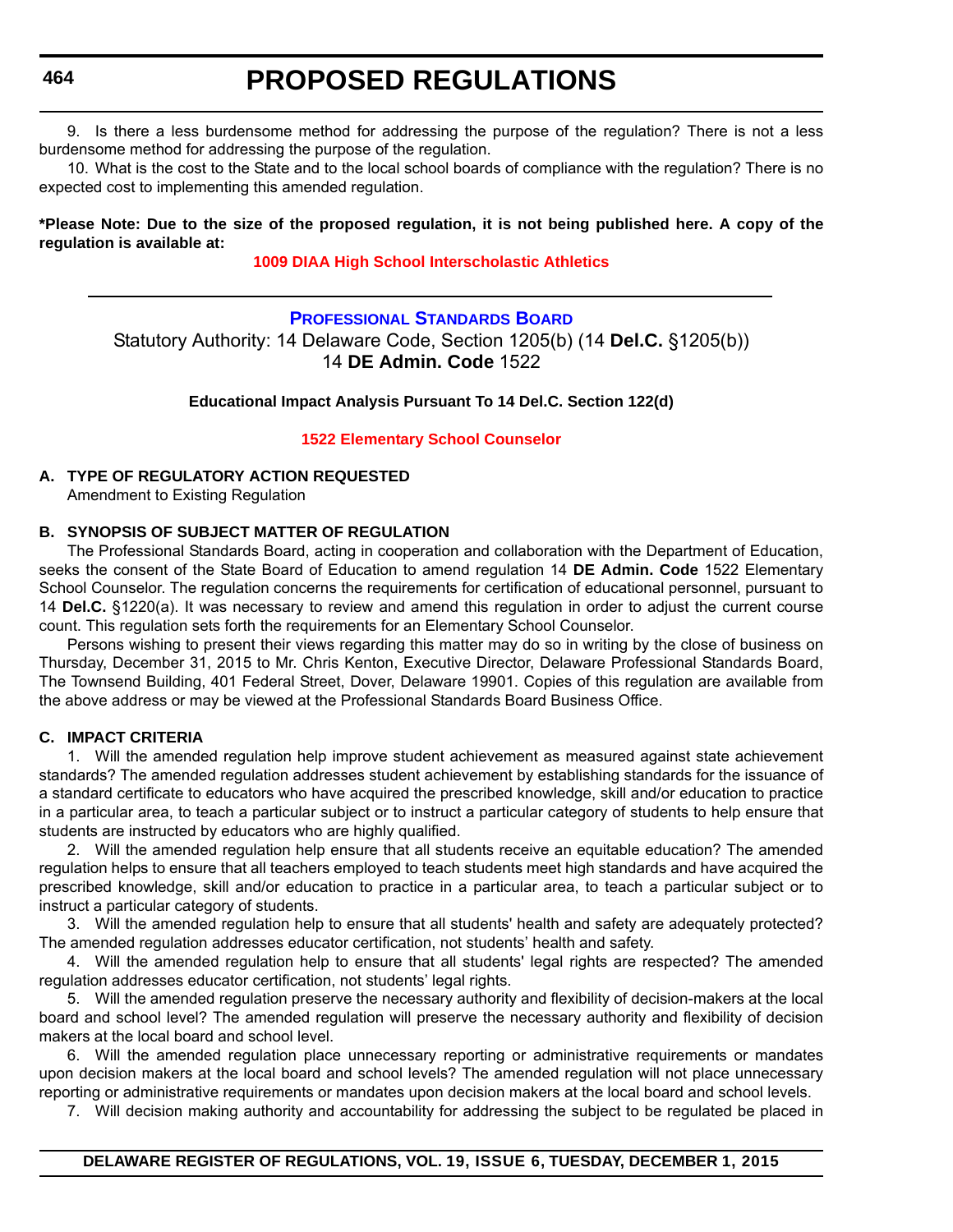<span id="page-20-0"></span>**464**

# **PROPOSED REGULATIONS**

9. Is there a less burdensome method for addressing the purpose of the regulation? There is not a less burdensome method for addressing the purpose of the regulation.

10. What is the cost to the State and to the local school boards of compliance with the regulation? There is no expected cost to implementing this amended regulation.

#### **\*Please Note: Due to the size of the proposed regulation, it is not being published here. A copy of the regulation is available at:**

#### **[1009 DIAA High School Interscholastic Athletics](http://regulations.delaware.gov/register/december2015/proposed/19 DE Reg 462 12-01-15.htm)**

**[PROFESSIONAL STANDARDS BOARD](http://www.doe.k12.de.us/domain/172)** Statutory Authority: 14 Delaware Code, Section 1205(b) (14 **Del.C.** §1205(b)) 14 **DE Admin. Code** 1522

**Educational Impact Analysis Pursuant To 14 Del.C. Section 122(d)**

**[1522 Elementary School Counselor](#page-3-0)**

#### **A. TYPE OF REGULATORY ACTION REQUESTED**

Amendment to Existing Regulation

#### **B. SYNOPSIS OF SUBJECT MATTER OF REGULATION**

The Professional Standards Board, acting in cooperation and collaboration with the Department of Education, seeks the consent of the State Board of Education to amend regulation 14 **DE Admin. Code** 1522 Elementary School Counselor. The regulation concerns the requirements for certification of educational personnel, pursuant to 14 **Del.C.** §1220(a). It was necessary to review and amend this regulation in order to adjust the current course count. This regulation sets forth the requirements for an Elementary School Counselor.

Persons wishing to present their views regarding this matter may do so in writing by the close of business on Thursday, December 31, 2015 to Mr. Chris Kenton, Executive Director, Delaware Professional Standards Board, The Townsend Building, 401 Federal Street, Dover, Delaware 19901. Copies of this regulation are available from the above address or may be viewed at the Professional Standards Board Business Office.

#### **C. IMPACT CRITERIA**

1. Will the amended regulation help improve student achievement as measured against state achievement standards? The amended regulation addresses student achievement by establishing standards for the issuance of a standard certificate to educators who have acquired the prescribed knowledge, skill and/or education to practice in a particular area, to teach a particular subject or to instruct a particular category of students to help ensure that students are instructed by educators who are highly qualified.

2. Will the amended regulation help ensure that all students receive an equitable education? The amended regulation helps to ensure that all teachers employed to teach students meet high standards and have acquired the prescribed knowledge, skill and/or education to practice in a particular area, to teach a particular subject or to instruct a particular category of students.

3. Will the amended regulation help to ensure that all students' health and safety are adequately protected? The amended regulation addresses educator certification, not students' health and safety.

4. Will the amended regulation help to ensure that all students' legal rights are respected? The amended regulation addresses educator certification, not students' legal rights.

5. Will the amended regulation preserve the necessary authority and flexibility of decision-makers at the local board and school level? The amended regulation will preserve the necessary authority and flexibility of decision makers at the local board and school level.

6. Will the amended regulation place unnecessary reporting or administrative requirements or mandates upon decision makers at the local board and school levels? The amended regulation will not place unnecessary reporting or administrative requirements or mandates upon decision makers at the local board and school levels.

7. Will decision making authority and accountability for addressing the subject to be regulated be placed in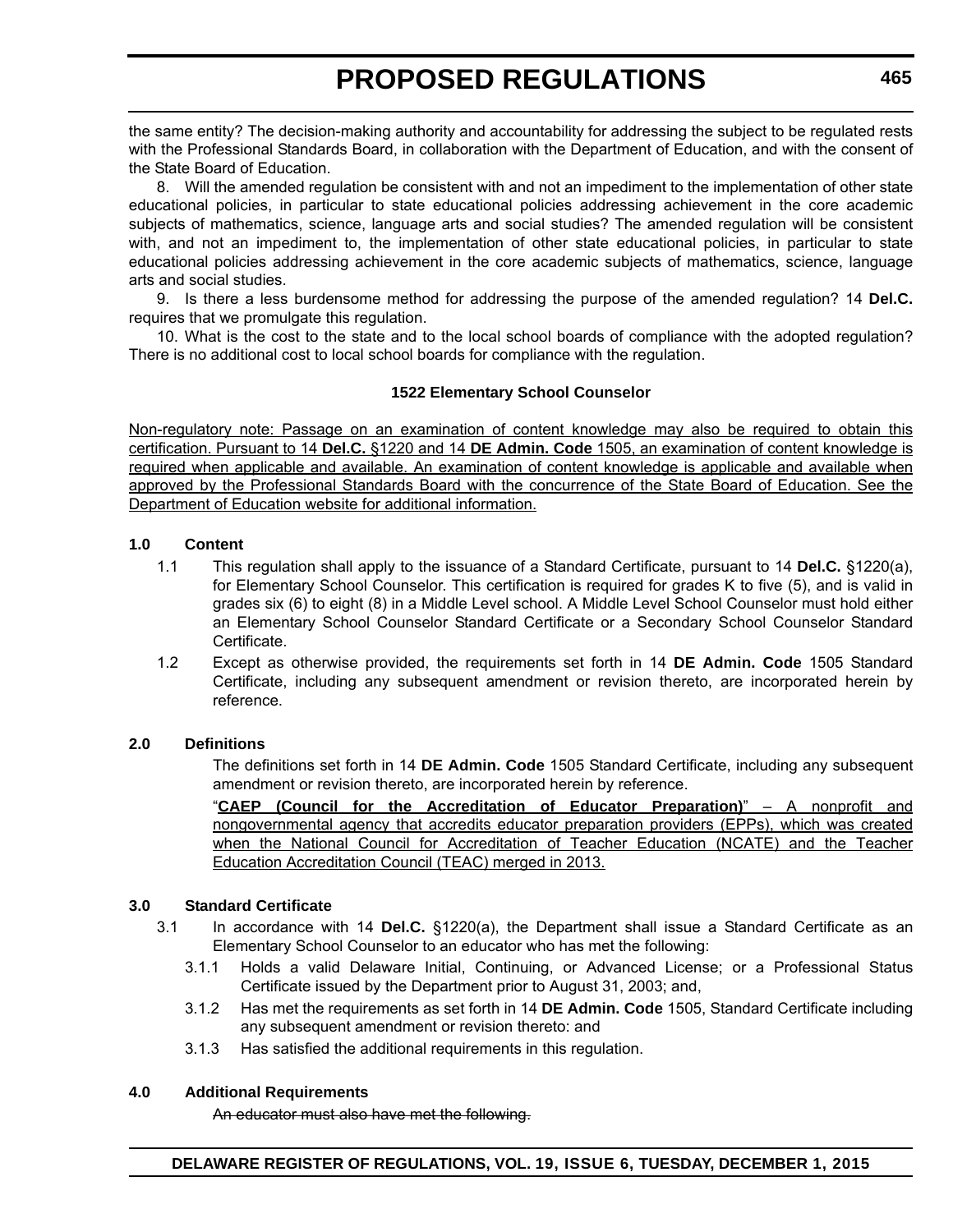the same entity? The decision-making authority and accountability for addressing the subject to be regulated rests with the Professional Standards Board, in collaboration with the Department of Education, and with the consent of the State Board of Education.

8. Will the amended regulation be consistent with and not an impediment to the implementation of other state educational policies, in particular to state educational policies addressing achievement in the core academic subjects of mathematics, science, language arts and social studies? The amended regulation will be consistent with, and not an impediment to, the implementation of other state educational policies, in particular to state educational policies addressing achievement in the core academic subjects of mathematics, science, language arts and social studies.

9. Is there a less burdensome method for addressing the purpose of the amended regulation? 14 **Del.C.** requires that we promulgate this regulation.

10. What is the cost to the state and to the local school boards of compliance with the adopted regulation? There is no additional cost to local school boards for compliance with the regulation.

#### **1522 Elementary School Counselor**

Non-regulatory note: Passage on an examination of content knowledge may also be required to obtain this certification. Pursuant to 14 **Del.C.** §1220 and 14 **DE Admin. Code** 1505, an examination of content knowledge is required when applicable and available. An examination of content knowledge is applicable and available when approved by the Professional Standards Board with the concurrence of the State Board of Education. See the Department of Education website for additional information.

#### **1.0 Content**

- 1.1 This regulation shall apply to the issuance of a Standard Certificate, pursuant to 14 **Del.C.** §1220(a), for Elementary School Counselor. This certification is required for grades K to five (5), and is valid in grades six (6) to eight (8) in a Middle Level school. A Middle Level School Counselor must hold either an Elementary School Counselor Standard Certificate or a Secondary School Counselor Standard Certificate.
- 1.2 Except as otherwise provided, the requirements set forth in 14 **DE Admin. Code** 1505 Standard Certificate, including any subsequent amendment or revision thereto, are incorporated herein by reference.

#### **2.0 Definitions**

The definitions set forth in 14 **DE Admin. Code** 1505 Standard Certificate, including any subsequent amendment or revision thereto, are incorporated herein by reference.

"**CAEP (Council for the Accreditation of Educator Preparation)**" – A nonprofit and nongovernmental agency that accredits educator preparation providers (EPPs), which was created when the National Council for Accreditation of Teacher Education (NCATE) and the Teacher Education Accreditation Council (TEAC) merged in 2013.

#### **3.0 Standard Certificate**

- 3.1 In accordance with 14 **Del.C.** §1220(a), the Department shall issue a Standard Certificate as an Elementary School Counselor to an educator who has met the following:
	- 3.1.1 Holds a valid Delaware Initial, Continuing, or Advanced License; or a Professional Status Certificate issued by the Department prior to August 31, 2003; and,
	- 3.1.2 Has met the requirements as set forth in 14 **DE Admin. Code** 1505, Standard Certificate including any subsequent amendment or revision thereto: and
	- 3.1.3 Has satisfied the additional requirements in this regulation.

#### **4.0 Additional Requirements**

An educator must also have met the following.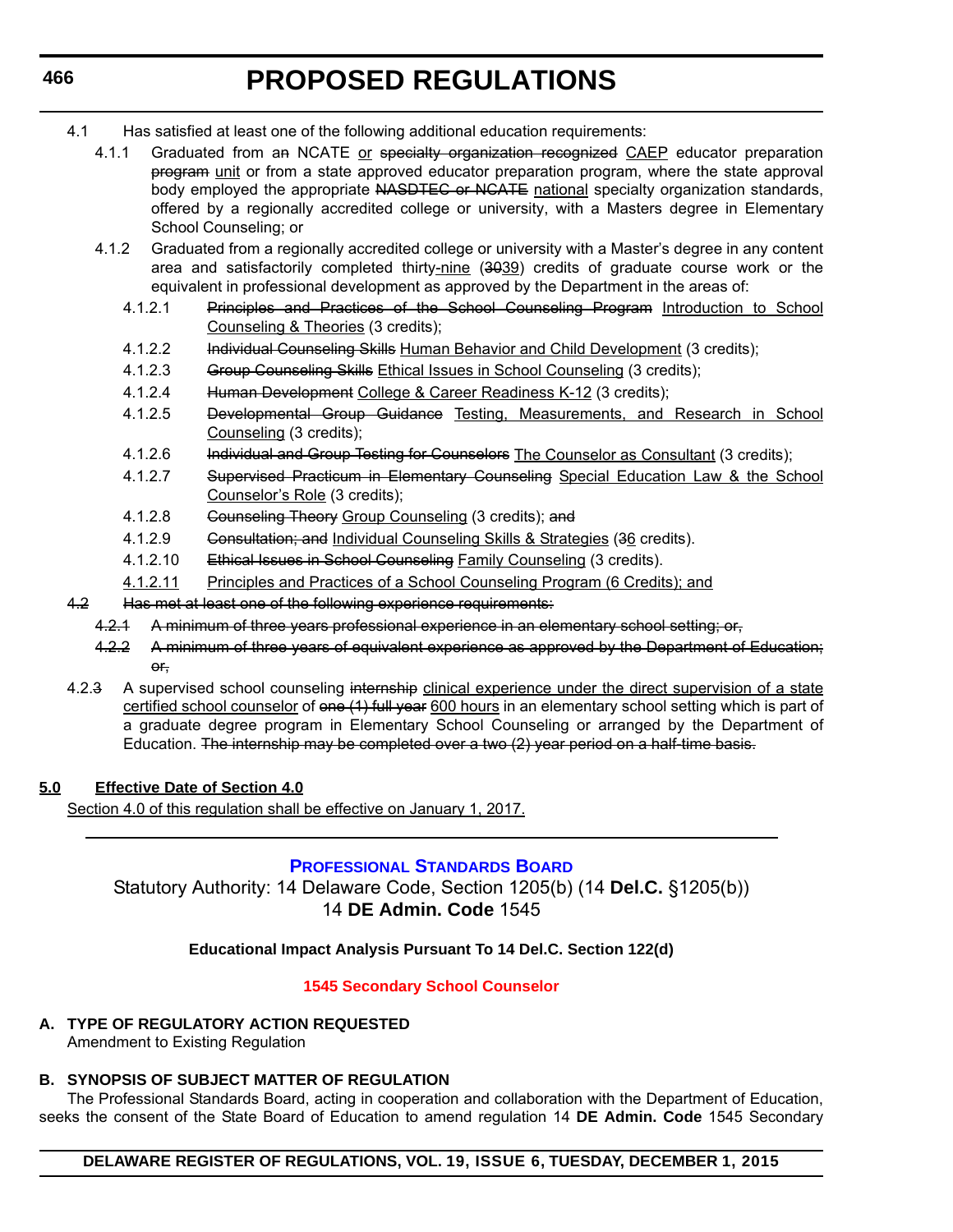- <span id="page-22-0"></span>4.1 Has satisfied at least one of the following additional education requirements:
	- 4.1.1 Graduated from an NCATE or specialty organization recognized CAEP educator preparation program unit or from a state approved educator preparation program, where the state approval body employed the appropriate NASDTEC or NCATE national specialty organization standards, offered by a regionally accredited college or university, with a Masters degree in Elementary School Counseling; or
	- 4.1.2 Graduated from a regionally accredited college or university with a Master's degree in any content area and satisfactorily completed thirty-nine (3039) credits of graduate course work or the equivalent in professional development as approved by the Department in the areas of:
		- 4.1.2.1 Principles and Practices of the School Counseling Program Introduction to School Counseling & Theories (3 credits);
		- 4.1.2.2 Individual Counseling Skills Human Behavior and Child Development (3 credits);
		- 4.1.2.3 Group Counseling Skills Ethical Issues in School Counseling (3 credits);
		- 4.1.2.4 Human Development College & Career Readiness K-12 (3 credits);
		- 4.1.2.5 Developmental Group Guidance Testing, Measurements, and Research in School Counseling (3 credits);
		- 4.1.2.6 Individual and Group Testing for Counselors The Counselor as Consultant (3 credits);
		- 4.1.2.7 Supervised Practicum in Elementary Counseling Special Education Law & the School Counselor's Role (3 credits);
		- 4.1.2.8 Counseling Theory Group Counseling (3 credits); and
		- 4.1.2.9 Consultation; and Individual Counseling Skills & Strategies (36 credits).
		- 4.1.2.10 Ethical Issues in School Counseling Family Counseling (3 credits).
		- 4.1.2.11 Principles and Practices of a School Counseling Program (6 Credits); and
- 4.2 Has met at least one of the following experience requirements:
	- 4.2.1 A minimum of three years professional experience in an elementary school setting; or,
	- 4.2.2 A minimum of three years of equivalent experience as approved by the Department of Education; or,
- 4.2.3 A supervised school counseling internship clinical experience under the direct supervision of a state certified school counselor of one (1) full year 600 hours in an elementary school setting which is part of a graduate degree program in Elementary School Counseling or arranged by the Department of Education. The internship may be completed over a two (2) year period on a half-time basis.

#### **5.0 Effective Date of Section 4.0**

Section 4.0 of this regulation shall be effective on January 1, 2017.

#### **[PROFESSIONAL STANDARDS BOARD](http://www.doe.k12.de.us/domain/172)**

Statutory Authority: 14 Delaware Code, Section 1205(b) (14 **Del.C.** §1205(b)) 14 **DE Admin. Code** 1545

#### **Educational Impact Analysis Pursuant To 14 Del.C. Section 122(d)**

#### **[1545 Secondary School Counselor](#page-3-0)**

**A. TYPE OF REGULATORY ACTION REQUESTED** Amendment to Existing Regulation

### **B. SYNOPSIS OF SUBJECT MATTER OF REGULATION**

The Professional Standards Board, acting in cooperation and collaboration with the Department of Education, seeks the consent of the State Board of Education to amend regulation 14 **DE Admin. Code** 1545 Secondary

#### **DELAWARE REGISTER OF REGULATIONS, VOL. 19, ISSUE 6, TUESDAY, DECEMBER 1, 2015**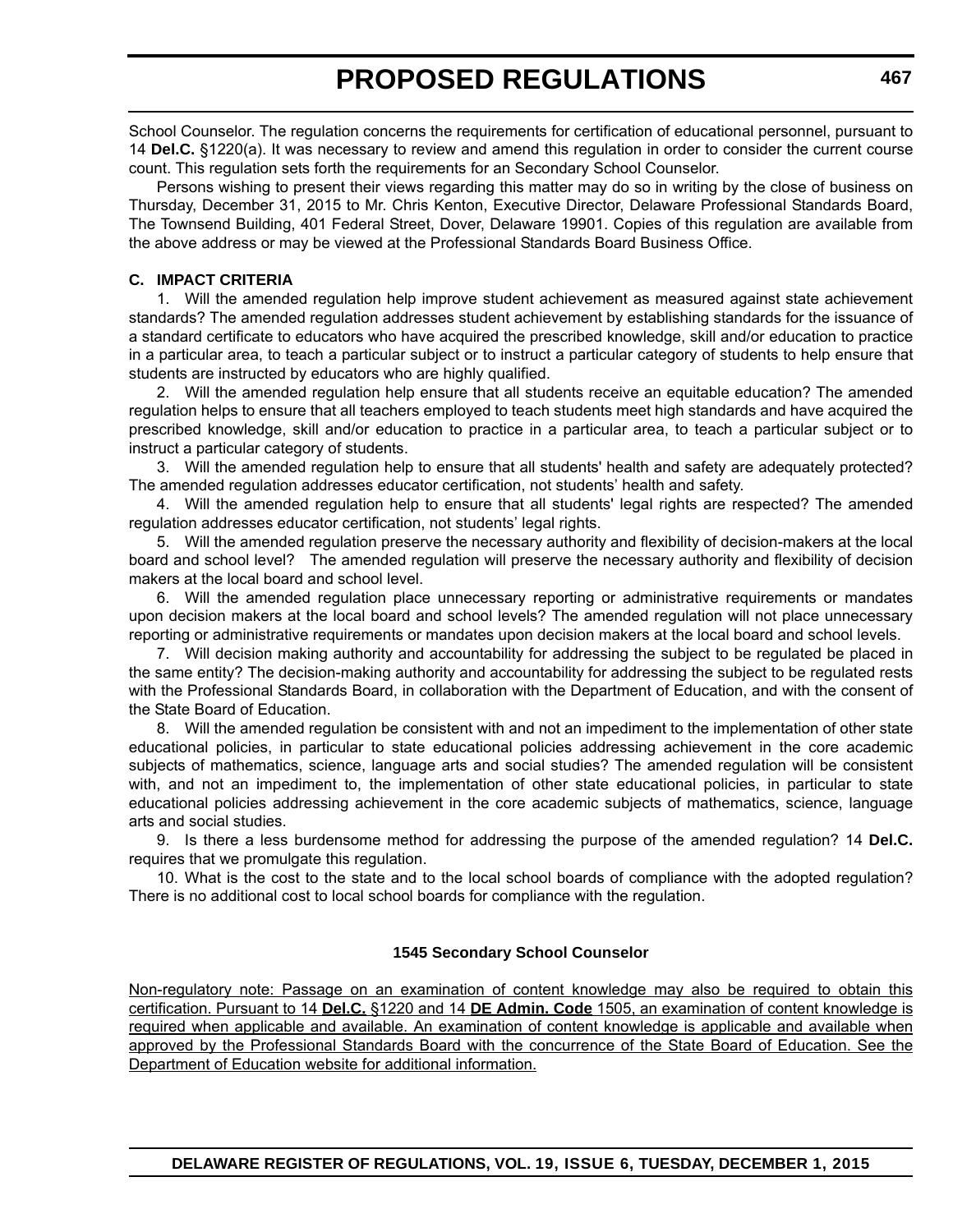School Counselor. The regulation concerns the requirements for certification of educational personnel, pursuant to 14 **Del.C.** §1220(a). It was necessary to review and amend this regulation in order to consider the current course count. This regulation sets forth the requirements for an Secondary School Counselor.

Persons wishing to present their views regarding this matter may do so in writing by the close of business on Thursday, December 31, 2015 to Mr. Chris Kenton, Executive Director, Delaware Professional Standards Board, The Townsend Building, 401 Federal Street, Dover, Delaware 19901. Copies of this regulation are available from the above address or may be viewed at the Professional Standards Board Business Office.

#### **C. IMPACT CRITERIA**

1. Will the amended regulation help improve student achievement as measured against state achievement standards? The amended regulation addresses student achievement by establishing standards for the issuance of a standard certificate to educators who have acquired the prescribed knowledge, skill and/or education to practice in a particular area, to teach a particular subject or to instruct a particular category of students to help ensure that students are instructed by educators who are highly qualified.

2. Will the amended regulation help ensure that all students receive an equitable education? The amended regulation helps to ensure that all teachers employed to teach students meet high standards and have acquired the prescribed knowledge, skill and/or education to practice in a particular area, to teach a particular subject or to instruct a particular category of students.

3. Will the amended regulation help to ensure that all students' health and safety are adequately protected? The amended regulation addresses educator certification, not students' health and safety.

4. Will the amended regulation help to ensure that all students' legal rights are respected? The amended regulation addresses educator certification, not students' legal rights.

5. Will the amended regulation preserve the necessary authority and flexibility of decision-makers at the local board and school level? The amended regulation will preserve the necessary authority and flexibility of decision makers at the local board and school level.

6. Will the amended regulation place unnecessary reporting or administrative requirements or mandates upon decision makers at the local board and school levels? The amended regulation will not place unnecessary reporting or administrative requirements or mandates upon decision makers at the local board and school levels.

7. Will decision making authority and accountability for addressing the subject to be regulated be placed in the same entity? The decision-making authority and accountability for addressing the subject to be regulated rests with the Professional Standards Board, in collaboration with the Department of Education, and with the consent of the State Board of Education.

8. Will the amended regulation be consistent with and not an impediment to the implementation of other state educational policies, in particular to state educational policies addressing achievement in the core academic subjects of mathematics, science, language arts and social studies? The amended regulation will be consistent with, and not an impediment to, the implementation of other state educational policies, in particular to state educational policies addressing achievement in the core academic subjects of mathematics, science, language arts and social studies.

9. Is there a less burdensome method for addressing the purpose of the amended regulation? 14 **Del.C.** requires that we promulgate this regulation.

10. What is the cost to the state and to the local school boards of compliance with the adopted regulation? There is no additional cost to local school boards for compliance with the regulation.

#### **1545 Secondary School Counselor**

Non-regulatory note: Passage on an examination of content knowledge may also be required to obtain this certification. Pursuant to 14 **Del.C.** §1220 and 14 **DE Admin. Code** 1505, an examination of content knowledge is required when applicable and available. An examination of content knowledge is applicable and available when approved by the Professional Standards Board with the concurrence of the State Board of Education. See the Department of Education website for additional information.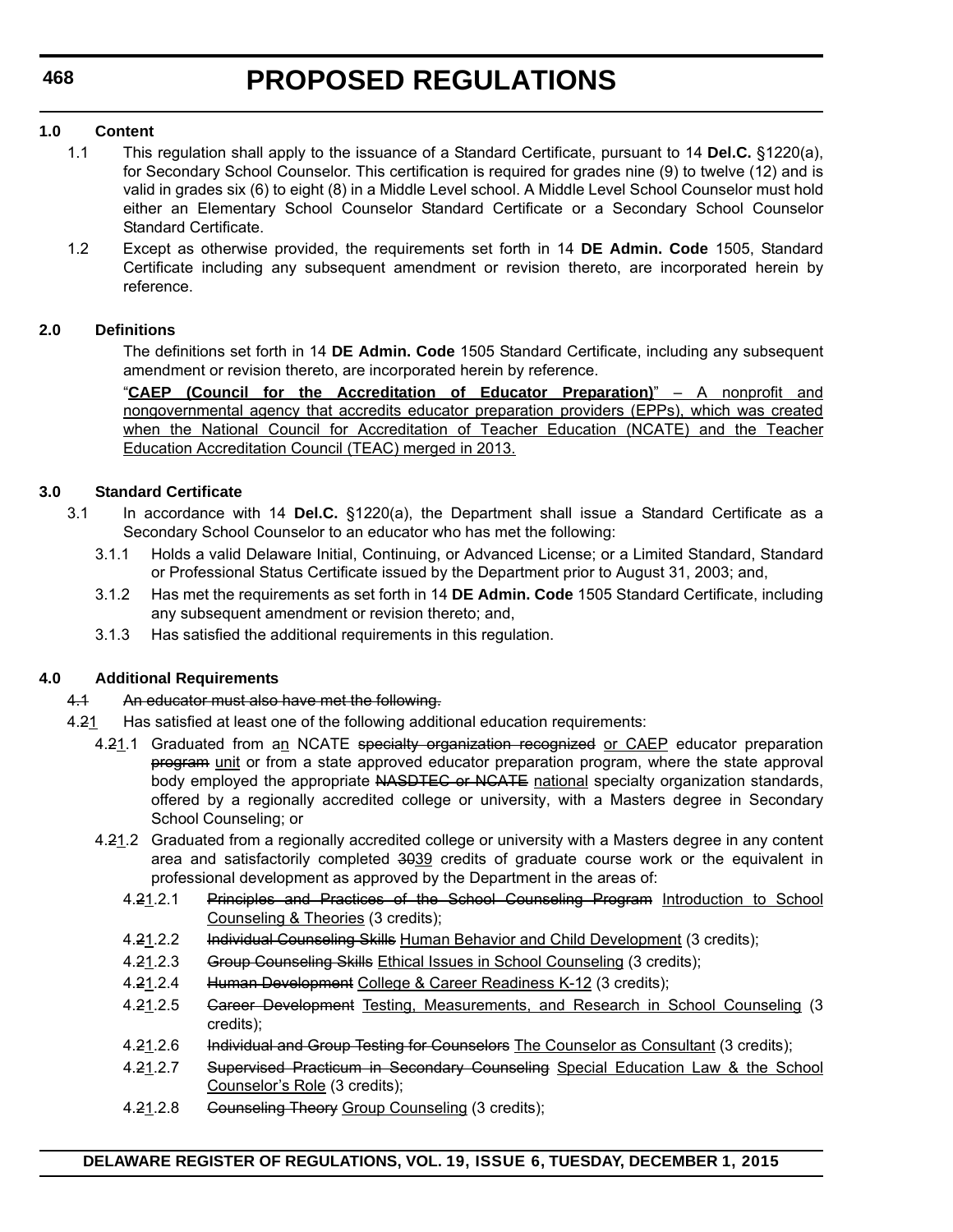#### **1.0 Content**

- 1.1 This regulation shall apply to the issuance of a Standard Certificate, pursuant to 14 **Del.C.** §1220(a), for Secondary School Counselor. This certification is required for grades nine (9) to twelve (12) and is valid in grades six (6) to eight (8) in a Middle Level school. A Middle Level School Counselor must hold either an Elementary School Counselor Standard Certificate or a Secondary School Counselor Standard Certificate.
- 1.2 Except as otherwise provided, the requirements set forth in 14 **DE Admin. Code** 1505, Standard Certificate including any subsequent amendment or revision thereto, are incorporated herein by reference.

#### **2.0 Definitions**

The definitions set forth in 14 **DE Admin. Code** 1505 Standard Certificate, including any subsequent amendment or revision thereto, are incorporated herein by reference.

"**CAEP (Council for the Accreditation of Educator Preparation)**" – A nonprofit and nongovernmental agency that accredits educator preparation providers (EPPs), which was created when the National Council for Accreditation of Teacher Education (NCATE) and the Teacher Education Accreditation Council (TEAC) merged in 2013.

#### **3.0 Standard Certificate**

- 3.1 In accordance with 14 **Del.C.** §1220(a), the Department shall issue a Standard Certificate as a Secondary School Counselor to an educator who has met the following:
	- 3.1.1 Holds a valid Delaware Initial, Continuing, or Advanced License; or a Limited Standard, Standard or Professional Status Certificate issued by the Department prior to August 31, 2003; and,
	- 3.1.2 Has met the requirements as set forth in 14 **DE Admin. Code** 1505 Standard Certificate, including any subsequent amendment or revision thereto; and,
	- 3.1.3 Has satisfied the additional requirements in this regulation.

#### **4.0 Additional Requirements**

#### 4.1 An educator must also have met the following.

- 4.21 Has satisfied at least one of the following additional education requirements:
	- 4.21.1 Graduated from an NCATE specialty organization recognized or CAEP educator preparation program unit or from a state approved educator preparation program, where the state approval body employed the appropriate NASDTEC or NCATE national specialty organization standards, offered by a regionally accredited college or university, with a Masters degree in Secondary School Counseling; or
	- 4.21.2 Graduated from a regionally accredited college or university with a Masters degree in any content area and satisfactorily completed 3039 credits of graduate course work or the equivalent in professional development as approved by the Department in the areas of:
		- 4.21.2.1 Principles and Practices of the School Counseling Program Introduction to School Counseling & Theories (3 credits);
		- 4.21.2.2 Individual Counseling Skills Human Behavior and Child Development (3 credits);
		- 4.21.2.3 Group Counseling Skills Ethical Issues in School Counseling (3 credits);
		- 4.21.2.4 Human Development College & Career Readiness K-12 (3 credits);
		- 4.21.2.5 Career Development Testing, Measurements, and Research in School Counseling (3 credits);
		- 4.21.2.6 Individual and Group Testing for Counselors The Counselor as Consultant (3 credits);
		- 4.21.2.7 Supervised Practicum in Secondary Counseling Special Education Law & the School Counselor's Role (3 credits);
		- 4.21.2.8 Counseling Theory Group Counseling (3 credits);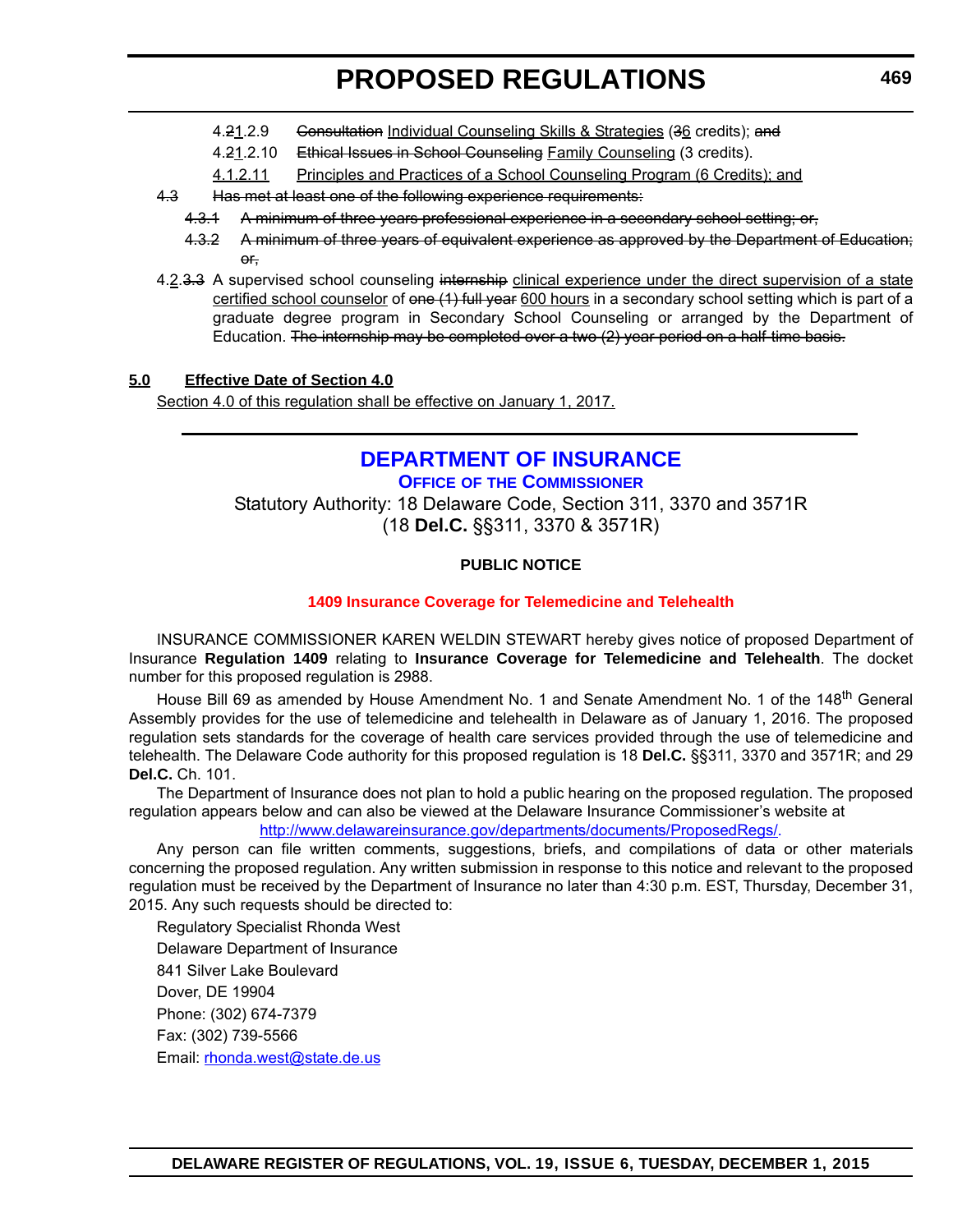- <span id="page-25-0"></span>4.21.2.9 Gonsultation Individual Counseling Skills & Strategies (36 credits); and
- 4.21.2.10 Ethical Issues in School Counseling Family Counseling (3 credits).
- 4.1.2.11 Principles and Practices of a School Counseling Program (6 Credits); and
- 4.3 Has met at least one of the following experience requirements:
	- 4.3.1 A minimum of three years professional experience in a secondary school setting; or,
	- 4.3.2 A minimum of three years of equivalent experience as approved by the Department of Education; or,
- 4.2.3.3 A supervised school counseling internship clinical experience under the direct supervision of a state certified school counselor of one (1) full year 600 hours in a secondary school setting which is part of a graduate degree program in Secondary School Counseling or arranged by the Department of Education. The internship may be completed over a two (2) year period on a half-time basis.

#### **5.0 Effective Date of Section 4.0**

Section 4.0 of this regulation shall be effective on January 1, 2017.

### **[DEPARTMENT OF INSURANCE](http://www.delawareinsurance.gov/)**

**OFFICE OF THE COMMISSIONER** Statutory Authority: 18 Delaware Code, Section 311, 3370 and 3571R (18 **Del.C.** §§311, 3370 & 3571R)

#### **PUBLIC NOTICE**

#### **[1409 Insurance Coverage for Telemedicine and Telehealth](#page-3-0)**

INSURANCE COMMISSIONER KAREN WELDIN STEWART hereby gives notice of proposed Department of Insurance **Regulation 1409** relating to **Insurance Coverage for Telemedicine and Telehealth**. The docket number for this proposed regulation is 2988.

House Bill 69 as amended by House Amendment No. 1 and Senate Amendment No. 1 of the 148<sup>th</sup> General Assembly provides for the use of telemedicine and telehealth in Delaware as of January 1, 2016. The proposed regulation sets standards for the coverage of health care services provided through the use of telemedicine and telehealth. The Delaware Code authority for this proposed regulation is 18 **Del.C.** §§311, 3370 and 3571R; and 29 **Del.C.** Ch. 101.

The Department of Insurance does not plan to hold a public hearing on the proposed regulation. The proposed regulation appears below and can also be viewed at the Delaware Insurance Commissioner's website at

[http://www.delawareinsurance.gov/departments/documents/ProposedRegs/.](http://www.delawareinsurance.gov/departments/documents/ProposedRegs/)

Any person can file written comments, suggestions, briefs, and compilations of data or other materials concerning the proposed regulation. Any written submission in response to this notice and relevant to the proposed regulation must be received by the Department of Insurance no later than 4:30 p.m. EST, Thursday, December 31, 2015. Any such requests should be directed to:

Regulatory Specialist Rhonda West Delaware Department of Insurance 841 Silver Lake Boulevard Dover, DE 19904 Phone: (302) 674-7379 Fax: (302) 739-5566 Email: rhonda.west@state.de.us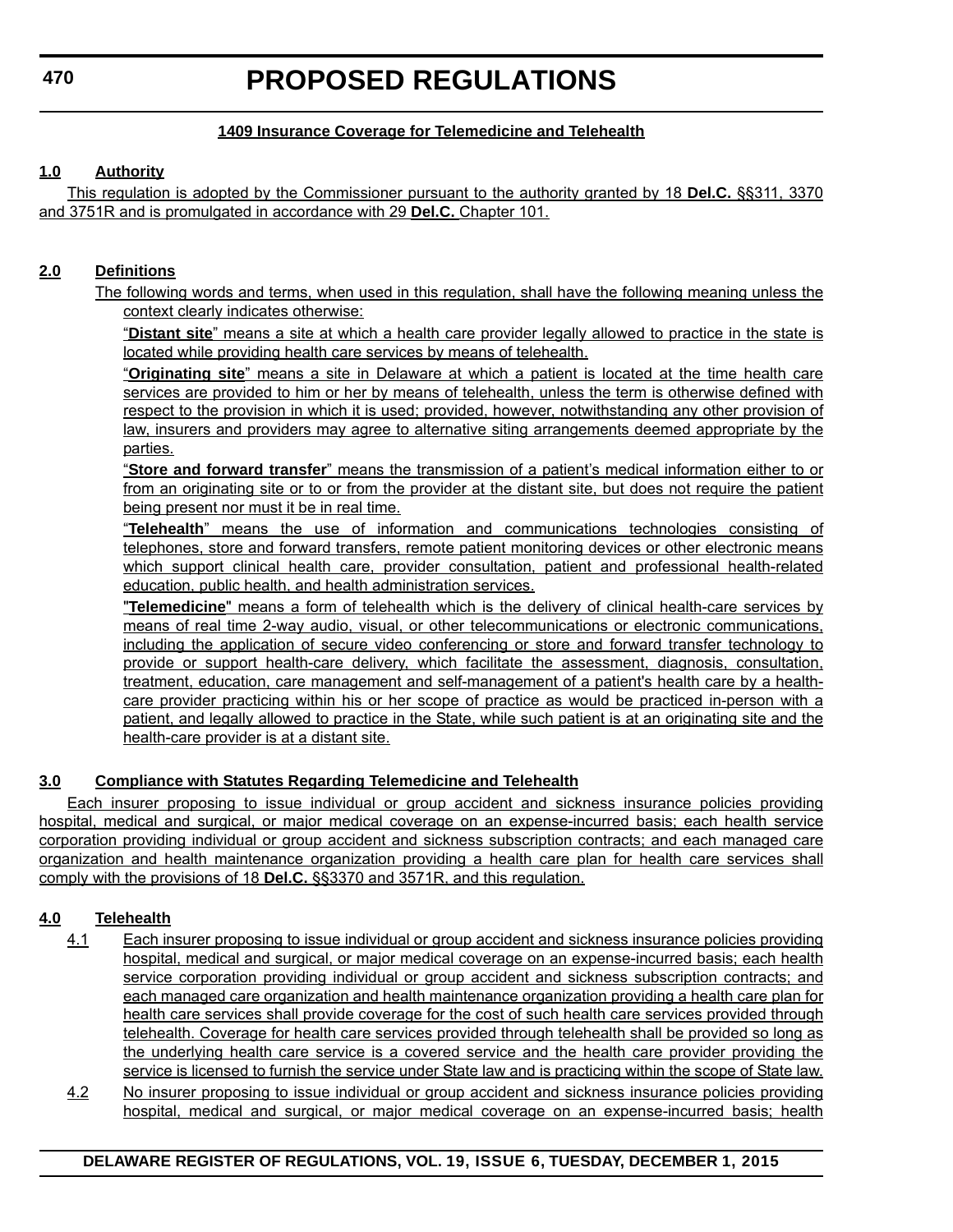#### **1409 Insurance Coverage for Telemedicine and Telehealth**

#### **1.0 Authority**

This regulation is adopted by the Commissioner pursuant to the authority granted by 18 **Del.C.** §§311, 3370 and 3751R and is promulgated in accordance with 29 **Del.C.** Chapter 101.

#### **2.0 Definitions**

The following words and terms, when used in this regulation, shall have the following meaning unless the context clearly indicates otherwise:

"**Distant site**" means a site at which a health care provider legally allowed to practice in the state is located while providing health care services by means of telehealth.

"**Originating site**" means a site in Delaware at which a patient is located at the time health care services are provided to him or her by means of telehealth, unless the term is otherwise defined with respect to the provision in which it is used; provided, however, notwithstanding any other provision of law, insurers and providers may agree to alternative siting arrangements deemed appropriate by the parties.

"**Store and forward transfer**" means the transmission of a patient's medical information either to or from an originating site or to or from the provider at the distant site, but does not require the patient being present nor must it be in real time.

"**Telehealth**" means the use of information and communications technologies consisting of telephones, store and forward transfers, remote patient monitoring devices or other electronic means which support clinical health care, provider consultation, patient and professional health-related education, public health, and health administration services.

"**Telemedicine**" means a form of telehealth which is the delivery of clinical health-care services by means of real time 2-way audio, visual, or other telecommunications or electronic communications, including the application of secure video conferencing or store and forward transfer technology to provide or support health-care delivery, which facilitate the assessment, diagnosis, consultation, treatment, education, care management and self-management of a patient's health care by a healthcare provider practicing within his or her scope of practice as would be practiced in-person with a patient, and legally allowed to practice in the State, while such patient is at an originating site and the health-care provider is at a distant site.

#### **3.0 Compliance with Statutes Regarding Telemedicine and Telehealth**

Each insurer proposing to issue individual or group accident and sickness insurance policies providing hospital, medical and surgical, or major medical coverage on an expense-incurred basis; each health service corporation providing individual or group accident and sickness subscription contracts; and each managed care organization and health maintenance organization providing a health care plan for health care services shall comply with the provisions of 18 **Del.C.** §§3370 and 3571R, and this regulation.

#### **4.0 Telehealth**

- 4.1 Each insurer proposing to issue individual or group accident and sickness insurance policies providing hospital, medical and surgical, or major medical coverage on an expense-incurred basis; each health service corporation providing individual or group accident and sickness subscription contracts; and each managed care organization and health maintenance organization providing a health care plan for health care services shall provide coverage for the cost of such health care services provided through telehealth. Coverage for health care services provided through telehealth shall be provided so long as the underlying health care service is a covered service and the health care provider providing the service is licensed to furnish the service under State law and is practicing within the scope of State law.
- 4.2 No insurer proposing to issue individual or group accident and sickness insurance policies providing hospital, medical and surgical, or major medical coverage on an expense-incurred basis; health

#### **DELAWARE REGISTER OF REGULATIONS, VOL. 19, ISSUE 6, TUESDAY, DECEMBER 1, 2015**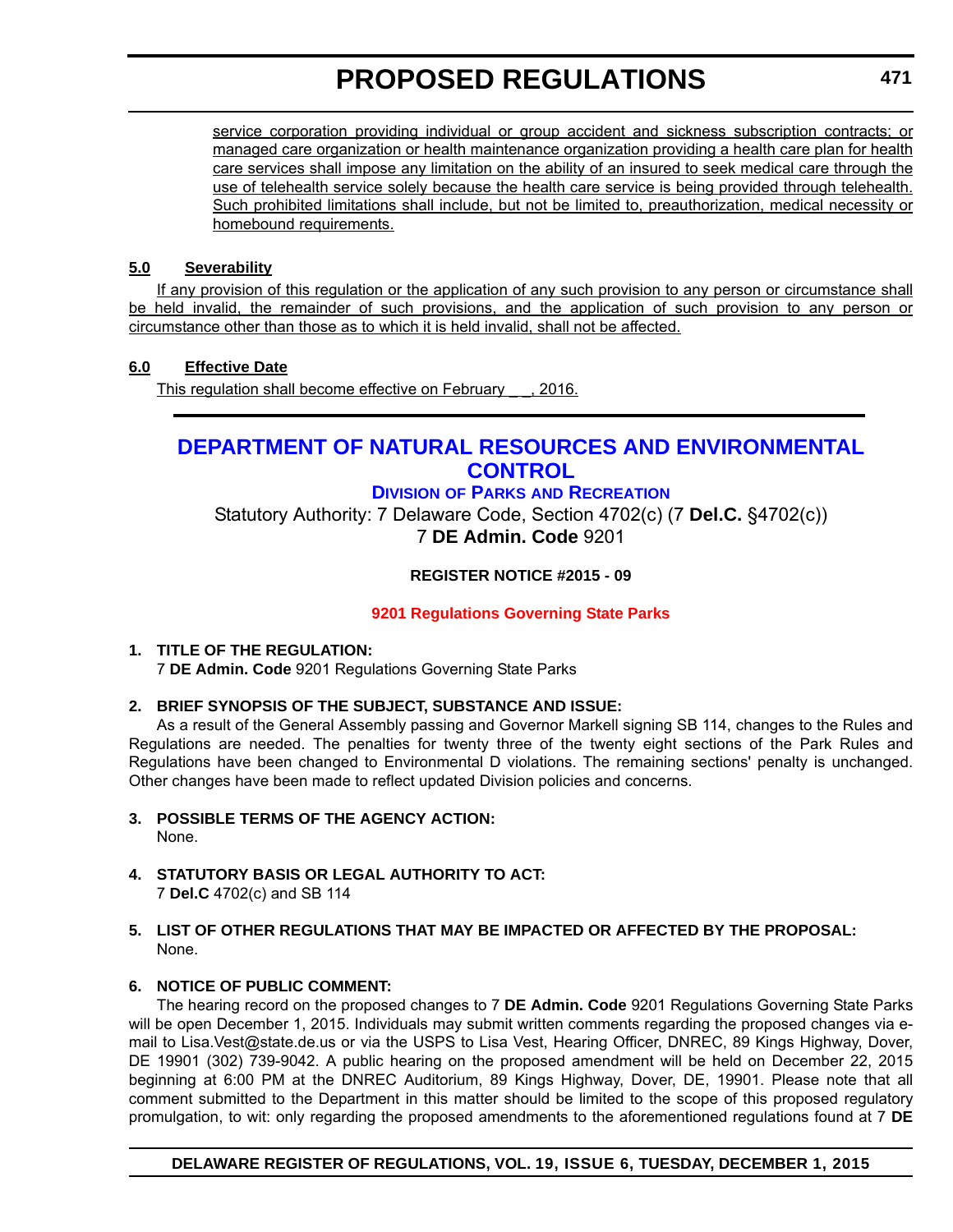<span id="page-27-0"></span>service corporation providing individual or group accident and sickness subscription contracts; or managed care organization or health maintenance organization providing a health care plan for health care services shall impose any limitation on the ability of an insured to seek medical care through the use of telehealth service solely because the health care service is being provided through telehealth. Such prohibited limitations shall include, but not be limited to, preauthorization, medical necessity or homebound requirements.

#### **5.0 Severability**

If any provision of this regulation or the application of any such provision to any person or circumstance shall be held invalid, the remainder of such provisions, and the application of such provision to any person or circumstance other than those as to which it is held invalid, shall not be affected.

### **6.0 Effective Date**

This regulation shall become effective on February . 2016.

### **[DEPARTMENT OF NATURAL RESOURCES AND ENVIRONMENTAL](http://www.destateparks.com/)  CONTROL**

### **DIVISION OF PARKS AND RECREATION**

Statutory Authority: 7 Delaware Code, Section 4702(c) (7 **Del.C.** §4702(c)) 7 **DE Admin. Code** 9201

### **REGISTER NOTICE #2015 - 09**

#### **[9201 Regulations Governing State Parks](#page-3-0)**

#### **1. TITLE OF THE REGULATION:**

7 **DE Admin. Code** 9201 Regulations Governing State Parks

#### **2. BRIEF SYNOPSIS OF THE SUBJECT, SUBSTANCE AND ISSUE:**

As a result of the General Assembly passing and Governor Markell signing SB 114, changes to the Rules and Regulations are needed. The penalties for twenty three of the twenty eight sections of the Park Rules and Regulations have been changed to Environmental D violations. The remaining sections' penalty is unchanged. Other changes have been made to reflect updated Division policies and concerns.

- **3. POSSIBLE TERMS OF THE AGENCY ACTION:** None.
- **4. STATUTORY BASIS OR LEGAL AUTHORITY TO ACT:** 7 **Del.C** 4702(c) and SB 114
- **5. LIST OF OTHER REGULATIONS THAT MAY BE IMPACTED OR AFFECTED BY THE PROPOSAL:** None.

#### **6. NOTICE OF PUBLIC COMMENT:**

The hearing record on the proposed changes to 7 **DE Admin. Code** 9201 Regulations Governing State Parks will be open December 1, 2015. Individuals may submit written comments regarding the proposed changes via email to Lisa.Vest@state.de.us or via the USPS to Lisa Vest, Hearing Officer, DNREC, 89 Kings Highway, Dover, DE 19901 (302) 739-9042. A public hearing on the proposed amendment will be held on December 22, 2015 beginning at 6:00 PM at the DNREC Auditorium, 89 Kings Highway, Dover, DE, 19901. Please note that all comment submitted to the Department in this matter should be limited to the scope of this proposed regulatory promulgation, to wit: only regarding the proposed amendments to the aforementioned regulations found at 7 **DE**

#### **DELAWARE REGISTER OF REGULATIONS, VOL. 19, ISSUE 6, TUESDAY, DECEMBER 1, 2015**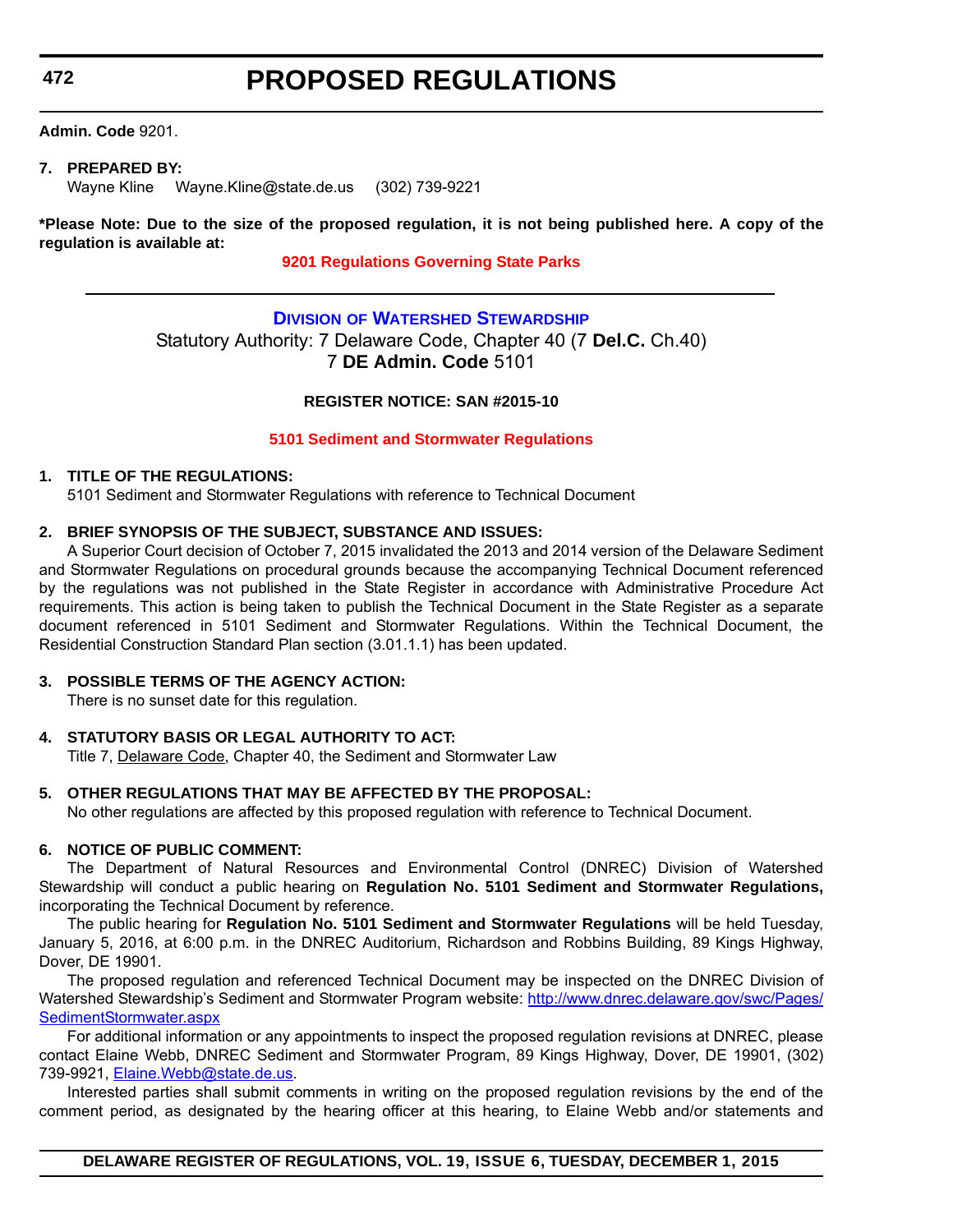<span id="page-28-0"></span>**472**

# **PROPOSED REGULATIONS**

**Admin. Code** 9201.

#### **7. PREPARED BY:**

Wayne Kline Wayne.Kline@state.de.us (302) 739-9221

**\*Please Note: Due to the size of the proposed regulation, it is not being published here. A copy of the regulation is available at:**

**[9201 Regulations Governing State Parks](http://regulations.delaware.gov/register/december2015/proposed/19 DE Reg 471 12-01-15.htm)**

### **DIVISION [OF WATERSHED STEWARDSHIP](http://www.dnrec.delaware.gov/swc/Pages/portal.aspx)** Statutory Authority: 7 Delaware Code, Chapter 40 (7 **Del.C.** Ch.40) 7 **DE Admin. Code** 5101

#### **REGISTER NOTICE: SAN #2015-10**

#### **[5101 Sediment and Stormwater Regulations](#page-3-0)**

#### **1. TITLE OF THE REGULATIONS:**

5101 Sediment and Stormwater Regulations with reference to Technical Document

#### **2. BRIEF SYNOPSIS OF THE SUBJECT, SUBSTANCE AND ISSUES:**

A Superior Court decision of October 7, 2015 invalidated the 2013 and 2014 version of the Delaware Sediment and Stormwater Regulations on procedural grounds because the accompanying Technical Document referenced by the regulations was not published in the State Register in accordance with Administrative Procedure Act requirements. This action is being taken to publish the Technical Document in the State Register as a separate document referenced in 5101 Sediment and Stormwater Regulations. Within the Technical Document, the Residential Construction Standard Plan section (3.01.1.1) has been updated.

#### **3. POSSIBLE TERMS OF THE AGENCY ACTION:**

There is no sunset date for this regulation.

#### **4. STATUTORY BASIS OR LEGAL AUTHORITY TO ACT:**

Title 7, Delaware Code, Chapter 40, the Sediment and Stormwater Law

#### **5. OTHER REGULATIONS THAT MAY BE AFFECTED BY THE PROPOSAL:**

No other regulations are affected by this proposed regulation with reference to Technical Document.

#### **6. NOTICE OF PUBLIC COMMENT:**

The Department of Natural Resources and Environmental Control (DNREC) Division of Watershed Stewardship will conduct a public hearing on **Regulation No. 5101 Sediment and Stormwater Regulations,** incorporating the Technical Document by reference.

The public hearing for **Regulation No. 5101 Sediment and Stormwater Regulations** will be held Tuesday, January 5, 2016, at 6:00 p.m. in the DNREC Auditorium, Richardson and Robbins Building, 89 Kings Highway, Dover, DE 19901.

The proposed regulation and referenced Technical Document may be inspected on the DNREC Division of Watershed Stewardship's Sediment and Stormwater Program website: [http://www.dnrec.delaware.gov/swc/Pages/](http://www.dnrec.delaware.gov/swc/Pages/SedimentStormwater.aspx) [SedimentStormwater.aspx](http://www.dnrec.delaware.gov/swc/Pages/SedimentStormwater.aspx)

For additional information or any appointments to inspect the proposed regulation revisions at DNREC, please contact Elaine Webb, DNREC Sediment and Stormwater Program, 89 Kings Highway, Dover, DE 19901, (302) 739-9921, [Elaine.Webb@state.de.us](mailto:Elaine.Webb@state.de.us).

Interested parties shall submit comments in writing on the proposed regulation revisions by the end of the comment period, as designated by the hearing officer at this hearing, to Elaine Webb and/or statements and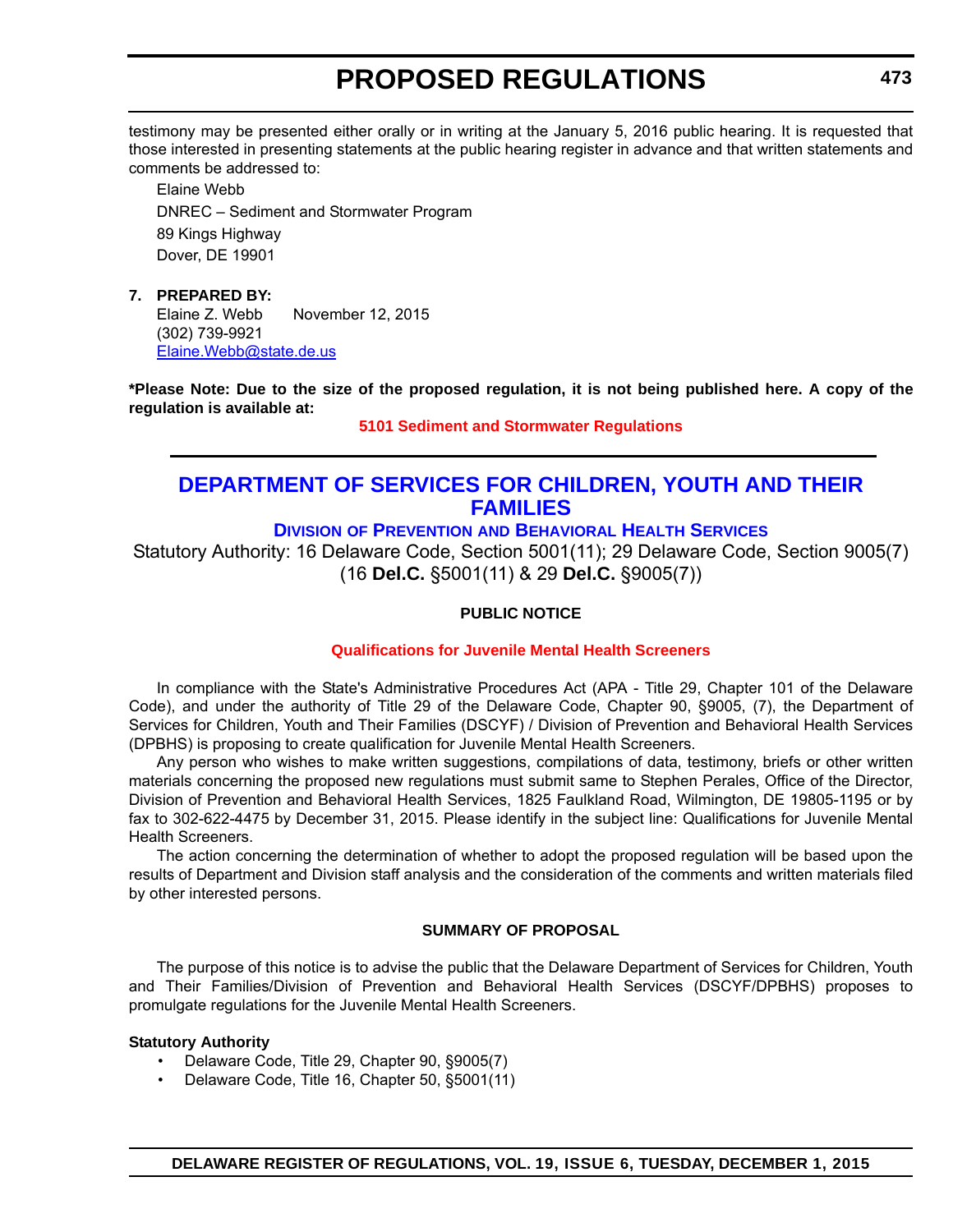<span id="page-29-0"></span>testimony may be presented either orally or in writing at the January 5, 2016 public hearing. It is requested that those interested in presenting statements at the public hearing register in advance and that written statements and comments be addressed to:

Elaine Webb DNREC – Sediment and Stormwater Program 89 Kings Highway Dover, DE 19901

#### **7. PREPARED BY:**

Elaine Z. Webb November 12, 2015 (302) 739-9921 [Elaine.Webb@state.de.us](mailto:Elaine.Webb@state.de.us)

**\*Please Note: Due to the size of the proposed regulation, it is not being published here. A copy of the regulation is available at:**

**[5101 Sediment and Stormwater Regulations](http://regulations.delaware.gov/register/december2015/proposed/19 DE Reg 472 12-01-15.htm)**

### **[DEPARTMENT OF SERVICES FOR CHILDREN, YOUTH AND THEIR](http://kids.delaware.gov/pbhs/pbhs.shtml)  FAMILIES**

### **DIVISION OF PREVENTION AND BEHAVIORAL HEALTH SERVICES**

Statutory Authority: 16 Delaware Code, Section 5001(11); 29 Delaware Code, Section 9005(7) (16 **Del.C.** §5001(11) & 29 **Del.C.** §9005(7))

#### **PUBLIC NOTICE**

#### **[Qualifications for Juvenile Mental Health Screeners](#page-3-0)**

In compliance with the State's Administrative Procedures Act (APA - Title 29, Chapter 101 of the Delaware Code), and under the authority of Title 29 of the Delaware Code, Chapter 90, §9005, (7), the Department of Services for Children, Youth and Their Families (DSCYF) / Division of Prevention and Behavioral Health Services (DPBHS) is proposing to create qualification for Juvenile Mental Health Screeners.

Any person who wishes to make written suggestions, compilations of data, testimony, briefs or other written materials concerning the proposed new regulations must submit same to Stephen Perales, Office of the Director, Division of Prevention and Behavioral Health Services, 1825 Faulkland Road, Wilmington, DE 19805-1195 or by fax to 302-622-4475 by December 31, 2015. Please identify in the subject line: Qualifications for Juvenile Mental Health Screeners.

The action concerning the determination of whether to adopt the proposed regulation will be based upon the results of Department and Division staff analysis and the consideration of the comments and written materials filed by other interested persons.

#### **SUMMARY OF PROPOSAL**

The purpose of this notice is to advise the public that the Delaware Department of Services for Children, Youth and Their Families/Division of Prevention and Behavioral Health Services (DSCYF/DPBHS) proposes to promulgate regulations for the Juvenile Mental Health Screeners.

#### **Statutory Authority**

- Delaware Code, Title 29, Chapter 90, §9005(7)
- Delaware Code, Title 16, Chapter 50, §5001(11)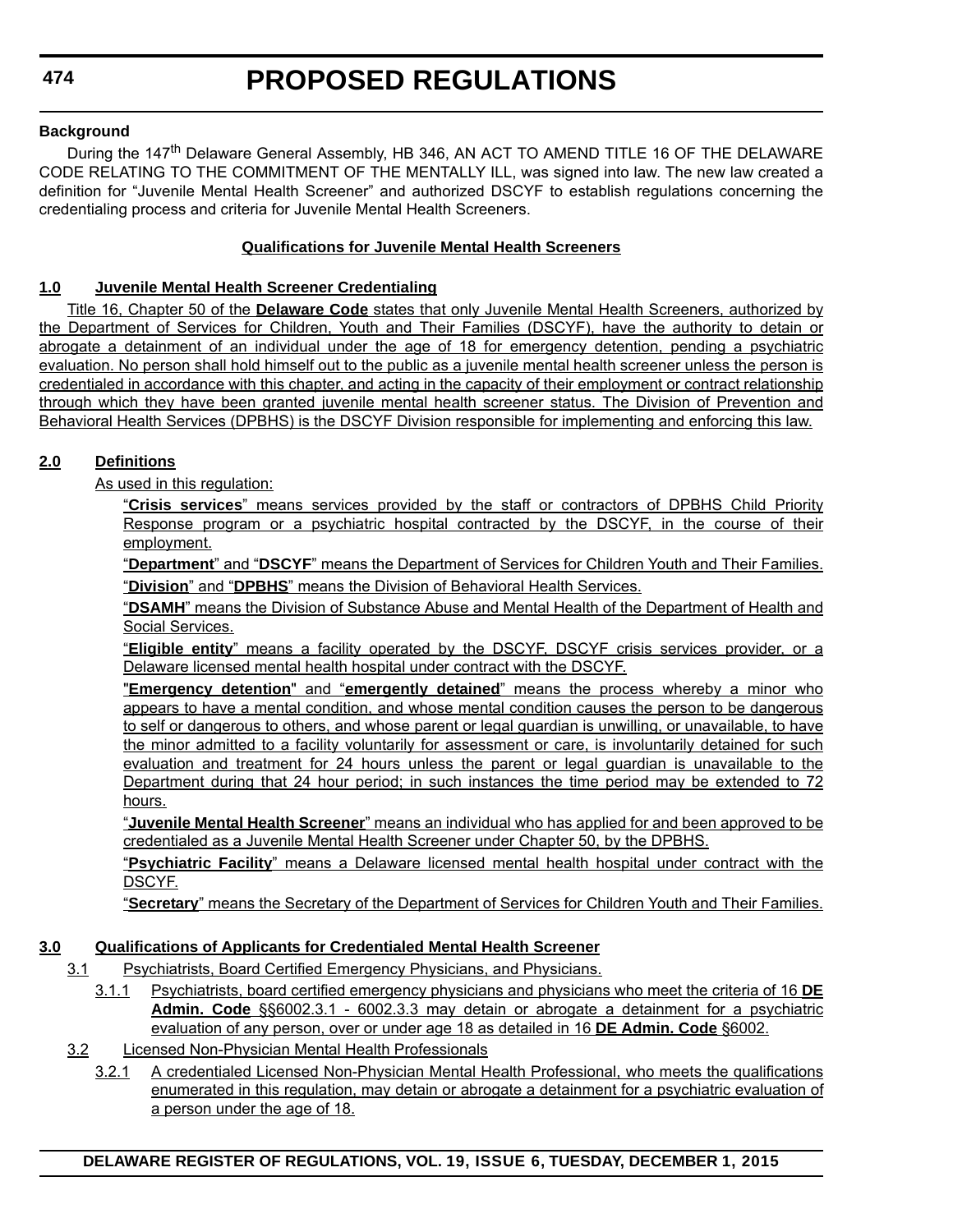**474**

#### **Background**

During the 147<sup>th</sup> Delaware General Assembly, HB 346, AN ACT TO AMEND TITLE 16 OF THE DELAWARE CODE RELATING TO THE COMMITMENT OF THE MENTALLY ILL, was signed into law. The new law created a definition for "Juvenile Mental Health Screener" and authorized DSCYF to establish regulations concerning the credentialing process and criteria for Juvenile Mental Health Screeners.

### **Qualifications for Juvenile Mental Health Screeners**

### **1.0 Juvenile Mental Health Screener Credentialing**

Title 16, Chapter 50 of the **Delaware Code** states that only Juvenile Mental Health Screeners, authorized by the Department of Services for Children, Youth and Their Families (DSCYF), have the authority to detain or abrogate a detainment of an individual under the age of 18 for emergency detention, pending a psychiatric evaluation. No person shall hold himself out to the public as a juvenile mental health screener unless the person is credentialed in accordance with this chapter, and acting in the capacity of their employment or contract relationship through which they have been granted juvenile mental health screener status. The Division of Prevention and Behavioral Health Services (DPBHS) is the DSCYF Division responsible for implementing and enforcing this law.

### **2.0 Definitions**

As used in this regulation:

"**Crisis services**" means services provided by the staff or contractors of DPBHS Child Priority Response program or a psychiatric hospital contracted by the DSCYF, in the course of their employment.

"**Department**" and "**DSCYF**" means the Department of Services for Children Youth and Their Families. "**Division**" and "**DPBHS**" means the Division of Behavioral Health Services.

"**DSAMH**" means the Division of Substance Abuse and Mental Health of the Department of Health and Social Services.

"**Eligible entity**" means a facility operated by the DSCYF, DSCYF crisis services provider, or a Delaware licensed mental health hospital under contract with the DSCYF.

"**Emergency detention**" and "**emergently detained**" means the process whereby a minor who appears to have a mental condition, and whose mental condition causes the person to be dangerous to self or dangerous to others, and whose parent or legal guardian is unwilling, or unavailable, to have the minor admitted to a facility voluntarily for assessment or care, is involuntarily detained for such evaluation and treatment for 24 hours unless the parent or legal guardian is unavailable to the Department during that 24 hour period; in such instances the time period may be extended to 72 hours.

"**Juvenile Mental Health Screener**" means an individual who has applied for and been approved to be credentialed as a Juvenile Mental Health Screener under Chapter 50, by the DPBHS.

"**Psychiatric Facility**" means a Delaware licensed mental health hospital under contract with the DSCYF.

"**Secretary**" means the Secretary of the Department of Services for Children Youth and Their Families.

#### **3.0 Qualifications of Applicants for Credentialed Mental Health Screener**

- 3.1 Psychiatrists, Board Certified Emergency Physicians, and Physicians.
	- 3.1.1 Psychiatrists, board certified emergency physicians and physicians who meet the criteria of 16 **DE Admin. Code** §§6002.3.1 - 6002.3.3 may detain or abrogate a detainment for a psychiatric evaluation of any person, over or under age 18 as detailed in 16 **DE Admin. Code** §6002.
- 3.2 Licensed Non-Physician Mental Health Professionals
	- 3.2.1 A credentialed Licensed Non-Physician Mental Health Professional, who meets the qualifications enumerated in this regulation, may detain or abrogate a detainment for a psychiatric evaluation of a person under the age of 18.

**DELAWARE REGISTER OF REGULATIONS, VOL. 19, ISSUE 6, TUESDAY, DECEMBER 1, 2015**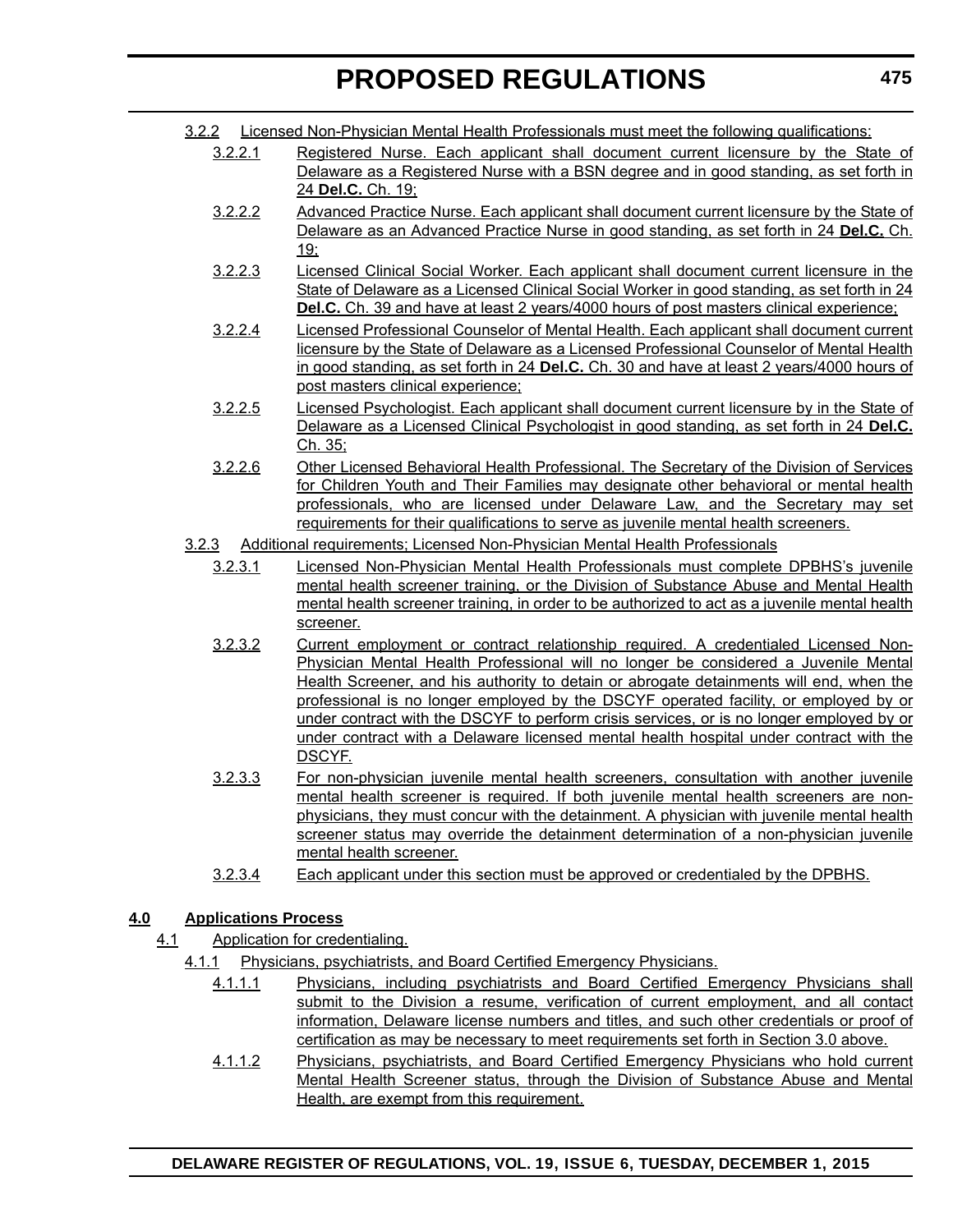- 3.2.2.1 Registered Nurse. Each applicant shall document current licensure by the State of Delaware as a Registered Nurse with a BSN degree and in good standing, as set forth in 24 **Del.C.** Ch. 19;
- 3.2.2.2 Advanced Practice Nurse. Each applicant shall document current licensure by the State of Delaware as an Advanced Practice Nurse in good standing, as set forth in 24 **Del.C.** Ch. 19;
- 3.2.2.3 Licensed Clinical Social Worker. Each applicant shall document current licensure in the State of Delaware as a Licensed Clinical Social Worker in good standing, as set forth in 24 **Del.C.** Ch. 39 and have at least 2 years/4000 hours of post masters clinical experience;
- 3.2.2.4 Licensed Professional Counselor of Mental Health. Each applicant shall document current licensure by the State of Delaware as a Licensed Professional Counselor of Mental Health in good standing, as set forth in 24 **Del.C.** Ch. 30 and have at least 2 years/4000 hours of post masters clinical experience;
- 3.2.2.5 Licensed Psychologist. Each applicant shall document current licensure by in the State of Delaware as a Licensed Clinical Psychologist in good standing, as set forth in 24 **Del.C.** Ch. 35;
- 3.2.2.6 Other Licensed Behavioral Health Professional. The Secretary of the Division of Services for Children Youth and Their Families may designate other behavioral or mental health professionals, who are licensed under Delaware Law, and the Secretary may set requirements for their qualifications to serve as juvenile mental health screeners.
- 3.2.3 Additional requirements; Licensed Non-Physician Mental Health Professionals
	- 3.2.3.1 Licensed Non-Physician Mental Health Professionals must complete DPBHS's juvenile mental health screener training, or the Division of Substance Abuse and Mental Health mental health screener training, in order to be authorized to act as a juvenile mental health screener.
	- 3.2.3.2 Current employment or contract relationship required. A credentialed Licensed Non-Physician Mental Health Professional will no longer be considered a Juvenile Mental Health Screener, and his authority to detain or abrogate detainments will end, when the professional is no longer employed by the DSCYF operated facility, or employed by or under contract with the DSCYF to perform crisis services, or is no longer employed by or under contract with a Delaware licensed mental health hospital under contract with the DSCYF.
	- 3.2.3.3 For non-physician juvenile mental health screeners, consultation with another juvenile mental health screener is required. If both juvenile mental health screeners are nonphysicians, they must concur with the detainment. A physician with juvenile mental health screener status may override the detainment determination of a non-physician juvenile mental health screener.
	- 3.2.3.4 Each applicant under this section must be approved or credentialed by the DPBHS.

#### **4.0 Applications Process**

- 4.1 Application for credentialing.
	- 4.1.1 Physicians, psychiatrists, and Board Certified Emergency Physicians.
		- 4.1.1.1 Physicians, including psychiatrists and Board Certified Emergency Physicians shall submit to the Division a resume, verification of current employment, and all contact information, Delaware license numbers and titles, and such other credentials or proof of certification as may be necessary to meet requirements set forth in Section 3.0 above.
		- 4.1.1.2 Physicians, psychiatrists, and Board Certified Emergency Physicians who hold current Mental Health Screener status, through the Division of Substance Abuse and Mental Health, are exempt from this requirement.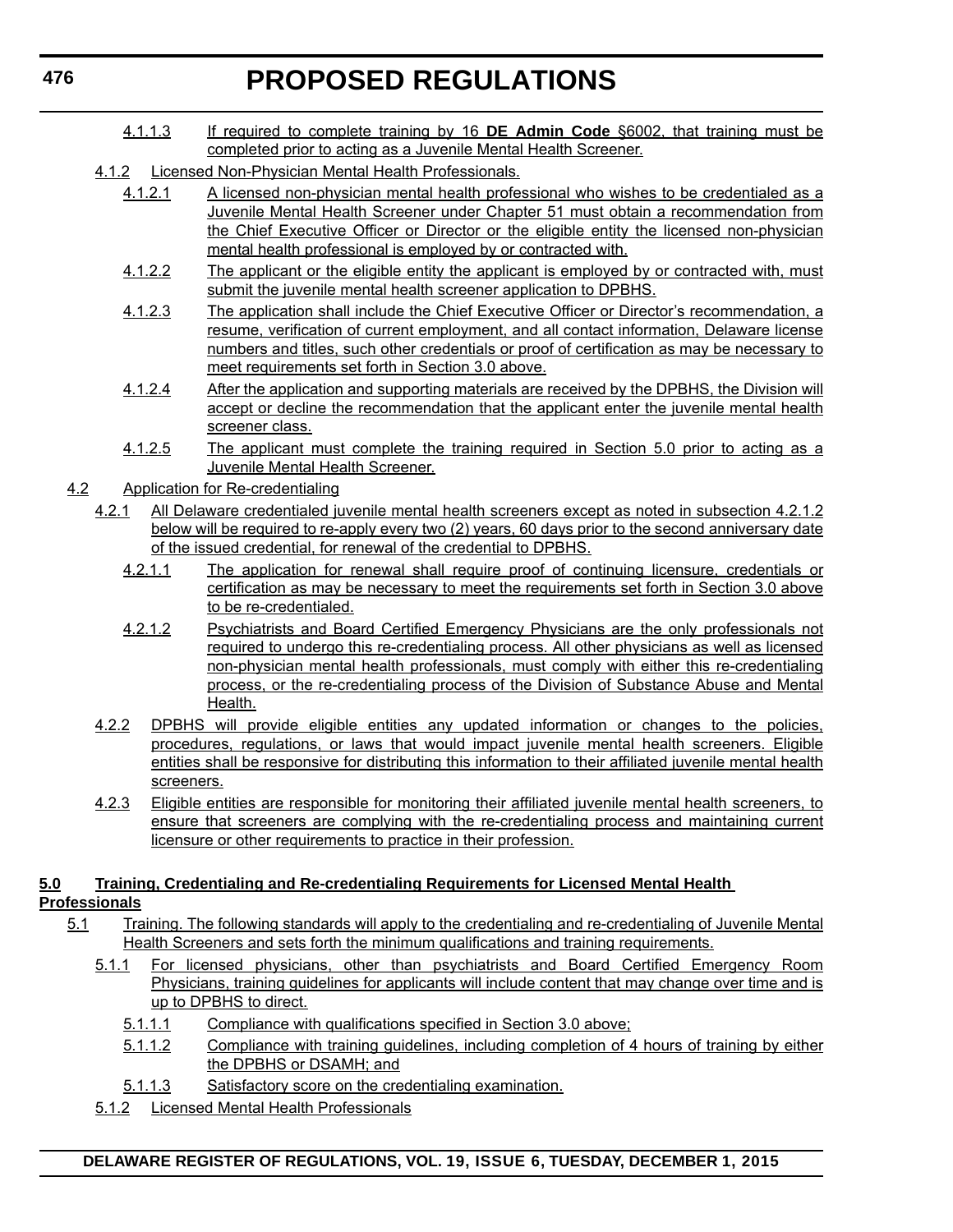- 4.1.1.3 If required to complete training by 16 **DE Admin Code** §6002, that training must be completed prior to acting as a Juvenile Mental Health Screener.
- 4.1.2 Licensed Non-Physician Mental Health Professionals.
	- 4.1.2.1 A licensed non-physician mental health professional who wishes to be credentialed as a Juvenile Mental Health Screener under Chapter 51 must obtain a recommendation from the Chief Executive Officer or Director or the eligible entity the licensed non-physician mental health professional is employed by or contracted with.
	- 4.1.2.2 The applicant or the eligible entity the applicant is employed by or contracted with, must submit the juvenile mental health screener application to DPBHS.
	- 4.1.2.3 The application shall include the Chief Executive Officer or Director's recommendation, a resume, verification of current employment, and all contact information, Delaware license numbers and titles, such other credentials or proof of certification as may be necessary to meet requirements set forth in Section 3.0 above.
	- 4.1.2.4 After the application and supporting materials are received by the DPBHS, the Division will accept or decline the recommendation that the applicant enter the juvenile mental health screener class.
	- 4.1.2.5 The applicant must complete the training required in Section 5.0 prior to acting as a Juvenile Mental Health Screener.
- 4.2 Application for Re-credentialing
	- 4.2.1 All Delaware credentialed juvenile mental health screeners except as noted in subsection 4.2.1.2 below will be required to re-apply every two (2) years, 60 days prior to the second anniversary date of the issued credential, for renewal of the credential to DPBHS.
		- 4.2.1.1 The application for renewal shall require proof of continuing licensure, credentials or certification as may be necessary to meet the requirements set forth in Section 3.0 above to be re-credentialed.
		- 4.2.1.2 Psychiatrists and Board Certified Emergency Physicians are the only professionals not required to undergo this re-credentialing process. All other physicians as well as licensed non-physician mental health professionals, must comply with either this re-credentialing process, or the re-credentialing process of the Division of Substance Abuse and Mental Health.
	- 4.2.2 DPBHS will provide eligible entities any updated information or changes to the policies, procedures, regulations, or laws that would impact juvenile mental health screeners. Eligible entities shall be responsive for distributing this information to their affiliated juvenile mental health screeners.
	- 4.2.3 Eligible entities are responsible for monitoring their affiliated juvenile mental health screeners, to ensure that screeners are complying with the re-credentialing process and maintaining current licensure or other requirements to practice in their profession.
- **5.0 Training, Credentialing and Re-credentialing Requirements for Licensed Mental Health Professionals**
	- 5.1 Training. The following standards will apply to the credentialing and re-credentialing of Juvenile Mental Health Screeners and sets forth the minimum qualifications and training requirements.
		- 5.1.1 For licensed physicians, other than psychiatrists and Board Certified Emergency Room Physicians, training guidelines for applicants will include content that may change over time and is up to DPBHS to direct.
			- 5.1.1.1 Compliance with qualifications specified in Section 3.0 above;
			- 5.1.1.2 Compliance with training guidelines, including completion of 4 hours of training by either the DPBHS or DSAMH; and
			- 5.1.1.3 Satisfactory score on the credentialing examination.
		- 5.1.2 Licensed Mental Health Professionals

**DELAWARE REGISTER OF REGULATIONS, VOL. 19, ISSUE 6, TUESDAY, DECEMBER 1, 2015**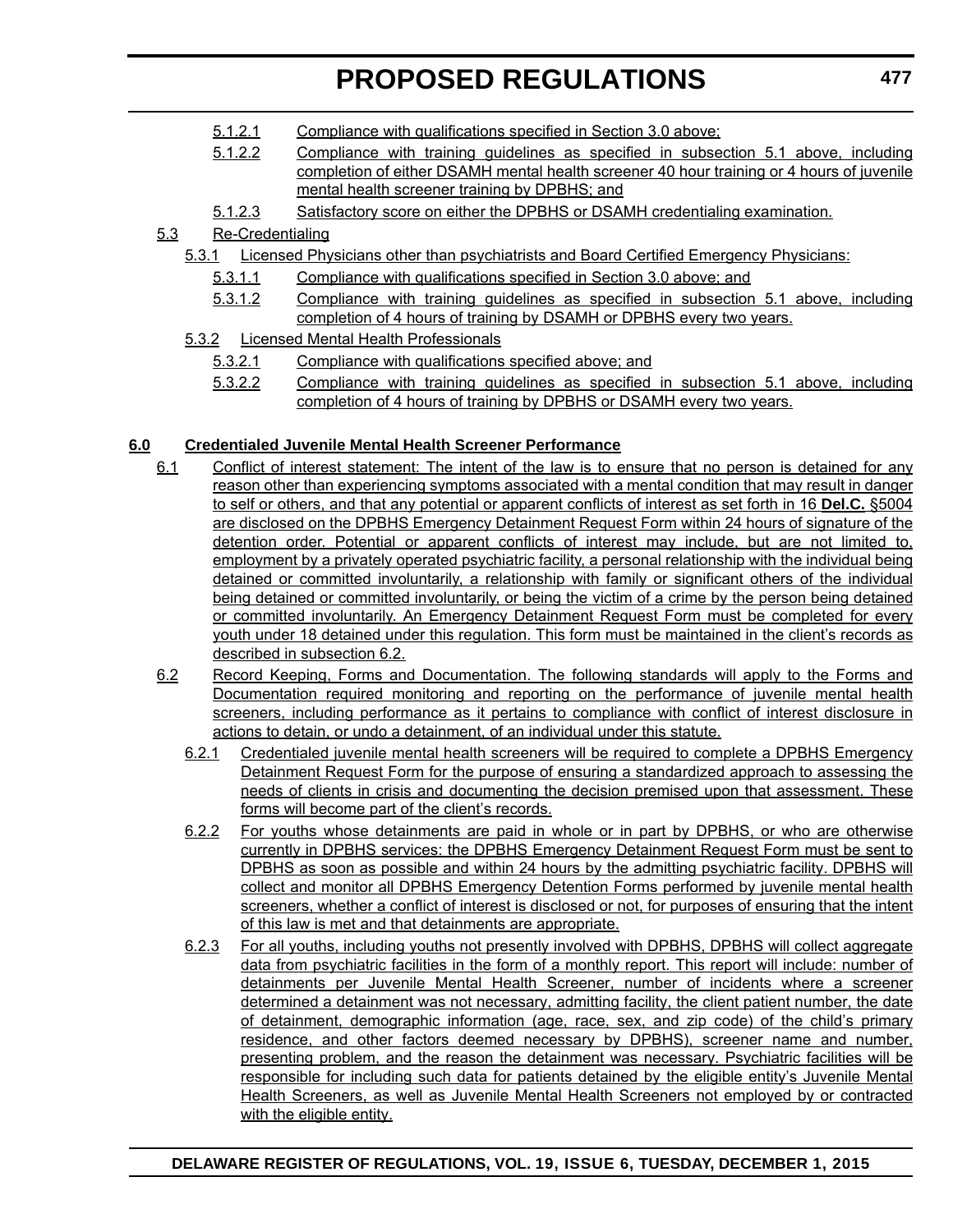- 5.1.2.1 Compliance with qualifications specified in Section 3.0 above;
- 5.1.2.2 Compliance with training guidelines as specified in subsection 5.1 above, including completion of either DSAMH mental health screener 40 hour training or 4 hours of juvenile mental health screener training by DPBHS; and
- 5.1.2.3 Satisfactory score on either the DPBHS or DSAMH credentialing examination.

#### 5.3 Re-Credentialing

- 5.3.1 Licensed Physicians other than psychiatrists and Board Certified Emergency Physicians:
	- 5.3.1.1 Compliance with qualifications specified in Section 3.0 above; and
	- 5.3.1.2 Compliance with training guidelines as specified in subsection 5.1 above, including completion of 4 hours of training by DSAMH or DPBHS every two years.
- 5.3.2 Licensed Mental Health Professionals
	- 5.3.2.1 Compliance with qualifications specified above; and
	- 5.3.2.2 Compliance with training guidelines as specified in subsection 5.1 above, including completion of 4 hours of training by DPBHS or DSAMH every two years.

#### **6.0 Credentialed Juvenile Mental Health Screener Performance**

- 6.1 Conflict of interest statement: The intent of the law is to ensure that no person is detained for any reason other than experiencing symptoms associated with a mental condition that may result in danger to self or others, and that any potential or apparent conflicts of interest as set forth in 16 **Del.C.** §5004 are disclosed on the DPBHS Emergency Detainment Request Form within 24 hours of signature of the detention order. Potential or apparent conflicts of interest may include, but are not limited to, employment by a privately operated psychiatric facility, a personal relationship with the individual being detained or committed involuntarily, a relationship with family or significant others of the individual being detained or committed involuntarily, or being the victim of a crime by the person being detained or committed involuntarily. An Emergency Detainment Request Form must be completed for every youth under 18 detained under this regulation. This form must be maintained in the client's records as described in subsection 6.2.
- 6.2 Record Keeping, Forms and Documentation. The following standards will apply to the Forms and Documentation required monitoring and reporting on the performance of juvenile mental health screeners, including performance as it pertains to compliance with conflict of interest disclosure in actions to detain, or undo a detainment, of an individual under this statute.
	- 6.2.1 Credentialed juvenile mental health screeners will be required to complete a DPBHS Emergency Detainment Request Form for the purpose of ensuring a standardized approach to assessing the needs of clients in crisis and documenting the decision premised upon that assessment. These forms will become part of the client's records.
	- 6.2.2 For youths whose detainments are paid in whole or in part by DPBHS, or who are otherwise currently in DPBHS services: the DPBHS Emergency Detainment Request Form must be sent to DPBHS as soon as possible and within 24 hours by the admitting psychiatric facility. DPBHS will collect and monitor all DPBHS Emergency Detention Forms performed by juvenile mental health screeners, whether a conflict of interest is disclosed or not, for purposes of ensuring that the intent of this law is met and that detainments are appropriate.
	- 6.2.3 For all youths, including youths not presently involved with DPBHS, DPBHS will collect aggregate data from psychiatric facilities in the form of a monthly report. This report will include: number of detainments per Juvenile Mental Health Screener, number of incidents where a screener determined a detainment was not necessary, admitting facility, the client patient number, the date of detainment, demographic information (age, race, sex, and zip code) of the child's primary residence, and other factors deemed necessary by DPBHS), screener name and number, presenting problem, and the reason the detainment was necessary. Psychiatric facilities will be responsible for including such data for patients detained by the eligible entity's Juvenile Mental Health Screeners, as well as Juvenile Mental Health Screeners not employed by or contracted with the eligible entity.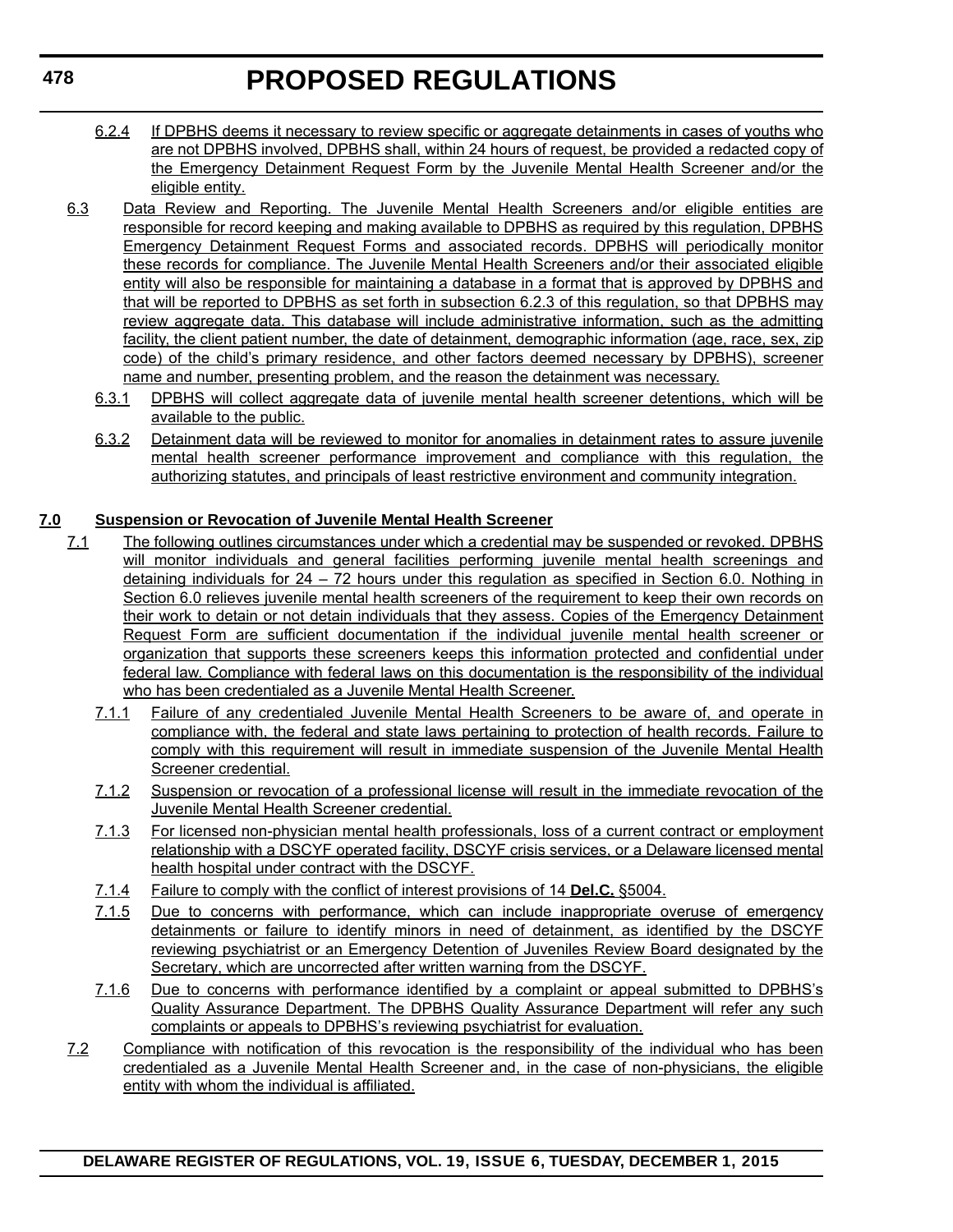- 6.2.4 If DPBHS deems it necessary to review specific or aggregate detainments in cases of youths who are not DPBHS involved, DPBHS shall, within 24 hours of request, be provided a redacted copy of the Emergency Detainment Request Form by the Juvenile Mental Health Screener and/or the eligible entity.
- 6.3 Data Review and Reporting. The Juvenile Mental Health Screeners and/or eligible entities are responsible for record keeping and making available to DPBHS as required by this regulation, DPBHS Emergency Detainment Request Forms and associated records. DPBHS will periodically monitor these records for compliance. The Juvenile Mental Health Screeners and/or their associated eligible entity will also be responsible for maintaining a database in a format that is approved by DPBHS and that will be reported to DPBHS as set forth in subsection 6.2.3 of this regulation, so that DPBHS may review aggregate data. This database will include administrative information, such as the admitting facility, the client patient number, the date of detainment, demographic information (age, race, sex, zip code) of the child's primary residence, and other factors deemed necessary by DPBHS), screener name and number, presenting problem, and the reason the detainment was necessary.
	- 6.3.1 DPBHS will collect aggregate data of juvenile mental health screener detentions, which will be available to the public.
	- 6.3.2 Detainment data will be reviewed to monitor for anomalies in detainment rates to assure juvenile mental health screener performance improvement and compliance with this regulation, the authorizing statutes, and principals of least restrictive environment and community integration.

#### **7.0 Suspension or Revocation of Juvenile Mental Health Screener**

- 7.1 The following outlines circumstances under which a credential may be suspended or revoked. DPBHS will monitor individuals and general facilities performing juvenile mental health screenings and detaining individuals for 24 – 72 hours under this regulation as specified in Section 6.0. Nothing in Section 6.0 relieves juvenile mental health screeners of the requirement to keep their own records on their work to detain or not detain individuals that they assess. Copies of the Emergency Detainment Request Form are sufficient documentation if the individual juvenile mental health screener or organization that supports these screeners keeps this information protected and confidential under federal law. Compliance with federal laws on this documentation is the responsibility of the individual who has been credentialed as a Juvenile Mental Health Screener.
	- 7.1.1 Failure of any credentialed Juvenile Mental Health Screeners to be aware of, and operate in compliance with, the federal and state laws pertaining to protection of health records. Failure to comply with this requirement will result in immediate suspension of the Juvenile Mental Health Screener credential.
	- 7.1.2 Suspension or revocation of a professional license will result in the immediate revocation of the Juvenile Mental Health Screener credential.
	- 7.1.3 For licensed non-physician mental health professionals, loss of a current contract or employment relationship with a DSCYF operated facility, DSCYF crisis services, or a Delaware licensed mental health hospital under contract with the DSCYF.
	- 7.1.4 Failure to comply with the conflict of interest provisions of 14 **Del.C.** §5004.
	- 7.1.5 Due to concerns with performance, which can include inappropriate overuse of emergency detainments or failure to identify minors in need of detainment, as identified by the DSCYF reviewing psychiatrist or an Emergency Detention of Juveniles Review Board designated by the Secretary, which are uncorrected after written warning from the DSCYF.
	- 7.1.6 Due to concerns with performance identified by a complaint or appeal submitted to DPBHS's Quality Assurance Department. The DPBHS Quality Assurance Department will refer any such complaints or appeals to DPBHS's reviewing psychiatrist for evaluation.
- 7.2 Compliance with notification of this revocation is the responsibility of the individual who has been credentialed as a Juvenile Mental Health Screener and, in the case of non-physicians, the eligible entity with whom the individual is affiliated.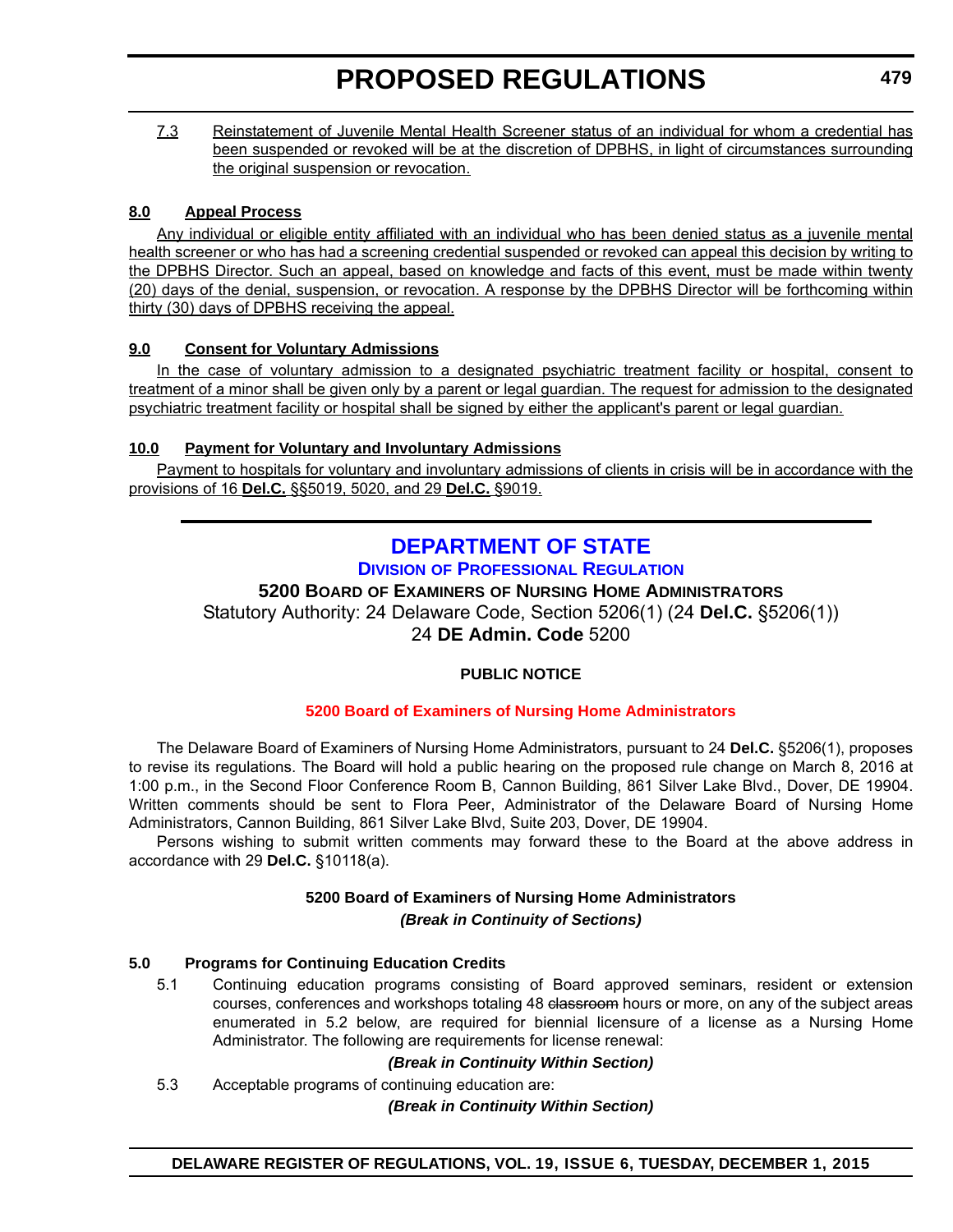<span id="page-35-0"></span>7.3 Reinstatement of Juvenile Mental Health Screener status of an individual for whom a credential has been suspended or revoked will be at the discretion of DPBHS, in light of circumstances surrounding the original suspension or revocation.

#### **8.0 Appeal Process**

Any individual or eligible entity affiliated with an individual who has been denied status as a juvenile mental health screener or who has had a screening credential suspended or revoked can appeal this decision by writing to the DPBHS Director. Such an appeal, based on knowledge and facts of this event, must be made within twenty (20) days of the denial, suspension, or revocation. A response by the DPBHS Director will be forthcoming within thirty (30) days of DPBHS receiving the appeal.

#### **9.0 Consent for Voluntary Admissions**

In the case of voluntary admission to a designated psychiatric treatment facility or hospital, consent to treatment of a minor shall be given only by a parent or legal guardian. The request for admission to the designated psychiatric treatment facility or hospital shall be signed by either the applicant's parent or legal guardian.

#### **10.0 Payment for Voluntary and Involuntary Admissions**

Payment to hospitals for voluntary and involuntary admissions of clients in crisis will be in accordance with the provisions of 16 **Del.C.** §§5019, 5020, and 29 **Del.C.** §9019.

### **[DEPARTMENT OF STATE](http://dpr.delaware.gov/) DIVISION OF PROFESSIONAL REGULATION**

#### **5200 BOARD OF EXAMINERS OF NURSING HOME ADMINISTRATORS**

Statutory Authority: 24 Delaware Code, Section 5206(1) (24 **Del.C.** §5206(1)) 24 **DE Admin. Code** 5200

#### **PUBLIC NOTICE**

#### **[5200 Board of Examiners of Nursing Home Administrators](#page-3-0)**

The Delaware Board of Examiners of Nursing Home Administrators, pursuant to 24 **Del.C.** §5206(1), proposes to revise its regulations. The Board will hold a public hearing on the proposed rule change on March 8, 2016 at 1:00 p.m., in the Second Floor Conference Room B, Cannon Building, 861 Silver Lake Blvd., Dover, DE 19904. Written comments should be sent to Flora Peer, Administrator of the Delaware Board of Nursing Home Administrators, Cannon Building, 861 Silver Lake Blvd, Suite 203, Dover, DE 19904.

Persons wishing to submit written comments may forward these to the Board at the above address in accordance with 29 **Del.C.** §10118(a).

### **5200 Board of Examiners of Nursing Home Administrators**

#### *(Break in Continuity of Sections)*

#### **5.0 Programs for Continuing Education Credits**

5.1 Continuing education programs consisting of Board approved seminars, resident or extension courses, conferences and workshops totaling 48 classroom hours or more, on any of the subject areas enumerated in 5.2 below, are required for biennial licensure of a license as a Nursing Home Administrator. The following are requirements for license renewal:

#### *(Break in Continuity Within Section)*

5.3 Acceptable programs of continuing education are:

#### *(Break in Continuity Within Section)*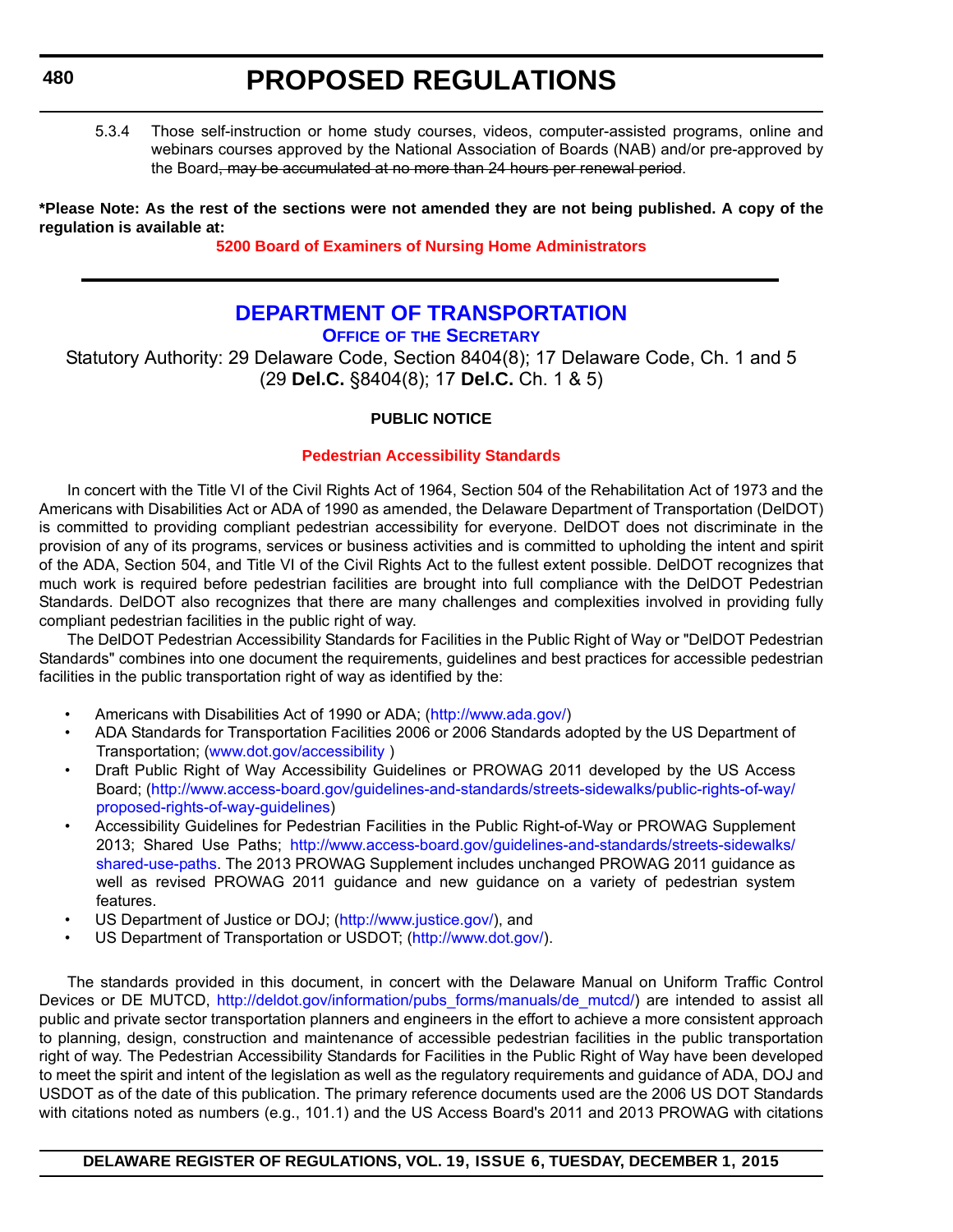# **480**

# **PROPOSED REGULATIONS**

5.3.4 Those self-instruction or home study courses, videos, computer-assisted programs, online and webinars courses approved by the National Association of Boards (NAB) and/or pre-approved by the Board, may be accumulated at no more than 24 hours per renewal period.

**\*Please Note: As the rest of the sections were not amended they are not being published. A copy of the regulation is available at:**

**[5200 Board of Examiners of Nursing Home Administrators](http://regulations.delaware.gov/register/december2015/proposed/19 DE Reg 479 12-01-15.htm)**

# **[DEPARTMENT OF TRANSPORTATION](http://www.deldot.gov/index.shtml) OFFICE OF THE SECRETARY**

Statutory Authority: 29 Delaware Code, Section 8404(8); 17 Delaware Code, Ch. 1 and 5 (29 **Del.C.** §8404(8); 17 **Del.C.** Ch. 1 & 5)

# **PUBLIC NOTICE**

# **[Pedestrian Accessibility Standards](#page-3-0)**

In concert with the Title VI of the Civil Rights Act of 1964, Section 504 of the Rehabilitation Act of 1973 and the Americans with Disabilities Act or ADA of 1990 as amended, the Delaware Department of Transportation (DelDOT) is committed to providing compliant pedestrian accessibility for everyone. DelDOT does not discriminate in the provision of any of its programs, services or business activities and is committed to upholding the intent and spirit of the ADA, Section 504, and Title VI of the Civil Rights Act to the fullest extent possible. DelDOT recognizes that much work is required before pedestrian facilities are brought into full compliance with the DelDOT Pedestrian Standards. DelDOT also recognizes that there are many challenges and complexities involved in providing fully compliant pedestrian facilities in the public right of way.

The DelDOT Pedestrian Accessibility Standards for Facilities in the Public Right of Way or "DelDOT Pedestrian Standards" combines into one document the requirements, guidelines and best practices for accessible pedestrian facilities in the public transportation right of way as identified by the:

- Americans with Disabilities Act of 1990 or ADA; ([http://www.ada.gov/\)](http://www.ada.gov/)
- ADA Standards for Transportation Facilities 2006 or 2006 Standards adopted by the US Department of Transportation; (www.dot.gov/accessibility )
- Draft Public Right of Way Accessibility Guidelines or PROWAG 2011 developed by the US Access Board; [\(http://www.access-board.gov/guidelines-and-standards/streets-sidewalks/public-rights-of-way/](http://www.access-board.gov/guidelines-and-standards/streets-sidewalks/public-rights-of-way/proposed-rights-of-way-guidelines) [proposed-rights-of-way-guidelines](http://www.access-board.gov/guidelines-and-standards/streets-sidewalks/public-rights-of-way/proposed-rights-of-way-guidelines))
- Accessibility Guidelines for Pedestrian Facilities in the Public Right-of-Way or PROWAG Supplement 2013; Shared Use Paths; [http://www.access-board.gov/guidelines-and-standards/streets-sidewalks/](http://www.access-board.gov/guidelines-and-standards/streets-sidewalks/shared-use-paths) [shared-use-paths](http://www.access-board.gov/guidelines-and-standards/streets-sidewalks/shared-use-paths). The 2013 PROWAG Supplement includes unchanged PROWAG 2011 guidance as well as revised PROWAG 2011 guidance and new guidance on a variety of pedestrian system features.
- US Department of Justice or DOJ; [\(http://www.justice.gov/](http://www.justice.gov/)), and
- US Department of Transportation or USDOT; (<http://www.dot.gov/>).

The standards provided in this document, in concert with the Delaware Manual on Uniform Traffic Control Devices or DE MUTCD, [http://deldot.gov/information/pubs\\_forms/manuals/de\\_mutcd/\)](http://deldot.gov/information/pubs_forms/manuals/de_mutcd/) are intended to assist all public and private sector transportation planners and engineers in the effort to achieve a more consistent approach to planning, design, construction and maintenance of accessible pedestrian facilities in the public transportation right of way. The Pedestrian Accessibility Standards for Facilities in the Public Right of Way have been developed to meet the spirit and intent of the legislation as well as the regulatory requirements and guidance of ADA, DOJ and USDOT as of the date of this publication. The primary reference documents used are the 2006 US DOT Standards with citations noted as numbers (e.g., 101.1) and the US Access Board's 2011 and 2013 PROWAG with citations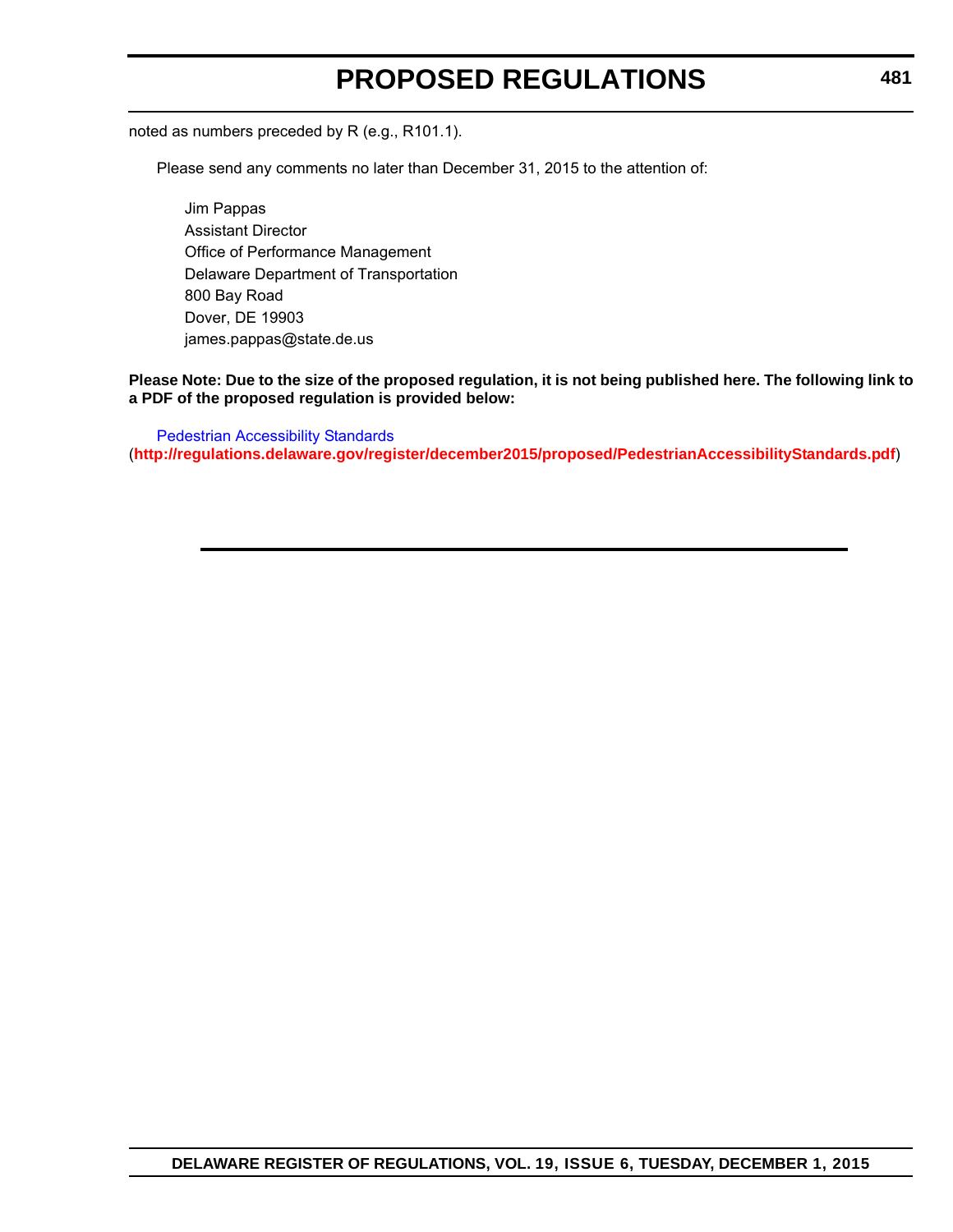# **PROPOSED REGULATIONS**

noted as numbers preceded by R (e.g., R101.1).

Please send any comments no later than December 31, 2015 to the attention of:

Jim Pappas Assistant Director Office of Performance Management Delaware Department of Transportation 800 Bay Road Dover, DE 19903 james.pappas@state.de.us

# **Please Note: Due to the size of the proposed regulation, it is not being published here. The following link to a PDF of the proposed regulation is provided below:**

[Pedestrian Accessibility Standards](http://regulations.delaware.gov/register/december2015/proposed/PedestrianAccessibilityStandards.pdf) (**<http://regulations.delaware.gov/register/december2015/proposed/PedestrianAccessibilityStandards.pdf>**)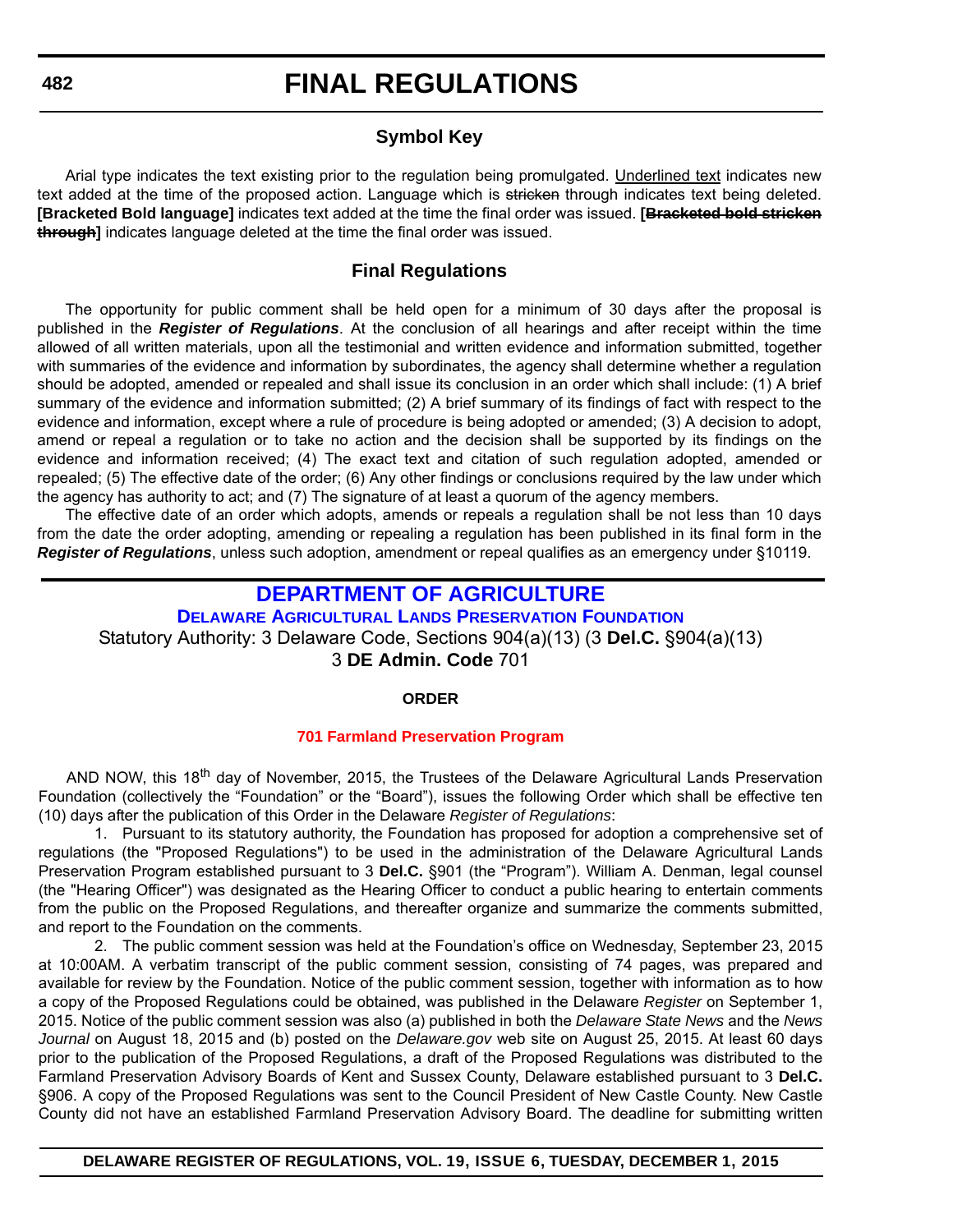# **Symbol Key**

Arial type indicates the text existing prior to the regulation being promulgated. Underlined text indicates new text added at the time of the proposed action. Language which is stricken through indicates text being deleted. **[Bracketed Bold language]** indicates text added at the time the final order was issued. **[Bracketed bold stricken through]** indicates language deleted at the time the final order was issued.

# **Final Regulations**

The opportunity for public comment shall be held open for a minimum of 30 days after the proposal is published in the *Register of Regulations*. At the conclusion of all hearings and after receipt within the time allowed of all written materials, upon all the testimonial and written evidence and information submitted, together with summaries of the evidence and information by subordinates, the agency shall determine whether a regulation should be adopted, amended or repealed and shall issue its conclusion in an order which shall include: (1) A brief summary of the evidence and information submitted; (2) A brief summary of its findings of fact with respect to the evidence and information, except where a rule of procedure is being adopted or amended; (3) A decision to adopt, amend or repeal a regulation or to take no action and the decision shall be supported by its findings on the evidence and information received; (4) The exact text and citation of such regulation adopted, amended or repealed; (5) The effective date of the order; (6) Any other findings or conclusions required by the law under which the agency has authority to act; and (7) The signature of at least a quorum of the agency members.

The effective date of an order which adopts, amends or repeals a regulation shall be not less than 10 days from the date the order adopting, amending or repealing a regulation has been published in its final form in the *Register of Regulations*, unless such adoption, amendment or repeal qualifies as an emergency under §10119.

# **DEPARTMENT OF AGRICULTURE**

**[DELAWARE AGRICULTURAL LANDS PRESERVATION FOUNDATION](http://dda.delaware.gov/aglands/index.shtml)** Statutory Authority: 3 Delaware Code, Sections 904(a)(13) (3 **Del.C.** §904(a)(13) 3 **DE Admin. Code** 701

# **ORDER**

# **[701 Farmland Preservation Program](#page-3-0)**

AND NOW, this 18<sup>th</sup> day of November, 2015, the Trustees of the Delaware Agricultural Lands Preservation Foundation (collectively the "Foundation" or the "Board"), issues the following Order which shall be effective ten (10) days after the publication of this Order in the Delaware *Register of Regulations*:

1. Pursuant to its statutory authority, the Foundation has proposed for adoption a comprehensive set of regulations (the "Proposed Regulations") to be used in the administration of the Delaware Agricultural Lands Preservation Program established pursuant to 3 **Del.C.** §901 (the "Program"). William A. Denman, legal counsel (the "Hearing Officer") was designated as the Hearing Officer to conduct a public hearing to entertain comments from the public on the Proposed Regulations, and thereafter organize and summarize the comments submitted, and report to the Foundation on the comments.

2. The public comment session was held at the Foundation's office on Wednesday, September 23, 2015 at 10:00AM. A verbatim transcript of the public comment session, consisting of 74 pages, was prepared and available for review by the Foundation. Notice of the public comment session, together with information as to how a copy of the Proposed Regulations could be obtained, was published in the Delaware *Register* on September 1, 2015. Notice of the public comment session was also (a) published in both the *Delaware State News* and the *News Journal* on August 18, 2015 and (b) posted on the *Delaware.gov* web site on August 25, 2015. At least 60 days prior to the publication of the Proposed Regulations, a draft of the Proposed Regulations was distributed to the Farmland Preservation Advisory Boards of Kent and Sussex County, Delaware established pursuant to 3 **Del.C.** §906. A copy of the Proposed Regulations was sent to the Council President of New Castle County. New Castle County did not have an established Farmland Preservation Advisory Board. The deadline for submitting written

**482**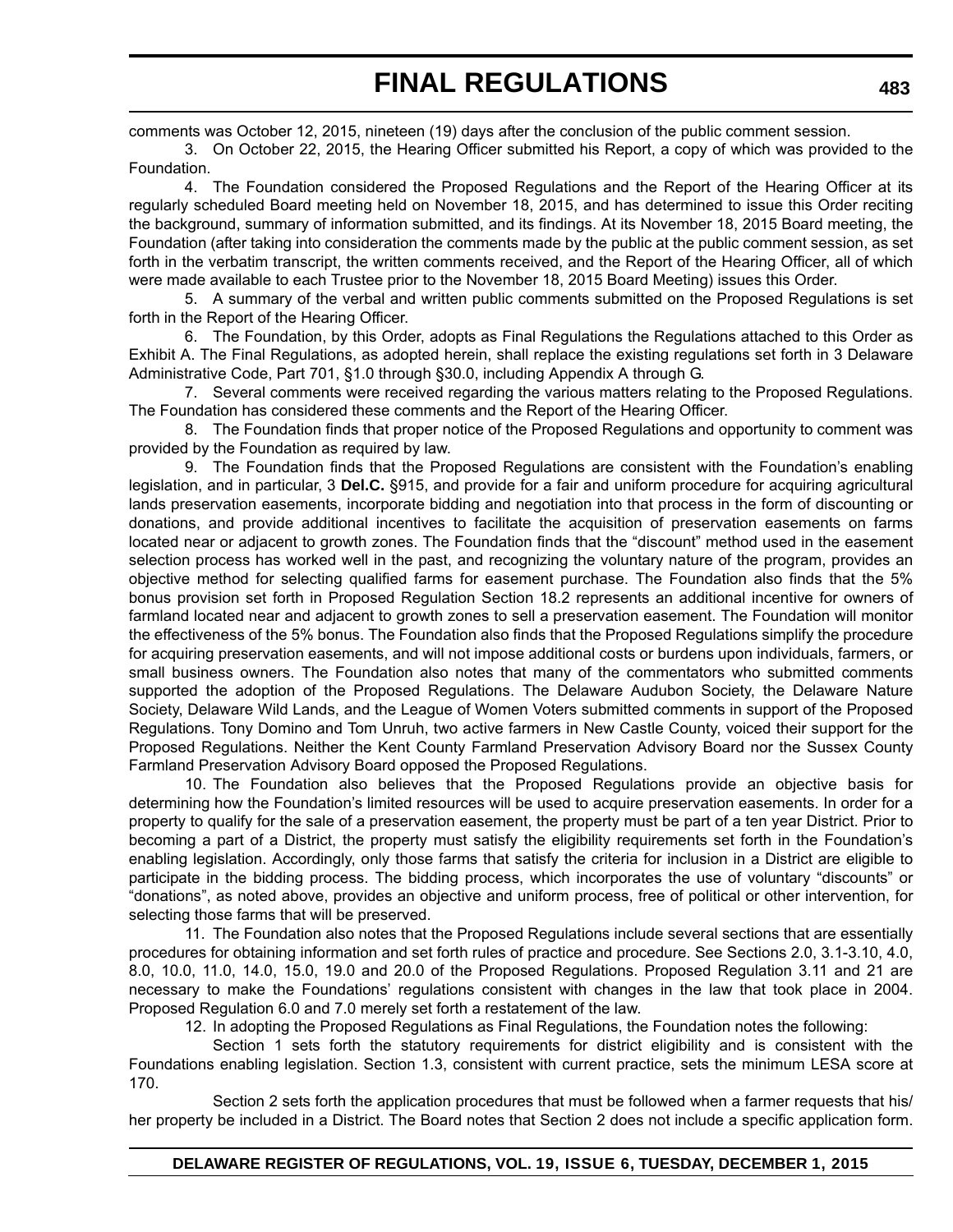comments was October 12, 2015, nineteen (19) days after the conclusion of the public comment session.

3. On October 22, 2015, the Hearing Officer submitted his Report, a copy of which was provided to the Foundation.

4. The Foundation considered the Proposed Regulations and the Report of the Hearing Officer at its regularly scheduled Board meeting held on November 18, 2015, and has determined to issue this Order reciting the background, summary of information submitted, and its findings. At its November 18, 2015 Board meeting, the Foundation (after taking into consideration the comments made by the public at the public comment session, as set forth in the verbatim transcript, the written comments received, and the Report of the Hearing Officer, all of which were made available to each Trustee prior to the November 18, 2015 Board Meeting) issues this Order.

5. A summary of the verbal and written public comments submitted on the Proposed Regulations is set forth in the Report of the Hearing Officer.

6. The Foundation, by this Order, adopts as Final Regulations the Regulations attached to this Order as Exhibit A. The Final Regulations, as adopted herein, shall replace the existing regulations set forth in 3 Delaware Administrative Code, Part 701, §1.0 through §30.0, including Appendix A through G.

7. Several comments were received regarding the various matters relating to the Proposed Regulations. The Foundation has considered these comments and the Report of the Hearing Officer.

8. The Foundation finds that proper notice of the Proposed Regulations and opportunity to comment was provided by the Foundation as required by law.

9. The Foundation finds that the Proposed Regulations are consistent with the Foundation's enabling legislation, and in particular, 3 **Del.C.** §915, and provide for a fair and uniform procedure for acquiring agricultural lands preservation easements, incorporate bidding and negotiation into that process in the form of discounting or donations, and provide additional incentives to facilitate the acquisition of preservation easements on farms located near or adjacent to growth zones. The Foundation finds that the "discount" method used in the easement selection process has worked well in the past, and recognizing the voluntary nature of the program, provides an objective method for selecting qualified farms for easement purchase. The Foundation also finds that the 5% bonus provision set forth in Proposed Regulation Section 18.2 represents an additional incentive for owners of farmland located near and adjacent to growth zones to sell a preservation easement. The Foundation will monitor the effectiveness of the 5% bonus. The Foundation also finds that the Proposed Regulations simplify the procedure for acquiring preservation easements, and will not impose additional costs or burdens upon individuals, farmers, or small business owners. The Foundation also notes that many of the commentators who submitted comments supported the adoption of the Proposed Regulations. The Delaware Audubon Society, the Delaware Nature Society, Delaware Wild Lands, and the League of Women Voters submitted comments in support of the Proposed Regulations. Tony Domino and Tom Unruh, two active farmers in New Castle County, voiced their support for the Proposed Regulations. Neither the Kent County Farmland Preservation Advisory Board nor the Sussex County Farmland Preservation Advisory Board opposed the Proposed Regulations.

10. The Foundation also believes that the Proposed Regulations provide an objective basis for determining how the Foundation's limited resources will be used to acquire preservation easements. In order for a property to qualify for the sale of a preservation easement, the property must be part of a ten year District. Prior to becoming a part of a District, the property must satisfy the eligibility requirements set forth in the Foundation's enabling legislation. Accordingly, only those farms that satisfy the criteria for inclusion in a District are eligible to participate in the bidding process. The bidding process, which incorporates the use of voluntary "discounts" or "donations", as noted above, provides an objective and uniform process, free of political or other intervention, for selecting those farms that will be preserved.

11. The Foundation also notes that the Proposed Regulations include several sections that are essentially procedures for obtaining information and set forth rules of practice and procedure. See Sections 2.0, 3.1-3.10, 4.0, 8.0, 10.0, 11.0, 14.0, 15.0, 19.0 and 20.0 of the Proposed Regulations. Proposed Regulation 3.11 and 21 are necessary to make the Foundations' regulations consistent with changes in the law that took place in 2004. Proposed Regulation 6.0 and 7.0 merely set forth a restatement of the law.

12. In adopting the Proposed Regulations as Final Regulations, the Foundation notes the following:

Section 1 sets forth the statutory requirements for district eligibility and is consistent with the Foundations enabling legislation. Section 1.3, consistent with current practice, sets the minimum LESA score at 170.

Section 2 sets forth the application procedures that must be followed when a farmer requests that his/ her property be included in a District. The Board notes that Section 2 does not include a specific application form.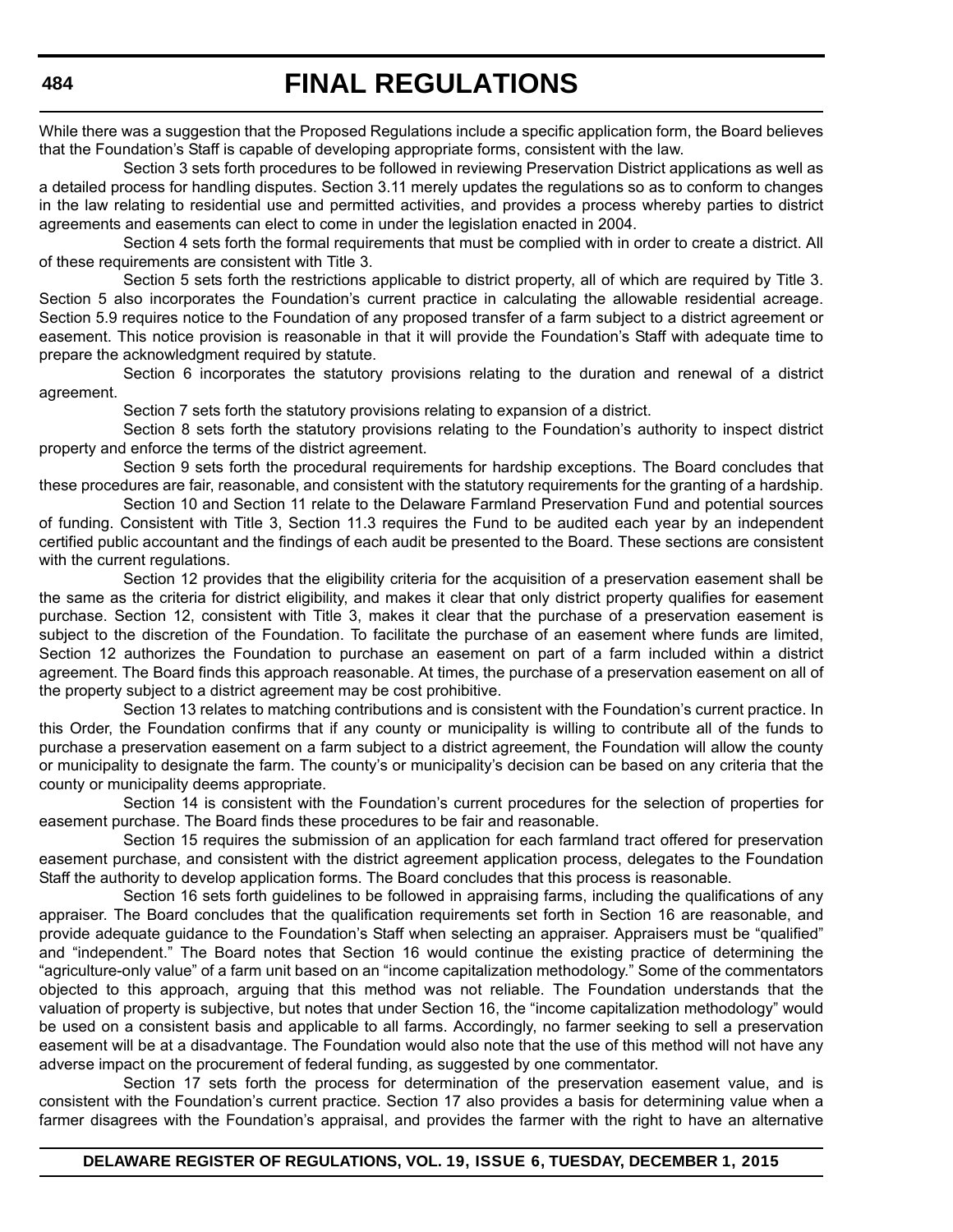While there was a suggestion that the Proposed Regulations include a specific application form, the Board believes that the Foundation's Staff is capable of developing appropriate forms, consistent with the law.

Section 3 sets forth procedures to be followed in reviewing Preservation District applications as well as a detailed process for handling disputes. Section 3.11 merely updates the regulations so as to conform to changes in the law relating to residential use and permitted activities, and provides a process whereby parties to district agreements and easements can elect to come in under the legislation enacted in 2004.

Section 4 sets forth the formal requirements that must be complied with in order to create a district. All of these requirements are consistent with Title 3.

Section 5 sets forth the restrictions applicable to district property, all of which are required by Title 3. Section 5 also incorporates the Foundation's current practice in calculating the allowable residential acreage. Section 5.9 requires notice to the Foundation of any proposed transfer of a farm subject to a district agreement or easement. This notice provision is reasonable in that it will provide the Foundation's Staff with adequate time to prepare the acknowledgment required by statute.

Section 6 incorporates the statutory provisions relating to the duration and renewal of a district agreement.

Section 7 sets forth the statutory provisions relating to expansion of a district.

Section 8 sets forth the statutory provisions relating to the Foundation's authority to inspect district property and enforce the terms of the district agreement.

Section 9 sets forth the procedural requirements for hardship exceptions. The Board concludes that these procedures are fair, reasonable, and consistent with the statutory requirements for the granting of a hardship.

Section 10 and Section 11 relate to the Delaware Farmland Preservation Fund and potential sources of funding. Consistent with Title 3, Section 11.3 requires the Fund to be audited each year by an independent certified public accountant and the findings of each audit be presented to the Board. These sections are consistent with the current regulations.

Section 12 provides that the eligibility criteria for the acquisition of a preservation easement shall be the same as the criteria for district eligibility, and makes it clear that only district property qualifies for easement purchase. Section 12, consistent with Title 3, makes it clear that the purchase of a preservation easement is subject to the discretion of the Foundation. To facilitate the purchase of an easement where funds are limited, Section 12 authorizes the Foundation to purchase an easement on part of a farm included within a district agreement. The Board finds this approach reasonable. At times, the purchase of a preservation easement on all of the property subject to a district agreement may be cost prohibitive.

Section 13 relates to matching contributions and is consistent with the Foundation's current practice. In this Order, the Foundation confirms that if any county or municipality is willing to contribute all of the funds to purchase a preservation easement on a farm subject to a district agreement, the Foundation will allow the county or municipality to designate the farm. The county's or municipality's decision can be based on any criteria that the county or municipality deems appropriate.

Section 14 is consistent with the Foundation's current procedures for the selection of properties for easement purchase. The Board finds these procedures to be fair and reasonable.

Section 15 requires the submission of an application for each farmland tract offered for preservation easement purchase, and consistent with the district agreement application process, delegates to the Foundation Staff the authority to develop application forms. The Board concludes that this process is reasonable.

Section 16 sets forth guidelines to be followed in appraising farms, including the qualifications of any appraiser. The Board concludes that the qualification requirements set forth in Section 16 are reasonable, and provide adequate guidance to the Foundation's Staff when selecting an appraiser. Appraisers must be "qualified" and "independent." The Board notes that Section 16 would continue the existing practice of determining the "agriculture-only value" of a farm unit based on an "income capitalization methodology." Some of the commentators objected to this approach, arguing that this method was not reliable. The Foundation understands that the valuation of property is subjective, but notes that under Section 16, the "income capitalization methodology" would be used on a consistent basis and applicable to all farms. Accordingly, no farmer seeking to sell a preservation easement will be at a disadvantage. The Foundation would also note that the use of this method will not have any adverse impact on the procurement of federal funding, as suggested by one commentator.

Section 17 sets forth the process for determination of the preservation easement value, and is consistent with the Foundation's current practice. Section 17 also provides a basis for determining value when a farmer disagrees with the Foundation's appraisal, and provides the farmer with the right to have an alternative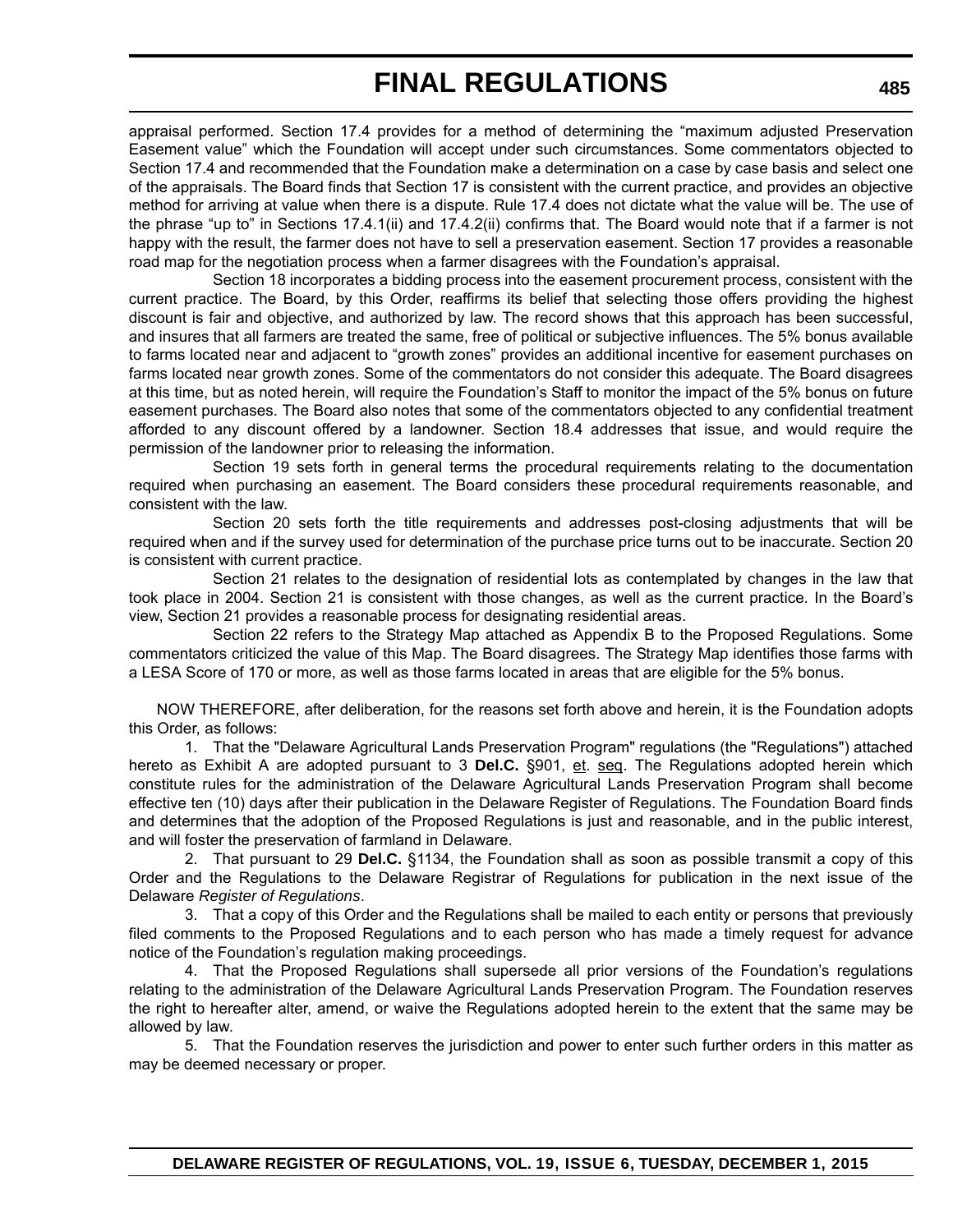appraisal performed. Section 17.4 provides for a method of determining the "maximum adjusted Preservation Easement value" which the Foundation will accept under such circumstances. Some commentators objected to Section 17.4 and recommended that the Foundation make a determination on a case by case basis and select one of the appraisals. The Board finds that Section 17 is consistent with the current practice, and provides an objective method for arriving at value when there is a dispute. Rule 17.4 does not dictate what the value will be. The use of the phrase "up to" in Sections 17.4.1(ii) and 17.4.2(ii) confirms that. The Board would note that if a farmer is not happy with the result, the farmer does not have to sell a preservation easement. Section 17 provides a reasonable road map for the negotiation process when a farmer disagrees with the Foundation's appraisal.

Section 18 incorporates a bidding process into the easement procurement process, consistent with the current practice. The Board, by this Order, reaffirms its belief that selecting those offers providing the highest discount is fair and objective, and authorized by law. The record shows that this approach has been successful, and insures that all farmers are treated the same, free of political or subjective influences. The 5% bonus available to farms located near and adjacent to "growth zones" provides an additional incentive for easement purchases on farms located near growth zones. Some of the commentators do not consider this adequate. The Board disagrees at this time, but as noted herein, will require the Foundation's Staff to monitor the impact of the 5% bonus on future easement purchases. The Board also notes that some of the commentators objected to any confidential treatment afforded to any discount offered by a landowner. Section 18.4 addresses that issue, and would require the permission of the landowner prior to releasing the information.

Section 19 sets forth in general terms the procedural requirements relating to the documentation required when purchasing an easement. The Board considers these procedural requirements reasonable, and consistent with the law.

Section 20 sets forth the title requirements and addresses post-closing adjustments that will be required when and if the survey used for determination of the purchase price turns out to be inaccurate. Section 20 is consistent with current practice.

Section 21 relates to the designation of residential lots as contemplated by changes in the law that took place in 2004. Section 21 is consistent with those changes, as well as the current practice. In the Board's view, Section 21 provides a reasonable process for designating residential areas.

Section 22 refers to the Strategy Map attached as Appendix B to the Proposed Regulations. Some commentators criticized the value of this Map. The Board disagrees. The Strategy Map identifies those farms with a LESA Score of 170 or more, as well as those farms located in areas that are eligible for the 5% bonus.

NOW THEREFORE, after deliberation, for the reasons set forth above and herein, it is the Foundation adopts this Order, as follows:

1. That the "Delaware Agricultural Lands Preservation Program" regulations (the "Regulations") attached hereto as Exhibit A are adopted pursuant to 3 **Del.C.** §901, et. seq. The Regulations adopted herein which constitute rules for the administration of the Delaware Agricultural Lands Preservation Program shall become effective ten (10) days after their publication in the Delaware Register of Regulations. The Foundation Board finds and determines that the adoption of the Proposed Regulations is just and reasonable, and in the public interest, and will foster the preservation of farmland in Delaware.

2. That pursuant to 29 **Del.C.** §1134, the Foundation shall as soon as possible transmit a copy of this Order and the Regulations to the Delaware Registrar of Regulations for publication in the next issue of the Delaware *Register of Regulations*.

3. That a copy of this Order and the Regulations shall be mailed to each entity or persons that previously filed comments to the Proposed Regulations and to each person who has made a timely request for advance notice of the Foundation's regulation making proceedings.

4. That the Proposed Regulations shall supersede all prior versions of the Foundation's regulations relating to the administration of the Delaware Agricultural Lands Preservation Program. The Foundation reserves the right to hereafter alter, amend, or waive the Regulations adopted herein to the extent that the same may be allowed by law.

5. That the Foundation reserves the jurisdiction and power to enter such further orders in this matter as may be deemed necessary or proper.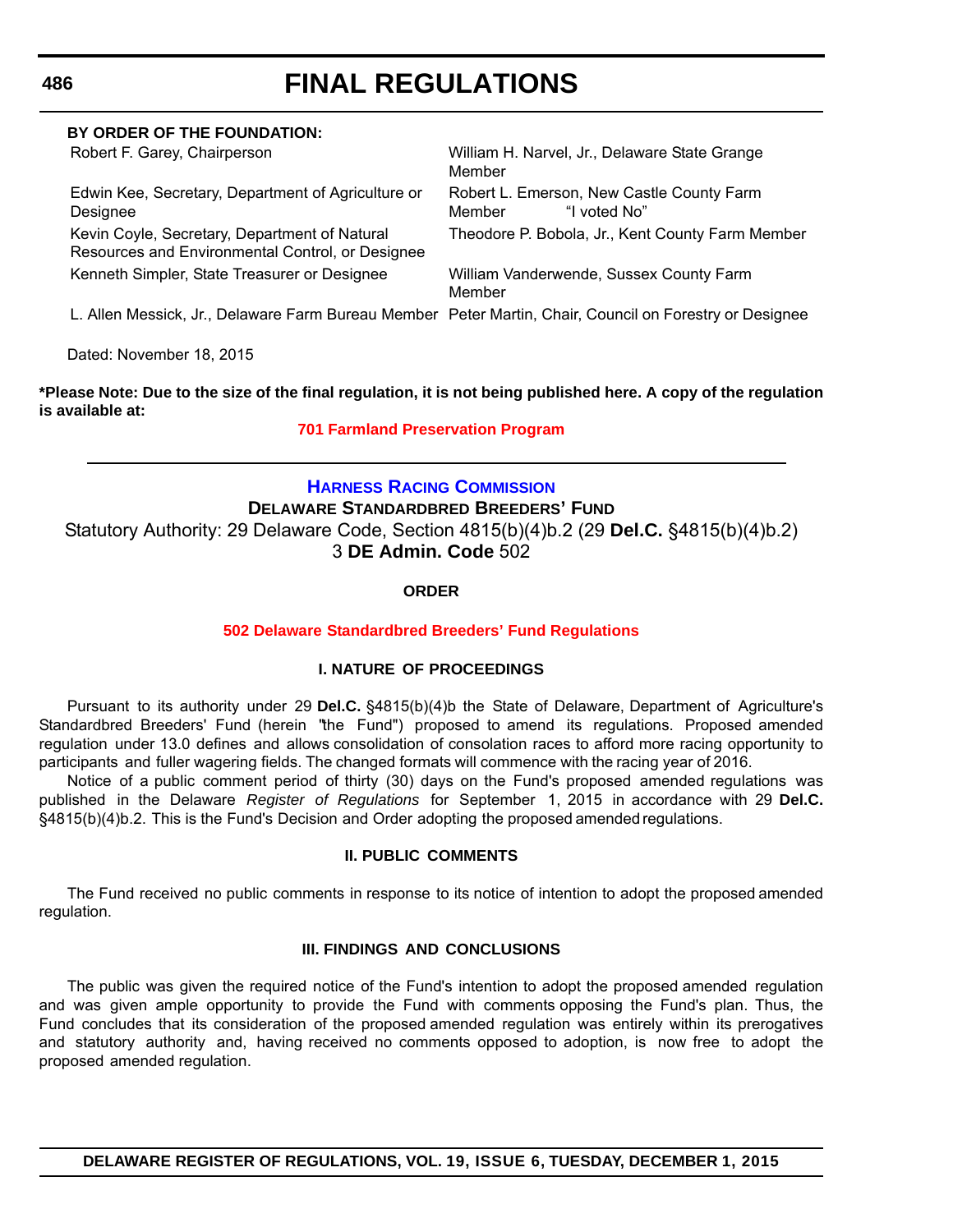| BY ORDER OF THE FOUNDATION:                                                                             |                                                                     |
|---------------------------------------------------------------------------------------------------------|---------------------------------------------------------------------|
| Robert F. Garey, Chairperson                                                                            | William H. Narvel, Jr., Delaware State Grange<br>Member             |
| Edwin Kee, Secretary, Department of Agriculture or<br>Designee                                          | Robert L. Emerson, New Castle County Farm<br>"I voted No"<br>Member |
| Kevin Coyle, Secretary, Department of Natural<br>Resources and Environmental Control, or Designee       | Theodore P. Bobola, Jr., Kent County Farm Member                    |
| Kenneth Simpler, State Treasurer or Designee                                                            | William Vanderwende, Sussex County Farm<br>Member                   |
| L. Allen Messick, Jr., Delaware Farm Bureau Member Peter Martin, Chair, Council on Forestry or Designee |                                                                     |

Dated: November 18, 2015

# **\*Please Note: Due to the size of the final regulation, it is not being published here. A copy of the regulation is available at:**

# **[701 Farmland Preservation Program](http://regulations.delaware.gov/register/december2015/final/19 DE Reg 482 12-01-15.htm)**

# **[HARNESS RACING COMMISSION](http://dda.delaware.gov/harness/index.shtml) DELAWARE STANDARDBRED BREEDERS' FUND** Statutory Authority: 29 Delaware Code, Section 4815(b)(4)b.2 (29 **Del.C.** §4815(b)(4)b.2) 3 **DE Admin. Code** 502

# **ORDER**

# **502 Delaware [Standardbred Breeders' Fund Regulations](#page-3-0)**

# **I. NATURE OF PROCEEDINGS**

Pursuant to its authority under 29 **Del.C.** §4815(b)(4)b the State of Delaware, Department of Agriculture's Standardbred Breeders' Fund (herein "the Fund") proposed to amend its regulations. Proposed amended regulation under 13.0 defines and allows consolidation of consolation races to afford more racing opportunity to participants and fuller wagering fields. The changed formats will commence with the racing year of 2016.

Notice of a public comment period of thirty (30) days on the Fund's proposed amended regulations was published in the Delaware *Register of Regulations* for September 1, 2015 in accordance with 29 **Del.C.** §4815(b)(4)b.2. This is the Fund's Decision and Order adopting the proposed amended regulations.

# **II. PUBLIC COMMENTS**

The Fund received no public comments in response to its notice of intention to adopt the proposed amended regulation.

# **III. FINDINGS AND CONCLUSIONS**

The public was given the required notice of the Fund's intention to adopt the proposed amended regulation and was given ample opportunity to provide the Fund with comments opposing the Fund's plan. Thus, the Fund concludes that its consideration of the proposed amended regulation was entirely within its prerogatives and statutory authority and, having received no comments opposed to adoption, is now free to adopt the proposed amended regulation.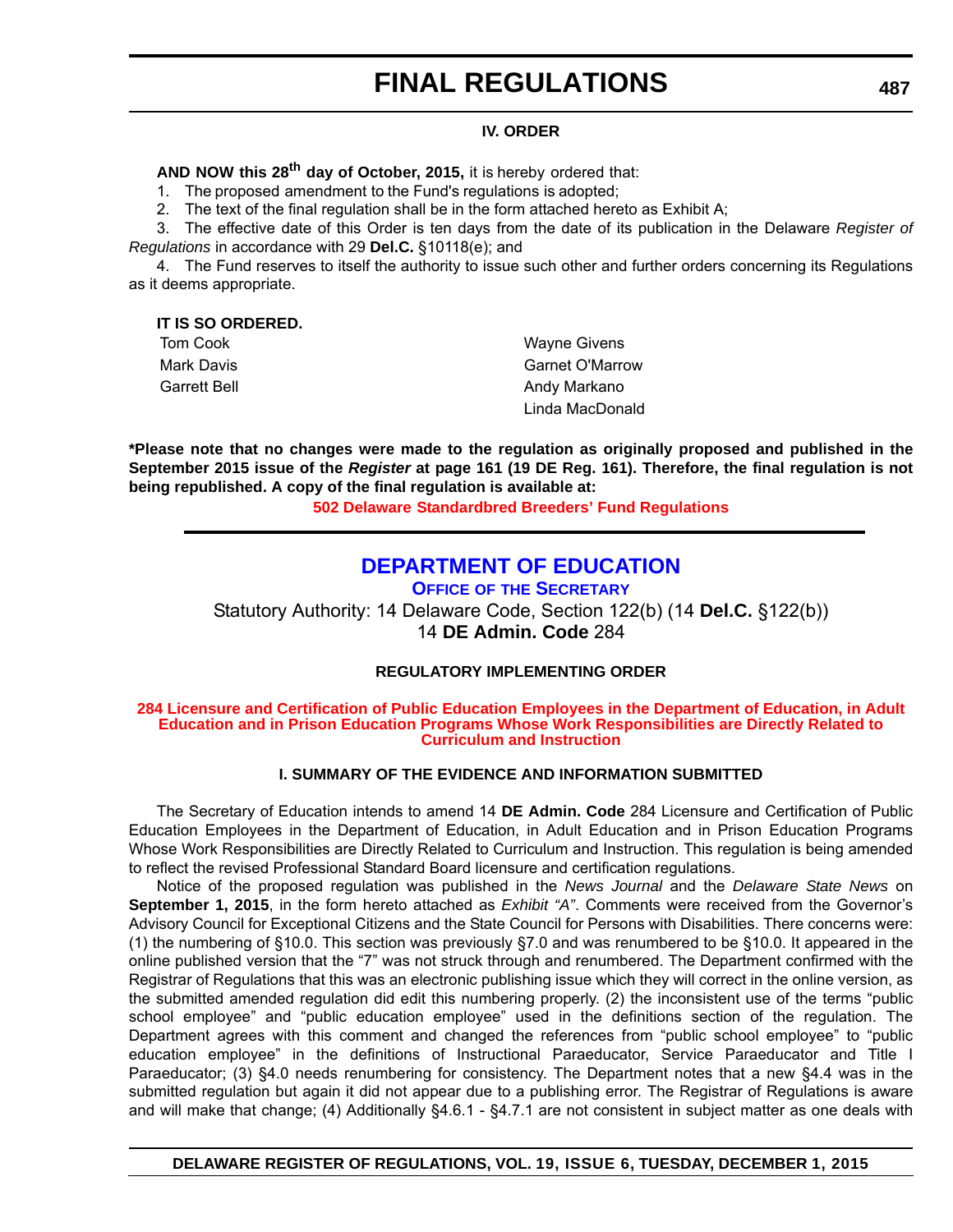# **IV. ORDER**

**AND NOW this 28th day of October, 2015,** it is hereby ordered that:

1. The proposed amendment to the Fund's regulations is adopted;

2. The text of the final regulation shall be in the form attached hereto as Exhibit A;

3. The effective date of this Order is ten days from the date of its publication in the Delaware *Register of Regulations* in accordance with 29 **Del.C.** §10118(e); and

4. The Fund reserves to itself the authority to issue such other and further orders concerning its Regulations as it deems appropriate.

**IT IS SO ORDERED.**

Tom Cook **Wayne Givens** Mark Davis Garnet O'Marrow Garrett Bell **Andy Markano Andy Markano** Linda MacDonald

**\*Please note that no changes were made to the regulation as originally proposed and published in the September 2015 issue of the** *Register* **at page 161 (19 DE Reg. 161). Therefore, the final regulation is not being republished. A copy of the final regulation is available at:**

**502 Delaware [Standardbred Breeders' Fund Regulations](http://regulations.delaware.gov/register/december2015/final/19 DE Reg 486 12-01-15.htm)**

# **[DEPARTMENT OF EDUCATION](http://www.doe.k12.de.us/site/default.aspx?PageID=1)**

**OFFICE OF THE SECRETARY**

Statutory Authority: 14 Delaware Code, Section 122(b) (14 **Del.C.** §122(b)) 14 **DE Admin. Code** 284

# **REGULATORY IMPLEMENTING ORDER**

#### **[284 Licensure and Certification of Public Education Employees in the Department of Education, in Adult](#page-3-0)  Education and in Prison Education Programs Whose Work Responsibilities are Directly Related to Curriculum and Instruction**

# **I. SUMMARY OF THE EVIDENCE AND INFORMATION SUBMITTED**

The Secretary of Education intends to amend 14 **DE Admin. Code** 284 Licensure and Certification of Public Education Employees in the Department of Education, in Adult Education and in Prison Education Programs Whose Work Responsibilities are Directly Related to Curriculum and Instruction. This regulation is being amended to reflect the revised Professional Standard Board licensure and certification regulations.

Notice of the proposed regulation was published in the *News Journal* and the *Delaware State News* on **September 1, 2015**, in the form hereto attached as *Exhibit "A"*. Comments were received from the Governor's Advisory Council for Exceptional Citizens and the State Council for Persons with Disabilities. There concerns were: (1) the numbering of §10.0. This section was previously §7.0 and was renumbered to be §10.0. It appeared in the online published version that the "7" was not struck through and renumbered. The Department confirmed with the Registrar of Regulations that this was an electronic publishing issue which they will correct in the online version, as the submitted amended regulation did edit this numbering properly. (2) the inconsistent use of the terms "public school employee" and "public education employee" used in the definitions section of the regulation. The Department agrees with this comment and changed the references from "public school employee" to "public education employee" in the definitions of Instructional Paraeducator, Service Paraeducator and Title I Paraeducator; (3) §4.0 needs renumbering for consistency. The Department notes that a new §4.4 was in the submitted regulation but again it did not appear due to a publishing error. The Registrar of Regulations is aware and will make that change; (4) Additionally §4.6.1 - §4.7.1 are not consistent in subject matter as one deals with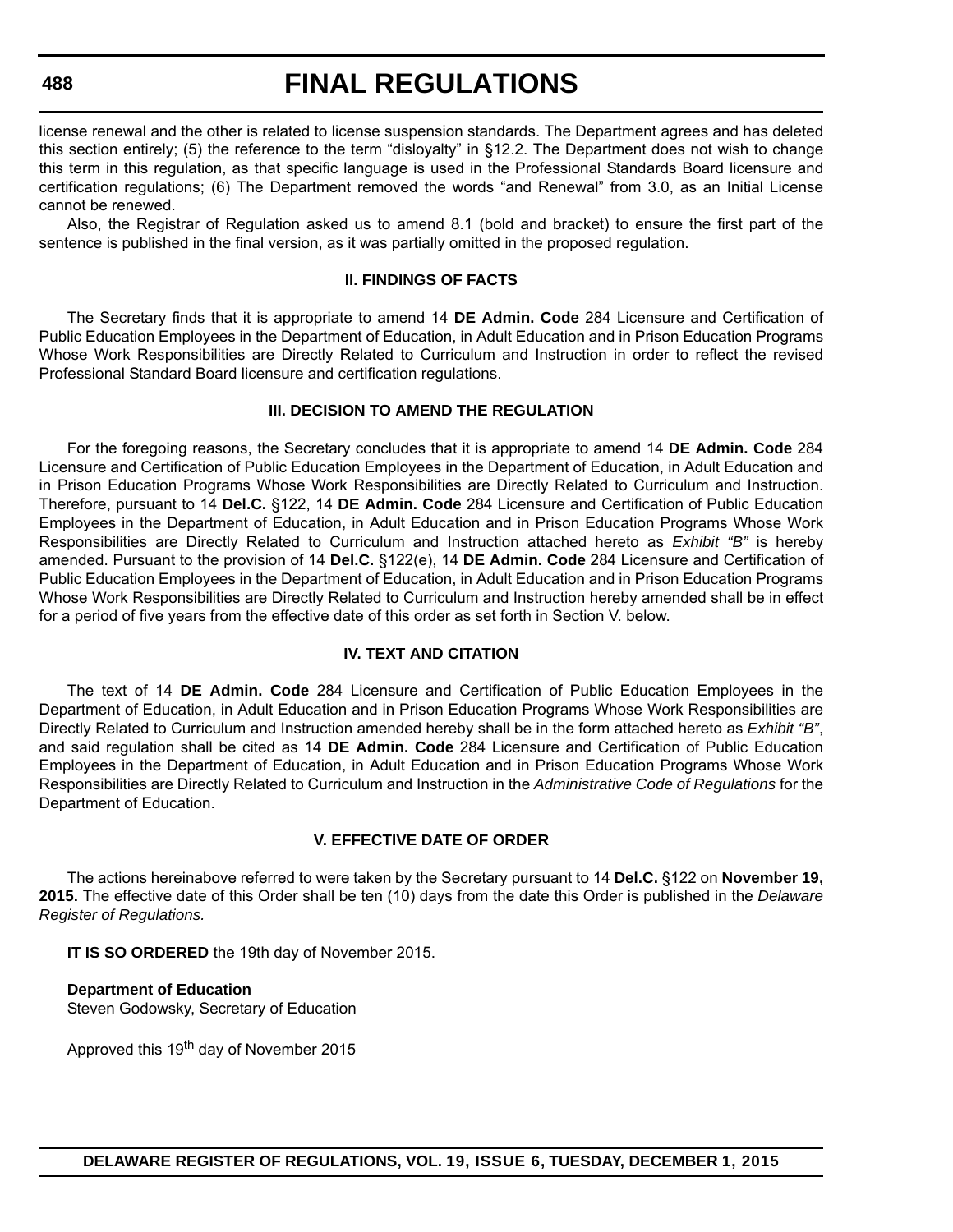#### **488**

# **FINAL REGULATIONS**

license renewal and the other is related to license suspension standards. The Department agrees and has deleted this section entirely; (5) the reference to the term "disloyalty" in §12.2. The Department does not wish to change this term in this regulation, as that specific language is used in the Professional Standards Board licensure and certification regulations; (6) The Department removed the words "and Renewal" from 3.0, as an Initial License cannot be renewed.

Also, the Registrar of Regulation asked us to amend 8.1 (bold and bracket) to ensure the first part of the sentence is published in the final version, as it was partially omitted in the proposed regulation.

# **II. FINDINGS OF FACTS**

The Secretary finds that it is appropriate to amend 14 **DE Admin. Code** 284 Licensure and Certification of Public Education Employees in the Department of Education, in Adult Education and in Prison Education Programs Whose Work Responsibilities are Directly Related to Curriculum and Instruction in order to reflect the revised Professional Standard Board licensure and certification regulations.

# **III. DECISION TO AMEND THE REGULATION**

For the foregoing reasons, the Secretary concludes that it is appropriate to amend 14 **DE Admin. Code** 284 Licensure and Certification of Public Education Employees in the Department of Education, in Adult Education and in Prison Education Programs Whose Work Responsibilities are Directly Related to Curriculum and Instruction. Therefore, pursuant to 14 **Del.C.** §122, 14 **DE Admin. Code** 284 Licensure and Certification of Public Education Employees in the Department of Education, in Adult Education and in Prison Education Programs Whose Work Responsibilities are Directly Related to Curriculum and Instruction attached hereto as *Exhibit "B"* is hereby amended. Pursuant to the provision of 14 **Del.C.** §122(e), 14 **DE Admin. Code** 284 Licensure and Certification of Public Education Employees in the Department of Education, in Adult Education and in Prison Education Programs Whose Work Responsibilities are Directly Related to Curriculum and Instruction hereby amended shall be in effect for a period of five years from the effective date of this order as set forth in Section V. below.

#### **IV. TEXT AND CITATION**

The text of 14 **DE Admin. Code** 284 Licensure and Certification of Public Education Employees in the Department of Education, in Adult Education and in Prison Education Programs Whose Work Responsibilities are Directly Related to Curriculum and Instruction amended hereby shall be in the form attached hereto as *Exhibit "B"*, and said regulation shall be cited as 14 **DE Admin. Code** 284 Licensure and Certification of Public Education Employees in the Department of Education, in Adult Education and in Prison Education Programs Whose Work Responsibilities are Directly Related to Curriculum and Instruction in the *Administrative Code of Regulations* for the Department of Education.

# **V. EFFECTIVE DATE OF ORDER**

The actions hereinabove referred to were taken by the Secretary pursuant to 14 **Del.C.** §122 on **November 19, 2015.** The effective date of this Order shall be ten (10) days from the date this Order is published in the *Delaware Register of Regulations.*

**IT IS SO ORDERED** the 19th day of November 2015.

**Department of Education** Steven Godowsky, Secretary of Education

Approved this 19<sup>th</sup> day of November 2015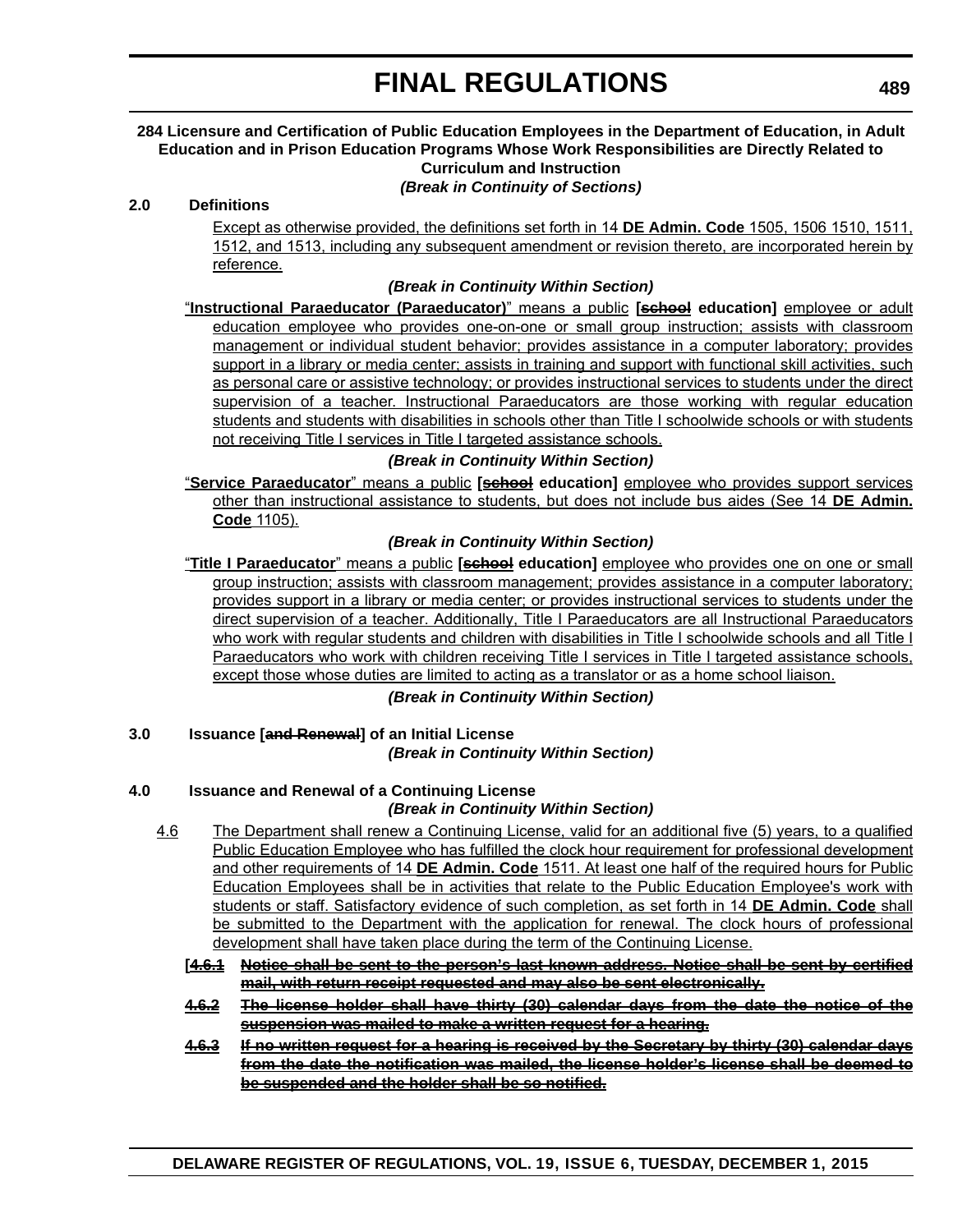#### **284 Licensure and Certification of Public Education Employees in the Department of Education, in Adult Education and in Prison Education Programs Whose Work Responsibilities are Directly Related to Curriculum and Instruction**

*(Break in Continuity of Sections)*

# **2.0 Definitions**

Except as otherwise provided, the definitions set forth in 14 **DE Admin. Code** 1505, 1506 1510, 1511, 1512, and 1513, including any subsequent amendment or revision thereto, are incorporated herein by reference.

# *(Break in Continuity Within Section)*

"**Instructional Paraeducator (Paraeducator)**" means a public **[school education]** employee or adult education employee who provides one-on-one or small group instruction; assists with classroom management or individual student behavior; provides assistance in a computer laboratory; provides support in a library or media center; assists in training and support with functional skill activities, such as personal care or assistive technology; or provides instructional services to students under the direct supervision of a teacher. Instructional Paraeducators are those working with regular education students and students with disabilities in schools other than Title I schoolwide schools or with students not receiving Title I services in Title I targeted assistance schools.

# *(Break in Continuity Within Section)*

"**Service Paraeducator**" means a public **[school education]** employee who provides support services other than instructional assistance to students, but does not include bus aides (See 14 **DE Admin. Code** 1105).

# *(Break in Continuity Within Section)*

"**Title I Paraeducator**" means a public **[school education]** employee who provides one on one or small group instruction; assists with classroom management; provides assistance in a computer laboratory; provides support in a library or media center; or provides instructional services to students under the direct supervision of a teacher. Additionally, Title I Paraeducators are all Instructional Paraeducators who work with regular students and children with disabilities in Title I schoolwide schools and all Title I Paraeducators who work with children receiving Title I services in Title I targeted assistance schools, except those whose duties are limited to acting as a translator or as a home school liaison.

*(Break in Continuity Within Section)*

# **3.0 Issuance [and Renewal] of an Initial License**

*(Break in Continuity Within Section)*

# **4.0 Issuance and Renewal of a Continuing License**

# *(Break in Continuity Within Section)*

- 4.6 The Department shall renew a Continuing License, valid for an additional five (5) years, to a qualified Public Education Employee who has fulfilled the clock hour requirement for professional development and other requirements of 14 **DE Admin. Code** 1511. At least one half of the required hours for Public Education Employees shall be in activities that relate to the Public Education Employee's work with students or staff. Satisfactory evidence of such completion, as set forth in 14 **DE Admin. Code** shall be submitted to the Department with the application for renewal. The clock hours of professional development shall have taken place during the term of the Continuing License.
	- **[4.6.1 Notice shall be sent to the person's last known address. Notice shall be sent by certified mail, with return receipt requested and may also be sent electronically.**
	- **4.6.2 The license holder shall have thirty (30) calendar days from the date the notice of the suspension was mailed to make a written request for a hearing.**
	- **4.6.3 If no written request for a hearing is received by the Secretary by thirty (30) calendar days from the date the notification was mailed, the license holder's license shall be deemed to be suspended and the holder shall be so notified.**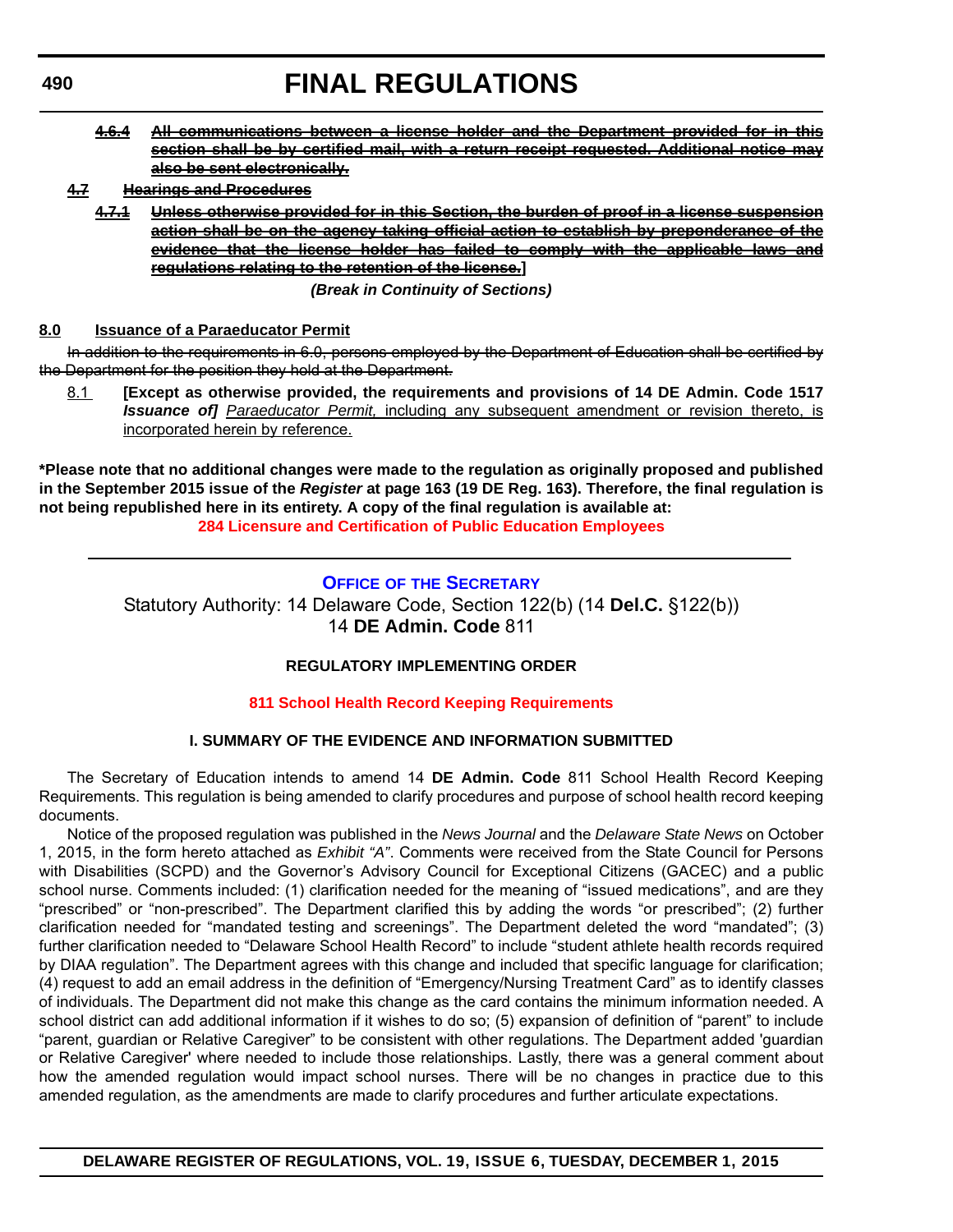- **4.6.4 All communications between a license holder and the Department provided for in this section shall be by certified mail, with a return receipt requested. Additional notice may also be sent electronically.**
- **4.7 Hearings and Procedures**
	- **4.7.1 Unless otherwise provided for in this Section, the burden of proof in a license suspension action shall be on the agency taking official action to establish by preponderance of the evidence that the license holder has failed to comply with the applicable laws and regulations relating to the retention of the license.]**

*(Break in Continuity of Sections)*

# **8.0 Issuance of a Paraeducator Permit**

In addition to the requirements in 6.0, persons employed by the Department of Education shall be certified by the Department for the position they hold at the Department.

8.1 **[Except as otherwise provided, the requirements and provisions of 14 DE Admin. Code 1517** *Issuance of] Paraeducator Permit,* including any subsequent amendment or revision thereto, is incorporated herein by reference.

**\*Please note that no additional changes were made to the regulation as originally proposed and published in the September 2015 issue of the** *Register* **at page 163 (19 DE Reg. 163). Therefore, the final regulation is not being republished here in its entirety. A copy of the final regulation is available at: [284 Licensure and Certification of Public Education Employees](http://regulations.delaware.gov/register/december2015/final/19 DE Reg 487 12-01-15.htm)**

# **OFFICE OF [THE SECRETARY](http://www.doe.k12.de.us/site/default.aspx?PageID=1)**

Statutory Authority: 14 Delaware Code, Section 122(b) (14 **Del.C.** §122(b)) 14 **DE Admin. Code** 811

# **REGULATORY IMPLEMENTING ORDER**

# **[811 School Health Record Keeping Requirements](#page-3-0)**

# **I. SUMMARY OF THE EVIDENCE AND INFORMATION SUBMITTED**

The Secretary of Education intends to amend 14 **DE Admin. Code** 811 School Health Record Keeping Requirements. This regulation is being amended to clarify procedures and purpose of school health record keeping documents.

Notice of the proposed regulation was published in the *News Journal* and the *Delaware State News* on October 1, 2015, in the form hereto attached as *Exhibit "A"*. Comments were received from the State Council for Persons with Disabilities (SCPD) and the Governor's Advisory Council for Exceptional Citizens (GACEC) and a public school nurse. Comments included: (1) clarification needed for the meaning of "issued medications", and are they "prescribed" or "non-prescribed". The Department clarified this by adding the words "or prescribed"; (2) further clarification needed for "mandated testing and screenings". The Department deleted the word "mandated"; (3) further clarification needed to "Delaware School Health Record" to include "student athlete health records required by DIAA regulation". The Department agrees with this change and included that specific language for clarification; (4) request to add an email address in the definition of "Emergency/Nursing Treatment Card" as to identify classes of individuals. The Department did not make this change as the card contains the minimum information needed. A school district can add additional information if it wishes to do so; (5) expansion of definition of "parent" to include "parent, guardian or Relative Caregiver" to be consistent with other regulations. The Department added 'guardian or Relative Caregiver' where needed to include those relationships. Lastly, there was a general comment about how the amended regulation would impact school nurses. There will be no changes in practice due to this amended regulation, as the amendments are made to clarify procedures and further articulate expectations.

**DELAWARE REGISTER OF REGULATIONS, VOL. 19, ISSUE 6, TUESDAY, DECEMBER 1, 2015**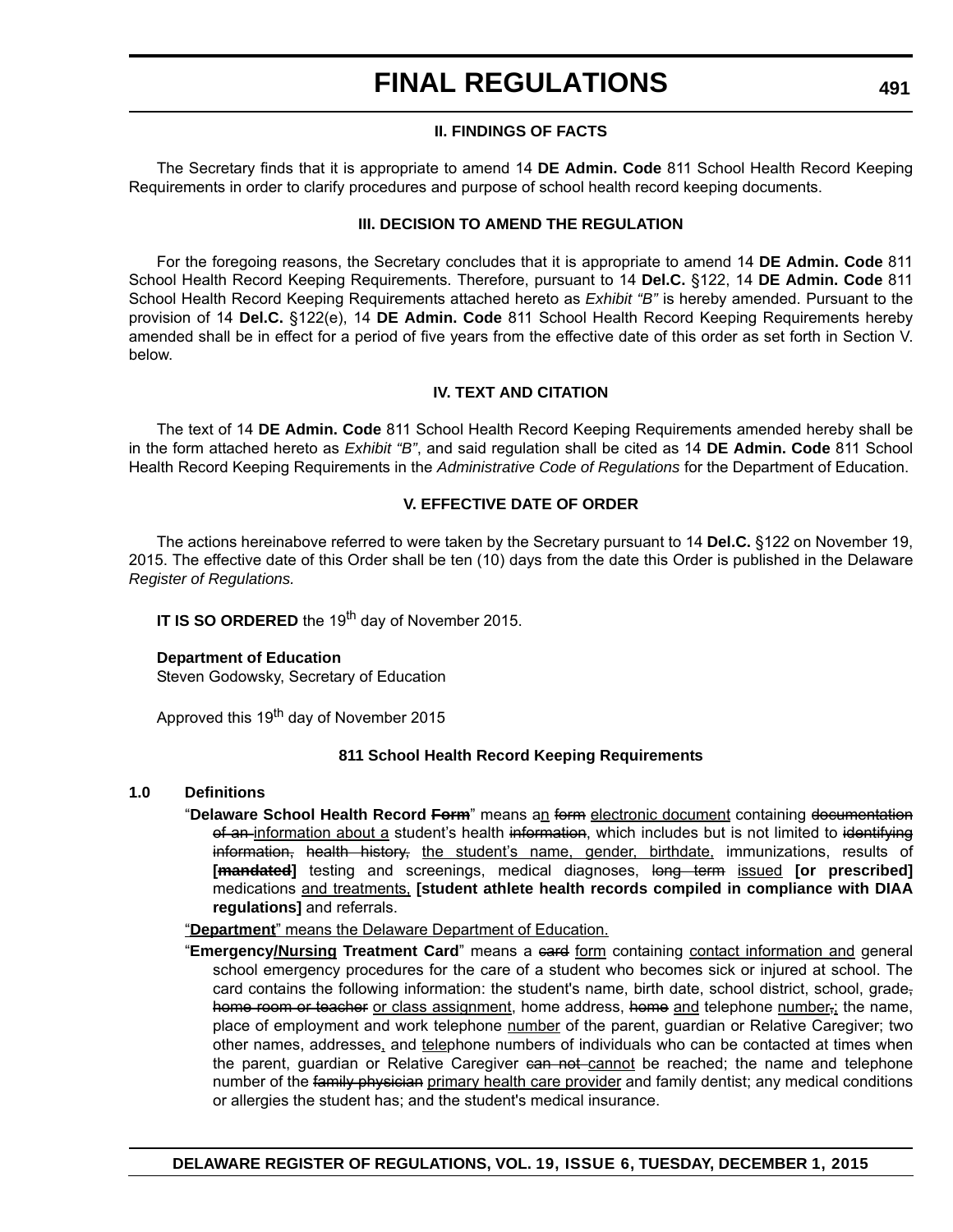# **II. FINDINGS OF FACTS**

The Secretary finds that it is appropriate to amend 14 **DE Admin. Code** 811 School Health Record Keeping Requirements in order to clarify procedures and purpose of school health record keeping documents.

# **III. DECISION TO AMEND THE REGULATION**

For the foregoing reasons, the Secretary concludes that it is appropriate to amend 14 **DE Admin. Code** 811 School Health Record Keeping Requirements. Therefore, pursuant to 14 **Del.C.** §122, 14 **DE Admin. Code** 811 School Health Record Keeping Requirements attached hereto as *Exhibit "B"* is hereby amended. Pursuant to the provision of 14 **Del.C.** §122(e), 14 **DE Admin. Code** 811 School Health Record Keeping Requirements hereby amended shall be in effect for a period of five years from the effective date of this order as set forth in Section V. below.

# **IV. TEXT AND CITATION**

The text of 14 **DE Admin. Code** 811 School Health Record Keeping Requirements amended hereby shall be in the form attached hereto as *Exhibit "B"*, and said regulation shall be cited as 14 **DE Admin. Code** 811 School Health Record Keeping Requirements in the *Administrative Code of Regulations* for the Department of Education.

# **V. EFFECTIVE DATE OF ORDER**

The actions hereinabove referred to were taken by the Secretary pursuant to 14 **Del.C.** §122 on November 19, 2015. The effective date of this Order shall be ten (10) days from the date this Order is published in the Delaware *Register of Regulations.*

**IT IS SO ORDERED** the 19<sup>th</sup> day of November 2015.

# **Department of Education**

Steven Godowsky, Secretary of Education

Approved this 19<sup>th</sup> day of November 2015

# **811 School Health Record Keeping Requirements**

#### **1.0 Definitions**

- "**Delaware School Health Record Form**" means an form electronic document containing documentation of an information about a student's health information, which includes but is not limited to identifying information, health history, the student's name, gender, birthdate, immunizations, results of [**mandated**] testing and screenings, medical diagnoses, long term issued [or prescribed] medications and treatments, **[student athlete health records compiled in compliance with DIAA regulations]** and referrals.
- "**Department**" means the Delaware Department of Education.
- "**Emergency/Nursing Treatment Card**" means a card form containing contact information and general school emergency procedures for the care of a student who becomes sick or injured at school. The card contains the following information: the student's name, birth date, school district, school, grade, home room or teacher or class assignment, home address, home and telephone number, the name, place of employment and work telephone number of the parent, guardian or Relative Caregiver; two other names, addresses, and telephone numbers of individuals who can be contacted at times when the parent, guardian or Relative Caregiver can not-cannot be reached; the name and telephone number of the family physician primary health care provider and family dentist; any medical conditions or allergies the student has; and the student's medical insurance.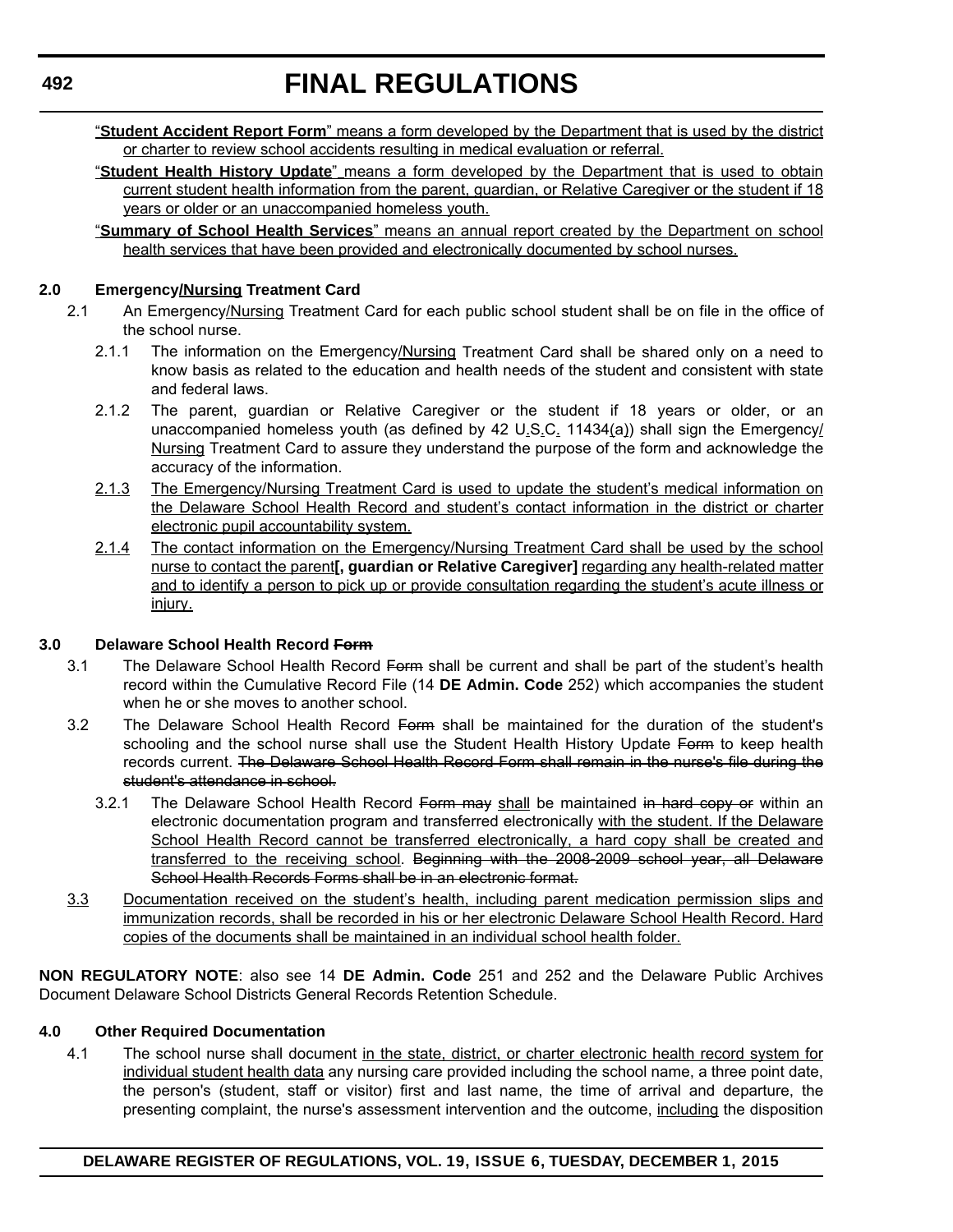"**Student Accident Report Form**" means a form developed by the Department that is used by the district or charter to review school accidents resulting in medical evaluation or referral.

- "**Student Health History Update**" means a form developed by the Department that is used to obtain current student health information from the parent, guardian, or Relative Caregiver or the student if 18 years or older or an unaccompanied homeless youth.
- "**Summary of School Health Services**" means an annual report created by the Department on school health services that have been provided and electronically documented by school nurses.

# **2.0 Emergency/Nursing Treatment Card**

- 2.1 An Emergency/Nursing Treatment Card for each public school student shall be on file in the office of the school nurse.
	- 2.1.1 The information on the Emergency/Nursing Treatment Card shall be shared only on a need to know basis as related to the education and health needs of the student and consistent with state and federal laws.
	- 2.1.2 The parent, guardian or Relative Caregiver or the student if 18 years or older, or an unaccompanied homeless youth (as defined by 42 U.S.C. 11434(a)) shall sign the Emergency/ Nursing Treatment Card to assure they understand the purpose of the form and acknowledge the accuracy of the information.
	- 2.1.3 The Emergency/Nursing Treatment Card is used to update the student's medical information on the Delaware School Health Record and student's contact information in the district or charter electronic pupil accountability system.
	- 2.1.4 The contact information on the Emergency/Nursing Treatment Card shall be used by the school nurse to contact the parent**[, guardian or Relative Caregiver]** regarding any health-related matter and to identify a person to pick up or provide consultation regarding the student's acute illness or injury.

# **3.0 Delaware School Health Record Form**

- 3.1 The Delaware School Health Record Form shall be current and shall be part of the student's health record within the Cumulative Record File (14 **DE Admin. Code** 252) which accompanies the student when he or she moves to another school.
- 3.2 The Delaware School Health Record Form shall be maintained for the duration of the student's schooling and the school nurse shall use the Student Health History Update Form to keep health records current. The Delaware School Health Record Form shall remain in the nurse's file during the student's attendance in school.
	- 3.2.1 The Delaware School Health Record Form may shall be maintained in hard copy or within an electronic documentation program and transferred electronically with the student. If the Delaware School Health Record cannot be transferred electronically, a hard copy shall be created and transferred to the receiving school. Beginning with the 2008-2009 school year, all Delaware School Health Records Forms shall be in an electronic format.
- 3.3 Documentation received on the student's health, including parent medication permission slips and immunization records, shall be recorded in his or her electronic Delaware School Health Record. Hard copies of the documents shall be maintained in an individual school health folder.

**NON REGULATORY NOTE**: also see 14 **DE Admin. Code** 251 and 252 and the Delaware Public Archives Document Delaware School Districts General Records Retention Schedule.

# **4.0 Other Required Documentation**

4.1 The school nurse shall document in the state, district, or charter electronic health record system for individual student health data any nursing care provided including the school name, a three point date, the person's (student, staff or visitor) first and last name, the time of arrival and departure, the presenting complaint, the nurse's assessment intervention and the outcome, including the disposition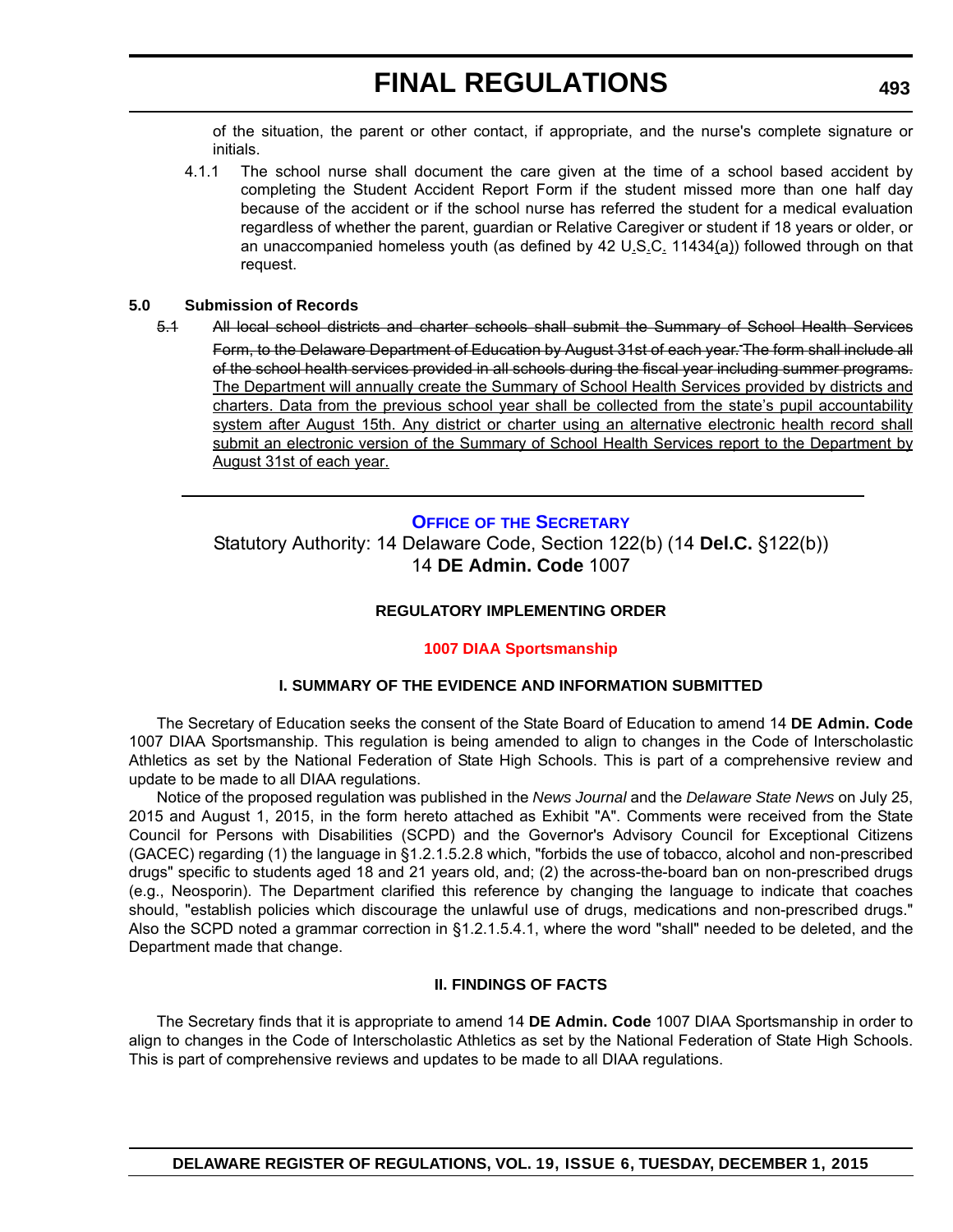of the situation, the parent or other contact, if appropriate, and the nurse's complete signature or initials.

4.1.1 The school nurse shall document the care given at the time of a school based accident by completing the Student Accident Report Form if the student missed more than one half day because of the accident or if the school nurse has referred the student for a medical evaluation regardless of whether the parent, guardian or Relative Caregiver or student if 18 years or older, or an unaccompanied homeless youth (as defined by 42 U.S.C. 11434(a)) followed through on that request.

# **5.0 Submission of Records**

5.1 All local school districts and charter schools shall submit the Summary of School Health Services Form, to the Delaware Department of Education by August 31st of each year. The form shall include all of the school health services provided in all schools during the fiscal year including summer programs. The Department will annually create the Summary of School Health Services provided by districts and charters. Data from the previous school year shall be collected from the state's pupil accountability system after August 15th. Any district or charter using an alternative electronic health record shall submit an electronic version of the Summary of School Health Services report to the Department by August 31st of each year.

# **OFFICE OF [THE SECRETARY](http://www.doe.k12.de.us/site/default.aspx?PageID=1)**

Statutory Authority: 14 Delaware Code, Section 122(b) (14 **Del.C.** §122(b)) 14 **DE Admin. Code** 1007

# **REGULATORY IMPLEMENTING ORDER**

# **[1007 DIAA Sportsmanship](#page-3-0)**

# **I. SUMMARY OF THE EVIDENCE AND INFORMATION SUBMITTED**

The Secretary of Education seeks the consent of the State Board of Education to amend 14 **DE Admin. Code** 1007 DIAA Sportsmanship. This regulation is being amended to align to changes in the Code of Interscholastic Athletics as set by the National Federation of State High Schools. This is part of a comprehensive review and update to be made to all DIAA regulations.

Notice of the proposed regulation was published in the *News Journal* and the *Delaware State News* on July 25, 2015 and August 1, 2015, in the form hereto attached as Exhibit "A". Comments were received from the State Council for Persons with Disabilities (SCPD) and the Governor's Advisory Council for Exceptional Citizens (GACEC) regarding (1) the language in §1.2.1.5.2.8 which, "forbids the use of tobacco, alcohol and non-prescribed drugs" specific to students aged 18 and 21 years old, and; (2) the across-the-board ban on non-prescribed drugs (e.g., Neosporin). The Department clarified this reference by changing the language to indicate that coaches should, "establish policies which discourage the unlawful use of drugs, medications and non-prescribed drugs." Also the SCPD noted a grammar correction in §1.2.1.5.4.1, where the word "shall" needed to be deleted, and the Department made that change.

# **II. FINDINGS OF FACTS**

The Secretary finds that it is appropriate to amend 14 **DE Admin. Code** 1007 DIAA Sportsmanship in order to align to changes in the Code of Interscholastic Athletics as set by the National Federation of State High Schools. This is part of comprehensive reviews and updates to be made to all DIAA regulations.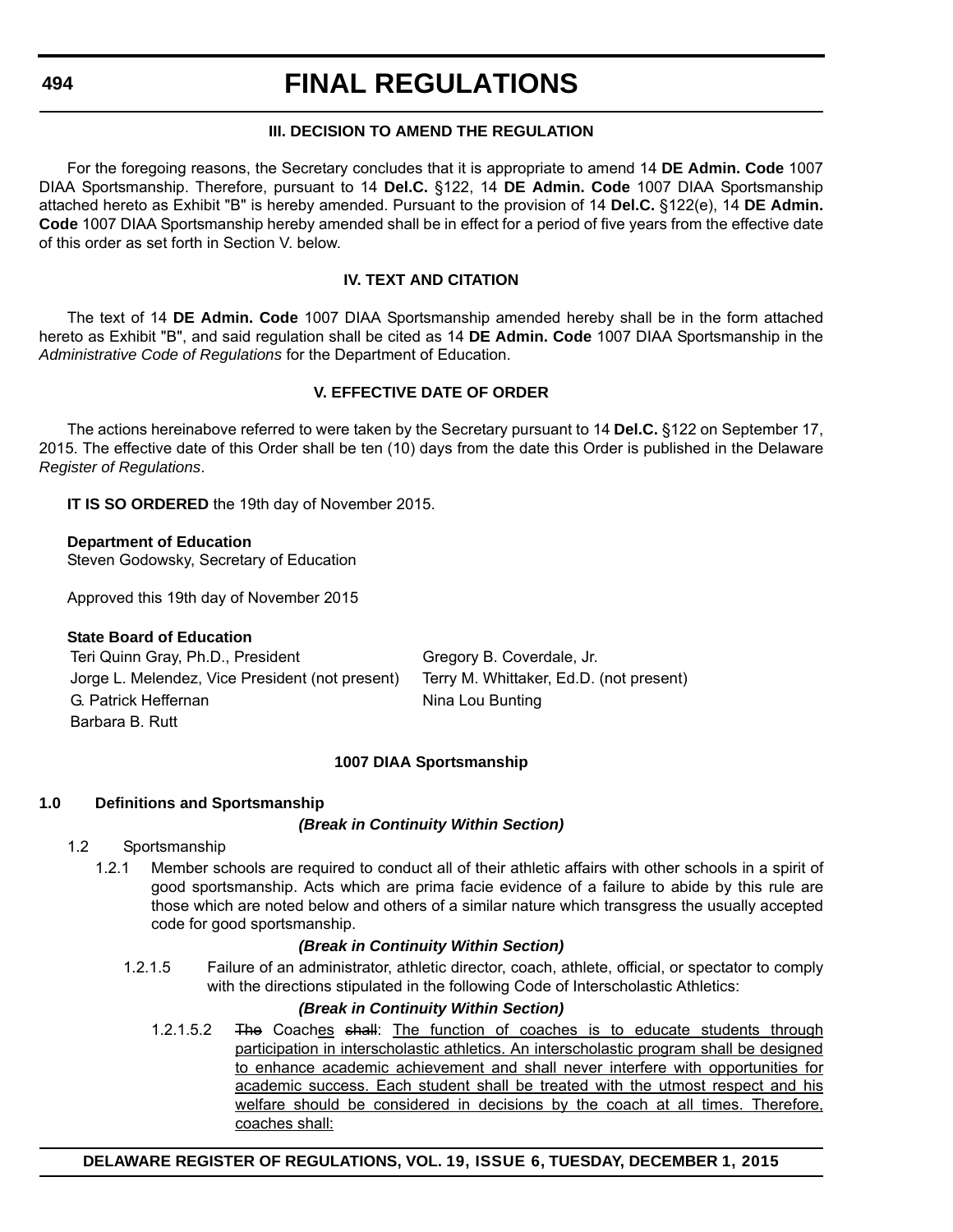# **III. DECISION TO AMEND THE REGULATION**

For the foregoing reasons, the Secretary concludes that it is appropriate to amend 14 **DE Admin. Code** 1007 DIAA Sportsmanship. Therefore, pursuant to 14 **Del.C.** §122, 14 **DE Admin. Code** 1007 DIAA Sportsmanship attached hereto as Exhibit "B" is hereby amended. Pursuant to the provision of 14 **Del.C.** §122(e), 14 **DE Admin. Code** 1007 DIAA Sportsmanship hereby amended shall be in effect for a period of five years from the effective date of this order as set forth in Section V. below.

# **IV. TEXT AND CITATION**

The text of 14 **DE Admin. Code** 1007 DIAA Sportsmanship amended hereby shall be in the form attached hereto as Exhibit "B", and said regulation shall be cited as 14 **DE Admin. Code** 1007 DIAA Sportsmanship in the *Administrative Code of Regulations* for the Department of Education.

# **V. EFFECTIVE DATE OF ORDER**

The actions hereinabove referred to were taken by the Secretary pursuant to 14 **Del.C.** §122 on September 17, 2015. The effective date of this Order shall be ten (10) days from the date this Order is published in the Delaware *Register of Regulations*.

**IT IS SO ORDERED** the 19th day of November 2015.

# **Department of Education**

Steven Godowsky, Secretary of Education

Approved this 19th day of November 2015

# **State Board of Education**

Teri Quinn Gray, Ph.D., President Gregory B. Coverdale, Jr. Jorge L. Melendez, Vice President (not present) Terry M. Whittaker, Ed.D. (not present) G. Patrick Heffernan Nina Lou Bunting Barbara B. Rutt

# **1007 DIAA Sportsmanship**

# **1.0 Definitions and Sportsmanship**

# *(Break in Continuity Within Section)*

# 1.2 Sportsmanship

1.2.1 Member schools are required to conduct all of their athletic affairs with other schools in a spirit of good sportsmanship. Acts which are prima facie evidence of a failure to abide by this rule are those which are noted below and others of a similar nature which transgress the usually accepted code for good sportsmanship.

# *(Break in Continuity Within Section)*

1.2.1.5 Failure of an administrator, athletic director, coach, athlete, official, or spectator to comply with the directions stipulated in the following Code of Interscholastic Athletics:

# *(Break in Continuity Within Section)*

1.2.1.5.2 The Coaches shall: The function of coaches is to educate students through participation in interscholastic athletics. An interscholastic program shall be designed to enhance academic achievement and shall never interfere with opportunities for academic success. Each student shall be treated with the utmost respect and his welfare should be considered in decisions by the coach at all times. Therefore, coaches shall:

**DELAWARE REGISTER OF REGULATIONS, VOL. 19, ISSUE 6, TUESDAY, DECEMBER 1, 2015**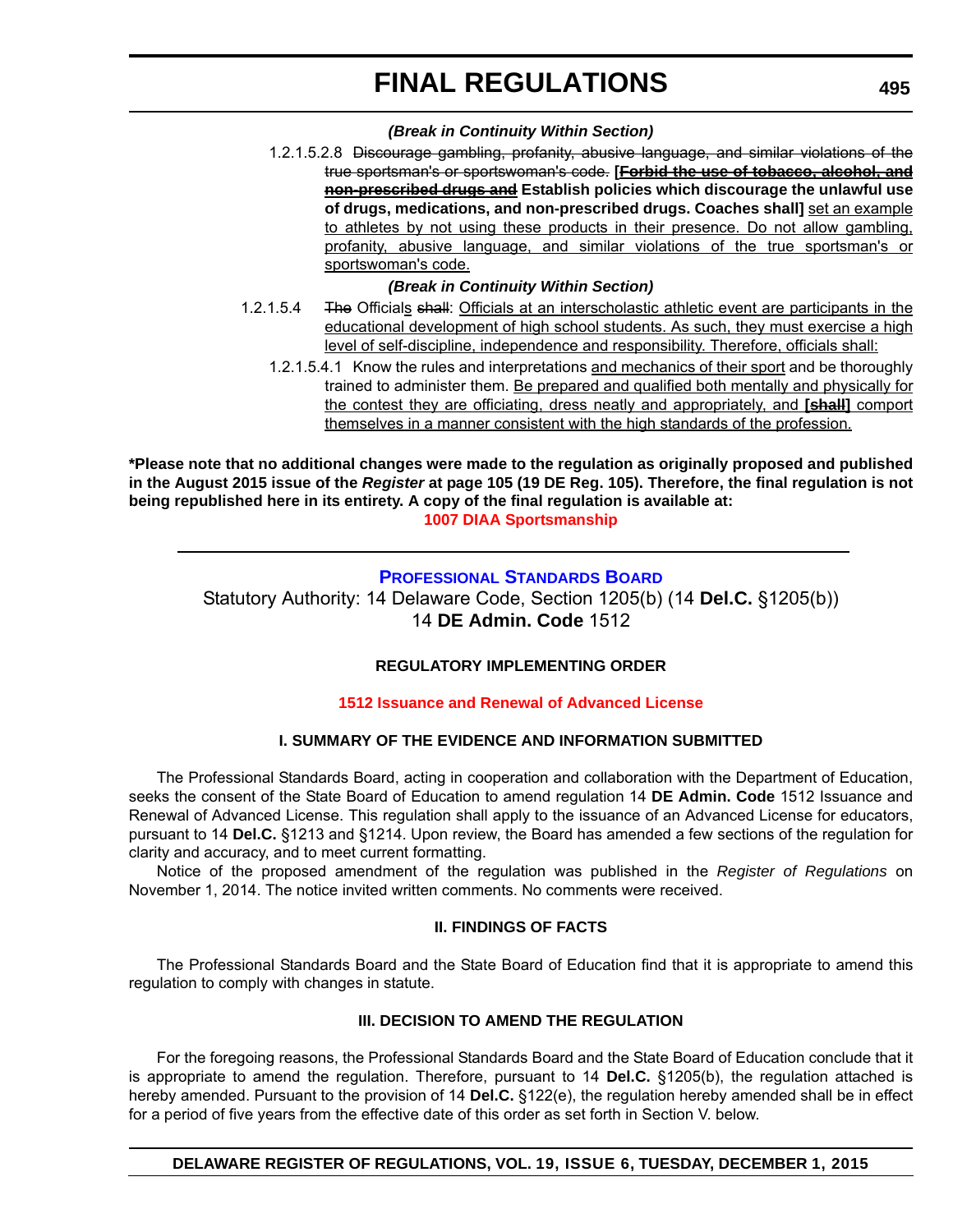# *(Break in Continuity Within Section)*

1.2.1.5.2.8 Discourage gambling, profanity, abusive language, and similar violations of the true sportsman's or sportswoman's code. **[Forbid the use of tobacco, alcohol, and non-prescribed drugs and Establish policies which discourage the unlawful use** of drugs, medications, and non-prescribed drugs. Coaches shall] set an example to athletes by not using these products in their presence. Do not allow gambling, profanity, abusive language, and similar violations of the true sportsman's or sportswoman's code.

# *(Break in Continuity Within Section)*

- 1.2.1.5.4 The Officials shall: Officials at an interscholastic athletic event are participants in the educational development of high school students. As such, they must exercise a high level of self-discipline, independence and responsibility. Therefore, officials shall:
	- 1.2.1.5.4.1 Know the rules and interpretations and mechanics of their sport and be thoroughly trained to administer them. Be prepared and qualified both mentally and physically for the contest they are officiating, dress neatly and appropriately, and **[shall]** comport themselves in a manner consistent with the high standards of the profession.

**\*Please note that no additional changes were made to the regulation as originally proposed and published in the August 2015 issue of the** *Register* **at page 105 (19 DE Reg. 105). Therefore, the final regulation is not being republished here in its entirety. A copy of the final regulation is available at: [1007 DIAA Sportsmanship](http://regulations.delaware.gov/register/december2015/final/19 DE Reg 493 12-01-15.htm)**

# **[PROFESSIONAL STANDARDS BOARD](http://www.doe.k12.de.us/domain/172)**

Statutory Authority: 14 Delaware Code, Section 1205(b) (14 **Del.C.** §1205(b)) 14 **DE Admin. Code** 1512

# **REGULATORY IMPLEMENTING ORDER**

# **[1512 Issuance and Renewal of Advanced License](#page-4-0)**

# **I. SUMMARY OF THE EVIDENCE AND INFORMATION SUBMITTED**

The Professional Standards Board, acting in cooperation and collaboration with the Department of Education, seeks the consent of the State Board of Education to amend regulation 14 **DE Admin. Code** 1512 Issuance and Renewal of Advanced License. This regulation shall apply to the issuance of an Advanced License for educators, pursuant to 14 **Del.C.** §1213 and §1214. Upon review, the Board has amended a few sections of the regulation for clarity and accuracy, and to meet current formatting.

Notice of the proposed amendment of the regulation was published in the *Register of Regulations* on November 1, 2014. The notice invited written comments. No comments were received.

# **II. FINDINGS OF FACTS**

The Professional Standards Board and the State Board of Education find that it is appropriate to amend this regulation to comply with changes in statute.

# **III. DECISION TO AMEND THE REGULATION**

For the foregoing reasons, the Professional Standards Board and the State Board of Education conclude that it is appropriate to amend the regulation. Therefore, pursuant to 14 **Del.C.** §1205(b), the regulation attached is hereby amended. Pursuant to the provision of 14 **Del.C.** §122(e), the regulation hereby amended shall be in effect for a period of five years from the effective date of this order as set forth in Section V. below.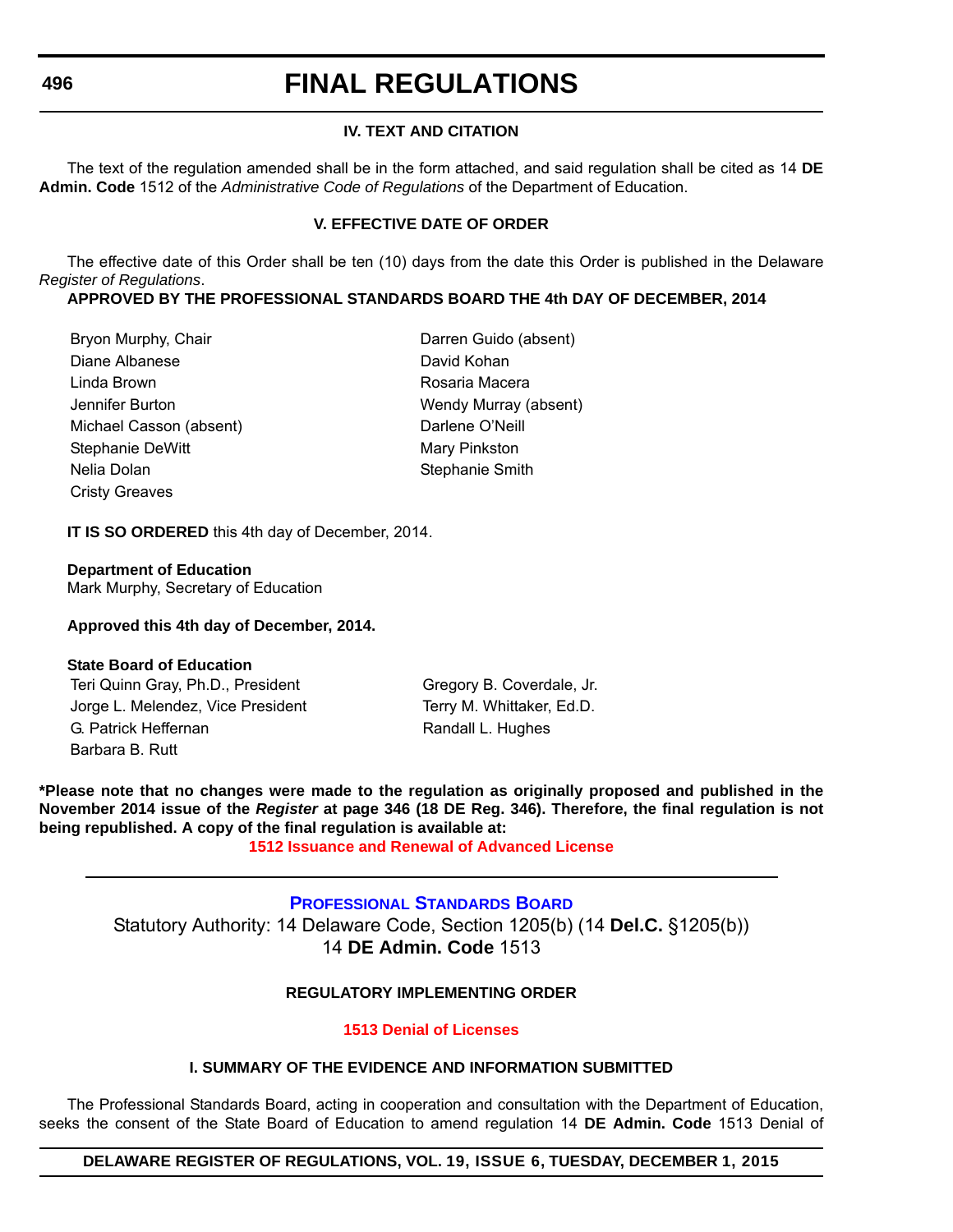# **IV. TEXT AND CITATION**

The text of the regulation amended shall be in the form attached, and said regulation shall be cited as 14 **DE Admin. Code** 1512 of the *Administrative Code of Regulations* of the Department of Education.

# **V. EFFECTIVE DATE OF ORDER**

The effective date of this Order shall be ten (10) days from the date this Order is published in the Delaware *Register of Regulations*.

**APPROVED BY THE PROFESSIONAL STANDARDS BOARD THE 4th DAY OF DECEMBER, 2014**

Bryon Murphy, Chair **Darren Guido (absent)** Diane Albanese David Kohan Linda Brown Rosaria Macera Jennifer Burton Wendy Murray (absent) Michael Casson (absent) Darlene O'Neill Stephanie DeWitt Mary Pinkston Nelia Dolan Stephanie Smith Cristy Greaves

**IT IS SO ORDERED** this 4th day of December, 2014.

**Department of Education** Mark Murphy, Secretary of Education

# **Approved this 4th day of December, 2014.**

# **State Board of Education**

Teri Quinn Gray, Ph.D., President Gregory B. Coverdale, Jr. Jorge L. Melendez, Vice President Terry M. Whittaker, Ed.D. G. Patrick Heffernan Randall L. Hughes Barbara B. Rutt

**\*Please note that no changes were made to the regulation as originally proposed and published in the November 2014 issue of the** *Register* **at page 346 (18 DE Reg. 346). Therefore, the final regulation is not being republished. A copy of the final regulation is available at:**

**[1512 Issuance and Renewal of Advanced License](http://regulations.delaware.gov/register/december2015/final/19 DE Reg 495 12-01-15.htm)**

# **[PROFESSIONAL STANDARDS BOARD](http://www.doe.k12.de.us/domain/172)** Statutory Authority: 14 Delaware Code, Section 1205(b) (14 **Del.C.** §1205(b)) 14 **DE Admin. Code** 1513

# **REGULATORY IMPLEMENTING ORDER**

**[1513 Denial of Licenses](#page-4-0)**

# **I. SUMMARY OF THE EVIDENCE AND INFORMATION SUBMITTED**

The Professional Standards Board, acting in cooperation and consultation with the Department of Education, seeks the consent of the State Board of Education to amend regulation 14 **DE Admin. Code** 1513 Denial of

# **DELAWARE REGISTER OF REGULATIONS, VOL. 19, ISSUE 6, TUESDAY, DECEMBER 1, 2015**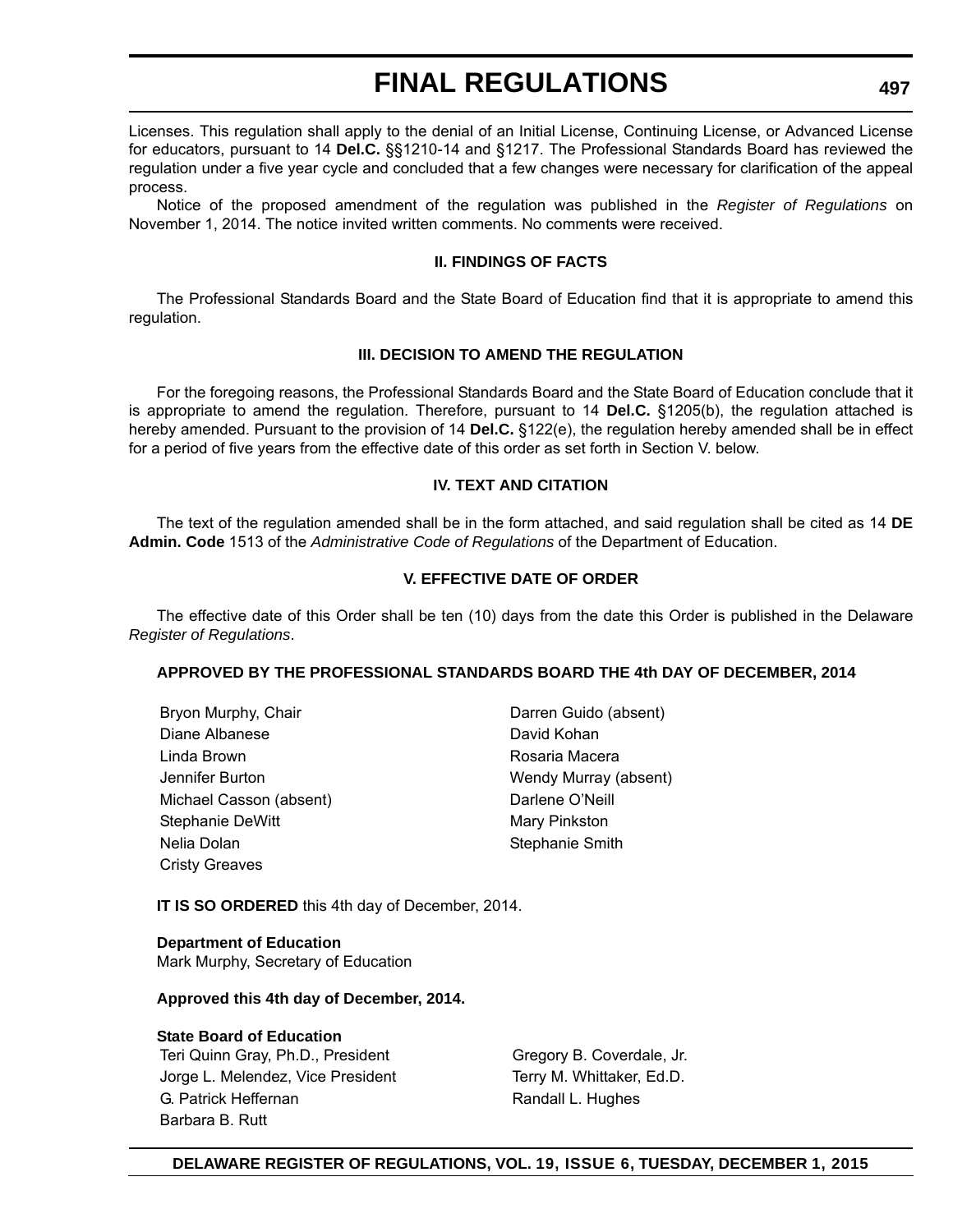Licenses. This regulation shall apply to the denial of an Initial License, Continuing License, or Advanced License for educators, pursuant to 14 **Del.C.** §§1210-14 and §1217. The Professional Standards Board has reviewed the regulation under a five year cycle and concluded that a few changes were necessary for clarification of the appeal process.

Notice of the proposed amendment of the regulation was published in the *Register of Regulations* on November 1, 2014. The notice invited written comments. No comments were received.

# **II. FINDINGS OF FACTS**

The Professional Standards Board and the State Board of Education find that it is appropriate to amend this regulation.

# **III. DECISION TO AMEND THE REGULATION**

For the foregoing reasons, the Professional Standards Board and the State Board of Education conclude that it is appropriate to amend the regulation. Therefore, pursuant to 14 **Del.C.** §1205(b), the regulation attached is hereby amended. Pursuant to the provision of 14 **Del.C.** §122(e), the regulation hereby amended shall be in effect for a period of five years from the effective date of this order as set forth in Section V. below.

# **IV. TEXT AND CITATION**

The text of the regulation amended shall be in the form attached, and said regulation shall be cited as 14 **DE Admin. Code** 1513 of the *Administrative Code of Regulations* of the Department of Education.

# **V. EFFECTIVE DATE OF ORDER**

The effective date of this Order shall be ten (10) days from the date this Order is published in the Delaware *Register of Regulations*.

# **APPROVED BY THE PROFESSIONAL STANDARDS BOARD THE 4th DAY OF DECEMBER, 2014**

| Bryon Murphy, Chair     | Darren Guido (absent) |
|-------------------------|-----------------------|
| Diane Albanese          | David Kohan           |
| Linda Brown             | Rosaria Macera        |
| Jennifer Burton         | Wendy Murray (absent) |
| Michael Casson (absent) | Darlene O'Neill       |
| Stephanie DeWitt        | Mary Pinkston         |
| Nelia Dolan             | Stephanie Smith       |
| <b>Cristy Greaves</b>   |                       |

**IT IS SO ORDERED** this 4th day of December, 2014.

**Department of Education** Mark Murphy, Secretary of Education

# **Approved this 4th day of December, 2014.**

# **State Board of Education**

Teri Quinn Gray, Ph.D., President Gregory B. Coverdale, Jr. Jorge L. Melendez, Vice President Terry M. Whittaker, Ed.D. G. Patrick Heffernan Randall L. Hughes Barbara B. Rutt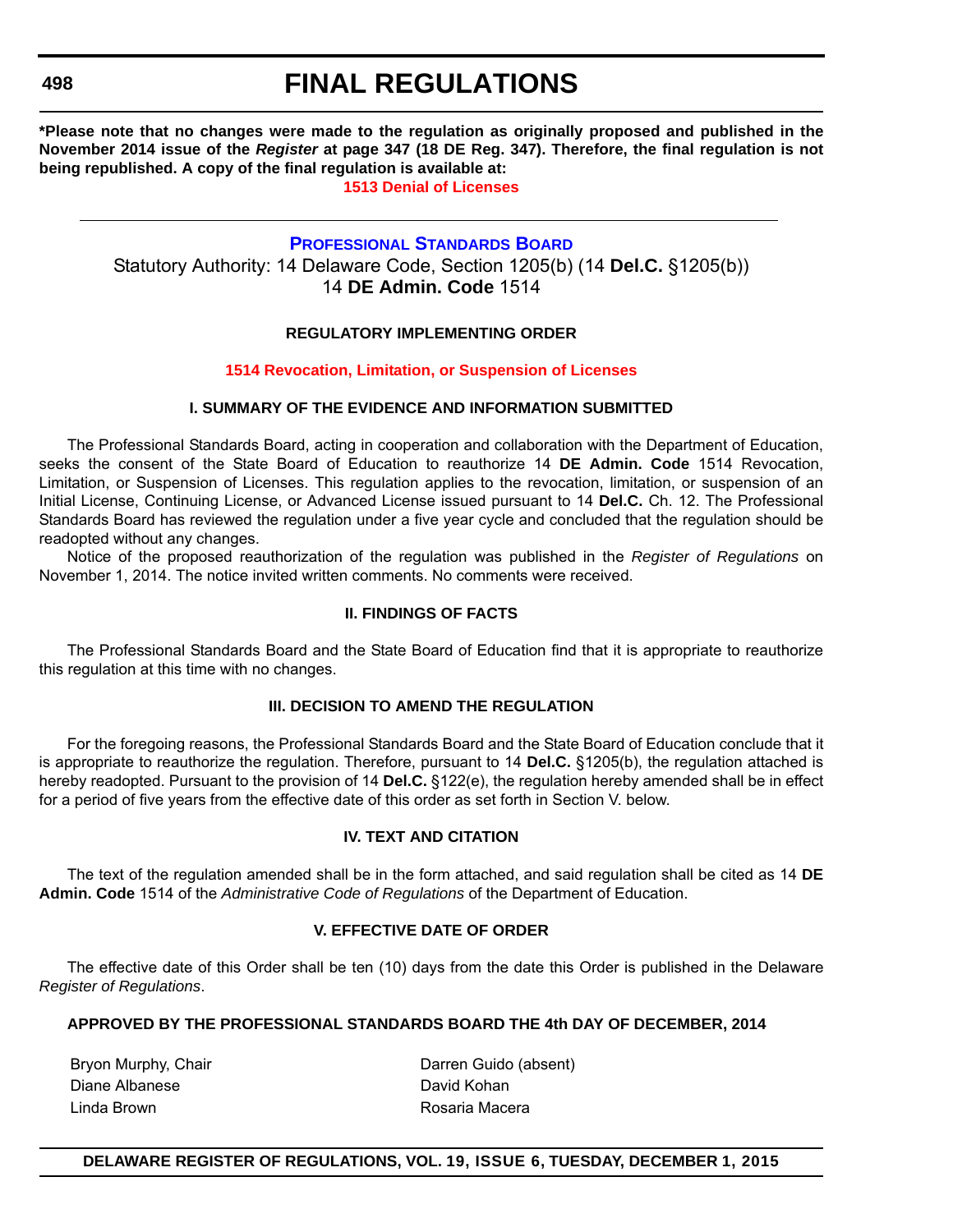**498**

# **FINAL REGULATIONS**

**\*Please note that no changes were made to the regulation as originally proposed and published in the November 2014 issue of the** *Register* **at page 347 (18 DE Reg. 347). Therefore, the final regulation is not being republished. A copy of the final regulation is available at:**

**[1513 Denial of Licenses](http://regulations.delaware.gov/register/december2015/final/19 DE Reg 496 12-01-15.htm)**

# **[PROFESSIONAL STANDARDS BOARD](http://www.doe.k12.de.us/domain/172)**

Statutory Authority: 14 Delaware Code, Section 1205(b) (14 **Del.C.** §1205(b)) 14 **DE Admin. Code** 1514

# **REGULATORY IMPLEMENTING ORDER**

# **[1514 Revocation, Limitation, or Suspension of Licenses](#page-4-0)**

# **I. SUMMARY OF THE EVIDENCE AND INFORMATION SUBMITTED**

The Professional Standards Board, acting in cooperation and collaboration with the Department of Education, seeks the consent of the State Board of Education to reauthorize 14 **DE Admin. Code** 1514 Revocation, Limitation, or Suspension of Licenses. This regulation applies to the revocation, limitation, or suspension of an Initial License, Continuing License, or Advanced License issued pursuant to 14 **Del.C.** Ch. 12. The Professional Standards Board has reviewed the regulation under a five year cycle and concluded that the regulation should be readopted without any changes.

Notice of the proposed reauthorization of the regulation was published in the *Register of Regulations* on November 1, 2014. The notice invited written comments. No comments were received.

# **II. FINDINGS OF FACTS**

The Professional Standards Board and the State Board of Education find that it is appropriate to reauthorize this regulation at this time with no changes.

# **III. DECISION TO AMEND THE REGULATION**

For the foregoing reasons, the Professional Standards Board and the State Board of Education conclude that it is appropriate to reauthorize the regulation. Therefore, pursuant to 14 **Del.C.** §1205(b), the regulation attached is hereby readopted. Pursuant to the provision of 14 **Del.C.** §122(e), the regulation hereby amended shall be in effect for a period of five years from the effective date of this order as set forth in Section V. below.

# **IV. TEXT AND CITATION**

The text of the regulation amended shall be in the form attached, and said regulation shall be cited as 14 **DE Admin. Code** 1514 of the *Administrative Code of Regulations* of the Department of Education.

# **V. EFFECTIVE DATE OF ORDER**

The effective date of this Order shall be ten (10) days from the date this Order is published in the Delaware *Register of Regulations*.

# **APPROVED BY THE PROFESSIONAL STANDARDS BOARD THE 4th DAY OF DECEMBER, 2014**

Diane Albanese **David Kohan** Linda Brown **Rosaria Macera** 

Bryon Murphy, Chair **Darren Guido (absent)**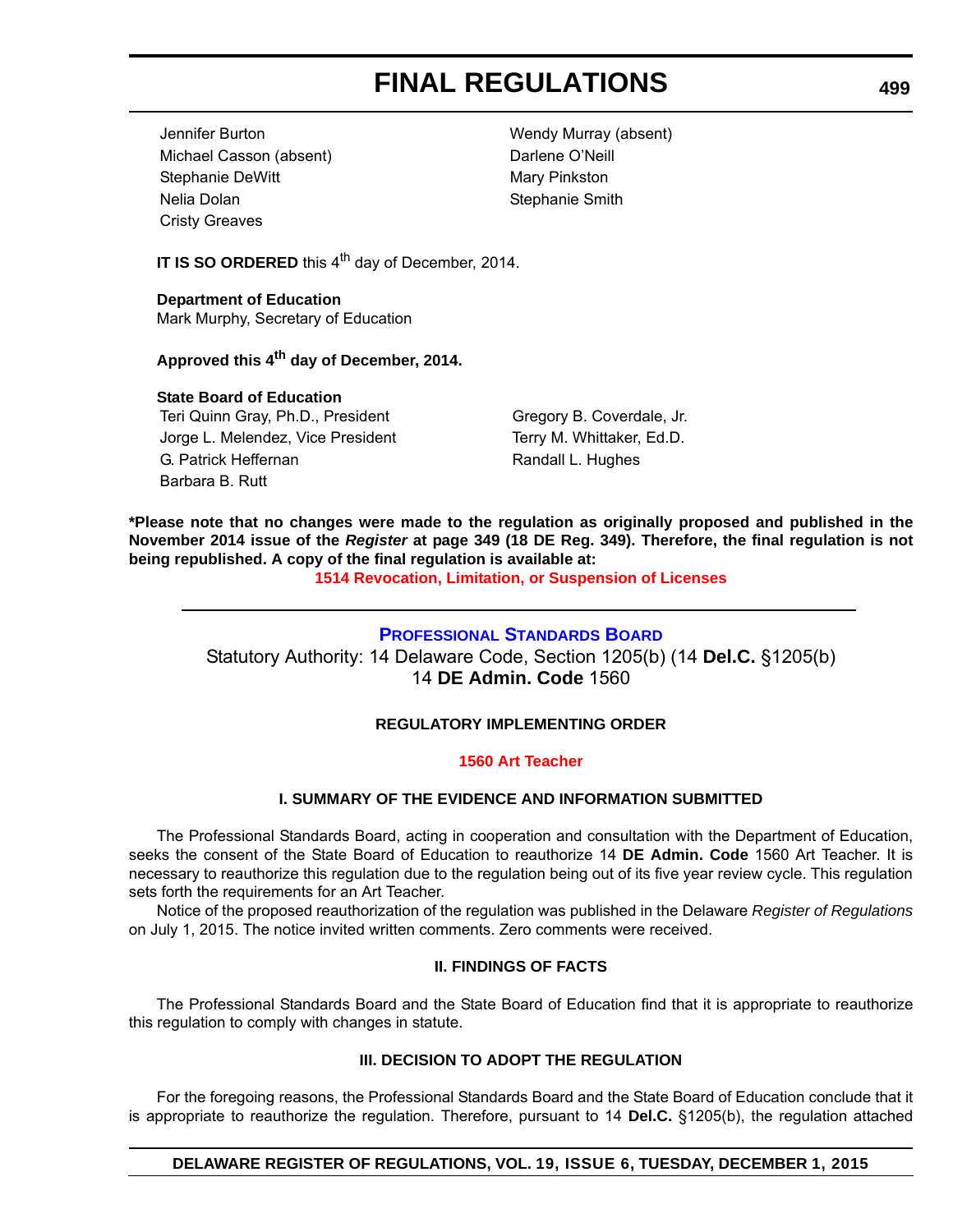Jennifer Burton Wendy Murray (absent) Michael Casson (absent) Darlene O'Neill Stephanie DeWitt Mary Pinkston Nelia Dolan Stephanie Smith Cristy Greaves

**IT IS SO ORDERED** this 4<sup>th</sup> day of December, 2014.

**Department of Education** Mark Murphy, Secretary of Education

**Approved this 4th day of December, 2014.**

# **State Board of Education**

Teri Quinn Gray, Ph.D., President Gregory B. Coverdale, Jr. Jorge L. Melendez, Vice President Terry M. Whittaker, Ed.D. G. Patrick Heffernan Randall L. Hughes Barbara B. Rutt

**\*Please note that no changes were made to the regulation as originally proposed and published in the November 2014 issue of the** *Register* **at page 349 (18 DE Reg. 349). Therefore, the final regulation is not being republished. A copy of the final regulation is available at:**

**[1514 Revocation, Limitation, or Suspension of Licenses](http://regulations.delaware.gov/register/december2015/final/19 DE Reg 498 12-01-15.htm)**

# **[PROFESSIONAL STANDARDS BOARD](http://www.doe.k12.de.us/domain/172)**

Statutory Authority: 14 Delaware Code, Section 1205(b) (14 **Del.C.** §1205(b) 14 **DE Admin. Code** 1560

# **REGULATORY IMPLEMENTING ORDER**

# **[1560 Art Teacher](#page-4-0)**

# **I. SUMMARY OF THE EVIDENCE AND INFORMATION SUBMITTED**

The Professional Standards Board, acting in cooperation and consultation with the Department of Education, seeks the consent of the State Board of Education to reauthorize 14 **DE Admin. Code** 1560 Art Teacher. It is necessary to reauthorize this regulation due to the regulation being out of its five year review cycle. This regulation sets forth the requirements for an Art Teacher.

Notice of the proposed reauthorization of the regulation was published in the Delaware *Register of Regulations* on July 1, 2015. The notice invited written comments. Zero comments were received.

# **II. FINDINGS OF FACTS**

The Professional Standards Board and the State Board of Education find that it is appropriate to reauthorize this regulation to comply with changes in statute.

# **III. DECISION TO ADOPT THE REGULATION**

For the foregoing reasons, the Professional Standards Board and the State Board of Education conclude that it is appropriate to reauthorize the regulation. Therefore, pursuant to 14 **Del.C.** §1205(b), the regulation attached

# **DELAWARE REGISTER OF REGULATIONS, VOL. 19, ISSUE 6, TUESDAY, DECEMBER 1, 2015**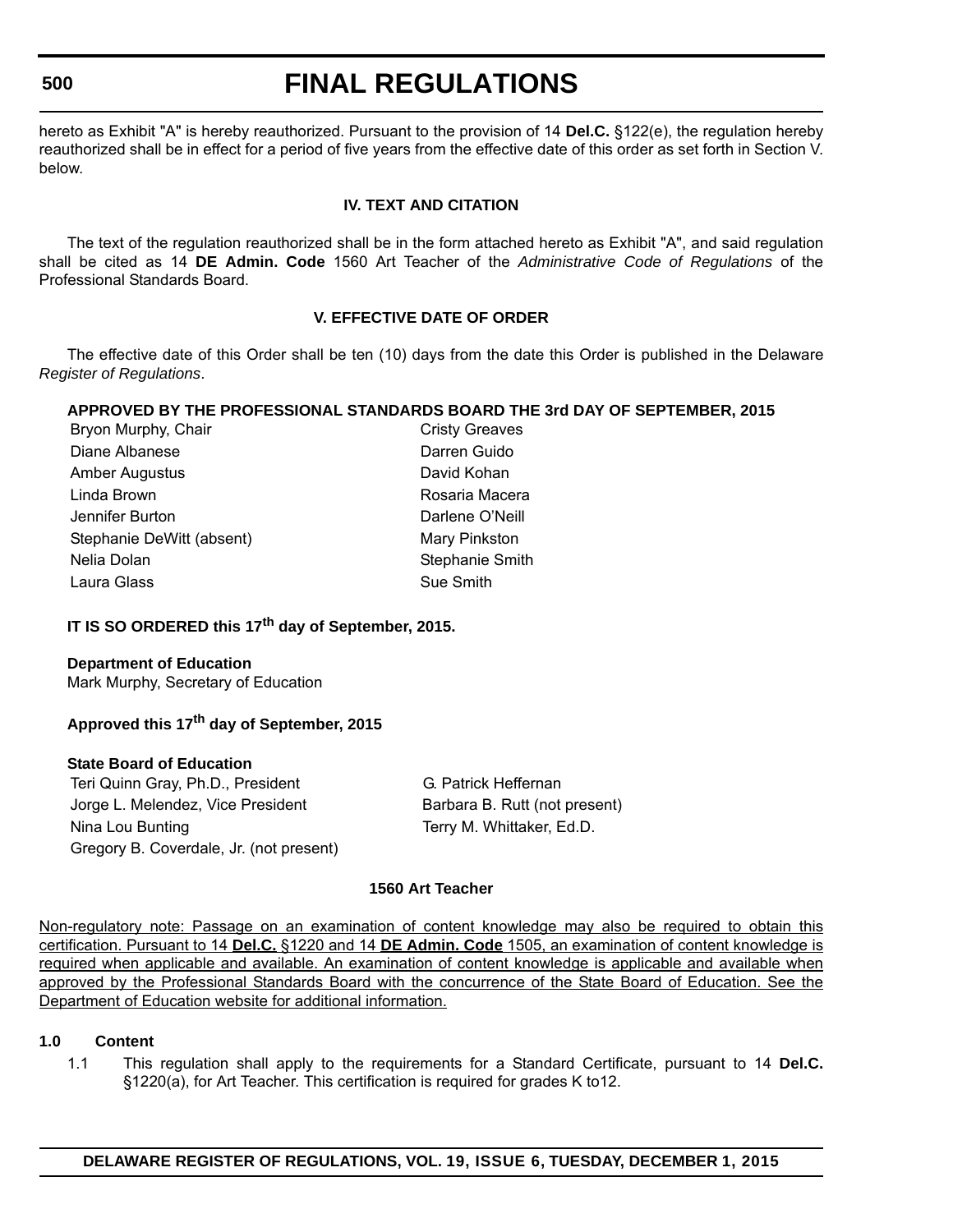# **500**

# **FINAL REGULATIONS**

hereto as Exhibit "A" is hereby reauthorized. Pursuant to the provision of 14 **Del.C.** §122(e), the regulation hereby reauthorized shall be in effect for a period of five years from the effective date of this order as set forth in Section V. below.

# **IV. TEXT AND CITATION**

The text of the regulation reauthorized shall be in the form attached hereto as Exhibit "A", and said regulation shall be cited as 14 **DE Admin. Code** 1560 Art Teacher of the *Administrative Code of Regulations* of the Professional Standards Board.

# **V. EFFECTIVE DATE OF ORDER**

The effective date of this Order shall be ten (10) days from the date this Order is published in the Delaware *Register of Regulations*.

# **APPROVED BY THE PROFESSIONAL STANDARDS BOARD THE 3rd DAY OF SEPTEMBER, 2015**

| Bryon Murphy, Chair       | <b>Cristy Greaves</b>  |
|---------------------------|------------------------|
| Diane Albanese            | Darren Guido           |
| Amber Augustus            | David Kohan            |
| Linda Brown               | Rosaria Macera         |
| Jennifer Burton           | Darlene O'Neill        |
| Stephanie DeWitt (absent) | Mary Pinkston          |
| Nelia Dolan               | <b>Stephanie Smith</b> |
| Laura Glass               | Sue Smith              |
|                           |                        |

# **IT IS SO ORDERED this 17th day of September, 2015.**

# **Department of Education**

Mark Murphy, Secretary of Education

# **Approved this 17th day of September, 2015**

# **State Board of Education**

Teri Quinn Gray, Ph.D., President G. Patrick Heffernan Jorge L. Melendez, Vice President Barbara B. Rutt (not present) Nina Lou Bunting Terry M. Whittaker, Ed.D. Gregory B. Coverdale, Jr. (not present)

# **1560 Art Teacher**

Non-regulatory note: Passage on an examination of content knowledge may also be required to obtain this certification. Pursuant to 14 **Del.C.** §1220 and 14 **DE Admin. Code** 1505, an examination of content knowledge is required when applicable and available. An examination of content knowledge is applicable and available when approved by the Professional Standards Board with the concurrence of the State Board of Education. See the Department of Education website for additional information.

# **1.0 Content**

1.1 This regulation shall apply to the requirements for a Standard Certificate, pursuant to 14 **Del.C.** §1220(a), for Art Teacher. This certification is required for grades K to12.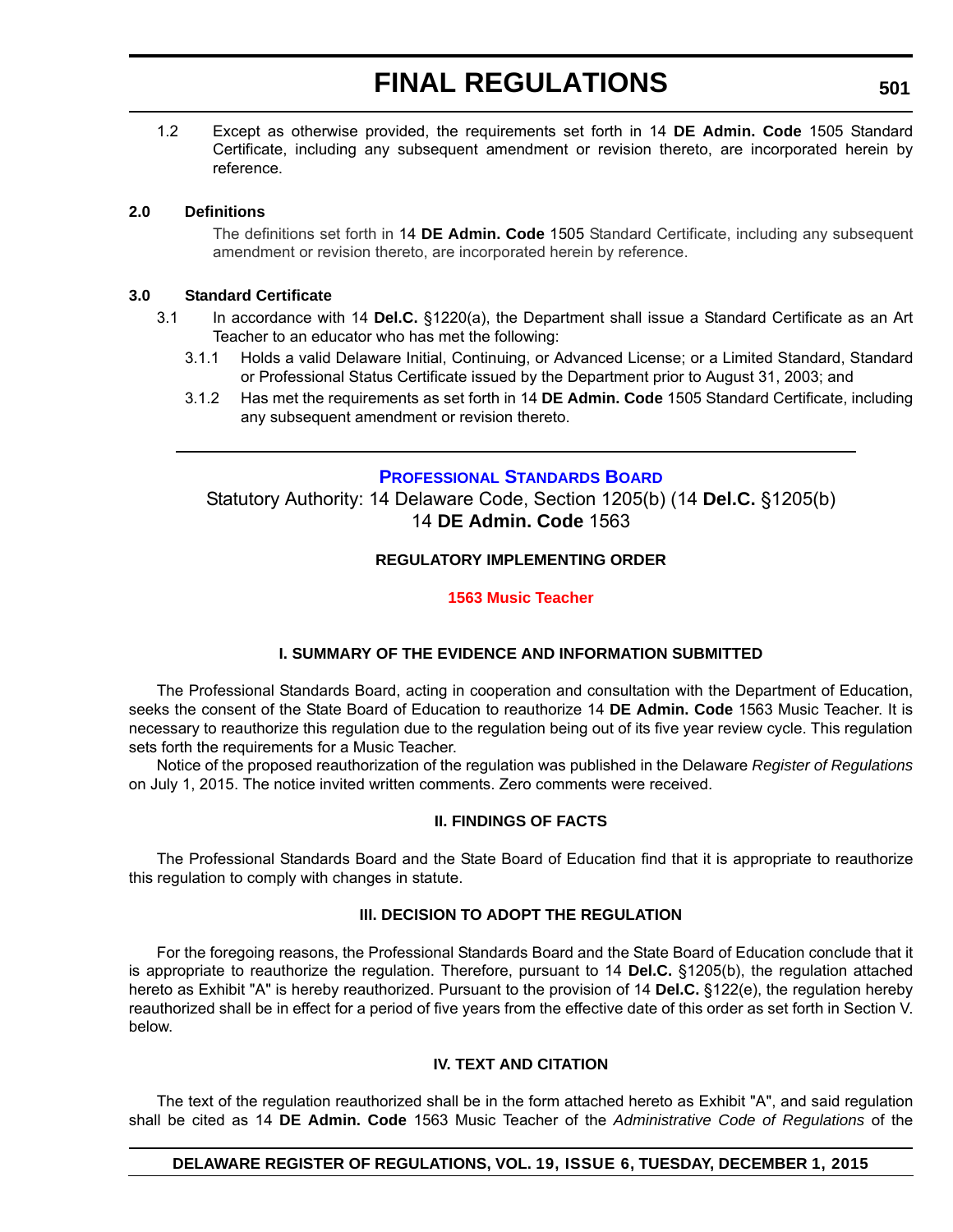1.2 Except as otherwise provided, the requirements set forth in 14 **DE Admin. Code** 1505 Standard Certificate, including any subsequent amendment or revision thereto, are incorporated herein by reference.

# **2.0 Definitions**

The definitions set forth in 14 **DE Admin. Code** 1505 Standard Certificate, including any subsequent amendment or revision thereto, are incorporated herein by reference.

# **3.0 Standard Certificate**

- 3.1 In accordance with 14 **Del.C.** §1220(a), the Department shall issue a Standard Certificate as an Art Teacher to an educator who has met the following:
	- 3.1.1 Holds a valid Delaware Initial, Continuing, or Advanced License; or a Limited Standard, Standard or Professional Status Certificate issued by the Department prior to August 31, 2003; and
	- 3.1.2 Has met the requirements as set forth in 14 **DE Admin. Code** 1505 Standard Certificate, including any subsequent amendment or revision thereto.

# **[PROFESSIONAL STANDARDS BOARD](http://www.doe.k12.de.us/domain/172)**

Statutory Authority: 14 Delaware Code, Section 1205(b) (14 **Del.C.** §1205(b) 14 **DE Admin. Code** 1563

# **REGULATORY IMPLEMENTING ORDER**

# **[1563 Music Teacher](#page-4-0)**

# **I. SUMMARY OF THE EVIDENCE AND INFORMATION SUBMITTED**

The Professional Standards Board, acting in cooperation and consultation with the Department of Education, seeks the consent of the State Board of Education to reauthorize 14 **DE Admin. Code** 1563 Music Teacher. It is necessary to reauthorize this regulation due to the regulation being out of its five year review cycle. This regulation sets forth the requirements for a Music Teacher.

Notice of the proposed reauthorization of the regulation was published in the Delaware *Register of Regulations* on July 1, 2015. The notice invited written comments. Zero comments were received.

# **II. FINDINGS OF FACTS**

The Professional Standards Board and the State Board of Education find that it is appropriate to reauthorize this regulation to comply with changes in statute.

# **III. DECISION TO ADOPT THE REGULATION**

For the foregoing reasons, the Professional Standards Board and the State Board of Education conclude that it is appropriate to reauthorize the regulation. Therefore, pursuant to 14 **Del.C.** §1205(b), the regulation attached hereto as Exhibit "A" is hereby reauthorized. Pursuant to the provision of 14 **Del.C.** §122(e), the regulation hereby reauthorized shall be in effect for a period of five years from the effective date of this order as set forth in Section V. below.

# **IV. TEXT AND CITATION**

The text of the regulation reauthorized shall be in the form attached hereto as Exhibit "A", and said regulation shall be cited as 14 **DE Admin. Code** 1563 Music Teacher of the *Administrative Code of Regulations* of the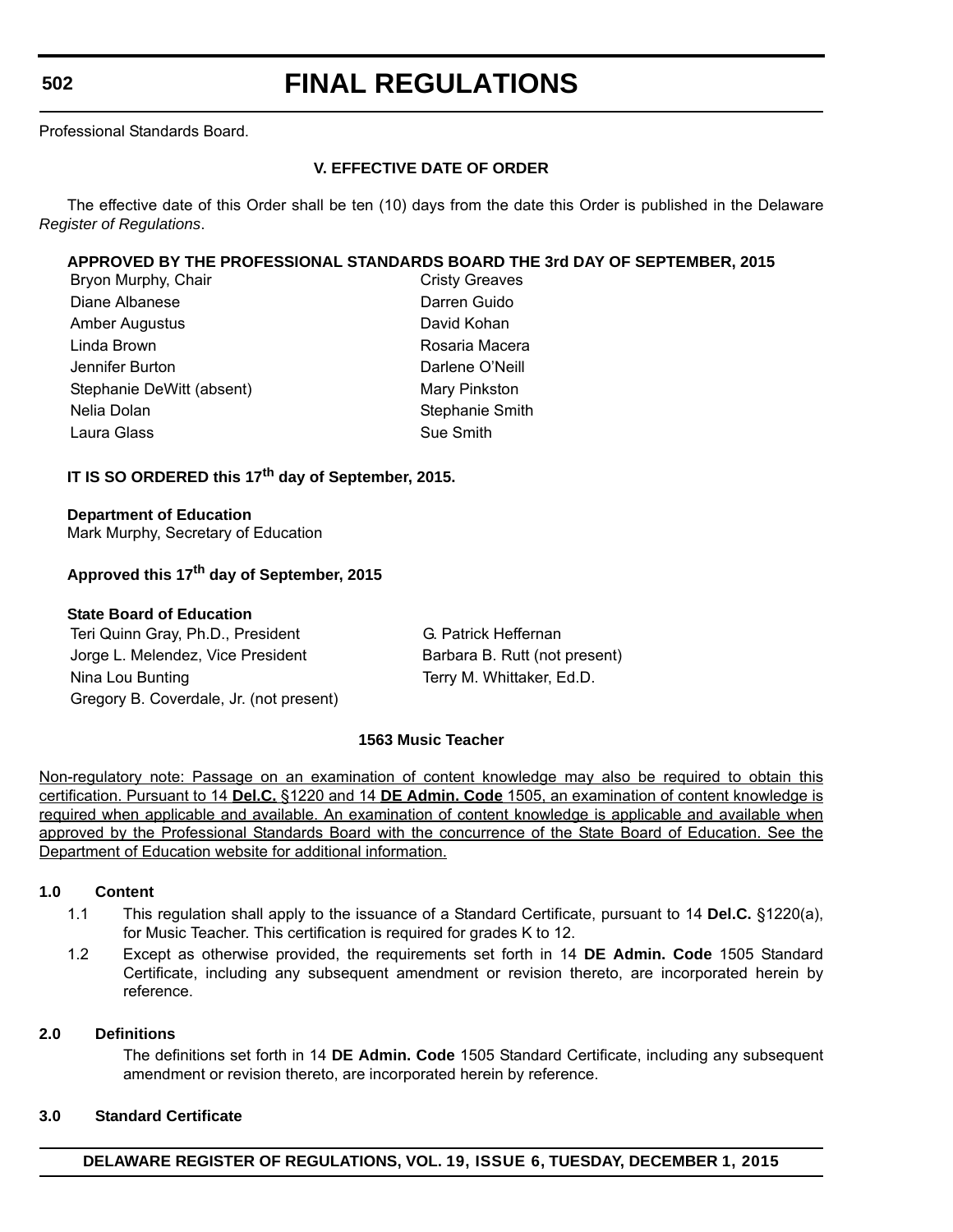**502**

# **FINAL REGULATIONS**

Professional Standards Board.

# **V. EFFECTIVE DATE OF ORDER**

The effective date of this Order shall be ten (10) days from the date this Order is published in the Delaware *Register of Regulations*.

# **APPROVED BY THE PROFESSIONAL STANDARDS BOARD THE 3rd DAY OF SEPTEMBER, 2015**

| Bryon Murphy, Chair       | <b>Cristy Greaves</b>  |
|---------------------------|------------------------|
| Diane Albanese            | Darren Guido           |
| <b>Amber Augustus</b>     | David Kohan            |
| Linda Brown               | Rosaria Macera         |
| Jennifer Burton           | Darlene O'Neill        |
| Stephanie DeWitt (absent) | Mary Pinkston          |
| Nelia Dolan               | <b>Stephanie Smith</b> |
| Laura Glass               | Sue Smith              |

# **IT IS SO ORDERED this 17th day of September, 2015.**

# **Department of Education**

Mark Murphy, Secretary of Education

# **Approved this 17th day of September, 2015**

# **State Board of Education**

Teri Quinn Gray, Ph.D., President G. Patrick Heffernan Jorge L. Melendez, Vice President Barbara B. Rutt (not present) Nina Lou Bunting Terry M. Whittaker, Ed.D. Gregory B. Coverdale, Jr. (not present)

# **1563 Music Teacher**

Non-regulatory note: Passage on an examination of content knowledge may also be required to obtain this certification. Pursuant to 14 **Del.C.** §1220 and 14 **DE Admin. Code** 1505, an examination of content knowledge is required when applicable and available. An examination of content knowledge is applicable and available when approved by the Professional Standards Board with the concurrence of the State Board of Education. See the Department of Education website for additional information.

# **1.0 Content**

- 1.1 This regulation shall apply to the issuance of a Standard Certificate, pursuant to 14 **Del.C.** §1220(a), for Music Teacher. This certification is required for grades K to 12.
- 1.2 Except as otherwise provided, the requirements set forth in 14 **DE Admin. Code** 1505 Standard Certificate, including any subsequent amendment or revision thereto, are incorporated herein by reference.

# **2.0 Definitions**

The definitions set forth in 14 **DE Admin. Code** 1505 Standard Certificate, including any subsequent amendment or revision thereto, are incorporated herein by reference.

# **3.0 Standard Certificate**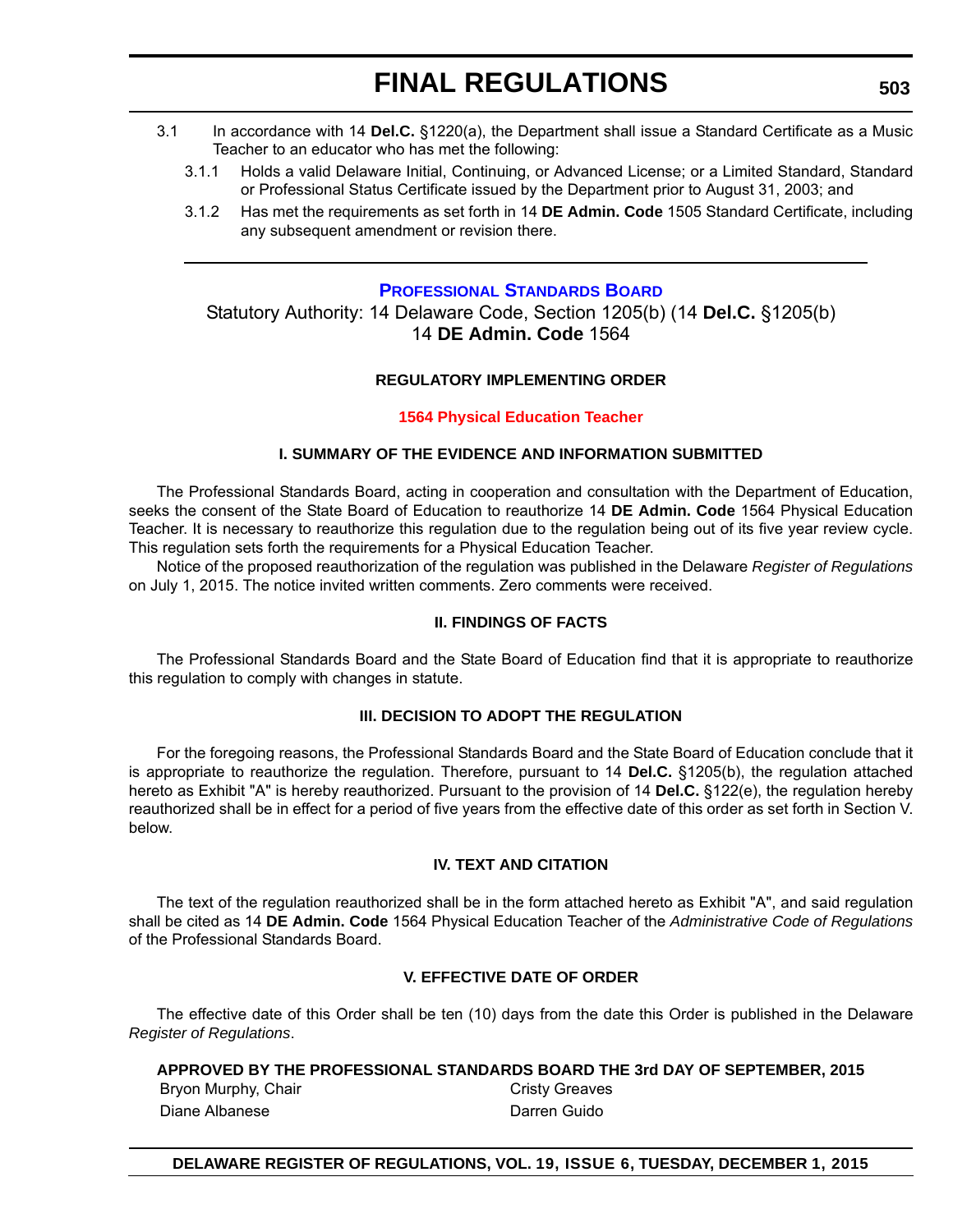- 3.1 In accordance with 14 **Del.C.** §1220(a), the Department shall issue a Standard Certificate as a Music Teacher to an educator who has met the following:
	- 3.1.1 Holds a valid Delaware Initial, Continuing, or Advanced License; or a Limited Standard, Standard or Professional Status Certificate issued by the Department prior to August 31, 2003; and
	- 3.1.2 Has met the requirements as set forth in 14 **DE Admin. Code** 1505 Standard Certificate, including any subsequent amendment or revision there.

# **[PROFESSIONAL STANDARDS BOARD](http://www.doe.k12.de.us/domain/172)**

Statutory Authority: 14 Delaware Code, Section 1205(b) (14 **Del.C.** §1205(b) 14 **DE Admin. Code** 1564

# **REGULATORY IMPLEMENTING ORDER**

# **[1564 Physical Education Teacher](#page-4-0)**

# **I. SUMMARY OF THE EVIDENCE AND INFORMATION SUBMITTED**

The Professional Standards Board, acting in cooperation and consultation with the Department of Education, seeks the consent of the State Board of Education to reauthorize 14 **DE Admin. Code** 1564 Physical Education Teacher. It is necessary to reauthorize this regulation due to the regulation being out of its five year review cycle. This regulation sets forth the requirements for a Physical Education Teacher.

Notice of the proposed reauthorization of the regulation was published in the Delaware *Register of Regulations* on July 1, 2015. The notice invited written comments. Zero comments were received.

# **II. FINDINGS OF FACTS**

The Professional Standards Board and the State Board of Education find that it is appropriate to reauthorize this regulation to comply with changes in statute.

# **III. DECISION TO ADOPT THE REGULATION**

For the foregoing reasons, the Professional Standards Board and the State Board of Education conclude that it is appropriate to reauthorize the regulation. Therefore, pursuant to 14 **Del.C.** §1205(b), the regulation attached hereto as Exhibit "A" is hereby reauthorized. Pursuant to the provision of 14 **Del.C.** §122(e), the regulation hereby reauthorized shall be in effect for a period of five years from the effective date of this order as set forth in Section V. below.

# **IV. TEXT AND CITATION**

The text of the regulation reauthorized shall be in the form attached hereto as Exhibit "A", and said regulation shall be cited as 14 **DE Admin. Code** 1564 Physical Education Teacher of the *Administrative Code of Regulations* of the Professional Standards Board.

# **V. EFFECTIVE DATE OF ORDER**

The effective date of this Order shall be ten (10) days from the date this Order is published in the Delaware *Register of Regulations*.

# **APPROVED BY THE PROFESSIONAL STANDARDS BOARD THE 3rd DAY OF SEPTEMBER, 2015**

Bryon Murphy, Chair Chair Cristy Greaves Diane Albanese Darren Guido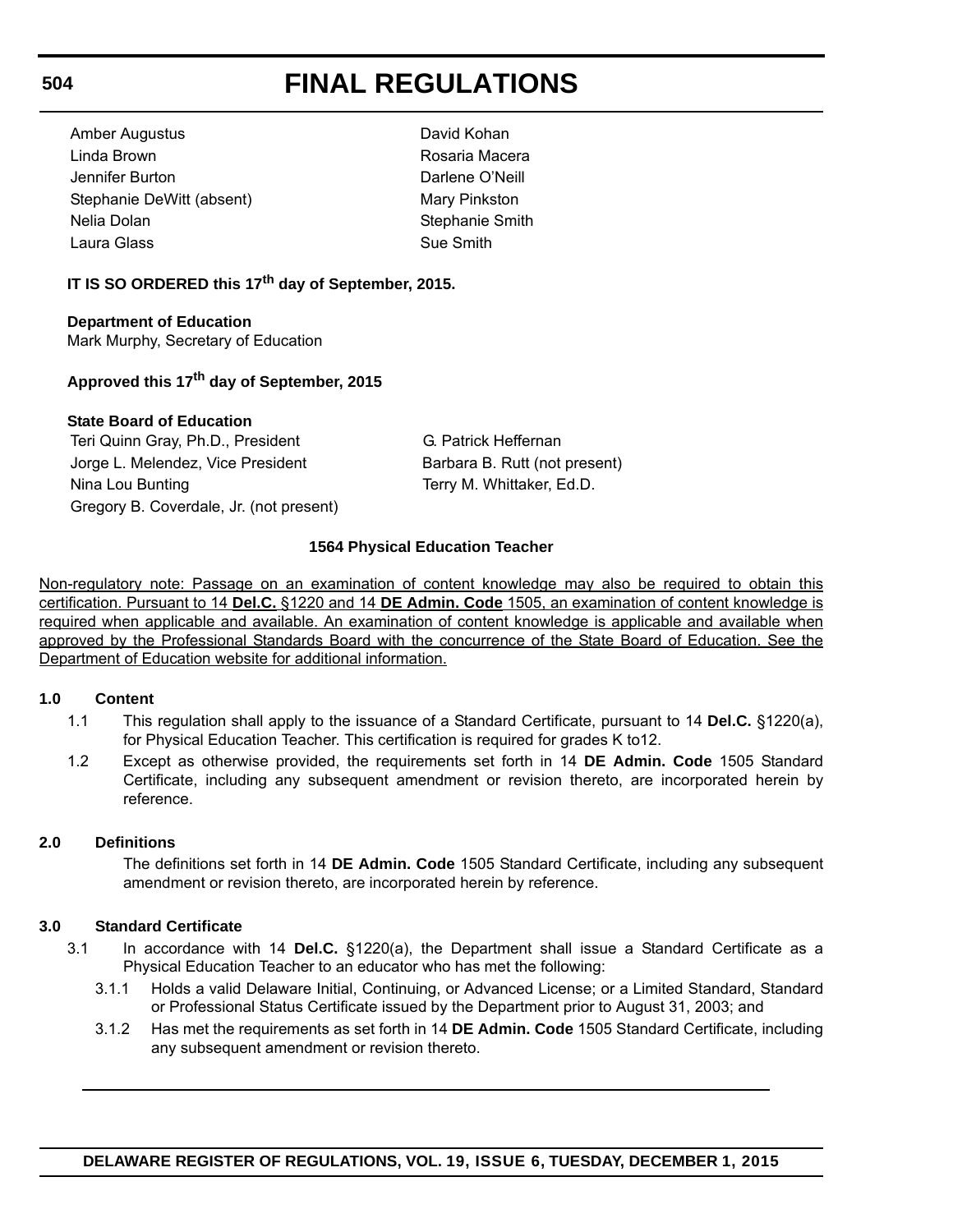Amber Augustus David Kohan Linda Brown **Rosaria Macera** Jennifer Burton Darlene O'Neill Stephanie DeWitt (absent) Mary Pinkston Nelia Dolan Stephanie Smith Laura Glass Sue Smith

# **IT IS SO ORDERED this 17th day of September, 2015.**

**Department of Education** Mark Murphy, Secretary of Education

# **Approved this 17th day of September, 2015**

# **State Board of Education**

Teri Quinn Gray, Ph.D., President G. Patrick Heffernan Jorge L. Melendez, Vice President Barbara B. Rutt (not present) Nina Lou Bunting Terry M. Whittaker, Ed.D. Gregory B. Coverdale, Jr. (not present)

# **1564 Physical Education Teacher**

Non-regulatory note: Passage on an examination of content knowledge may also be required to obtain this certification. Pursuant to 14 **Del.C.** §1220 and 14 **DE Admin. Code** 1505, an examination of content knowledge is required when applicable and available. An examination of content knowledge is applicable and available when approved by the Professional Standards Board with the concurrence of the State Board of Education. See the Department of Education website for additional information.

# **1.0 Content**

- 1.1 This regulation shall apply to the issuance of a Standard Certificate, pursuant to 14 **Del.C.** §1220(a), for Physical Education Teacher. This certification is required for grades K to12.
- 1.2 Except as otherwise provided, the requirements set forth in 14 **DE Admin. Code** 1505 Standard Certificate, including any subsequent amendment or revision thereto, are incorporated herein by reference.

# **2.0 Definitions**

The definitions set forth in 14 **DE Admin. Code** 1505 Standard Certificate, including any subsequent amendment or revision thereto, are incorporated herein by reference.

# **3.0 Standard Certificate**

- 3.1 In accordance with 14 **Del.C.** §1220(a), the Department shall issue a Standard Certificate as a Physical Education Teacher to an educator who has met the following:
	- 3.1.1 Holds a valid Delaware Initial, Continuing, or Advanced License; or a Limited Standard, Standard or Professional Status Certificate issued by the Department prior to August 31, 2003; and
	- 3.1.2 Has met the requirements as set forth in 14 **DE Admin. Code** 1505 Standard Certificate, including any subsequent amendment or revision thereto.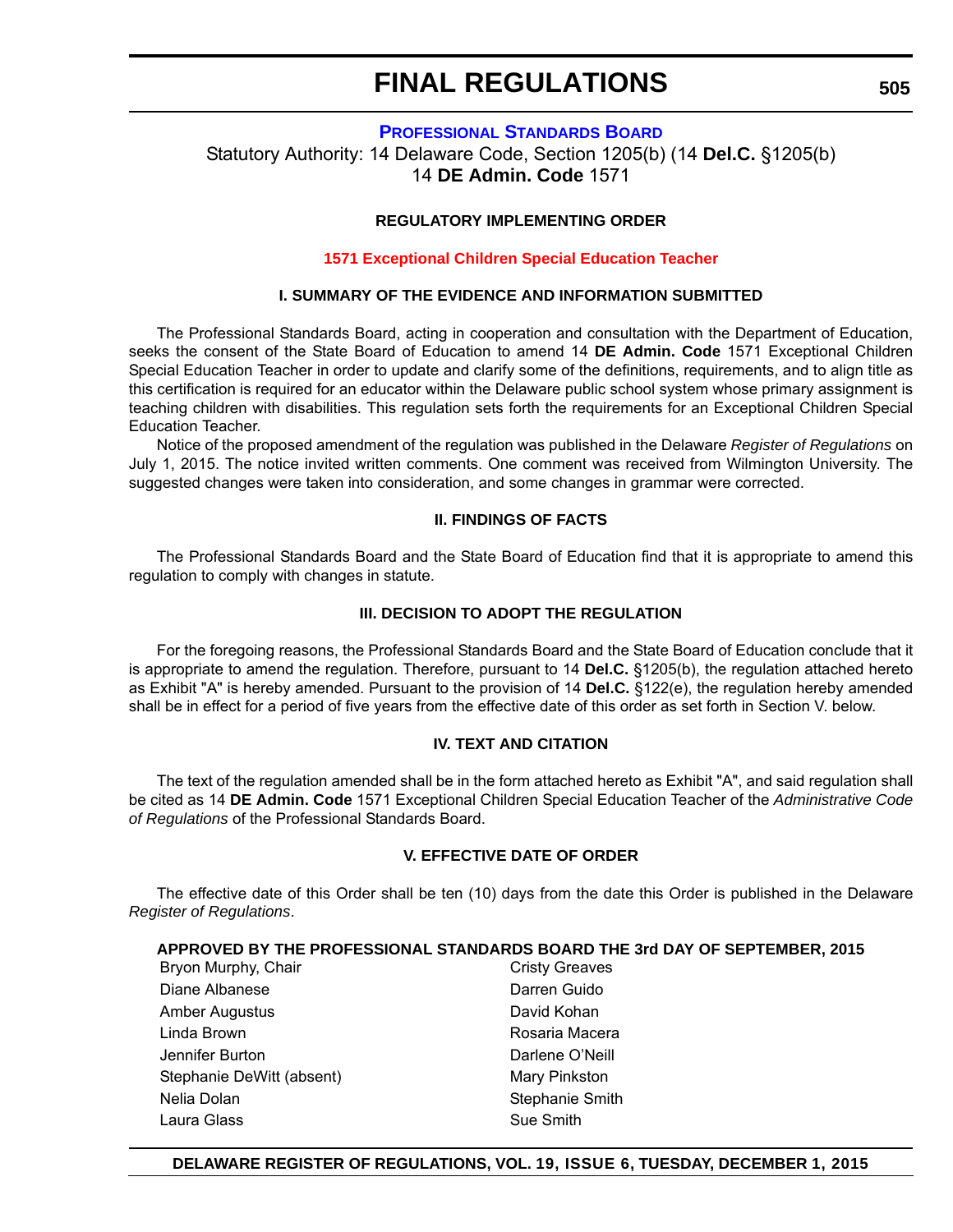# **[PROFESSIONAL STANDARDS BOARD](http://www.doe.k12.de.us/domain/172)**

Statutory Authority: 14 Delaware Code, Section 1205(b) (14 **Del.C.** §1205(b) 14 **DE Admin. Code** 1571

# **REGULATORY IMPLEMENTING ORDER**

#### **[1571 Exceptional Children Special Education Teacher](#page-4-0)**

# **I. SUMMARY OF THE EVIDENCE AND INFORMATION SUBMITTED**

The Professional Standards Board, acting in cooperation and consultation with the Department of Education, seeks the consent of the State Board of Education to amend 14 **DE Admin. Code** 1571 Exceptional Children Special Education Teacher in order to update and clarify some of the definitions, requirements, and to align title as this certification is required for an educator within the Delaware public school system whose primary assignment is teaching children with disabilities. This regulation sets forth the requirements for an Exceptional Children Special Education Teacher.

Notice of the proposed amendment of the regulation was published in the Delaware *Register of Regulations* on July 1, 2015. The notice invited written comments. One comment was received from Wilmington University. The suggested changes were taken into consideration, and some changes in grammar were corrected.

# **II. FINDINGS OF FACTS**

The Professional Standards Board and the State Board of Education find that it is appropriate to amend this regulation to comply with changes in statute.

#### **III. DECISION TO ADOPT THE REGULATION**

For the foregoing reasons, the Professional Standards Board and the State Board of Education conclude that it is appropriate to amend the regulation. Therefore, pursuant to 14 **Del.C.** §1205(b), the regulation attached hereto as Exhibit "A" is hereby amended. Pursuant to the provision of 14 **Del.C.** §122(e), the regulation hereby amended shall be in effect for a period of five years from the effective date of this order as set forth in Section V. below.

#### **IV. TEXT AND CITATION**

The text of the regulation amended shall be in the form attached hereto as Exhibit "A", and said regulation shall be cited as 14 **DE Admin. Code** 1571 Exceptional Children Special Education Teacher of the *Administrative Code of Regulations* of the Professional Standards Board.

# **V. EFFECTIVE DATE OF ORDER**

The effective date of this Order shall be ten (10) days from the date this Order is published in the Delaware *Register of Regulations*.

# **APPROVED BY THE PROFESSIONAL STANDARDS BOARD THE 3rd DAY OF SEPTEMBER, 2015**

Bryon Murphy, Chair Chair Cristy Greaves Diane Albanese **Darren Guido** Amber Augustus **David Kohan** Linda Brown **Rosaria Macera** Jennifer Burton Darlene O'Neill Stephanie DeWitt (absent) Mary Pinkston Nelia Dolan Stephanie Smith Laura Glass **Sue Smith** Sue Smith

# **DELAWARE REGISTER OF REGULATIONS, VOL. 19, ISSUE 6, TUESDAY, DECEMBER 1, 2015**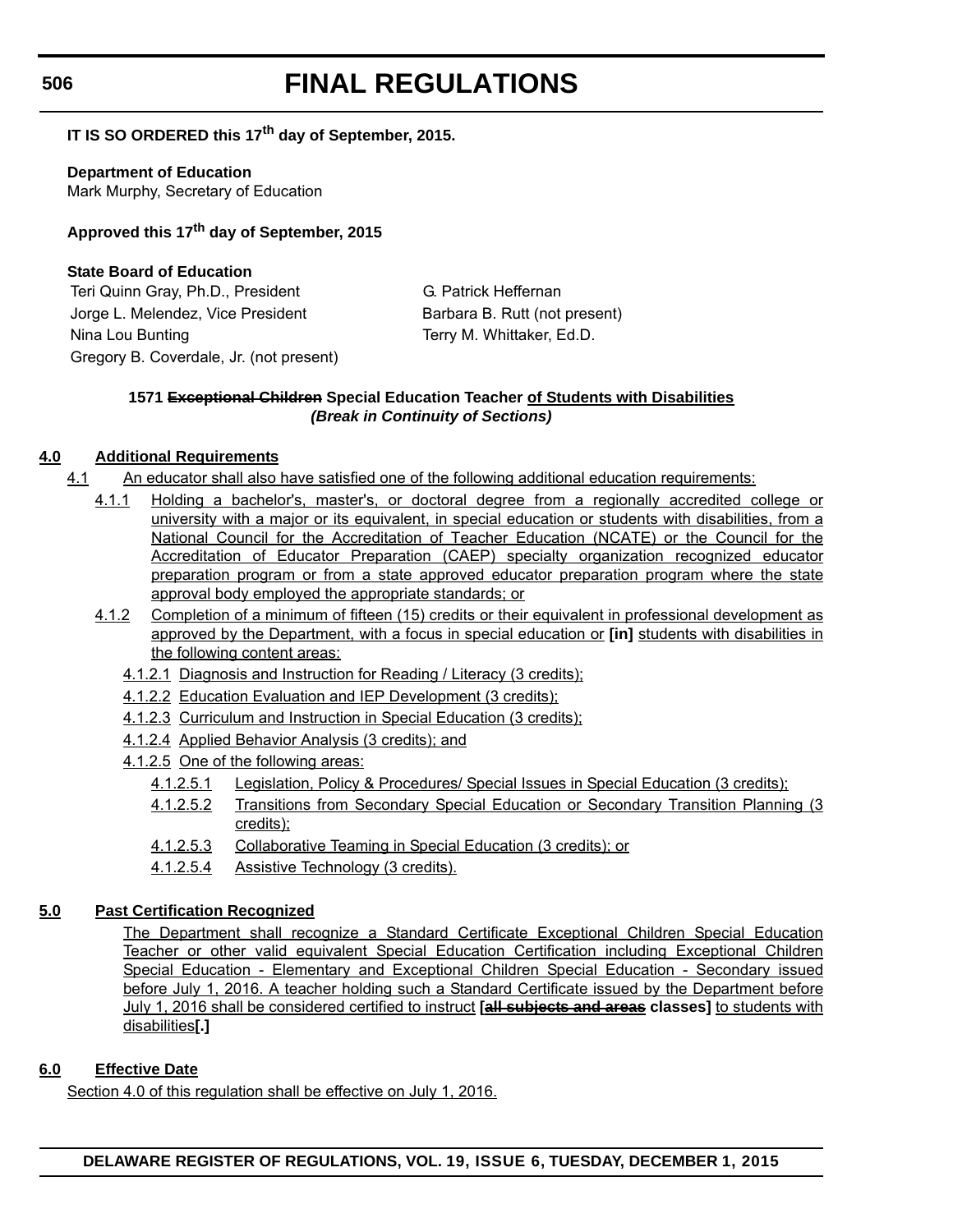# **IT IS SO ORDERED this 17th day of September, 2015.**

**Department of Education** Mark Murphy, Secretary of Education

**Approved this 17th day of September, 2015**

# **State Board of Education**

Teri Quinn Gray, Ph.D., President G. Patrick Heffernan Jorge L. Melendez, Vice President Barbara B. Rutt (not present) Nina Lou Bunting Terry M. Whittaker, Ed.D. Gregory B. Coverdale, Jr. (not present)

# **1571 Exceptional Children Special Education Teacher of Students with Disabilities** *(Break in Continuity of Sections)*

# **4.0 Additional Requirements**

- 4.1 An educator shall also have satisfied one of the following additional education requirements:
	- 4.1.1 Holding a bachelor's, master's, or doctoral degree from a regionally accredited college or university with a major or its equivalent, in special education or students with disabilities, from a National Council for the Accreditation of Teacher Education (NCATE) or the Council for the Accreditation of Educator Preparation (CAEP) specialty organization recognized educator preparation program or from a state approved educator preparation program where the state approval body employed the appropriate standards; or
	- 4.1.2 Completion of a minimum of fifteen (15) credits or their equivalent in professional development as approved by the Department, with a focus in special education or **[in]** students with disabilities in the following content areas:
		- 4.1.2.1 Diagnosis and Instruction for Reading / Literacy (3 credits);
		- 4.1.2.2 Education Evaluation and IEP Development (3 credits);
		- 4.1.2.3 Curriculum and Instruction in Special Education (3 credits);
		- 4.1.2.4 Applied Behavior Analysis (3 credits); and
		- 4.1.2.5 One of the following areas:
			- 4.1.2.5.1 Legislation, Policy & Procedures/ Special Issues in Special Education (3 credits);
			- 4.1.2.5.2 Transitions from Secondary Special Education or Secondary Transition Planning (3 credits);
			- 4.1.2.5.3 Collaborative Teaming in Special Education (3 credits); or
			- 4.1.2.5.4 Assistive Technology (3 credits).

# **5.0 Past Certification Recognized**

The Department shall recognize a Standard Certificate Exceptional Children Special Education Teacher or other valid equivalent Special Education Certification including Exceptional Children Special Education - Elementary and Exceptional Children Special Education - Secondary issued before July 1, 2016. A teacher holding such a Standard Certificate issued by the Department before July 1, 2016 shall be considered certified to instruct **[all subjects and areas classes]** to students with disabilities**[.]**

# **6.0 Effective Date**

Section 4.0 of this regulation shall be effective on July 1, 2016.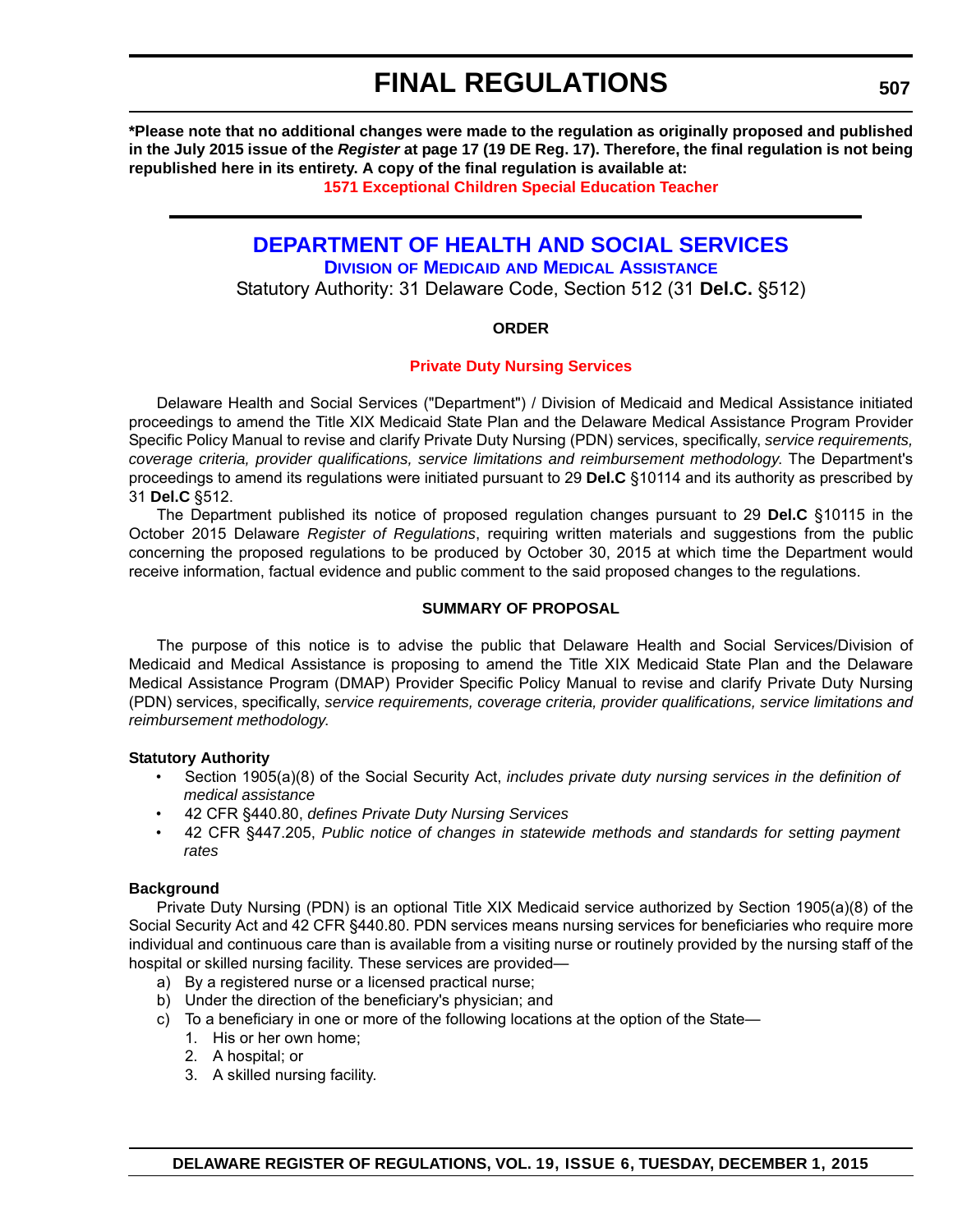**\*Please note that no additional changes were made to the regulation as originally proposed and published in the July 2015 issue of the** *Register* **at page 17 (19 DE Reg. 17). Therefore, the final regulation is not being republished here in its entirety. A copy of the final regulation is available at:**

**[1571 Exceptional Children Special Education Teacher](http://regulations.delaware.gov/register/december2015/final/19 DE Reg 505 12-01-15.htm)**

# **[DEPARTMENT OF HEALTH AND SOCIAL SERVICES](http://www.dhss.delaware.gov/dhss/dmma/)**

**DIVISION OF MEDICAID AND MEDICAL ASSISTANCE**

Statutory Authority: 31 Delaware Code, Section 512 (31 **Del.C.** §512)

# **ORDER**

# **[Private Duty Nursing Services](#page-4-0)**

Delaware Health and Social Services ("Department") / Division of Medicaid and Medical Assistance initiated proceedings to amend the Title XIX Medicaid State Plan and the Delaware Medical Assistance Program Provider Specific Policy Manual to revise and clarify Private Duty Nursing (PDN) services, specifically, *service requirements, coverage criteria, provider qualifications, service limitations and reimbursement methodology*. The Department's proceedings to amend its regulations were initiated pursuant to 29 **Del.C** §10114 and its authority as prescribed by 31 **Del.C** §512.

The Department published its notice of proposed regulation changes pursuant to 29 **Del.C** §10115 in the October 2015 Delaware *Register of Regulations*, requiring written materials and suggestions from the public concerning the proposed regulations to be produced by October 30, 2015 at which time the Department would receive information, factual evidence and public comment to the said proposed changes to the regulations.

# **SUMMARY OF PROPOSAL**

The purpose of this notice is to advise the public that Delaware Health and Social Services/Division of Medicaid and Medical Assistance is proposing to amend the Title XIX Medicaid State Plan and the Delaware Medical Assistance Program (DMAP) Provider Specific Policy Manual to revise and clarify Private Duty Nursing (PDN) services, specifically, *service requirements, coverage criteria, provider qualifications, service limitations and reimbursement methodology*.

# **Statutory Authority**

- Section 1905(a)(8) of the Social Security Act, *includes private duty nursing services in the definition of medical assistance*
- 42 CFR §440.80, *defines Private Duty Nursing Services*
- 42 CFR §447.205, *Public notice of changes in statewide methods and standards for setting payment rates*

# **Background**

Private Duty Nursing (PDN) is an optional Title XIX Medicaid service authorized by Section 1905(a)(8) of the Social Security Act and 42 CFR §440.80. PDN services means nursing services for beneficiaries who require more individual and continuous care than is available from a visiting nurse or routinely provided by the nursing staff of the hospital or skilled nursing facility. These services are provided—

- a) By a registered nurse or a licensed practical nurse;
- b) Under the direction of the beneficiary's physician; and
- c) To a beneficiary in one or more of the following locations at the option of the State—
	- 1. His or her own home;
	- 2. A hospital; or
	- 3. A skilled nursing facility.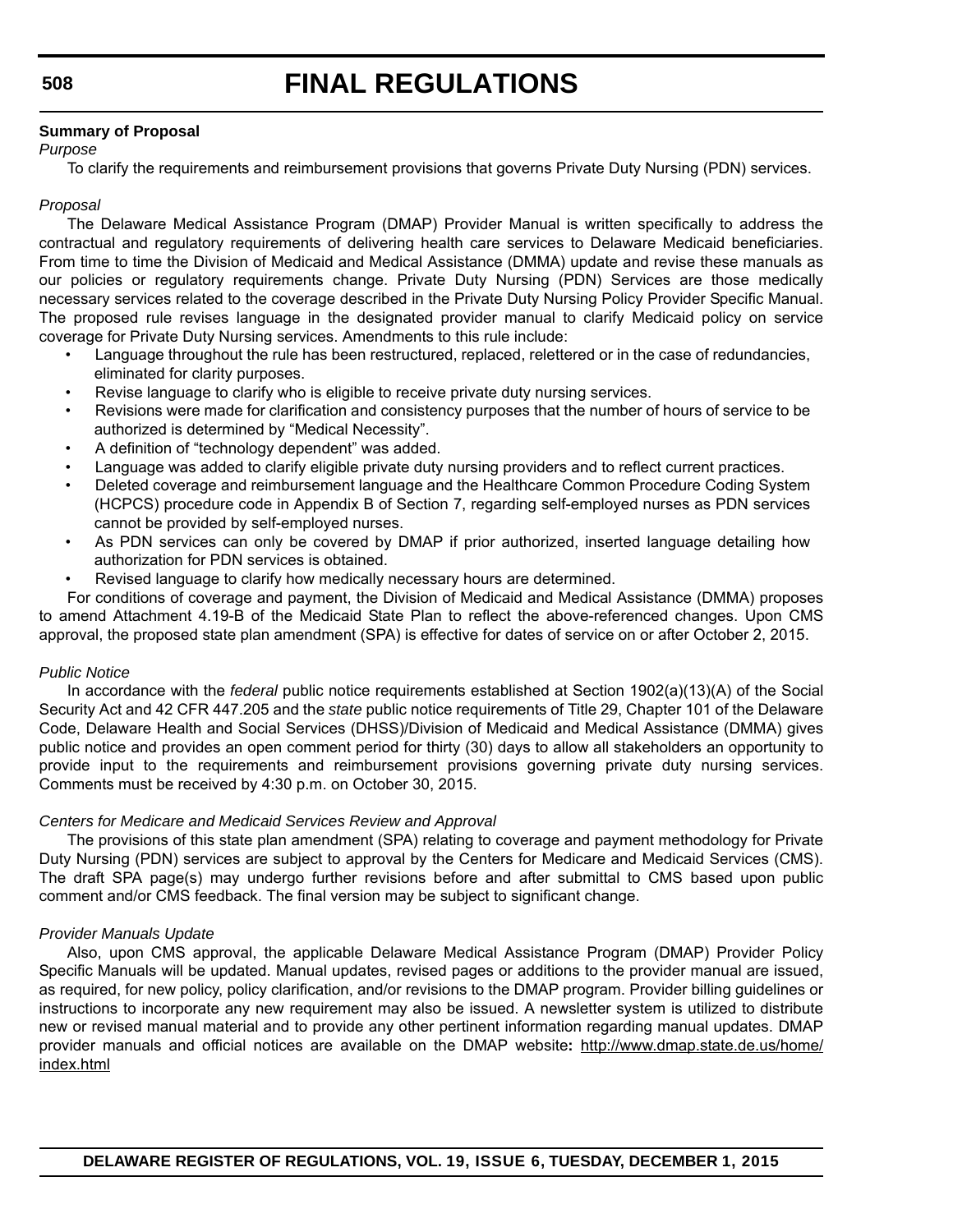# **Summary of Proposal**

# *Purpose*

To clarify the requirements and reimbursement provisions that governs Private Duty Nursing (PDN) services.

# *Proposal*

The Delaware Medical Assistance Program (DMAP) Provider Manual is written specifically to address the contractual and regulatory requirements of delivering health care services to Delaware Medicaid beneficiaries. From time to time the Division of Medicaid and Medical Assistance (DMMA) update and revise these manuals as our policies or regulatory requirements change. Private Duty Nursing (PDN) Services are those medically necessary services related to the coverage described in the Private Duty Nursing Policy Provider Specific Manual. The proposed rule revises language in the designated provider manual to clarify Medicaid policy on service coverage for Private Duty Nursing services. Amendments to this rule include:

- Language throughout the rule has been restructured, replaced, relettered or in the case of redundancies, eliminated for clarity purposes.
- Revise language to clarify who is eligible to receive private duty nursing services.
- Revisions were made for clarification and consistency purposes that the number of hours of service to be authorized is determined by "Medical Necessity".
- A definition of "technology dependent" was added.
- Language was added to clarify eligible private duty nursing providers and to reflect current practices.
- Deleted coverage and reimbursement language and the Healthcare Common Procedure Coding System (HCPCS) procedure code in Appendix B of Section 7, regarding self-employed nurses as PDN services cannot be provided by self-employed nurses.
- As PDN services can only be covered by DMAP if prior authorized, inserted language detailing how authorization for PDN services is obtained.
- Revised language to clarify how medically necessary hours are determined.

For conditions of coverage and payment, the Division of Medicaid and Medical Assistance (DMMA) proposes to amend Attachment 4.19-B of the Medicaid State Plan to reflect the above-referenced changes. Upon CMS approval, the proposed state plan amendment (SPA) is effective for dates of service on or after October 2, 2015.

# *Public Notice*

In accordance with the *federal* public notice requirements established at Section 1902(a)(13)(A) of the Social Security Act and 42 CFR 447.205 and the *state* public notice requirements of Title 29, Chapter 101 of the Delaware Code, Delaware Health and Social Services (DHSS)/Division of Medicaid and Medical Assistance (DMMA) gives public notice and provides an open comment period for thirty (30) days to allow all stakeholders an opportunity to provide input to the requirements and reimbursement provisions governing private duty nursing services. Comments must be received by 4:30 p.m. on October 30, 2015.

# *Centers for Medicare and Medicaid Services Review and Approval*

The provisions of this state plan amendment (SPA) relating to coverage and payment methodology for Private Duty Nursing (PDN) services are subject to approval by the Centers for Medicare and Medicaid Services (CMS). The draft SPA page(s) may undergo further revisions before and after submittal to CMS based upon public comment and/or CMS feedback. The final version may be subject to significant change.

# *Provider Manuals Update*

Also, upon CMS approval, the applicable Delaware Medical Assistance Program (DMAP) Provider Policy Specific Manuals will be updated. Manual updates, revised pages or additions to the provider manual are issued, as required, for new policy, policy clarification, and/or revisions to the DMAP program. Provider billing guidelines or instructions to incorporate any new requirement may also be issued. A newsletter system is utilized to distribute new or revised manual material and to provide any other pertinent information regarding manual updates. DMAP provider manuals and official notices are available on the DMAP website**:** http://www.dmap.state.de.us/home/ index.html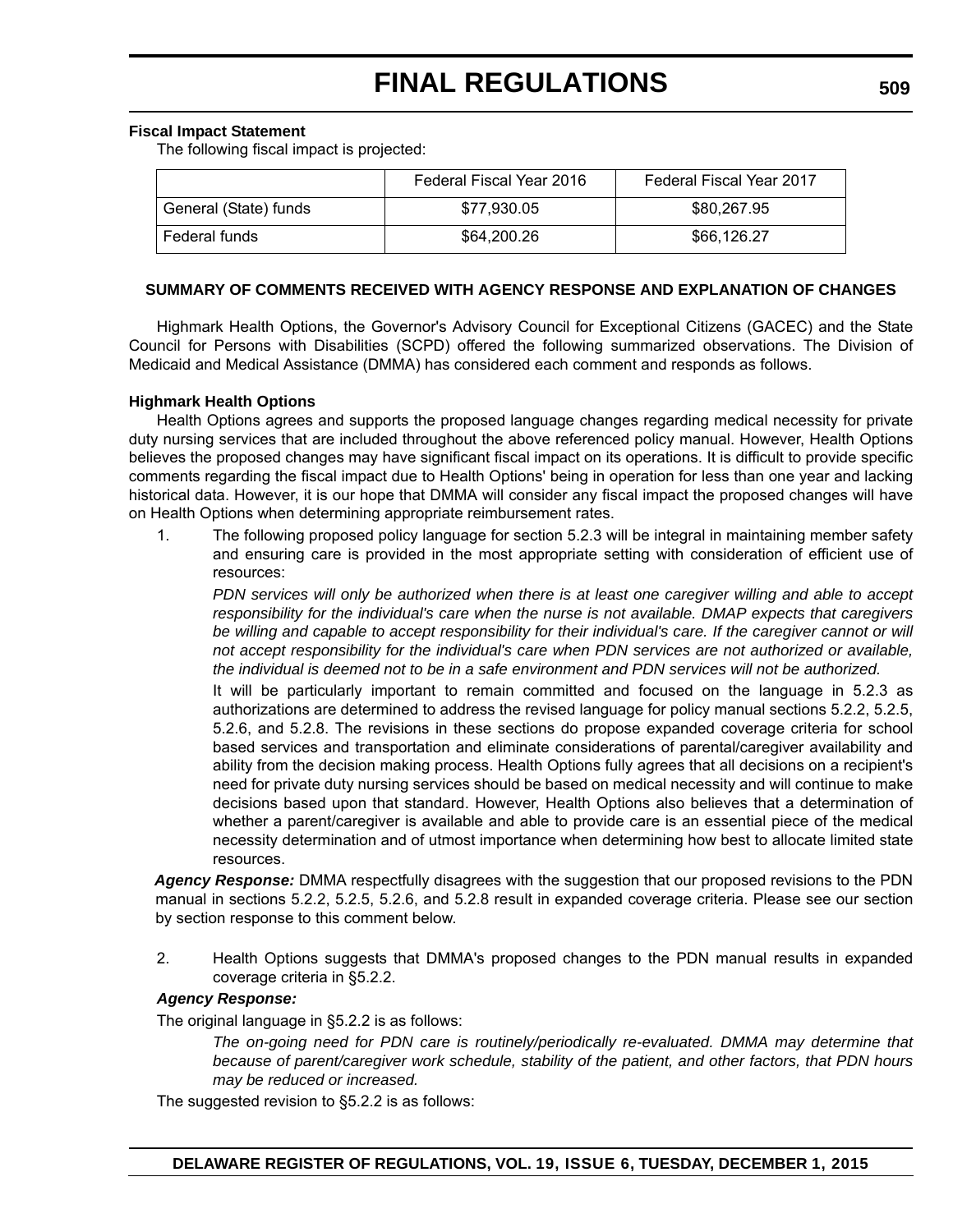# **Fiscal Impact Statement**

The following fiscal impact is projected:

|                       | Federal Fiscal Year 2016 | Federal Fiscal Year 2017 |
|-----------------------|--------------------------|--------------------------|
| General (State) funds | \$77.930.05              | \$80,267,95              |
| Federal funds         | \$64,200.26              | \$66.126.27              |

# **SUMMARY OF COMMENTS RECEIVED WITH AGENCY RESPONSE AND EXPLANATION OF CHANGES**

Highmark Health Options, the Governor's Advisory Council for Exceptional Citizens (GACEC) and the State Council for Persons with Disabilities (SCPD) offered the following summarized observations. The Division of Medicaid and Medical Assistance (DMMA) has considered each comment and responds as follows.

# **Highmark Health Options**

Health Options agrees and supports the proposed language changes regarding medical necessity for private duty nursing services that are included throughout the above referenced policy manual. However, Health Options believes the proposed changes may have significant fiscal impact on its operations. It is difficult to provide specific comments regarding the fiscal impact due to Health Options' being in operation for less than one year and lacking historical data. However, it is our hope that DMMA will consider any fiscal impact the proposed changes will have on Health Options when determining appropriate reimbursement rates.

1. The following proposed policy language for section 5.2.3 will be integral in maintaining member safety and ensuring care is provided in the most appropriate setting with consideration of efficient use of resources:

*PDN services will only be authorized when there is at least one caregiver willing and able to accept responsibility for the individual's care when the nurse is not available. DMAP expects that caregivers* be willing and capable to accept responsibility for their individual's care. If the caregiver cannot or will *not accept responsibility for the individual's care when PDN services are not authorized or available, the individual is deemed not to be in a safe environment and PDN services will not be authorized.*

It will be particularly important to remain committed and focused on the language in 5.2.3 as authorizations are determined to address the revised language for policy manual sections 5.2.2, 5.2.5, 5.2.6, and 5.2.8. The revisions in these sections do propose expanded coverage criteria for school based services and transportation and eliminate considerations of parental/caregiver availability and ability from the decision making process. Health Options fully agrees that all decisions on a recipient's need for private duty nursing services should be based on medical necessity and will continue to make decisions based upon that standard. However, Health Options also believes that a determination of whether a parent/caregiver is available and able to provide care is an essential piece of the medical necessity determination and of utmost importance when determining how best to allocate limited state resources.

*Agency Response:* DMMA respectfully disagrees with the suggestion that our proposed revisions to the PDN manual in sections 5.2.2, 5.2.5, 5.2.6, and 5.2.8 result in expanded coverage criteria. Please see our section by section response to this comment below.

2. Health Options suggests that DMMA's proposed changes to the PDN manual results in expanded coverage criteria in §5.2.2.

# *Agency Response:*

The original language in §5.2.2 is as follows:

*The on-going need for PDN care is routinely/periodically re-evaluated. DMMA may determine that because of parent/caregiver work schedule, stability of the patient, and other factors, that PDN hours may be reduced or increased.*

The suggested revision to §5.2.2 is as follows: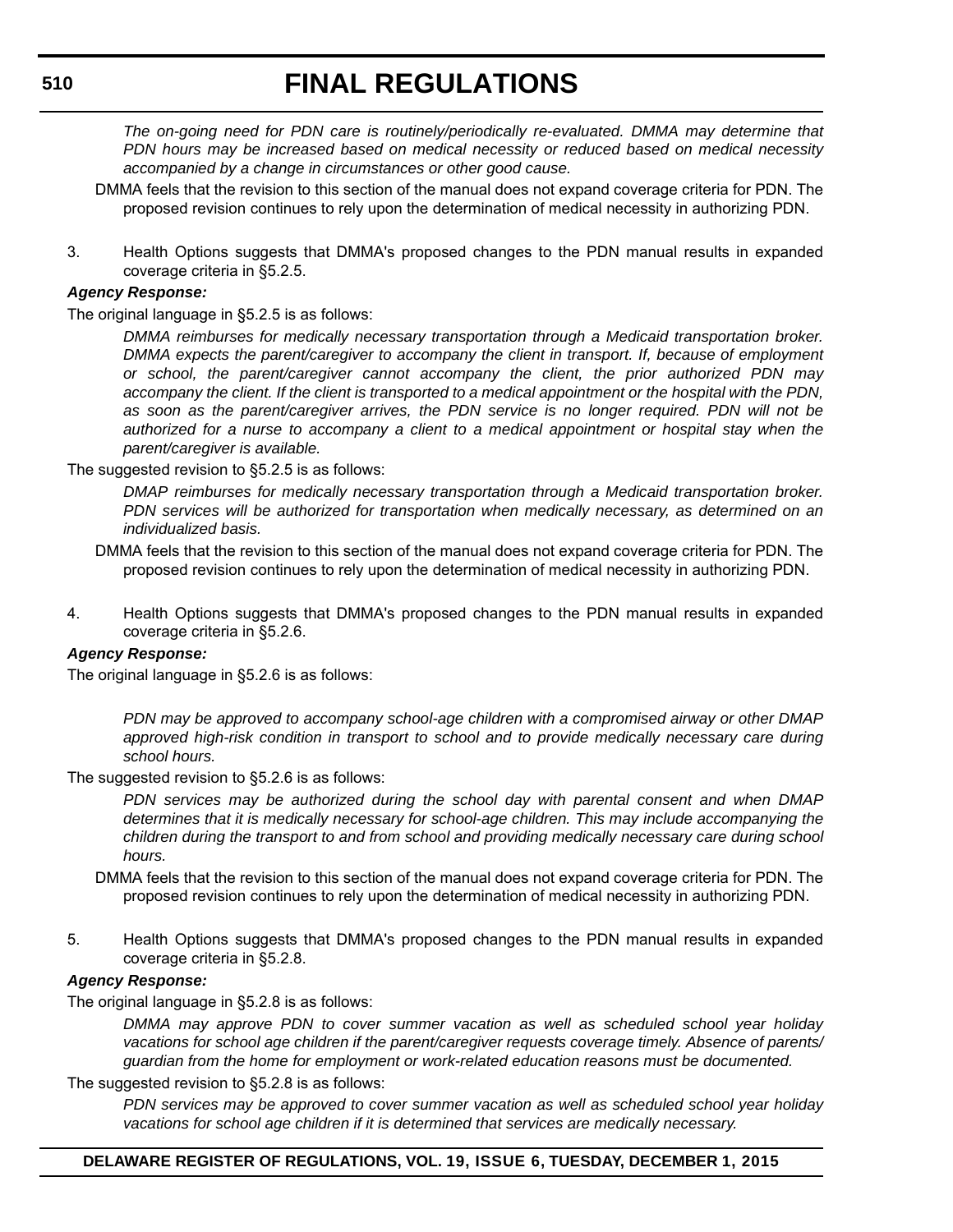*The on-going need for PDN care is routinely/periodically re-evaluated. DMMA may determine that PDN hours may be increased based on medical necessity or reduced based on medical necessity accompanied by a change in circumstances or other good cause.*

- DMMA feels that the revision to this section of the manual does not expand coverage criteria for PDN. The proposed revision continues to rely upon the determination of medical necessity in authorizing PDN.
- 3. Health Options suggests that DMMA's proposed changes to the PDN manual results in expanded coverage criteria in §5.2.5.

# *Agency Response:*

The original language in §5.2.5 is as follows:

*DMMA reimburses for medically necessary transportation through a Medicaid transportation broker. DMMA expects the parent/caregiver to accompany the client in transport. If, because of employment or school, the parent/caregiver cannot accompany the client, the prior authorized PDN may accompany the client. If the client is transported to a medical appointment or the hospital with the PDN, as soon as the parent/caregiver arrives, the PDN service is no longer required. PDN will not be authorized for a nurse to accompany a client to a medical appointment or hospital stay when the parent/caregiver is available.*

The suggested revision to §5.2.5 is as follows:

*DMAP reimburses for medically necessary transportation through a Medicaid transportation broker. PDN services will be authorized for transportation when medically necessary, as determined on an individualized basis.*

- DMMA feels that the revision to this section of the manual does not expand coverage criteria for PDN. The proposed revision continues to rely upon the determination of medical necessity in authorizing PDN.
- 4. Health Options suggests that DMMA's proposed changes to the PDN manual results in expanded coverage criteria in §5.2.6.

# *Agency Response:*

The original language in §5.2.6 is as follows:

*PDN may be approved to accompany school-age children with a compromised airway or other DMAP approved high-risk condition in transport to school and to provide medically necessary care during school hours.*

The suggested revision to §5.2.6 is as follows:

*PDN services may be authorized during the school day with parental consent and when DMAP determines that it is medically necessary for school-age children. This may include accompanying the children during the transport to and from school and providing medically necessary care during school hours.*

DMMA feels that the revision to this section of the manual does not expand coverage criteria for PDN. The proposed revision continues to rely upon the determination of medical necessity in authorizing PDN.

5. Health Options suggests that DMMA's proposed changes to the PDN manual results in expanded coverage criteria in §5.2.8.

# *Agency Response:*

The original language in §5.2.8 is as follows:

*DMMA may approve PDN to cover summer vacation as well as scheduled school year holiday vacations for school age children if the parent/caregiver requests coverage timely. Absence of parents/ guardian from the home for employment or work-related education reasons must be documented.*

The suggested revision to §5.2.8 is as follows:

*PDN services may be approved to cover summer vacation as well as scheduled school year holiday vacations for school age children if it is determined that services are medically necessary.*

# **DELAWARE REGISTER OF REGULATIONS, VOL. 19, ISSUE 6, TUESDAY, DECEMBER 1, 2015**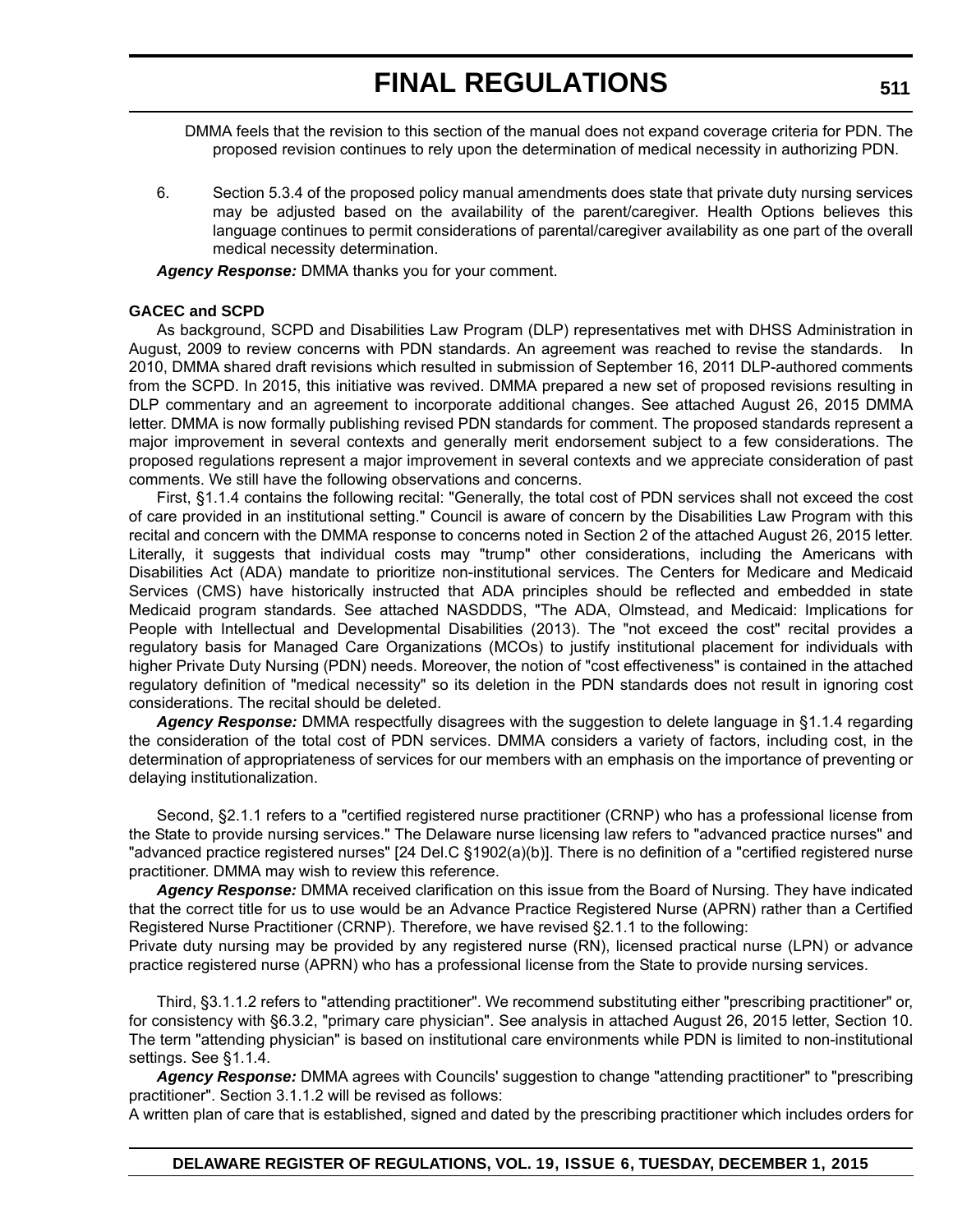DMMA feels that the revision to this section of the manual does not expand coverage criteria for PDN. The proposed revision continues to rely upon the determination of medical necessity in authorizing PDN.

6. Section 5.3.4 of the proposed policy manual amendments does state that private duty nursing services may be adjusted based on the availability of the parent/caregiver. Health Options believes this language continues to permit considerations of parental/caregiver availability as one part of the overall medical necessity determination.

*Agency Response:* DMMA thanks you for your comment.

# **GACEC and SCPD**

As background, SCPD and Disabilities Law Program (DLP) representatives met with DHSS Administration in August, 2009 to review concerns with PDN standards. An agreement was reached to revise the standards. In 2010, DMMA shared draft revisions which resulted in submission of September 16, 2011 DLP-authored comments from the SCPD. In 2015, this initiative was revived. DMMA prepared a new set of proposed revisions resulting in DLP commentary and an agreement to incorporate additional changes. See attached August 26, 2015 DMMA letter. DMMA is now formally publishing revised PDN standards for comment. The proposed standards represent a major improvement in several contexts and generally merit endorsement subject to a few considerations. The proposed regulations represent a major improvement in several contexts and we appreciate consideration of past comments. We still have the following observations and concerns.

First, §1.1.4 contains the following recital: "Generally, the total cost of PDN services shall not exceed the cost of care provided in an institutional setting." Council is aware of concern by the Disabilities Law Program with this recital and concern with the DMMA response to concerns noted in Section 2 of the attached August 26, 2015 letter. Literally, it suggests that individual costs may "trump" other considerations, including the Americans with Disabilities Act (ADA) mandate to prioritize non-institutional services. The Centers for Medicare and Medicaid Services (CMS) have historically instructed that ADA principles should be reflected and embedded in state Medicaid program standards. See attached NASDDDS, "The ADA, Olmstead, and Medicaid: Implications for People with Intellectual and Developmental Disabilities (2013). The "not exceed the cost" recital provides a regulatory basis for Managed Care Organizations (MCOs) to justify institutional placement for individuals with higher Private Duty Nursing (PDN) needs. Moreover, the notion of "cost effectiveness" is contained in the attached regulatory definition of "medical necessity" so its deletion in the PDN standards does not result in ignoring cost considerations. The recital should be deleted.

*Agency Response:* DMMA respectfully disagrees with the suggestion to delete language in §1.1.4 regarding the consideration of the total cost of PDN services. DMMA considers a variety of factors, including cost, in the determination of appropriateness of services for our members with an emphasis on the importance of preventing or delaying institutionalization.

Second, §2.1.1 refers to a "certified registered nurse practitioner (CRNP) who has a professional license from the State to provide nursing services." The Delaware nurse licensing law refers to "advanced practice nurses" and "advanced practice registered nurses" [24 Del.C §1902(a)(b)]. There is no definition of a "certified registered nurse practitioner. DMMA may wish to review this reference.

*Agency Response:* DMMA received clarification on this issue from the Board of Nursing. They have indicated that the correct title for us to use would be an Advance Practice Registered Nurse (APRN) rather than a Certified Registered Nurse Practitioner (CRNP). Therefore, we have revised §2.1.1 to the following:

Private duty nursing may be provided by any registered nurse (RN), licensed practical nurse (LPN) or advance practice registered nurse (APRN) who has a professional license from the State to provide nursing services.

Third, §3.1.1.2 refers to "attending practitioner". We recommend substituting either "prescribing practitioner" or, for consistency with §6.3.2, "primary care physician". See analysis in attached August 26, 2015 letter, Section 10. The term "attending physician" is based on institutional care environments while PDN is limited to non-institutional settings. See §1.1.4.

*Agency Response:* DMMA agrees with Councils' suggestion to change "attending practitioner" to "prescribing practitioner". Section 3.1.1.2 will be revised as follows:

A written plan of care that is established, signed and dated by the prescribing practitioner which includes orders for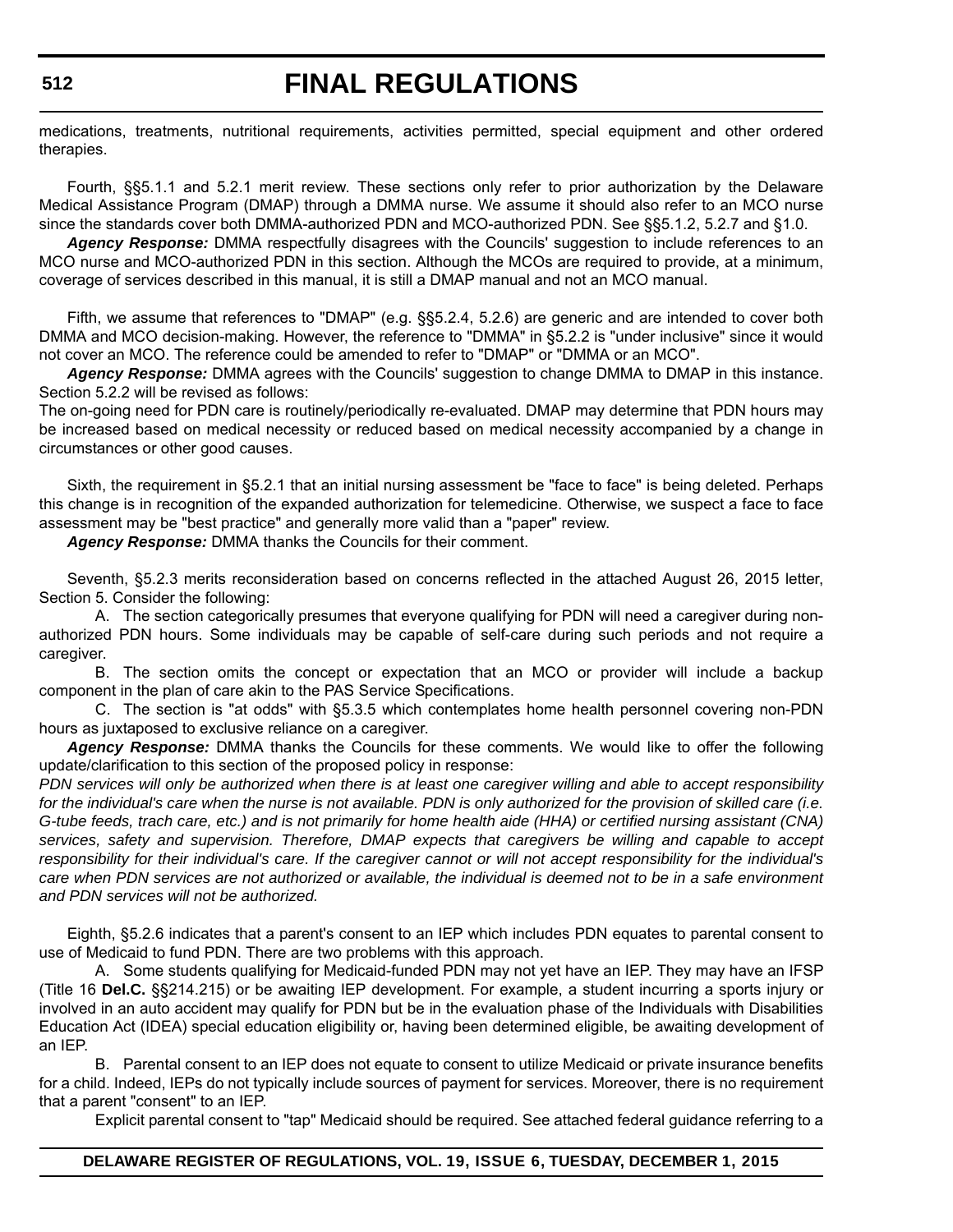medications, treatments, nutritional requirements, activities permitted, special equipment and other ordered therapies.

Fourth, §§5.1.1 and 5.2.1 merit review. These sections only refer to prior authorization by the Delaware Medical Assistance Program (DMAP) through a DMMA nurse. We assume it should also refer to an MCO nurse since the standards cover both DMMA-authorized PDN and MCO-authorized PDN. See §§5.1.2, 5.2.7 and §1.0.

*Agency Response:* DMMA respectfully disagrees with the Councils' suggestion to include references to an MCO nurse and MCO-authorized PDN in this section. Although the MCOs are required to provide, at a minimum, coverage of services described in this manual, it is still a DMAP manual and not an MCO manual.

Fifth, we assume that references to "DMAP" (e.g. §§5.2.4, 5.2.6) are generic and are intended to cover both DMMA and MCO decision-making. However, the reference to "DMMA" in §5.2.2 is "under inclusive" since it would not cover an MCO. The reference could be amended to refer to "DMAP" or "DMMA or an MCO".

*Agency Response:* DMMA agrees with the Councils' suggestion to change DMMA to DMAP in this instance. Section 5.2.2 will be revised as follows:

The on-going need for PDN care is routinely/periodically re-evaluated. DMAP may determine that PDN hours may be increased based on medical necessity or reduced based on medical necessity accompanied by a change in circumstances or other good causes.

Sixth, the requirement in §5.2.1 that an initial nursing assessment be "face to face" is being deleted. Perhaps this change is in recognition of the expanded authorization for telemedicine. Otherwise, we suspect a face to face assessment may be "best practice" and generally more valid than a "paper" review.

*Agency Response:* DMMA thanks the Councils for their comment.

Seventh, §5.2.3 merits reconsideration based on concerns reflected in the attached August 26, 2015 letter, Section 5. Consider the following:

A. The section categorically presumes that everyone qualifying for PDN will need a caregiver during nonauthorized PDN hours. Some individuals may be capable of self-care during such periods and not require a caregiver.

B. The section omits the concept or expectation that an MCO or provider will include a backup component in the plan of care akin to the PAS Service Specifications.

C. The section is "at odds" with §5.3.5 which contemplates home health personnel covering non-PDN hours as juxtaposed to exclusive reliance on a caregiver.

*Agency Response:* DMMA thanks the Councils for these comments. We would like to offer the following update/clarification to this section of the proposed policy in response:

*PDN services will only be authorized when there is at least one caregiver willing and able to accept responsibility for the individual's care when the nurse is not available. PDN is only authorized for the provision of skilled care (i.e. G-tube feeds, trach care, etc.) and is not primarily for home health aide (HHA) or certified nursing assistant (CNA) services, safety and supervision. Therefore, DMAP expects that caregivers be willing and capable to accept responsibility for their individual's care. If the caregiver cannot or will not accept responsibility for the individual's care when PDN services are not authorized or available, the individual is deemed not to be in a safe environment and PDN services will not be authorized.*

Eighth, §5.2.6 indicates that a parent's consent to an IEP which includes PDN equates to parental consent to use of Medicaid to fund PDN. There are two problems with this approach.

A. Some students qualifying for Medicaid-funded PDN may not yet have an IEP. They may have an IFSP (Title 16 **Del.C.** §§214.215) or be awaiting IEP development. For example, a student incurring a sports injury or involved in an auto accident may qualify for PDN but be in the evaluation phase of the Individuals with Disabilities Education Act (IDEA) special education eligibility or, having been determined eligible, be awaiting development of an IEP.

B. Parental consent to an IEP does not equate to consent to utilize Medicaid or private insurance benefits for a child. Indeed, IEPs do not typically include sources of payment for services. Moreover, there is no requirement that a parent "consent" to an IEP.

Explicit parental consent to "tap" Medicaid should be required. See attached federal guidance referring to a

# **DELAWARE REGISTER OF REGULATIONS, VOL. 19, ISSUE 6, TUESDAY, DECEMBER 1, 2015**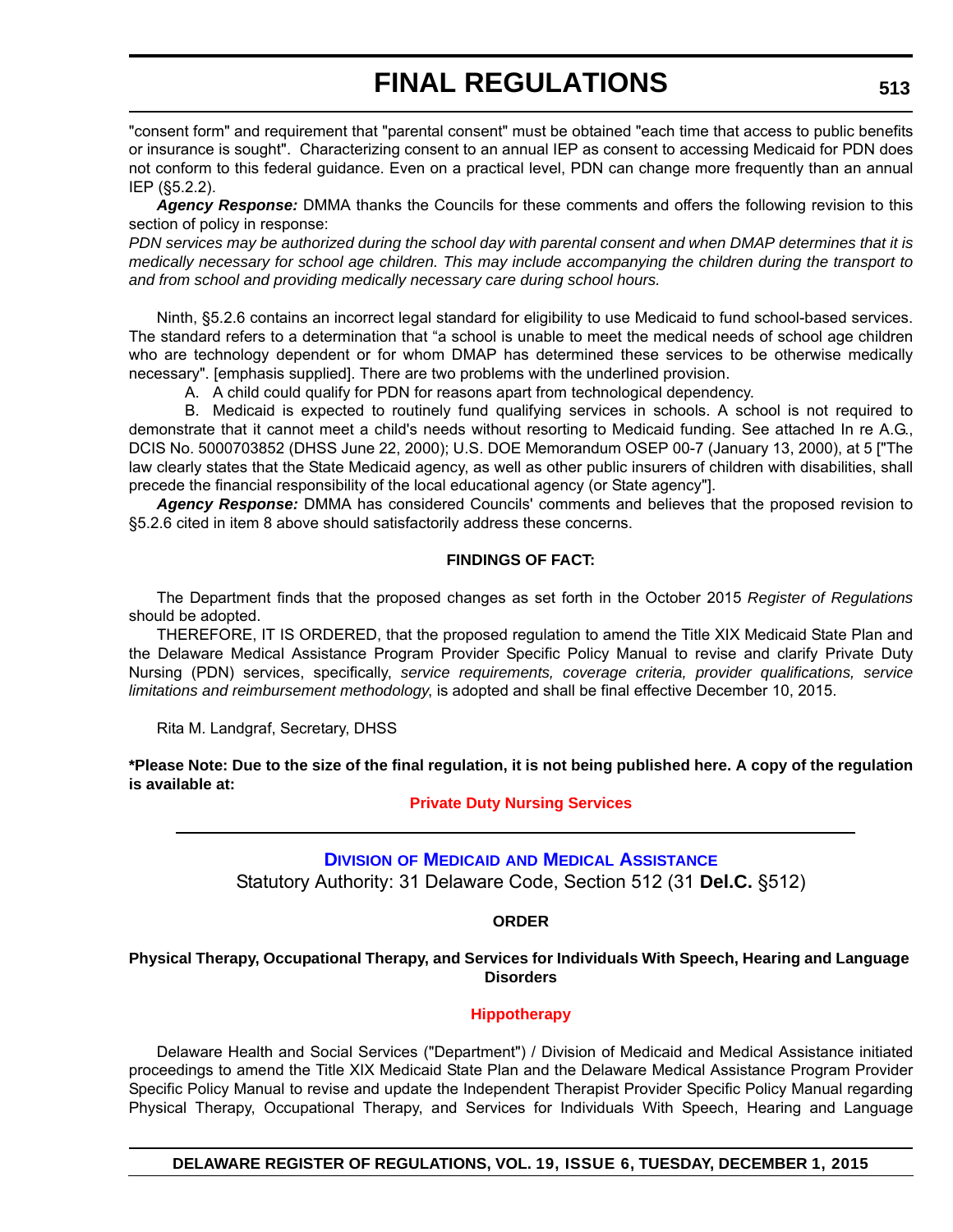"consent form" and requirement that "parental consent" must be obtained "each time that access to public benefits or insurance is sought". Characterizing consent to an annual IEP as consent to accessing Medicaid for PDN does not conform to this federal guidance. Even on a practical level, PDN can change more frequently than an annual IEP (§5.2.2).

*Agency Response:* DMMA thanks the Councils for these comments and offers the following revision to this section of policy in response:

*PDN services may be authorized during the school day with parental consent and when DMAP determines that it is medically necessary for school age children. This may include accompanying the children during the transport to and from school and providing medically necessary care during school hours.*

Ninth, §5.2.6 contains an incorrect legal standard for eligibility to use Medicaid to fund school-based services. The standard refers to a determination that "a school is unable to meet the medical needs of school age children who are technology dependent or for whom DMAP has determined these services to be otherwise medically necessary". [emphasis supplied]. There are two problems with the underlined provision.

A. A child could qualify for PDN for reasons apart from technological dependency.

B. Medicaid is expected to routinely fund qualifying services in schools. A school is not required to demonstrate that it cannot meet a child's needs without resorting to Medicaid funding. See attached In re A.G., DCIS No. 5000703852 (DHSS June 22, 2000); U.S. DOE Memorandum OSEP 00-7 (January 13, 2000), at 5 ["The law clearly states that the State Medicaid agency, as well as other public insurers of children with disabilities, shall precede the financial responsibility of the local educational agency (or State agency"].

*Agency Response:* DMMA has considered Councils' comments and believes that the proposed revision to §5.2.6 cited in item 8 above should satisfactorily address these concerns.

# **FINDINGS OF FACT:**

The Department finds that the proposed changes as set forth in the October 2015 *Register of Regulations* should be adopted.

THEREFORE, IT IS ORDERED, that the proposed regulation to amend the Title XIX Medicaid State Plan and the Delaware Medical Assistance Program Provider Specific Policy Manual to revise and clarify Private Duty Nursing (PDN) services, specifically, *service requirements, coverage criteria, provider qualifications, service limitations and reimbursement methodology*, is adopted and shall be final effective December 10, 2015.

Rita M. Landgraf, Secretary, DHSS

**\*Please Note: Due to the size of the final regulation, it is not being published here. A copy of the regulation is available at:**

**[Private Duty Nursing Services](http://regulations.delaware.gov/register/december2015/final/19 DE Reg 507 12-01-15.htm)**

# **DIVISION OF MEDICAID [AND MEDICAL ASSISTANCE](http://www.dhss.delaware.gov/dhss/dmma/)** Statutory Authority: 31 Delaware Code, Section 512 (31 **Del.C.** §512)

# **ORDER**

**Physical Therapy, Occupational Therapy, and Services for Individuals With Speech, Hearing and Language Disorders**

# **[Hippotherapy](#page-4-0)**

Delaware Health and Social Services ("Department") / Division of Medicaid and Medical Assistance initiated proceedings to amend the Title XIX Medicaid State Plan and the Delaware Medical Assistance Program Provider Specific Policy Manual to revise and update the Independent Therapist Provider Specific Policy Manual regarding Physical Therapy, Occupational Therapy, and Services for Individuals With Speech, Hearing and Language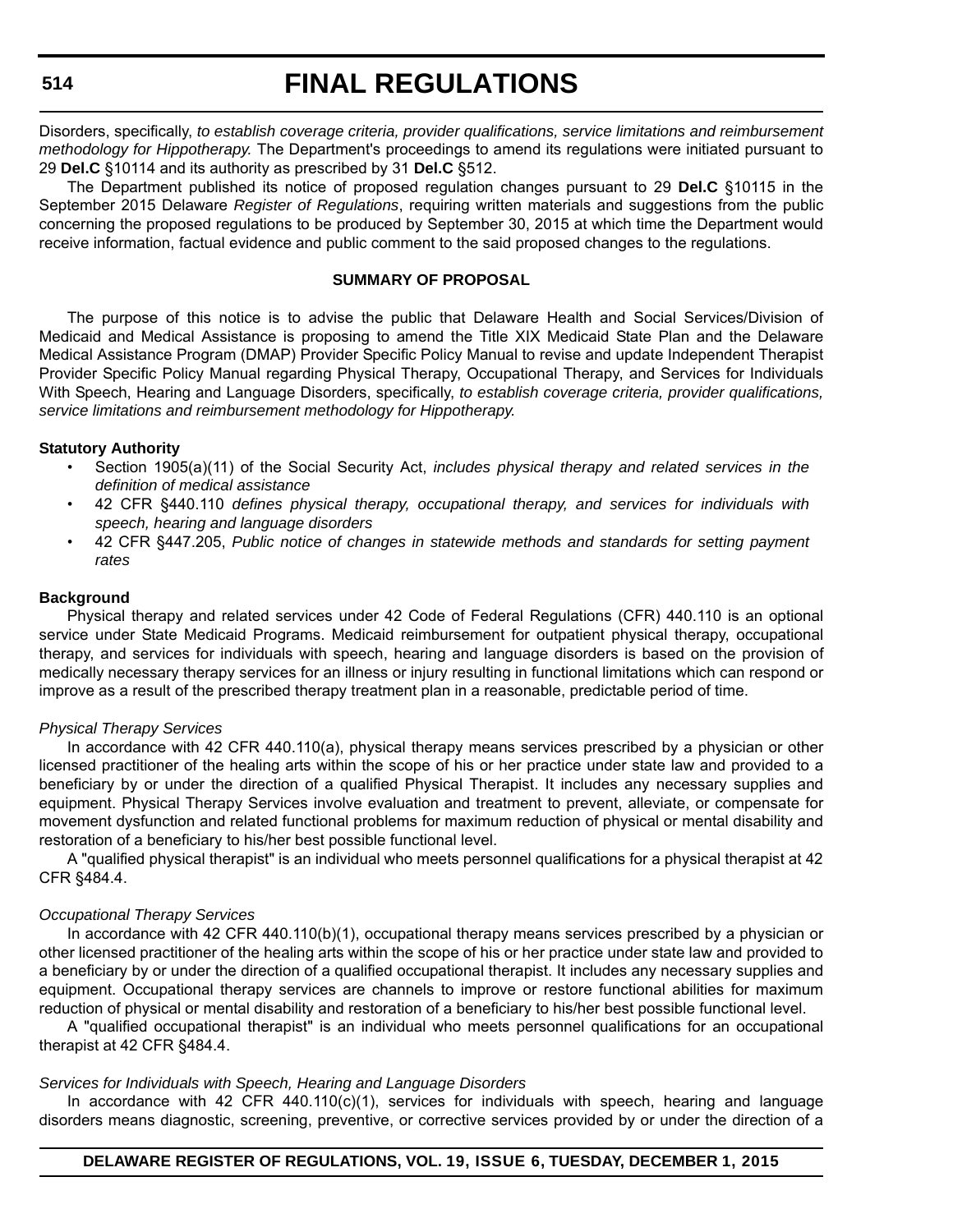# **514**

# **FINAL REGULATIONS**

Disorders, specifically, *to establish coverage criteria, provider qualifications, service limitations and reimbursement methodology for Hippotherapy.* The Department's proceedings to amend its regulations were initiated pursuant to 29 **Del.C** §10114 and its authority as prescribed by 31 **Del.C** §512.

The Department published its notice of proposed regulation changes pursuant to 29 **Del.C** §10115 in the September 2015 Delaware *Register of Regulations*, requiring written materials and suggestions from the public concerning the proposed regulations to be produced by September 30, 2015 at which time the Department would receive information, factual evidence and public comment to the said proposed changes to the regulations.

# **SUMMARY OF PROPOSAL**

The purpose of this notice is to advise the public that Delaware Health and Social Services/Division of Medicaid and Medical Assistance is proposing to amend the Title XIX Medicaid State Plan and the Delaware Medical Assistance Program (DMAP) Provider Specific Policy Manual to revise and update Independent Therapist Provider Specific Policy Manual regarding Physical Therapy, Occupational Therapy, and Services for Individuals With Speech, Hearing and Language Disorders, specifically, *to establish coverage criteria, provider qualifications, service limitations and reimbursement methodology for Hippotherapy.*

# **Statutory Authority**

- Section 1905(a)(11) of the Social Security Act, *includes physical therapy and related services in the definition of medical assistance*
- 42 CFR §440.110 *defines physical therapy, occupational therapy, and services for individuals with speech, hearing and language disorders*
- 42 CFR §447.205, *Public notice of changes in statewide methods and standards for setting payment rates*

# **Background**

Physical therapy and related services under 42 Code of Federal Regulations (CFR) 440.110 is an optional service under State Medicaid Programs. Medicaid reimbursement for outpatient physical therapy, occupational therapy, and services for individuals with speech, hearing and language disorders is based on the provision of medically necessary therapy services for an illness or injury resulting in functional limitations which can respond or improve as a result of the prescribed therapy treatment plan in a reasonable, predictable period of time.

# *Physical Therapy Services*

In accordance with 42 CFR 440.110(a), physical therapy means services prescribed by a physician or other licensed practitioner of the healing arts within the scope of his or her practice under state law and provided to a beneficiary by or under the direction of a qualified Physical Therapist. It includes any necessary supplies and equipment. Physical Therapy Services involve evaluation and treatment to prevent, alleviate, or compensate for movement dysfunction and related functional problems for maximum reduction of physical or mental disability and restoration of a beneficiary to his/her best possible functional level.

A "qualified physical therapist" is an individual who meets personnel qualifications for a physical therapist at 42 CFR §484.4.

# *Occupational Therapy Services*

In accordance with 42 CFR 440.110(b)(1), occupational therapy means services prescribed by a physician or other licensed practitioner of the healing arts within the scope of his or her practice under state law and provided to a beneficiary by or under the direction of a qualified occupational therapist. It includes any necessary supplies and equipment. Occupational therapy services are channels to improve or restore functional abilities for maximum reduction of physical or mental disability and restoration of a beneficiary to his/her best possible functional level.

A "qualified occupational therapist" is an individual who meets personnel qualifications for an occupational therapist at 42 CFR §484.4.

# *Services for Individuals with Speech, Hearing and Language Disorders*

In accordance with 42 CFR 440.110(c)(1), services for individuals with speech, hearing and language disorders means diagnostic, screening, preventive, or corrective services provided by or under the direction of a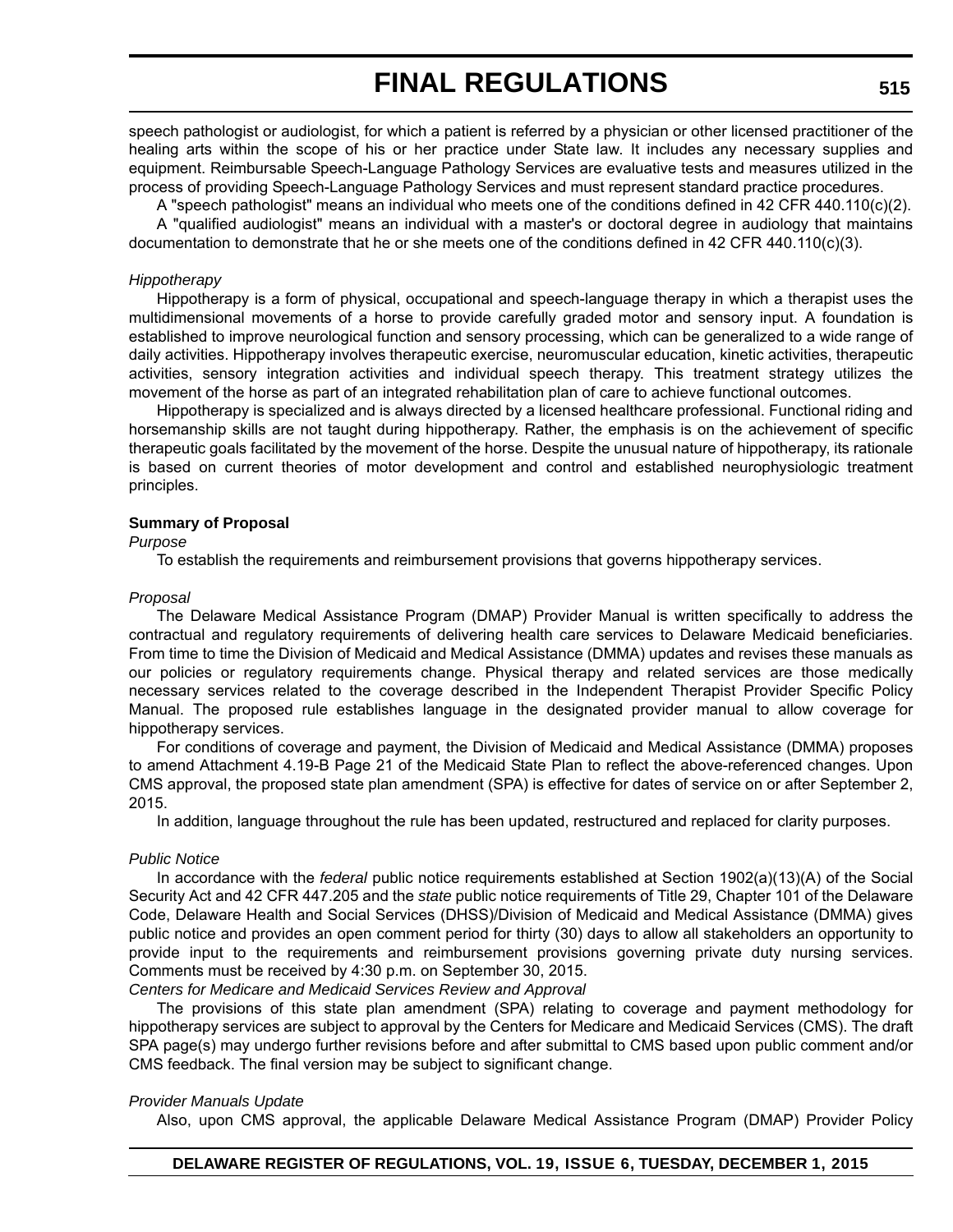speech pathologist or audiologist, for which a patient is referred by a physician or other licensed practitioner of the healing arts within the scope of his or her practice under State law. It includes any necessary supplies and equipment. Reimbursable Speech-Language Pathology Services are evaluative tests and measures utilized in the process of providing Speech-Language Pathology Services and must represent standard practice procedures.

A "speech pathologist" means an individual who meets one of the conditions defined in 42 CFR 440.110(c)(2).

A "qualified audiologist" means an individual with a master's or doctoral degree in audiology that maintains documentation to demonstrate that he or she meets one of the conditions defined in 42 CFR 440.110(c)(3).

#### *Hippotherapy*

Hippotherapy is a form of physical, occupational and speech-language therapy in which a therapist uses the multidimensional movements of a horse to provide carefully graded motor and sensory input. A foundation is established to improve neurological function and sensory processing, which can be generalized to a wide range of daily activities. Hippotherapy involves therapeutic exercise, neuromuscular education, kinetic activities, therapeutic activities, sensory integration activities and individual speech therapy. This treatment strategy utilizes the movement of the horse as part of an integrated rehabilitation plan of care to achieve functional outcomes.

Hippotherapy is specialized and is always directed by a licensed healthcare professional. Functional riding and horsemanship skills are not taught during hippotherapy. Rather, the emphasis is on the achievement of specific therapeutic goals facilitated by the movement of the horse. Despite the unusual nature of hippotherapy, its rationale is based on current theories of motor development and control and established neurophysiologic treatment principles.

#### **Summary of Proposal**

*Purpose*

To establish the requirements and reimbursement provisions that governs hippotherapy services.

#### *Proposal*

The Delaware Medical Assistance Program (DMAP) Provider Manual is written specifically to address the contractual and regulatory requirements of delivering health care services to Delaware Medicaid beneficiaries. From time to time the Division of Medicaid and Medical Assistance (DMMA) updates and revises these manuals as our policies or regulatory requirements change. Physical therapy and related services are those medically necessary services related to the coverage described in the Independent Therapist Provider Specific Policy Manual. The proposed rule establishes language in the designated provider manual to allow coverage for hippotherapy services.

For conditions of coverage and payment, the Division of Medicaid and Medical Assistance (DMMA) proposes to amend Attachment 4.19-B Page 21 of the Medicaid State Plan to reflect the above-referenced changes. Upon CMS approval, the proposed state plan amendment (SPA) is effective for dates of service on or after September 2, 2015.

In addition, language throughout the rule has been updated, restructured and replaced for clarity purposes.

# *Public Notice*

In accordance with the *federal* public notice requirements established at Section 1902(a)(13)(A) of the Social Security Act and 42 CFR 447.205 and the *state* public notice requirements of Title 29, Chapter 101 of the Delaware Code, Delaware Health and Social Services (DHSS)/Division of Medicaid and Medical Assistance (DMMA) gives public notice and provides an open comment period for thirty (30) days to allow all stakeholders an opportunity to provide input to the requirements and reimbursement provisions governing private duty nursing services. Comments must be received by 4:30 p.m. on September 30, 2015.

*Centers for Medicare and Medicaid Services Review and Approval*

The provisions of this state plan amendment (SPA) relating to coverage and payment methodology for hippotherapy services are subject to approval by the Centers for Medicare and Medicaid Services (CMS). The draft SPA page(s) may undergo further revisions before and after submittal to CMS based upon public comment and/or CMS feedback. The final version may be subject to significant change.

# *Provider Manuals Update*

[Also, upon CMS approval, the applicable Delaware Medical Assistance Program \(DMAP\) Provider Policy](http://www.dmap.state.de.us/home/index.html)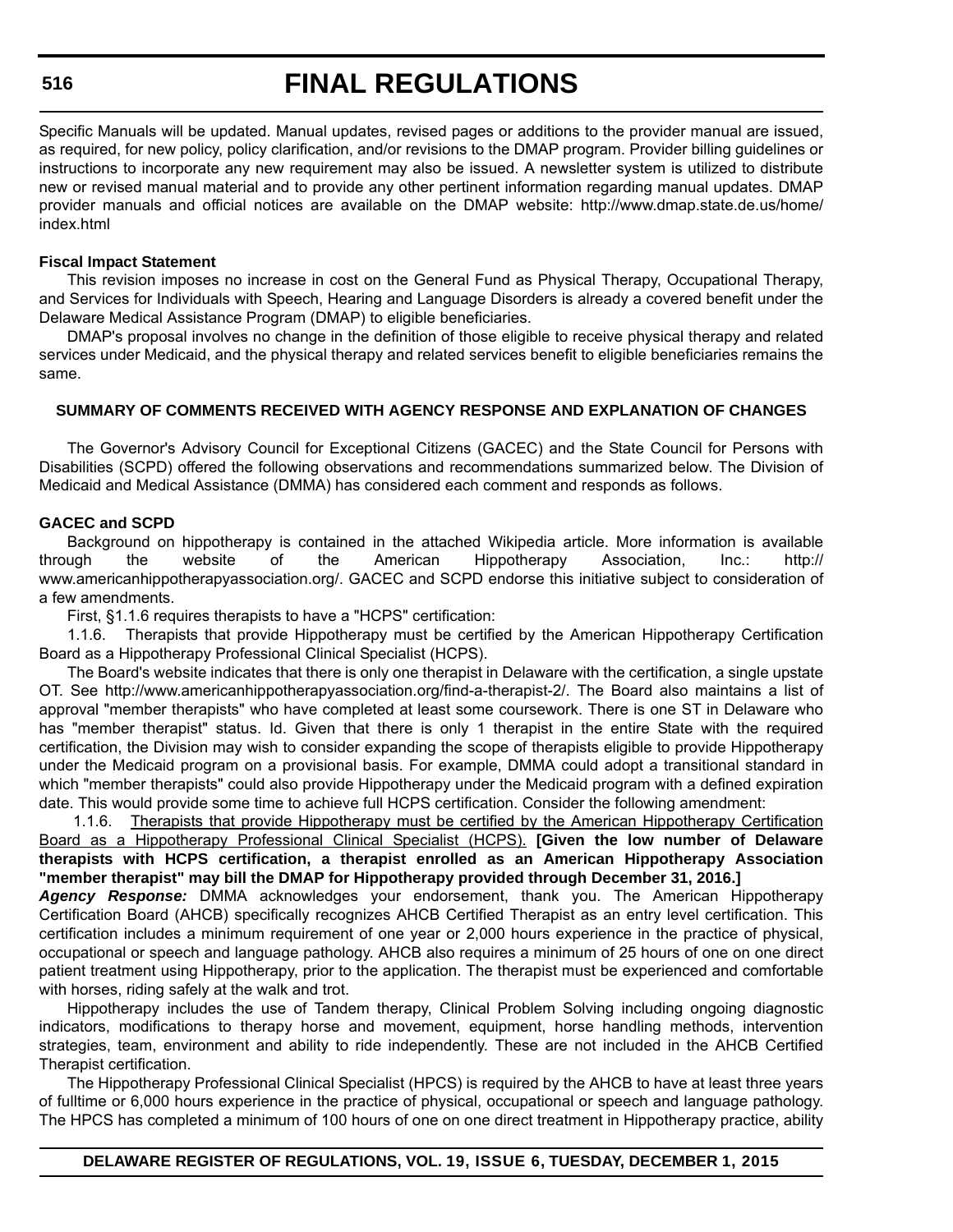#### **516**

# **FINAL REGULATIONS**

[Specific Manuals will be updated. Manual updates, revised pages or additions to the provider manual are issued,](http://www.dmap.state.de.us/home/index.html) as required, for new policy, policy clarification, and/or revisions to the DMAP program. Provider billing guidelines or instructions to incorporate any new requirement may also be issued. A newsletter system is utilized to distribute new or revised manual material and to provide any other pertinent information regarding manual updates. DMAP provider manuals and official notices are available on the DMAP website: http://www.dmap.state.de.us/home/ index.html

#### **Fiscal Impact Statement**

This revision imposes no increase in cost on the General Fund as Physical Therapy, Occupational Therapy, and Services for Individuals with Speech, Hearing and Language Disorders is already a covered benefit under the Delaware Medical Assistance Program (DMAP) to eligible beneficiaries.

DMAP's proposal involves no change in the definition of those eligible to receive physical therapy and related services under Medicaid, and the physical therapy and related services benefit to eligible beneficiaries remains the same.

### **SUMMARY OF COMMENTS RECEIVED WITH AGENCY RESPONSE AND EXPLANATION OF CHANGES**

The Governor's Advisory Council for Exceptional Citizens (GACEC) and the State Council for Persons with Disabilities (SCPD) offered the following observations and recommendations summarized below. The Division of Medicaid and Medical Assistance (DMMA) has considered each comment and responds as follows.

### **GACEC and SCPD**

Background on hippotherapy is contained in the attached Wikipedia article. More information is available through the website of the American Hippotherapy Association, Inc.: http:// www.americanhippotherapyassociation.org/. GACEC and SCPD endorse this initiative subject to consideration of a few amendments.

First, §1.1.6 requires therapists to have a "HCPS" certification:

1.1.6. Therapists that provide Hippotherapy must be certified by the American Hippotherapy Certification Board as a Hippotherapy Professional Clinical Specialist (HCPS).

The Board's website indicates that there is only one therapist in Delaware with the certification, a single upstate OT. See http://www.americanhippotherapyassociation.org/find-a-therapist-2/. The Board also maintains a list of approval "member therapists" who have completed at least some coursework. There is one ST in Delaware who has "member therapist" status. Id. Given that there is only 1 therapist in the entire State with the required certification, the Division may wish to consider expanding the scope of therapists eligible to provide Hippotherapy under the Medicaid program on a provisional basis. For example, DMMA could adopt a transitional standard in which "member therapists" could also provide Hippotherapy under the Medicaid program with a defined expiration date. This would provide some time to achieve full HCPS certification. Consider the following amendment:

1.1.6. Therapists that provide Hippotherapy must be certified by the American Hippotherapy Certification Board as a Hippotherapy Professional Clinical Specialist (HCPS). **[Given the low number of Delaware therapists with HCPS certification, a therapist enrolled as an American Hippotherapy Association "member therapist" may bill the DMAP for Hippotherapy provided through December 31, 2016.]**

*Agency Response:* DMMA acknowledges your endorsement, thank you. The American Hippotherapy Certification Board (AHCB) specifically recognizes AHCB Certified Therapist as an entry level certification. This certification includes a minimum requirement of one year or 2,000 hours experience in the practice of physical, occupational or speech and language pathology. AHCB also requires a minimum of 25 hours of one on one direct patient treatment using Hippotherapy, prior to the application. The therapist must be experienced and comfortable with horses, riding safely at the walk and trot.

Hippotherapy includes the use of Tandem therapy, Clinical Problem Solving including ongoing diagnostic indicators, modifications to therapy horse and movement, equipment, horse handling methods, intervention strategies, team, environment and ability to ride independently. These are not included in the AHCB Certified Therapist certification.

The Hippotherapy Professional Clinical Specialist (HPCS) is required by the AHCB to have at least three years of fulltime or 6,000 hours experience in the practice of physical, occupational or speech and language pathology. The HPCS has completed a minimum of 100 hours of one on one direct treatment in Hippotherapy practice, ability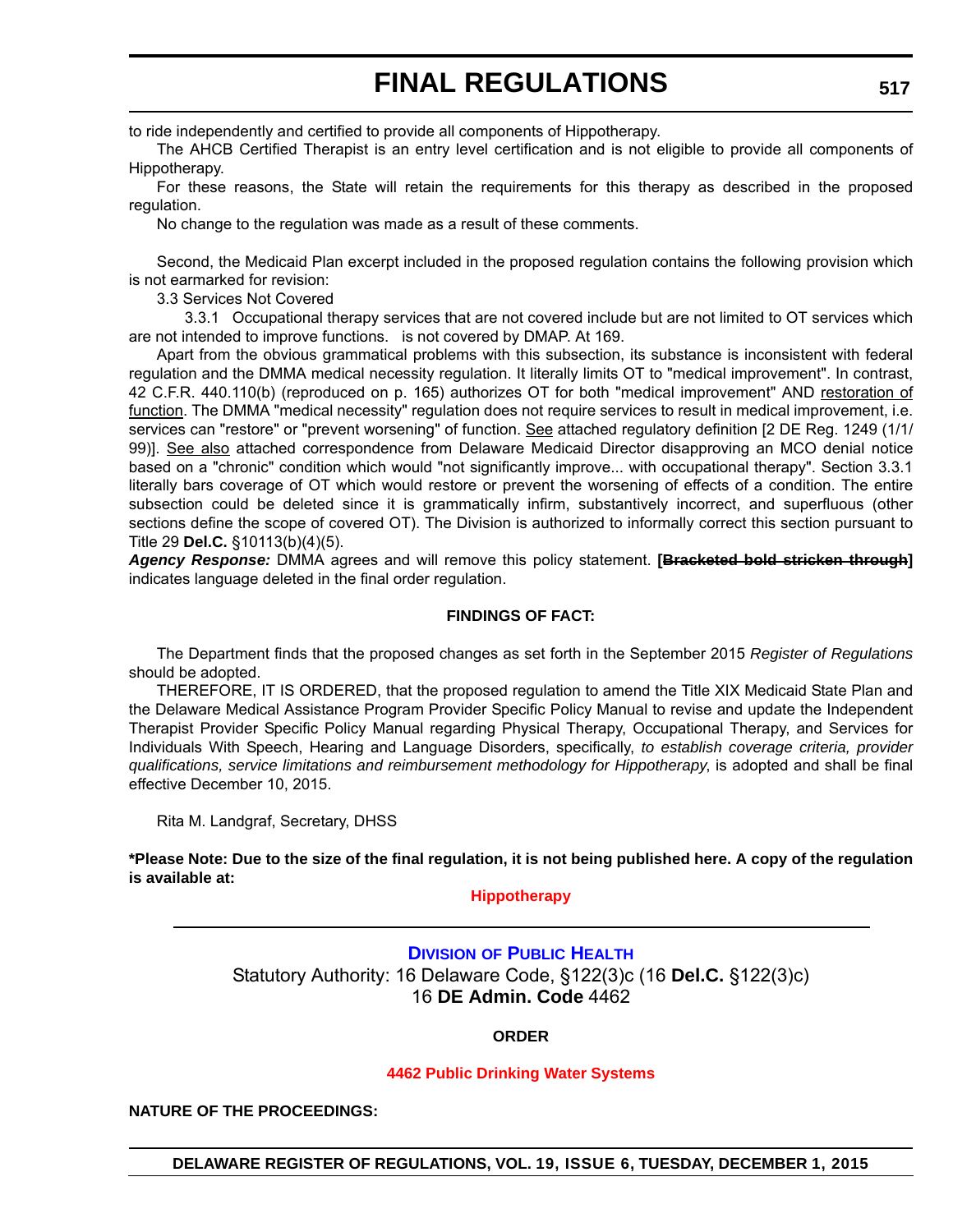to ride independently and certified to provide all components of Hippotherapy.

The AHCB Certified Therapist is an entry level certification and is not eligible to provide all components of Hippotherapy.

For these reasons, the State will retain the requirements for this therapy as described in the proposed regulation.

No change to the regulation was made as a result of these comments.

Second, the Medicaid Plan excerpt included in the proposed regulation contains the following provision which is not earmarked for revision:

3.3 Services Not Covered

3.3.1 Occupational therapy services that are not covered include but are not limited to OT services which are not intended to improve functions. is not covered by DMAP. At 169.

Apart from the obvious grammatical problems with this subsection, its substance is inconsistent with federal regulation and the DMMA medical necessity regulation. It literally limits OT to "medical improvement". In contrast, 42 C.F.R. 440.110(b) (reproduced on p. 165) authorizes OT for both "medical improvement" AND restoration of function. The DMMA "medical necessity" regulation does not require services to result in medical improvement, i.e. services can "restore" or "prevent worsening" of function. See attached regulatory definition [2 DE Reg. 1249 (1/1/ 99)]. See also attached correspondence from Delaware Medicaid Director disapproving an MCO denial notice based on a "chronic" condition which would "not significantly improve... with occupational therapy". Section 3.3.1 literally bars coverage of OT which would restore or prevent the worsening of effects of a condition. The entire subsection could be deleted since it is grammatically infirm, substantively incorrect, and superfluous (other sections define the scope of covered OT). The Division is authorized to informally correct this section pursuant to Title 29 **Del.C.** §10113(b)(4)(5).

*Agency Response:* DMMA agrees and will remove this policy statement. **[Bracketed bold stricken through]** indicates language deleted in the final order regulation.

#### **FINDINGS OF FACT:**

The Department finds that the proposed changes as set forth in the September 2015 *Register of Regulations* should be adopted.

THEREFORE, IT IS ORDERED, that the proposed regulation to amend the Title XIX Medicaid State Plan and the Delaware Medical Assistance Program Provider Specific Policy Manual to revise and update the Independent Therapist Provider Specific Policy Manual regarding Physical Therapy, Occupational Therapy, and Services for Individuals With Speech, Hearing and Language Disorders, specifically, *to establish coverage criteria, provider qualifications, service limitations and reimbursement methodology for Hippotherapy*, is adopted and shall be final effective December 10, 2015.

Rita M. Landgraf, Secretary, DHSS

**\*Please Note: Due to the size of the final regulation, it is not being published here. A copy of the regulation is available at:**

**[Hippotherapy](http://regulations.delaware.gov/register/december2015/final/19 DE Reg 513 12-01-15.htm)**

### **DIVISION [OF PUBLIC HEALTH](http://www.dhss.delaware.gov/dhss/dph/index.html)** Statutory Authority: 16 Delaware Code, §122(3)c (16 **Del.C.** §122(3)c) 16 **DE Admin. Code** 4462

#### **ORDER**

#### **[4462 Public Drinking Water Systems](#page-4-0)**

**NATURE OF THE PROCEEDINGS:**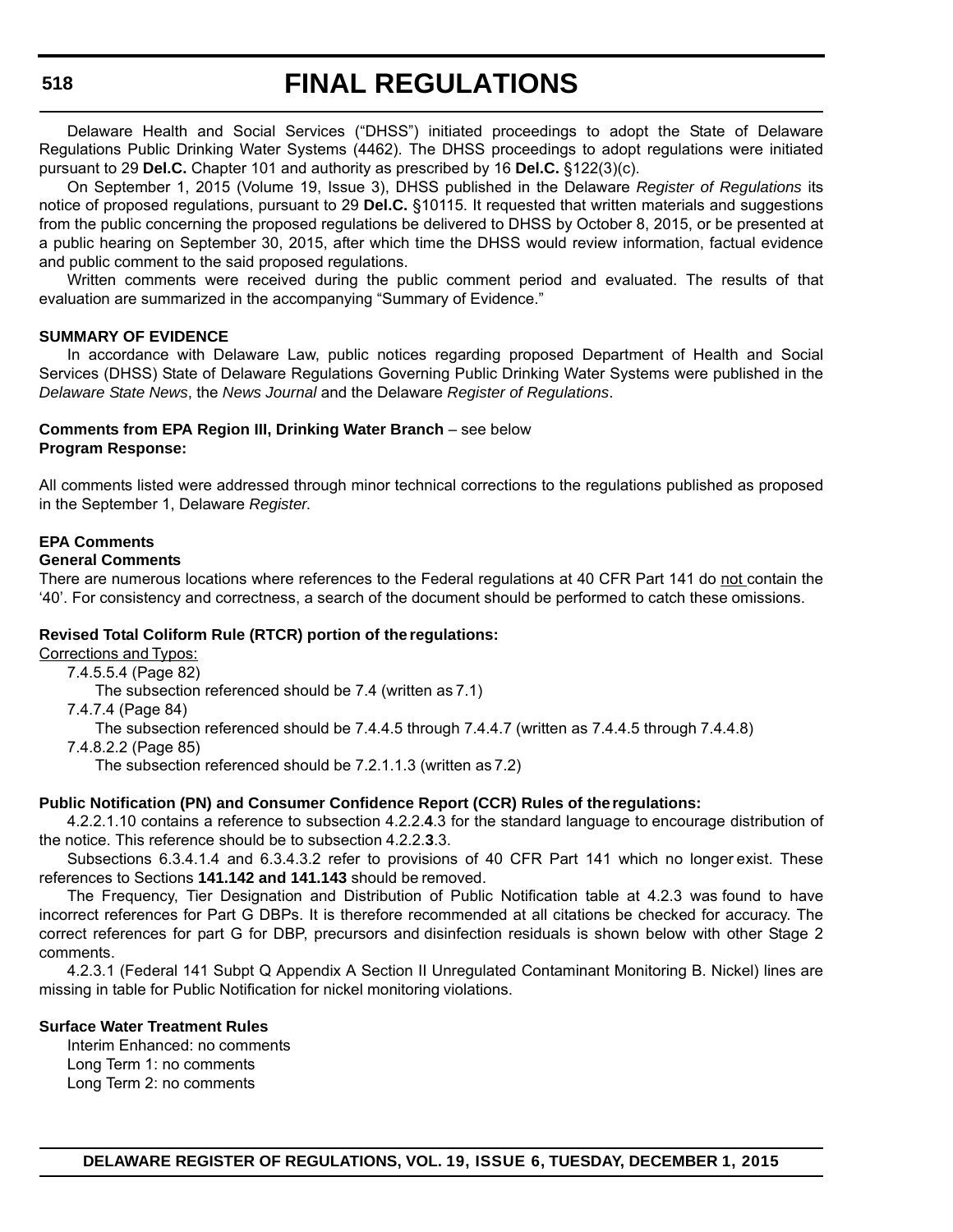#### **518**

## **FINAL REGULATIONS**

Delaware Health and Social Services ("DHSS") initiated proceedings to adopt the State of Delaware Regulations Public Drinking Water Systems (4462). The DHSS proceedings to adopt regulations were initiated pursuant to 29 **Del.C.** Chapter 101 and authority as prescribed by 16 **Del.C.** §122(3)(c).

On September 1, 2015 (Volume 19, Issue 3), DHSS published in the Delaware *Register of Regulations* its notice of proposed regulations, pursuant to 29 **Del.C.** §10115. It requested that written materials and suggestions from the public concerning the proposed regulations be delivered to DHSS by October 8, 2015, or be presented at a public hearing on September 30, 2015, after which time the DHSS would review information, factual evidence and public comment to the said proposed regulations.

Written comments were received during the public comment period and evaluated. The results of that evaluation are summarized in the accompanying "Summary of Evidence."

#### **SUMMARY OF EVIDENCE**

In accordance with Delaware Law, public notices regarding proposed Department of Health and Social Services (DHSS) State of Delaware Regulations Governing Public Drinking Water Systems were published in the *Delaware State News*, the *News Journal* and the Delaware *Register of Regulations*.

#### **Comments from EPA Region III, Drinking Water Branch – see below Program Response:**

All comments listed were addressed through minor technical corrections to the regulations published as proposed in the September 1, Delaware *Register*.

#### **EPA Comments**

#### **General Comments**

There are numerous locations where references to the Federal regulations at 40 CFR Part 141 do not contain the '40'. For consistency and correctness, a search of the document should be performed to catch these omissions.

#### **Revised Total Coliform Rule (RTCR) portion of the regulations:**

Corrections and Typos:

- 7.4.5.5.4 (Page 82)
	- The subsection referenced should be 7.4 (written as 7.1)
- 7.4.7.4 (Page 84)

The subsection referenced should be 7.4.4.5 through 7.4.4.7 (written as 7.4.4.5 through 7.4.4.8)

7.4.8.2.2 (Page 85)

The subsection referenced should be 7.2.1.1.3 (written as 7.2)

#### **Public Notification (PN) and Consumer Confidence Report (CCR) Rules of the regulations:**

4.2.2.1.10 contains a reference to subsection 4.2.2.**4**.3 for the standard language to encourage distribution of the notice. This reference should be to subsection 4.2.2.**3**.3.

Subsections 6.3.4.1.4 and 6.3.4.3.2 refer to provisions of 40 CFR Part 141 which no longer exist. These references to Sections **141.142 and 141.143** should be removed.

The Frequency, Tier Designation and Distribution of Public Notification table at 4.2.3 was found to have incorrect references for Part G DBPs. It is therefore recommended at all citations be checked for accuracy. The correct references for part G for DBP, precursors and disinfection residuals is shown below with other Stage 2 comments.

4.2.3.1 (Federal 141 Subpt Q Appendix A Section II Unregulated Contaminant Monitoring B. Nickel) lines are missing in table for Public Notification for nickel monitoring violations.

#### **Surface Water Treatment Rules**

Interim Enhanced: no comments Long Term 1: no comments Long Term 2: no comments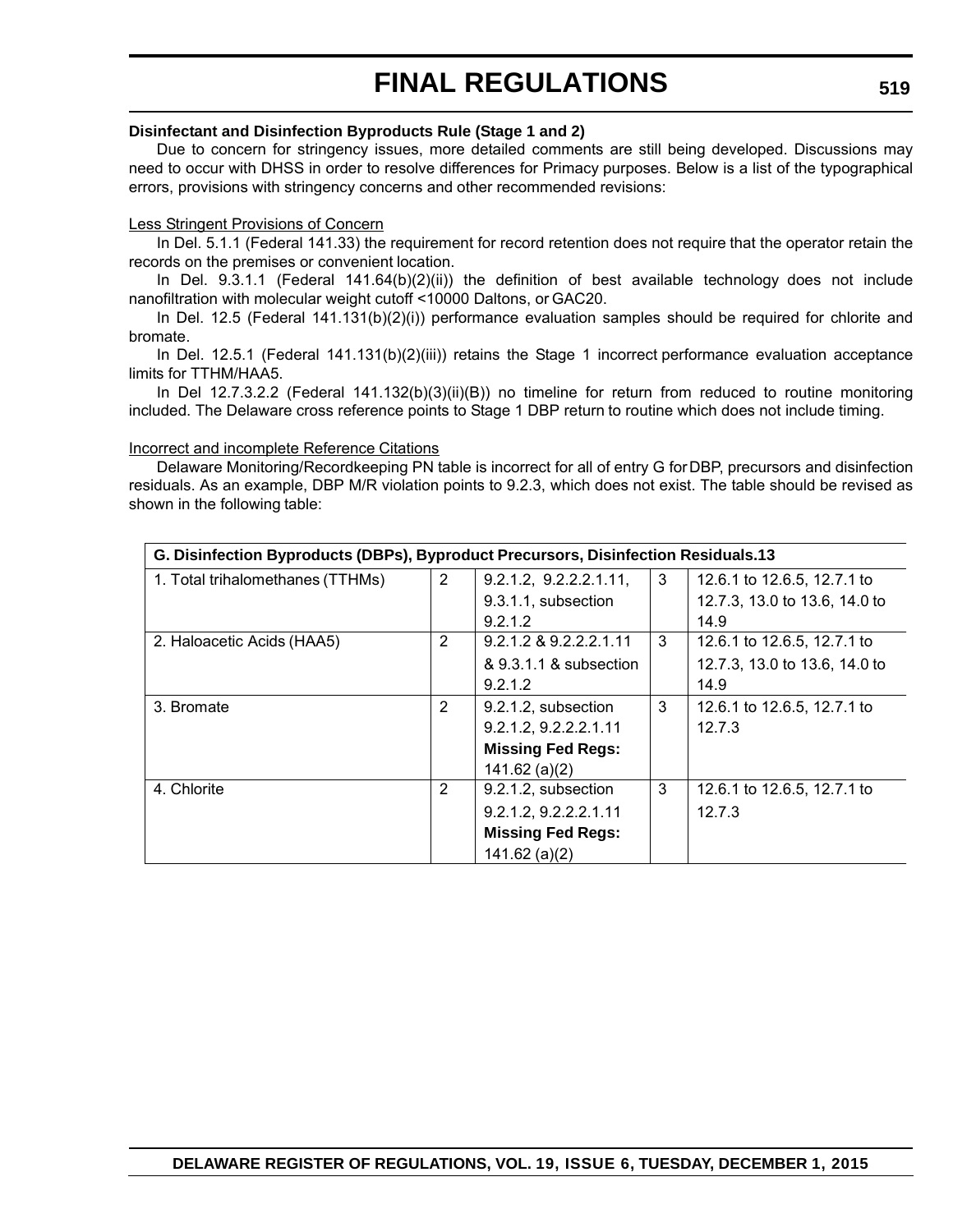#### **Disinfectant and Disinfection Byproducts Rule (Stage 1 and 2)**

Due to concern for stringency issues, more detailed comments are still being developed. Discussions may need to occur with DHSS in order to resolve differences for Primacy purposes. Below is a list of the typographical errors, provisions with stringency concerns and other recommended revisions:

#### Less Stringent Provisions of Concern

In Del. 5.1.1 (Federal 141.33) the requirement for record retention does not require that the operator retain the records on the premises or convenient location.

In Del. 9.3.1.1 (Federal 141.64(b)(2)(ii)) the definition of best available technology does not include nanofiltration with molecular weight cutoff <10000 Daltons, or GAC20.

In Del. 12.5 (Federal 141.131(b)(2)(i)) performance evaluation samples should be required for chlorite and bromate.

In Del. 12.5.1 (Federal 141.131(b)(2)(iii)) retains the Stage 1 incorrect performance evaluation acceptance limits for TTHM/HAA5.

In Del 12.7.3.2.2 (Federal 141.132(b)(3)(ii)(B)) no timeline for return from reduced to routine monitoring included. The Delaware cross reference points to Stage 1 DBP return to routine which does not include timing.

#### Incorrect and incomplete Reference Citations

Delaware Monitoring/Recordkeeping PN table is incorrect for all of entry G for DBP, precursors and disinfection residuals. As an example, DBP M/R violation points to 9.2.3, which does not exist. The table should be revised as shown in the following table:

| G. Disinfection Byproducts (DBPs), Byproduct Precursors, Disinfection Residuals.13 |                |                          |   |                               |  |
|------------------------------------------------------------------------------------|----------------|--------------------------|---|-------------------------------|--|
| 1. Total trihalomethanes (TTHMs)                                                   | 2              | 9.2.1.2, 9.2.2.2.1.11,   | 3 | 12.6.1 to 12.6.5, 12.7.1 to   |  |
|                                                                                    |                | 9.3.1.1, subsection      |   | 12.7.3, 13.0 to 13.6, 14.0 to |  |
|                                                                                    |                | 9.2.1.2                  |   | 14.9                          |  |
| 2. Haloacetic Acids (HAA5)                                                         | $\overline{2}$ | 9.2.1.2 & 9.2.2.2.1.11   | 3 | 12.6.1 to 12.6.5, 12.7.1 to   |  |
|                                                                                    |                | & 9.3.1.1 & subsection   |   | 12.7.3, 13.0 to 13.6, 14.0 to |  |
|                                                                                    |                | 9.2.1.2                  |   | 14.9                          |  |
| 3. Bromate                                                                         | $\overline{2}$ | 9.2.1.2, subsection      | 3 | 12.6.1 to 12.6.5, 12.7.1 to   |  |
|                                                                                    |                | 9.2.1.2, 9.2.2.2.1.11    |   | 12.7.3                        |  |
|                                                                                    |                | <b>Missing Fed Regs:</b> |   |                               |  |
|                                                                                    |                | $141.62$ (a)(2)          |   |                               |  |
| 4. Chlorite                                                                        | $\overline{2}$ | 9.2.1.2, subsection      | 3 | 12.6.1 to 12.6.5, 12.7.1 to   |  |
|                                                                                    |                | 9.2.1.2, 9.2.2.2.1.11    |   | 12.7.3                        |  |
|                                                                                    |                | <b>Missing Fed Regs:</b> |   |                               |  |
|                                                                                    |                | $141.62$ (a)(2)          |   |                               |  |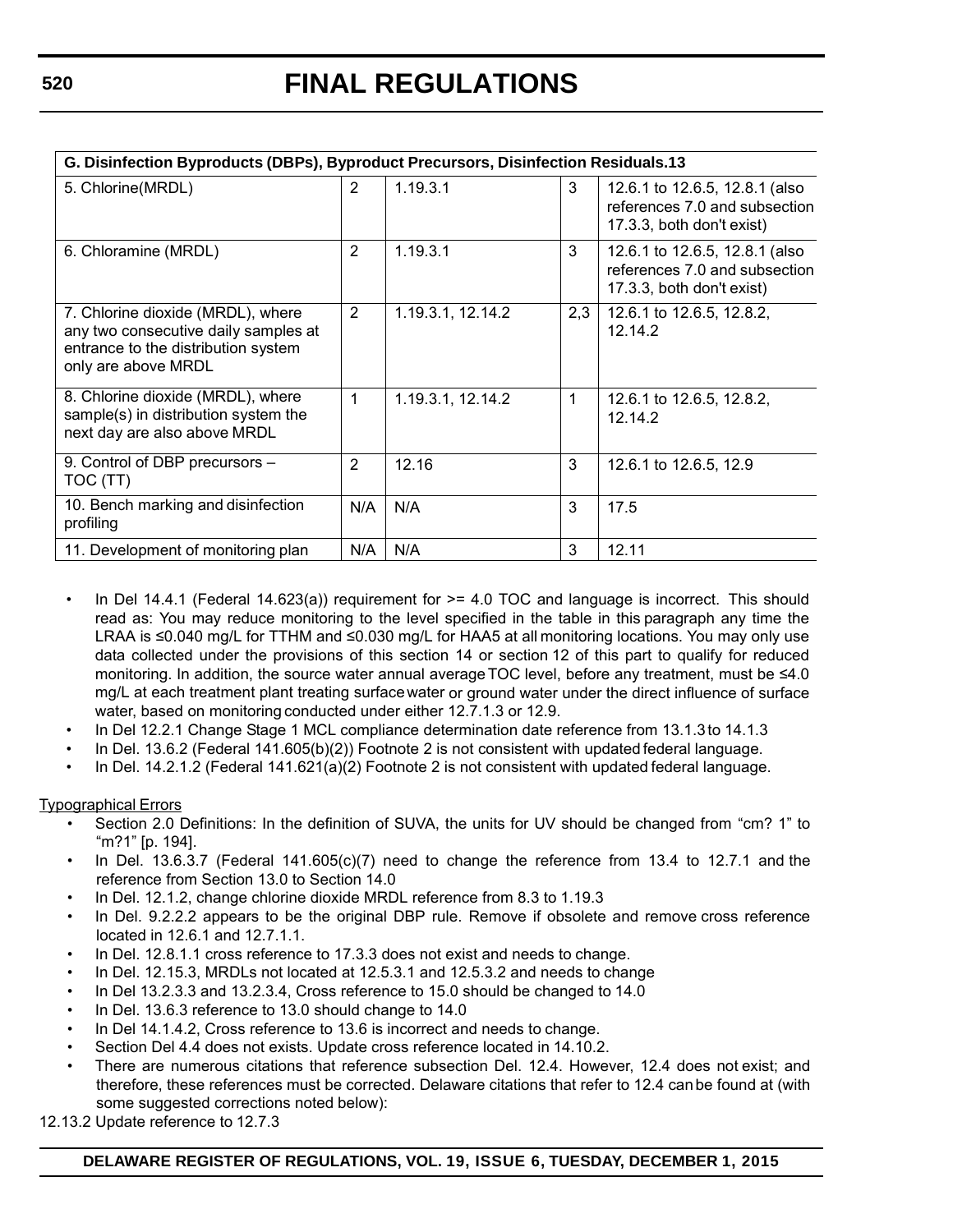| G. Disinfection Byproducts (DBPs), Byproduct Precursors, Disinfection Residuals.13                                                      |                |                   |     |                                                                                              |  |
|-----------------------------------------------------------------------------------------------------------------------------------------|----------------|-------------------|-----|----------------------------------------------------------------------------------------------|--|
| 5. Chlorine (MRDL)                                                                                                                      | $\overline{2}$ | 1.19.3.1          | 3   | 12.6.1 to 12.6.5, 12.8.1 (also<br>references 7.0 and subsection<br>17.3.3, both don't exist) |  |
| 6. Chloramine (MRDL)                                                                                                                    | 2              | 1.19.3.1          | 3   | 12.6.1 to 12.6.5, 12.8.1 (also<br>references 7.0 and subsection<br>17.3.3, both don't exist) |  |
| 7. Chlorine dioxide (MRDL), where<br>any two consecutive daily samples at<br>entrance to the distribution system<br>only are above MRDL | 2              | 1.19.3.1, 12.14.2 | 2,3 | 12.6.1 to 12.6.5, 12.8.2,<br>12.14.2                                                         |  |
| 8. Chlorine dioxide (MRDL), where<br>sample(s) in distribution system the<br>next day are also above MRDL                               | 1              | 1.19.3.1, 12.14.2 | 1   | 12.6.1 to 12.6.5, 12.8.2,<br>12.14.2                                                         |  |
| 9. Control of DBP precursors -<br>TOC (TT)                                                                                              | $\overline{2}$ | 12.16             | 3   | 12.6.1 to 12.6.5, 12.9                                                                       |  |
| 10. Bench marking and disinfection<br>profiling                                                                                         | N/A            | N/A               | 3   | 17.5                                                                                         |  |
| 11. Development of monitoring plan                                                                                                      | N/A            | N/A               | 3   | 12.11                                                                                        |  |

- In Del 14.4.1 (Federal 14.623(a)) requirement for  $\geq$  4.0 TOC and language is incorrect. This should read as: You may reduce monitoring to the level specified in the table in this paragraph any time the LRAA is ≤0.040 mg/L for TTHM and ≤0.030 mg/L for HAA5 at all monitoring locations. You may only use data collected under the provisions of this section 14 or section 12 of this part to qualify for reduced monitoring. In addition, the source water annual average TOC level, before any treatment, must be ≤4.0 mg/L at each treatment plant treating surface water or ground water under the direct influence of surface water, based on monitoring conducted under either 12.7.1.3 or 12.9.
- In Del 12.2.1 Change Stage 1 MCL compliance determination date reference from 13.1.3 to 14.1.3
- In Del. 13.6.2 (Federal 141.605(b)(2)) Footnote 2 is not consistent with updated federal language.
- In Del. 14.2.1.2 (Federal 141.621(a)(2) Footnote 2 is not consistent with updated federal language.

Typographical Errors

- Section 2.0 Definitions: In the definition of SUVA, the units for UV should be changed from "cm? 1" to "m?1" [p. 194].
- In Del. 13.6.3.7 (Federal 141.605(c)(7) need to change the reference from 13.4 to 12.7.1 and the reference from Section 13.0 to Section 14.0
- In Del. 12.1.2, change chlorine dioxide MRDL reference from 8.3 to 1.19.3
- In Del. 9.2.2.2 appears to be the original DBP rule. Remove if obsolete and remove cross reference located in 12.6.1 and 12.7.1.1.
- In Del. 12.8.1.1 cross reference to 17.3.3 does not exist and needs to change.
- In Del. 12.15.3, MRDLs not located at 12.5.3.1 and 12.5.3.2 and needs to change
- In Del 13.2.3.3 and 13.2.3.4, Cross reference to 15.0 should be changed to 14.0
- In Del. 13.6.3 reference to 13.0 should change to 14.0
- In Del 14.1.4.2, Cross reference to 13.6 is incorrect and needs to change.
- Section Del 4.4 does not exists. Update cross reference located in 14.10.2.
- There are numerous citations that reference subsection Del. 12.4. However, 12.4 does not exist; and therefore, these references must be corrected. Delaware citations that refer to 12.4 can be found at (with some suggested corrections noted below):

12.13.2 Update reference to 12.7.3

**DELAWARE REGISTER OF REGULATIONS, VOL. 19, ISSUE 6, TUESDAY, DECEMBER 1, 2015**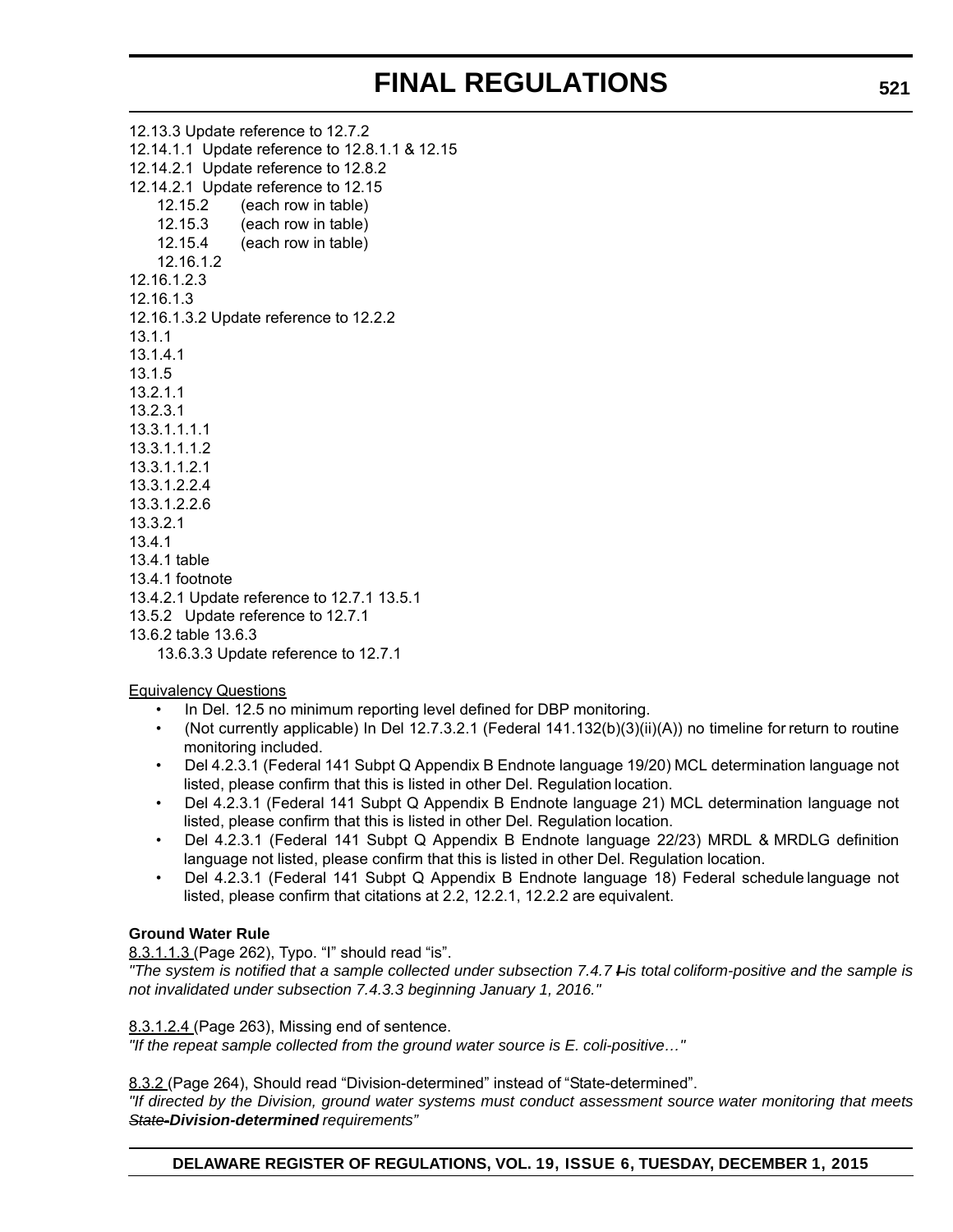12.13.3 Update reference to 12.7.2 12.14.1.1 Update reference to 12.8.1.1 & 12.15 12.14.2.1 Update reference to 12.8.2 12.14.2.1 Update reference to 12.15 12.15.2 (each row in table) 12.15.3 (each row in table) 12.15.4 (each row in table) 12.16.1.2 12.16.1.2.3 12.16.1.3 12.16.1.3.2 Update reference to 12.2.2 13.1.1 13.1.4.1 13.1.5 13.2.1.1 13.2.3.1 13.3.1.1.1.1 13.3.1.1.1.2 13.3.1.1.2.1 13.3.1.2.2.4 13.3.1.2.2.6 13.3.2.1 13.4.1 13.4.1 table 13.4.1 footnote 13.4.2.1 Update reference to 12.7.1 13.5.1 13.5.2 Update reference to 12.7.1 13.6.2 table 13.6.3 13.6.3.3 Update reference to 12.7.1

Equivalency Questions

- In Del. 12.5 no minimum reporting level defined for DBP monitoring.
- (Not currently applicable) In Del 12.7.3.2.1 (Federal 141.132(b)(3)(ii)(A)) no timeline for return to routine monitoring included.
- Del 4.2.3.1 (Federal 141 Subpt Q Appendix B Endnote language 19/20) MCL determination language not listed, please confirm that this is listed in other Del. Regulation location.
- Del 4.2.3.1 (Federal 141 Subpt Q Appendix B Endnote language 21) MCL determination language not listed, please confirm that this is listed in other Del. Regulation location.
- Del 4.2.3.1 (Federal 141 Subpt Q Appendix B Endnote language 22/23) MRDL & MRDLG definition language not listed, please confirm that this is listed in other Del. Regulation location.
- Del 4.2.3.1 (Federal 141 Subpt Q Appendix B Endnote language 18) Federal schedule language not listed, please confirm that citations at 2.2, 12.2.1, 12.2.2 are equivalent.

### **Ground Water Rule**

8.3.1.1.3 (Page 262), Typo. "I" should read "is".

*"The system is notified that a sample collected under subsection 7.4.7 I is total coliform-positive and the sample is not invalidated under subsection 7.4.3.3 beginning January 1, 2016."*

#### 8.3.1.2.4 (Page 263), Missing end of sentence.

*"If the repeat sample collected from the ground water source is E. coli-positive…"*

8.3.2 (Page 264), Should read "Division-determined" instead of "State-determined".

*"If directed by the Division, ground water systems must conduct assessment source water monitoring that meets State-Division-determined requirements"*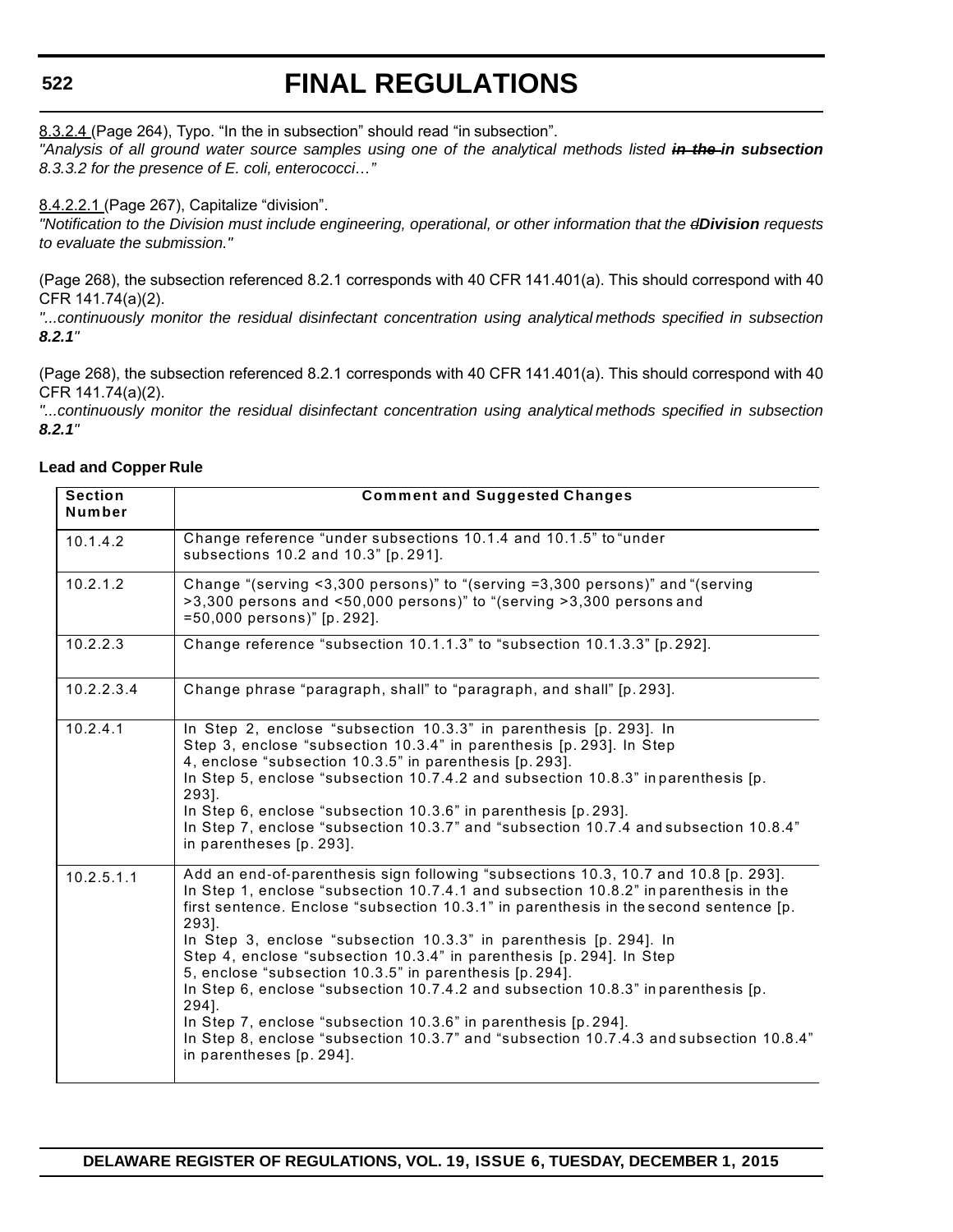#### **522**

# **FINAL REGULATIONS**

8.3.2.4 (Page 264), Typo. "In the in subsection" should read "in subsection".

*"Analysis of all ground water source samples using one of the analytical methods listed in the in subsection 8.3.3.2 for the presence of E. coli, enterococci…"*

#### 8.4.2.2.1 (Page 267), Capitalize "division".

*"Notification to the Division must include engineering, operational, or other information that the dDivision requests to evaluate the submission."*

(Page 268), the subsection referenced 8.2.1 corresponds with 40 CFR 141.401(a). This should correspond with 40 CFR 141.74(a)(2).

*"...continuously monitor the residual disinfectant concentration using analytical methods specified in subsection 8.2.1"*

(Page 268), the subsection referenced 8.2.1 corresponds with 40 CFR 141.401(a). This should correspond with 40 CFR 141.74(a)(2).

*"...continuously monitor the residual disinfectant concentration using analytical methods specified in subsection 8.2.1"*

#### **Lead and Copper Rule**

| <b>Section</b><br>Number | <b>Comment and Suggested Changes</b>                                                                                                                                                                                                                                                                                                                                                                                                                                                                                                                                                                                                                                                                                                                                         |
|--------------------------|------------------------------------------------------------------------------------------------------------------------------------------------------------------------------------------------------------------------------------------------------------------------------------------------------------------------------------------------------------------------------------------------------------------------------------------------------------------------------------------------------------------------------------------------------------------------------------------------------------------------------------------------------------------------------------------------------------------------------------------------------------------------------|
| 10.1.4.2                 | Change reference "under subsections 10.1.4 and 10.1.5" to "under<br>subsections 10.2 and 10.3" [p. 291].                                                                                                                                                                                                                                                                                                                                                                                                                                                                                                                                                                                                                                                                     |
| 10.2.1.2                 | Change "(serving <3,300 persons)" to "(serving =3,300 persons)" and "(serving<br>$>3,300$ persons and <50,000 persons)" to "(serving $>3,300$ persons and<br>=50,000 persons)" [p. 292].                                                                                                                                                                                                                                                                                                                                                                                                                                                                                                                                                                                     |
| 10.2.2.3                 | Change reference "subsection 10.1.1.3" to "subsection 10.1.3.3" [p. 292].                                                                                                                                                                                                                                                                                                                                                                                                                                                                                                                                                                                                                                                                                                    |
| 10.2.2.3.4               | Change phrase "paragraph, shall" to "paragraph, and shall" [p. 293].                                                                                                                                                                                                                                                                                                                                                                                                                                                                                                                                                                                                                                                                                                         |
| 10.2.4.1                 | In Step 2, enclose "subsection 10.3.3" in parenthesis [p. 293]. In<br>Step 3, enclose "subsection 10.3.4" in parenthesis [p. 293]. In Step<br>4, enclose "subsection 10.3.5" in parenthesis [p. 293].<br>In Step 5, enclose "subsection 10.7.4.2 and subsection 10.8.3" inparenthesis [p.<br>293].<br>In Step 6, enclose "subsection 10.3.6" in parenthesis [p. 293].<br>In Step 7, enclose "subsection 10.3.7" and "subsection 10.7.4 and subsection 10.8.4"<br>in parentheses [p. 293].                                                                                                                                                                                                                                                                                    |
| 10.2.5.1.1               | Add an end-of-parenthesis sign following "subsections 10.3, 10.7 and 10.8 [p. 293].<br>In Step 1, enclose "subsection 10.7.4.1 and subsection 10.8.2" in parenthesis in the<br>first sentence. Enclose "subsection 10.3.1" in parenthesis in the second sentence [p.<br>293].<br>In Step 3, enclose "subsection 10.3.3" in parenthesis [p. 294]. In<br>Step 4, enclose "subsection 10.3.4" in parenthesis [p. 294]. In Step<br>5, enclose "subsection 10.3.5" in parenthesis [p. 294].<br>In Step 6, enclose "subsection 10.7.4.2 and subsection 10.8.3" inparenthesis [p.<br>294].<br>In Step 7, enclose "subsection 10.3.6" in parenthesis [p. 294].<br>In Step 8, enclose "subsection 10.3.7" and "subsection 10.7.4.3 and subsection 10.8.4"<br>in parentheses [p. 294]. |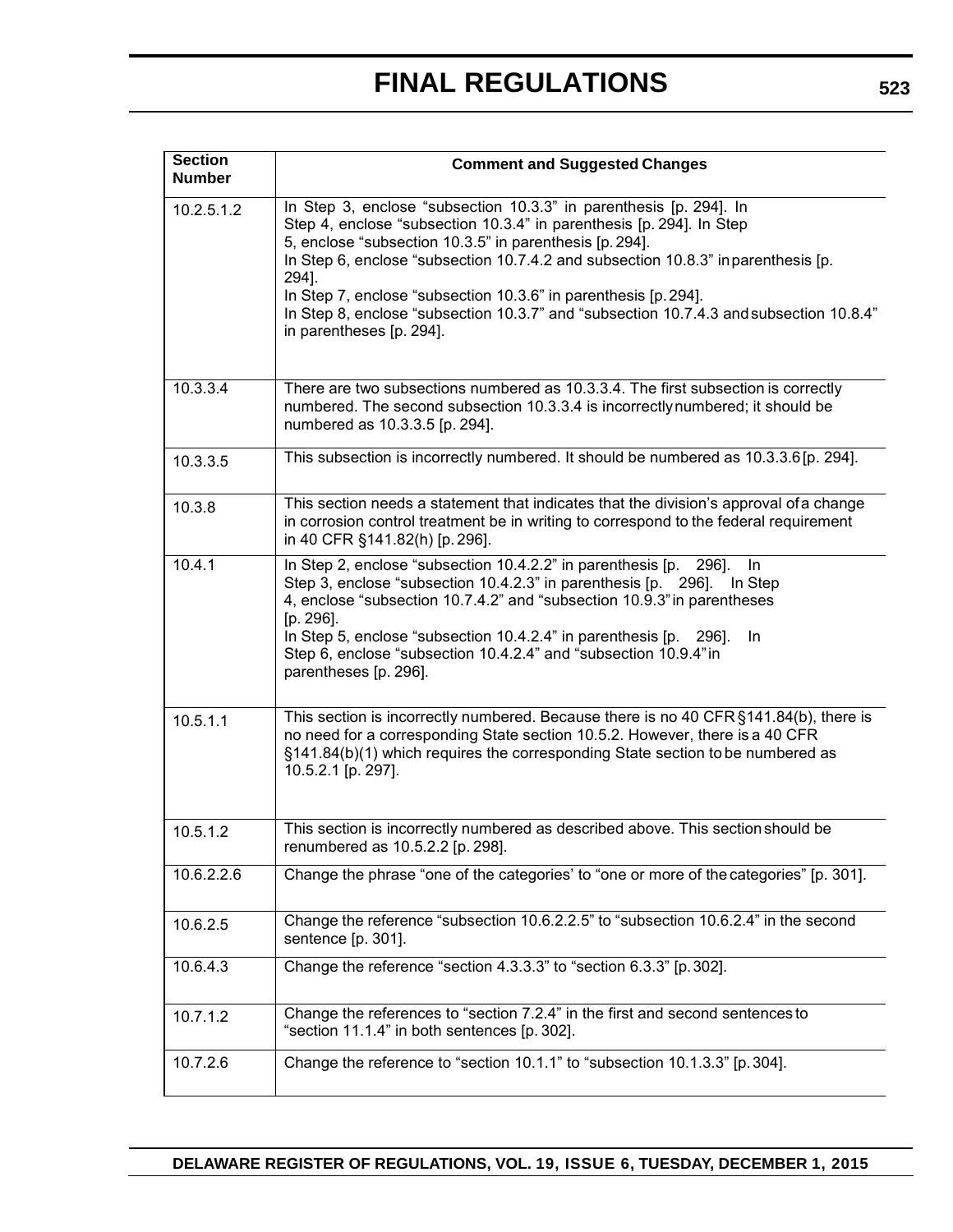| <b>Section</b><br><b>Number</b> | <b>Comment and Suggested Changes</b>                                                                                                                                                                                                                                                                                                                                                                                                                                                         |
|---------------------------------|----------------------------------------------------------------------------------------------------------------------------------------------------------------------------------------------------------------------------------------------------------------------------------------------------------------------------------------------------------------------------------------------------------------------------------------------------------------------------------------------|
| 10.2.5.1.2                      | In Step 3, enclose "subsection 10.3.3" in parenthesis [p. 294]. In<br>Step 4, enclose "subsection 10.3.4" in parenthesis [p. 294]. In Step<br>5, enclose "subsection 10.3.5" in parenthesis [p. 294].<br>In Step 6, enclose "subsection 10.7.4.2 and subsection 10.8.3" in parenthesis [p.<br>294].<br>In Step 7, enclose "subsection 10.3.6" in parenthesis [p. 294].<br>In Step 8, enclose "subsection 10.3.7" and "subsection 10.7.4.3 and subsection 10.8.4"<br>in parentheses [p. 294]. |
| 10.3.3.4                        | There are two subsections numbered as 10.3.3.4. The first subsection is correctly<br>numbered. The second subsection 10.3.3.4 is incorrectly numbered; it should be<br>numbered as 10.3.3.5 [p. 294].                                                                                                                                                                                                                                                                                        |
| 10.3.3.5                        | This subsection is incorrectly numbered. It should be numbered as 10.3.3.6 [p. 294].                                                                                                                                                                                                                                                                                                                                                                                                         |
| 10.3.8                          | This section needs a statement that indicates that the division's approval of a change<br>in corrosion control treatment be in writing to correspond to the federal requirement<br>in 40 CFR §141.82(h) [p. 296].                                                                                                                                                                                                                                                                            |
| 10.4.1                          | In Step 2, enclose "subsection 10.4.2.2" in parenthesis [p. 296].<br>In<br>Step 3, enclose "subsection 10.4.2.3" in parenthesis [p. 296]. In Step<br>4, enclose "subsection 10.7.4.2" and "subsection 10.9.3" in parentheses<br>$[p. 296]$ .<br>In Step 5, enclose "subsection 10.4.2.4" in parenthesis [p. 296].<br>In<br>Step 6, enclose "subsection 10.4.2.4" and "subsection 10.9.4" in<br>parentheses [p. 296].                                                                         |
| 10.5.1.1                        | This section is incorrectly numbered. Because there is no 40 CFR §141.84(b), there is<br>no need for a corresponding State section 10.5.2. However, there is a 40 CFR<br>§141.84(b)(1) which requires the corresponding State section to be numbered as<br>10.5.2.1 [p. 297].                                                                                                                                                                                                                |
| 10.5.1.2                        | This section is incorrectly numbered as described above. This section should be<br>renumbered as 10.5.2.2 [p. 298].                                                                                                                                                                                                                                                                                                                                                                          |
| 10.6.2.2.6                      | Change the phrase "one of the categories' to "one or more of the categories" [p. 301].                                                                                                                                                                                                                                                                                                                                                                                                       |
| 10.6.2.5                        | Change the reference "subsection 10.6.2.2.5" to "subsection 10.6.2.4" in the second<br>sentence [p. 301].                                                                                                                                                                                                                                                                                                                                                                                    |
| 10.6.4.3                        | Change the reference "section 4.3.3.3" to "section 6.3.3" [p. 302].                                                                                                                                                                                                                                                                                                                                                                                                                          |
| 10.7.1.2                        | Change the references to "section 7.2.4" in the first and second sentences to<br>"section 11.1.4" in both sentences [p. 302].                                                                                                                                                                                                                                                                                                                                                                |
| 10.7.2.6                        | Change the reference to "section 10.1.1" to "subsection 10.1.3.3" [p. 304].                                                                                                                                                                                                                                                                                                                                                                                                                  |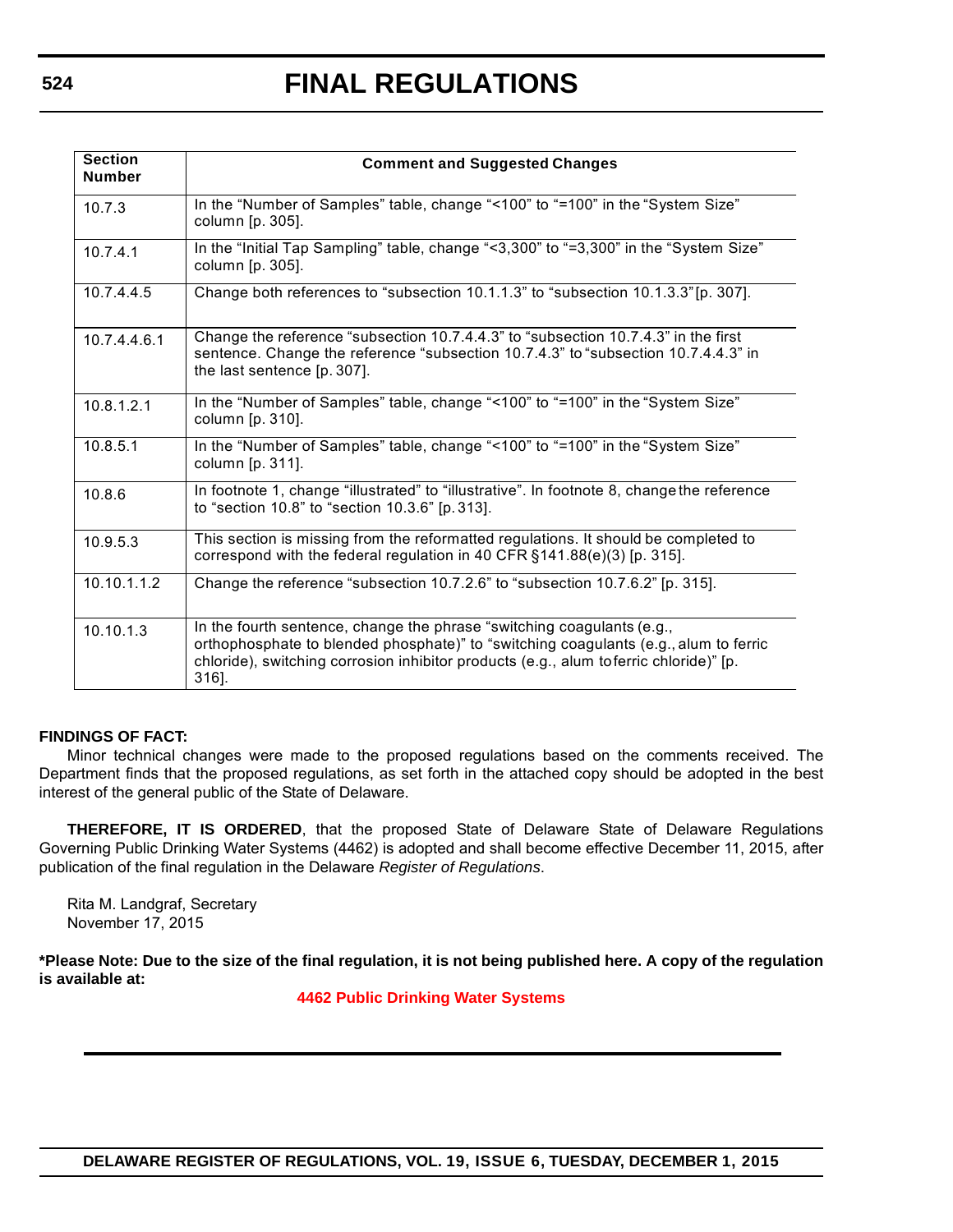| <b>Section</b><br><b>Number</b> | <b>Comment and Suggested Changes</b>                                                                                                                                                                                                                              |
|---------------------------------|-------------------------------------------------------------------------------------------------------------------------------------------------------------------------------------------------------------------------------------------------------------------|
| 10.7.3                          | In the "Number of Samples" table, change "<100" to "=100" in the "System Size"<br>column [p. 305].                                                                                                                                                                |
| 10.7.4.1                        | In the "Initial Tap Sampling" table, change "<3,300" to "=3,300" in the "System Size"<br>column [p. 305].                                                                                                                                                         |
| 10.7.4.4.5                      | Change both references to "subsection 10.1.1.3" to "subsection 10.1.3.3" [p. 307].                                                                                                                                                                                |
| 10.7.4.4.6.1                    | Change the reference "subsection 10.7.4.4.3" to "subsection 10.7.4.3" in the first<br>sentence. Change the reference "subsection 10.7.4.3" to "subsection 10.7.4.4.3" in<br>the last sentence [p. 307].                                                           |
| 10.8.1.2.1                      | In the "Number of Samples" table, change "<100" to "=100" in the "System Size"<br>column [p. 310].                                                                                                                                                                |
| 10.8.5.1                        | In the "Number of Samples" table, change "<100" to "=100" in the "System Size"<br>column [p. 311].                                                                                                                                                                |
| 10.8.6                          | In footnote 1, change "illustrated" to "illustrative". In footnote 8, change the reference<br>to "section 10.8" to "section 10.3.6" [p. 313].                                                                                                                     |
| 10.9.5.3                        | This section is missing from the reformatted regulations. It should be completed to<br>correspond with the federal regulation in 40 CFR $§$ 141.88 $(e)(3)$ [p. 315].                                                                                             |
| 10.10.1.1.2                     | Change the reference "subsection 10.7.2.6" to "subsection 10.7.6.2" [p. 315].                                                                                                                                                                                     |
| 10.10.13                        | In the fourth sentence, change the phrase "switching coagulants (e.g.,<br>orthophosphate to blended phosphate)" to "switching coagulants (e.g., alum to ferric<br>chloride), switching corrosion inhibitor products (e.g., alum to ferric chloride)" [p.<br>316]. |

#### **FINDINGS OF FACT:**

Minor technical changes were made to the proposed regulations based on the comments received. The Department finds that the proposed regulations, as set forth in the attached copy should be adopted in the best interest of the general public of the State of Delaware.

**THEREFORE, IT IS ORDERED**, that the proposed State of Delaware State of Delaware Regulations Governing Public Drinking Water Systems (4462) is adopted and shall become effective December 11, 2015, after publication of the final regulation in the Delaware *Register of Regulations*.

Rita M. Landgraf, Secretary November 17, 2015

**\*Please Note: Due to the size of the final regulation, it is not being published here. A copy of the regulation is available at:**

**[4462 Public Drinking Water Systems](http://regulations.delaware.gov/register/december2015/final/19 DE Reg 517 12-01-15.htm)**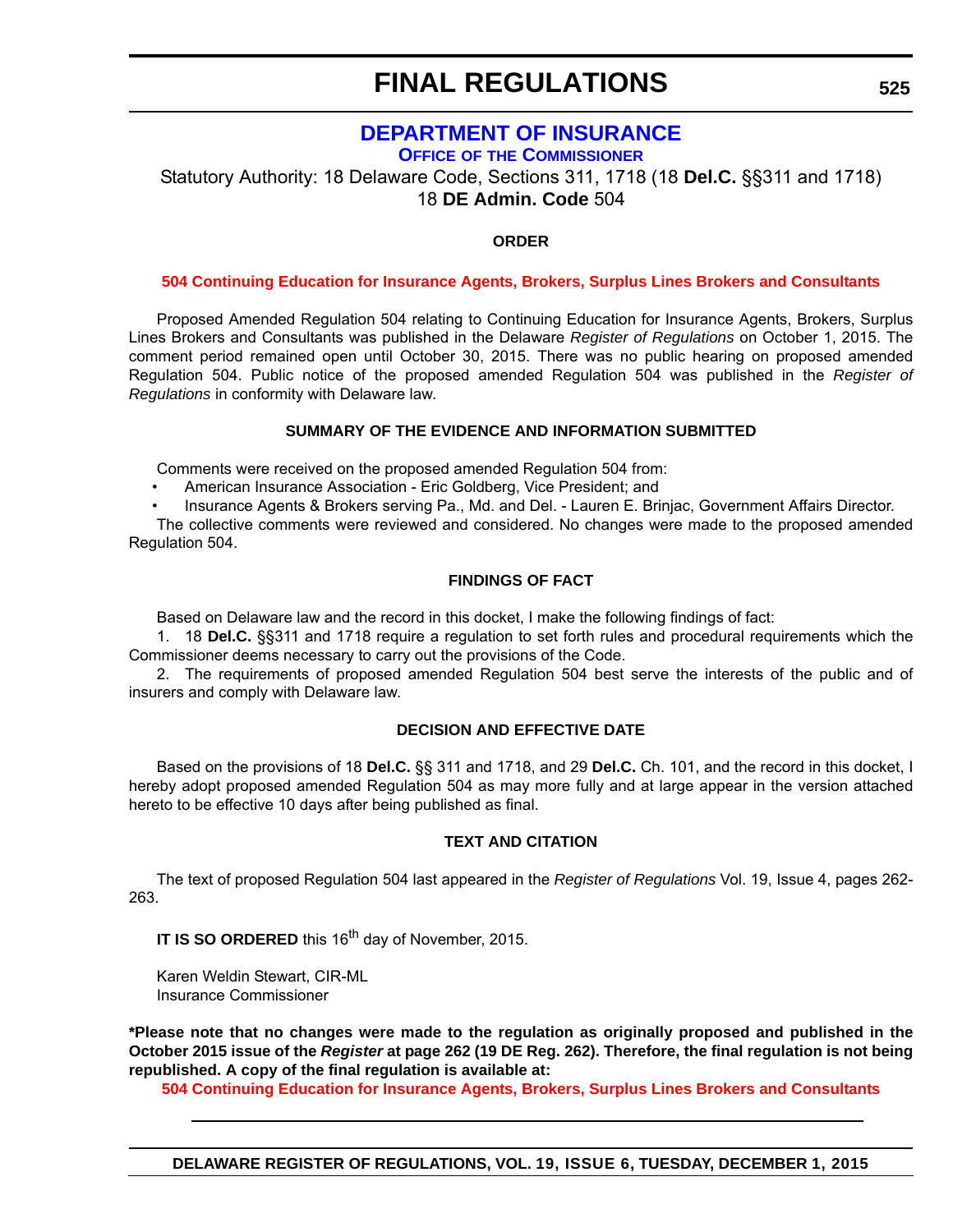## **[DEPARTMENT OF INSURANCE](http://www.delawareinsurance.gov/)**

**OFFICE OF THE COMMISSIONER**

Statutory Authority: 18 Delaware Code, Sections 311, 1718 (18 **Del.C.** §§311 and 1718) 18 **DE Admin. Code** 504

### **ORDER**

#### **[504 Continuing Education for Insurance Agents, Brokers, Surplus Lines Brokers and Consultants](#page-4-0)**

Proposed Amended Regulation 504 relating to Continuing Education for Insurance Agents, Brokers, Surplus Lines Brokers and Consultants was published in the Delaware *Register of Regulations* on October 1, 2015. The comment period remained open until October 30, 2015. There was no public hearing on proposed amended Regulation 504. Public notice of the proposed amended Regulation 504 was published in the *Register of Regulations* in conformity with Delaware law.

#### **SUMMARY OF THE EVIDENCE AND INFORMATION SUBMITTED**

Comments were received on the proposed amended Regulation 504 from:

- American Insurance Association Eric Goldberg, Vice President; and
- Insurance Agents & Brokers serving Pa., Md. and Del. Lauren E. Brinjac, Government Affairs Director.

The collective comments were reviewed and considered. No changes were made to the proposed amended Regulation 504.

#### **FINDINGS OF FACT**

Based on Delaware law and the record in this docket, I make the following findings of fact:

1. 18 **Del.C.** §§311 and 1718 require a regulation to set forth rules and procedural requirements which the Commissioner deems necessary to carry out the provisions of the Code.

2. The requirements of proposed amended Regulation 504 best serve the interests of the public and of insurers and comply with Delaware law.

#### **DECISION AND EFFECTIVE DATE**

Based on the provisions of 18 **Del.C.** §§ 311 and 1718, and 29 **Del.C.** Ch. 101, and the record in this docket, I hereby adopt proposed amended Regulation 504 as may more fully and at large appear in the version attached hereto to be effective 10 days after being published as final.

#### **TEXT AND CITATION**

The text of proposed Regulation 504 last appeared in the *Register of Regulations* Vol. 19, Issue 4, pages 262- 263.

**IT IS SO ORDERED** this 16<sup>th</sup> day of November, 2015.

Karen Weldin Stewart, CIR-ML Insurance Commissioner

**\*Please note that no changes were made to the regulation as originally proposed and published in the October 2015 issue of the** *Register* **at page 262 (19 DE Reg. 262). Therefore, the final regulation is not being republished. A copy of the final regulation is available at:**

**[504 Continuing Education for Insurance Agents, Brokers, Surplus Lines Brokers and Consultants](http://regulations.delaware.gov/register/december2015/final/19 DE Reg 525 12-01-15.htm)**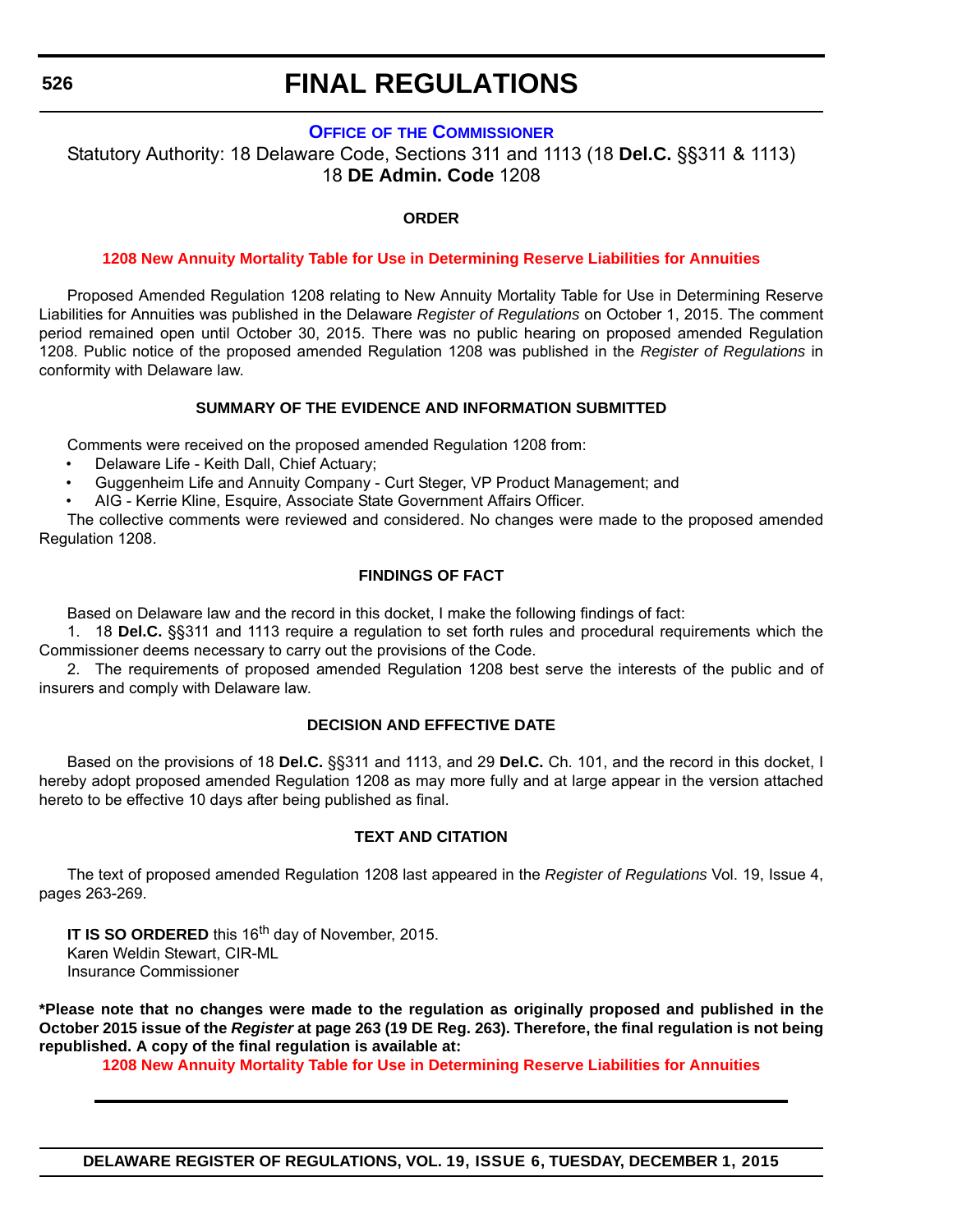#### **OFFICE OF [THE COMMISSIONER](http://www.delawareinsurance.gov/)**

Statutory Authority: 18 Delaware Code, Sections 311 and 1113 (18 **Del.C.** §§311 & 1113) 18 **DE Admin. Code** 1208

#### **ORDER**

#### **[1208 New Annuity Mortality Table for Use in Determining Reserve Liabilities for Annuities](#page-4-0)**

Proposed Amended Regulation 1208 relating to New Annuity Mortality Table for Use in Determining Reserve Liabilities for Annuities was published in the Delaware *Register of Regulations* on October 1, 2015. The comment period remained open until October 30, 2015. There was no public hearing on proposed amended Regulation 1208. Public notice of the proposed amended Regulation 1208 was published in the *Register of Regulations* in conformity with Delaware law.

#### **SUMMARY OF THE EVIDENCE AND INFORMATION SUBMITTED**

Comments were received on the proposed amended Regulation 1208 from:

- Delaware Life Keith Dall, Chief Actuary;
- Guggenheim Life and Annuity Company Curt Steger, VP Product Management; and
- AIG Kerrie Kline, Esquire, Associate State Government Affairs Officer.

The collective comments were reviewed and considered. No changes were made to the proposed amended Regulation 1208.

#### **FINDINGS OF FACT**

Based on Delaware law and the record in this docket, I make the following findings of fact:

1. 18 **Del.C.** §§311 and 1113 require a regulation to set forth rules and procedural requirements which the Commissioner deems necessary to carry out the provisions of the Code.

2. The requirements of proposed amended Regulation 1208 best serve the interests of the public and of insurers and comply with Delaware law.

#### **DECISION AND EFFECTIVE DATE**

Based on the provisions of 18 **Del.C.** §§311 and 1113, and 29 **Del.C.** Ch. 101, and the record in this docket, I hereby adopt proposed amended Regulation 1208 as may more fully and at large appear in the version attached hereto to be effective 10 days after being published as final.

#### **TEXT AND CITATION**

The text of proposed amended Regulation 1208 last appeared in the *Register of Regulations* Vol. 19, Issue 4, pages 263-269.

**IT IS SO ORDERED** this 16<sup>th</sup> day of November, 2015. Karen Weldin Stewart, CIR-ML Insurance Commissioner

**\*Please note that no changes were made to the regulation as originally proposed and published in the October 2015 issue of the** *Register* **at page 263 (19 DE Reg. 263). Therefore, the final regulation is not being republished. A copy of the final regulation is available at:**

**[1208 New Annuity Mortality Table for Use in Determining Reserve Liabilities for Annuities](http://regulations.delaware.gov/register/december2015/final/19 DE Reg 526 12-01-15.htm)**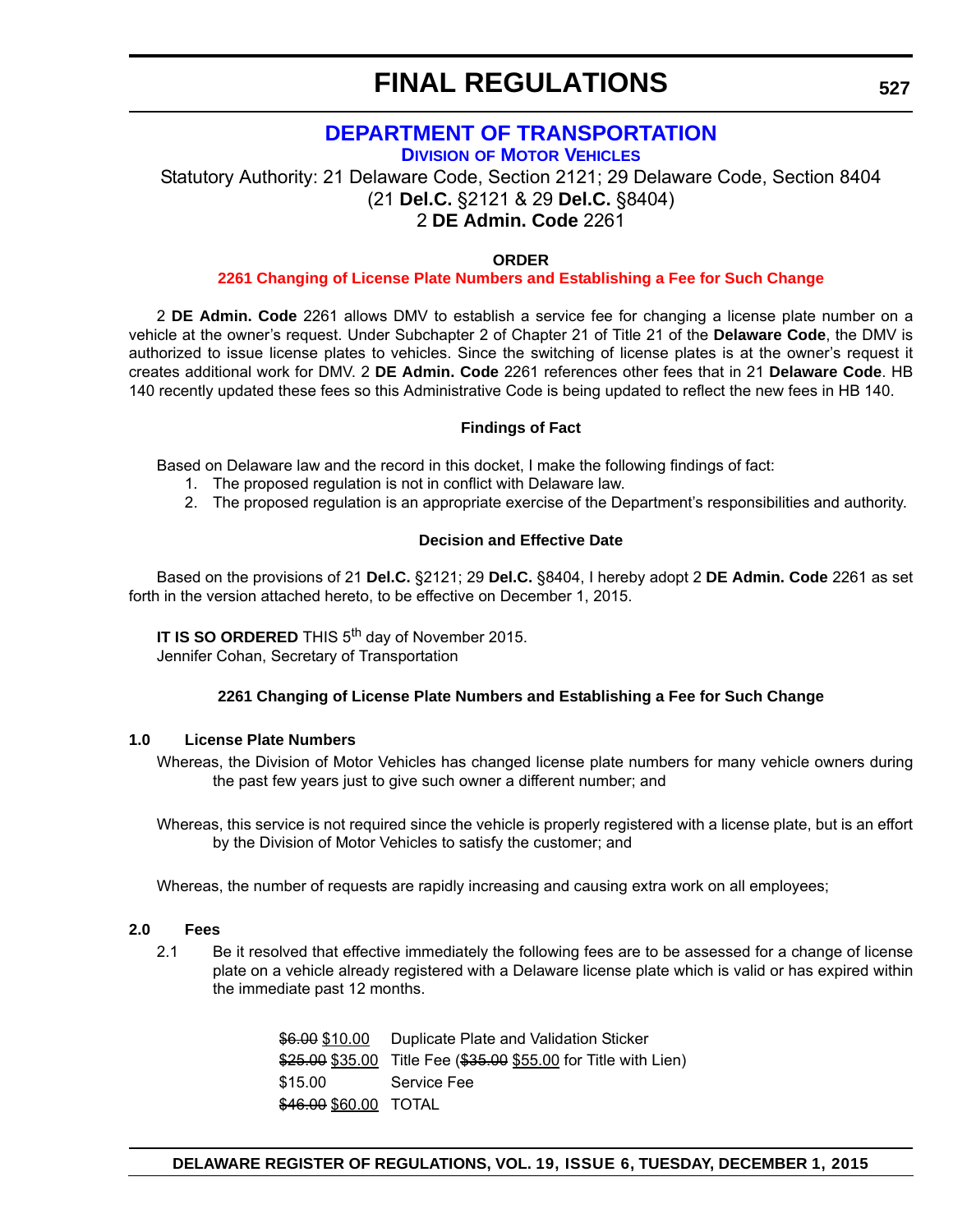## **[DEPARTMENT OF TRANSPORTATION](http://dmv.de.gov/)**

**DIVISION OF MOTOR VEHICLES**

Statutory Authority: 21 Delaware Code, Section 2121; 29 Delaware Code, Section 8404 (21 **Del.C.** §2121 & 29 **Del.C.** §8404) 2 **DE Admin. Code** 2261

#### **ORDER**

#### **[2261 Changing of License Plate Numbers and Establishing a Fee for Such Change](#page-4-0)**

2 **DE Admin. Code** 2261 allows DMV to establish a service fee for changing a license plate number on a vehicle at the owner's request. Under Subchapter 2 of Chapter 21 of Title 21 of the **Delaware Code**, the DMV is authorized to issue license plates to vehicles. Since the switching of license plates is at the owner's request it creates additional work for DMV. 2 **DE Admin. Code** 2261 references other fees that in 21 **Delaware Code**. HB 140 recently updated these fees so this Administrative Code is being updated to reflect the new fees in HB 140.

#### **Findings of Fact**

Based on Delaware law and the record in this docket, I make the following findings of fact:

- 1. The proposed regulation is not in conflict with Delaware law.
- 2. The proposed regulation is an appropriate exercise of the Department's responsibilities and authority.

#### **Decision and Effective Date**

Based on the provisions of 21 **Del.C.** §2121; 29 **Del.C.** §8404, I hereby adopt 2 **DE Admin. Code** 2261 as set forth in the version attached hereto, to be effective on December 1, 2015.

**IT IS SO ORDERED** THIS 5<sup>th</sup> day of November 2015.

Jennifer Cohan, Secretary of Transportation

#### **2261 Changing of License Plate Numbers and Establishing a Fee for Such Change**

#### **1.0 License Plate Numbers**

Whereas, the Division of Motor Vehicles has changed license plate numbers for many vehicle owners during the past few years just to give such owner a different number; and

Whereas, this service is not required since the vehicle is properly registered with a license plate, but is an effort by the Division of Motor Vehicles to satisfy the customer; and

Whereas, the number of requests are rapidly increasing and causing extra work on all employees;

#### **2.0 Fees**

2.1 Be it resolved that effective immediately the following fees are to be assessed for a change of license plate on a vehicle already registered with a Delaware license plate which is valid or has expired within the immediate past 12 months.

> \$6.00 \$10.00 Duplicate Plate and Validation Sticker \$25.00 \$35.00 Title Fee (\$35.00 \$55.00 for Title with Lien) \$15.00 Service Fee \$46.00 \$60.00 TOTAL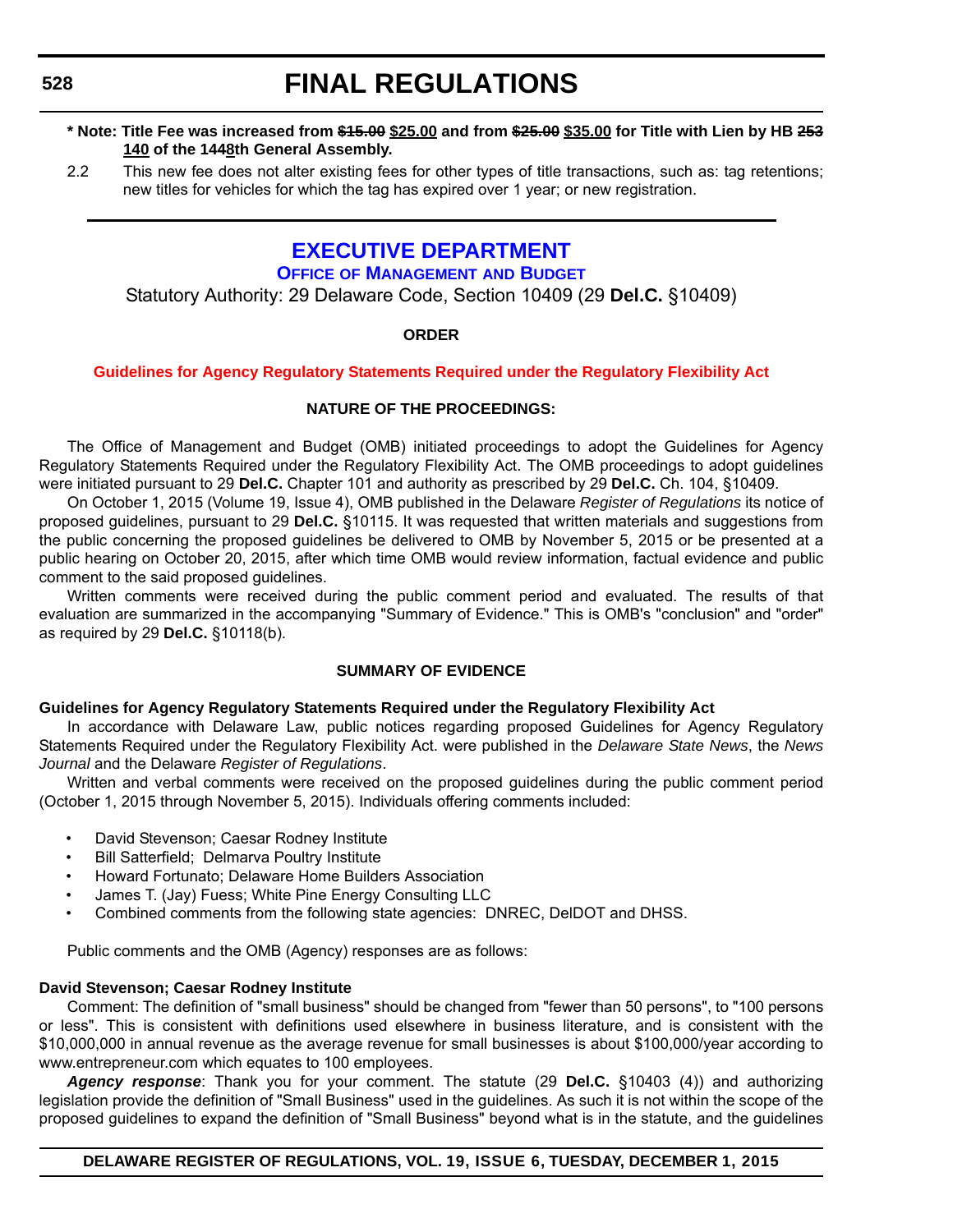**528**

## **FINAL REGULATIONS**

#### **\* Note: Title Fee was increased from \$15.00 \$25.00 and from \$25.00 \$35.00 for Title with Lien by HB 253 140 of the 1448th General Assembly.**

2.2 This new fee does not alter existing fees for other types of title transactions, such as: tag retentions; new titles for vehicles for which the tag has expired over 1 year; or new registration.

## **[EXECUTIVE DEPARTMENT](http://omb.delaware.gov/)**

### **OFFICE OF MANAGEMENT AND BUDGET**

Statutory Authority: 29 Delaware Code, Section 10409 (29 **Del.C.** §10409)

### **ORDER**

#### **[Guidelines for Agency Regulatory Statements Required under the Regulatory Flexibility Act](#page-4-0)**

#### **NATURE OF THE PROCEEDINGS:**

The Office of Management and Budget (OMB) initiated proceedings to adopt the Guidelines for Agency Regulatory Statements Required under the Regulatory Flexibility Act. The OMB proceedings to adopt guidelines were initiated pursuant to 29 **Del.C.** Chapter 101 and authority as prescribed by 29 **Del.C.** Ch. 104, §10409.

On October 1, 2015 (Volume 19, Issue 4), OMB published in the Delaware *Register of Regulations* its notice of proposed guidelines, pursuant to 29 **Del.C.** §10115. It was requested that written materials and suggestions from the public concerning the proposed guidelines be delivered to OMB by November 5, 2015 or be presented at a public hearing on October 20, 2015, after which time OMB would review information, factual evidence and public comment to the said proposed guidelines.

Written comments were received during the public comment period and evaluated. The results of that evaluation are summarized in the accompanying "Summary of Evidence." This is OMB's "conclusion" and "order" as required by 29 **Del.C.** §10118(b).

#### **SUMMARY OF EVIDENCE**

#### **Guidelines for Agency Regulatory Statements Required under the Regulatory Flexibility Act**

In accordance with Delaware Law, public notices regarding proposed Guidelines for Agency Regulatory Statements Required under the Regulatory Flexibility Act. were published in the *Delaware State News*, the *News Journal* and the Delaware *Register of Regulations*.

Written and verbal comments were received on the proposed guidelines during the public comment period (October 1, 2015 through November 5, 2015). Individuals offering comments included:

- David Stevenson; Caesar Rodney Institute
- Bill Satterfield; Delmarva Poultry Institute
- Howard Fortunato; Delaware Home Builders Association
- James T. (Jay) Fuess; White Pine Energy Consulting LLC
- Combined comments from the following state agencies: DNREC, DelDOT and DHSS.

Public comments and the OMB (Agency) responses are as follows:

#### **David Stevenson; Caesar Rodney Institute**

Comment: The definition of "small business" should be changed from "fewer than 50 persons", to "100 persons or less". This is consistent with definitions used elsewhere in business literature, and is consistent with the \$10,000,000 in annual revenue as the average revenue for small businesses is about \$100,000/year according to www.entrepreneur.com which equates to 100 employees.

*Agency response*: Thank you for your comment. The statute (29 **Del.C.** §10403 (4)) and authorizing legislation provide the definition of "Small Business" used in the guidelines. As such it is not within the scope of the proposed guidelines to expand the definition of "Small Business" beyond what is in the statute, and the guidelines

### **DELAWARE REGISTER OF REGULATIONS, VOL. 19, ISSUE 6, TUESDAY, DECEMBER 1, 2015**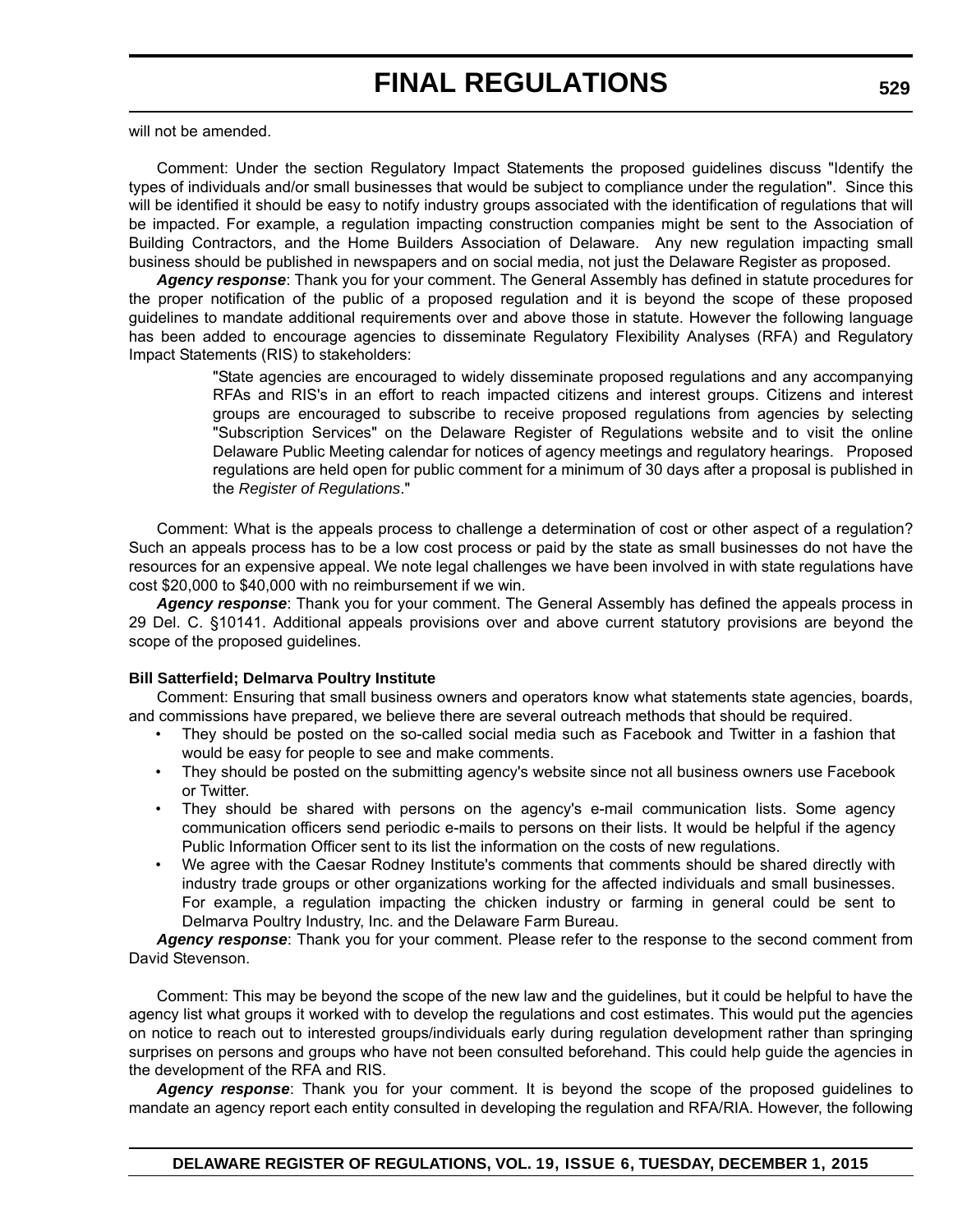will not be amended.

Comment: Under the section Regulatory Impact Statements the proposed guidelines discuss "Identify the types of individuals and/or small businesses that would be subject to compliance under the regulation". Since this will be identified it should be easy to notify industry groups associated with the identification of regulations that will be impacted. For example, a regulation impacting construction companies might be sent to the Association of Building Contractors, and the Home Builders Association of Delaware. Any new regulation impacting small business should be published in newspapers and on social media, not just the Delaware Register as proposed.

*Agency response*: Thank you for your comment. The General Assembly has defined in statute procedures for the proper notification of the public of a proposed regulation and it is beyond the scope of these proposed guidelines to mandate additional requirements over and above those in statute. However the following language has been added to encourage agencies to disseminate Regulatory Flexibility Analyses (RFA) and Regulatory Impact Statements (RIS) to stakeholders:

> "State agencies are encouraged to widely disseminate proposed regulations and any accompanying RFAs and RIS's in an effort to reach impacted citizens and interest groups. Citizens and interest groups are encouraged to subscribe to receive proposed regulations from agencies by selecting "Subscription Services" on the Delaware Register of Regulations website and to visit the online Delaware Public Meeting calendar for notices of agency meetings and regulatory hearings. Proposed regulations are held open for public comment for a minimum of 30 days after a proposal is published in the *Register of Regulations*."

Comment: What is the appeals process to challenge a determination of cost or other aspect of a regulation? Such an appeals process has to be a low cost process or paid by the state as small businesses do not have the resources for an expensive appeal. We note legal challenges we have been involved in with state regulations have cost \$20,000 to \$40,000 with no reimbursement if we win.

*Agency response*: Thank you for your comment. The General Assembly has defined the appeals process in 29 Del. C. §10141. Additional appeals provisions over and above current statutory provisions are beyond the scope of the proposed guidelines.

#### **Bill Satterfield; Delmarva Poultry Institute**

Comment: Ensuring that small business owners and operators know what statements state agencies, boards, and commissions have prepared, we believe there are several outreach methods that should be required.

- They should be posted on the so-called social media such as Facebook and Twitter in a fashion that would be easy for people to see and make comments.
- They should be posted on the submitting agency's website since not all business owners use Facebook or Twitter.
- They should be shared with persons on the agency's e-mail communication lists. Some agency communication officers send periodic e-mails to persons on their lists. It would be helpful if the agency Public Information Officer sent to its list the information on the costs of new regulations.
- We agree with the Caesar Rodney Institute's comments that comments should be shared directly with industry trade groups or other organizations working for the affected individuals and small businesses. For example, a regulation impacting the chicken industry or farming in general could be sent to Delmarva Poultry Industry, Inc. and the Delaware Farm Bureau.

*Agency response*: Thank you for your comment. Please refer to the response to the second comment from David Stevenson.

Comment: This may be beyond the scope of the new law and the guidelines, but it could be helpful to have the agency list what groups it worked with to develop the regulations and cost estimates. This would put the agencies on notice to reach out to interested groups/individuals early during regulation development rather than springing surprises on persons and groups who have not been consulted beforehand. This could help guide the agencies in the development of the RFA and RIS.

*Agency response*: Thank you for your comment. It is beyond the scope of the proposed guidelines to mandate an agency report each entity consulted in developing the regulation and RFA/RIA. However, the following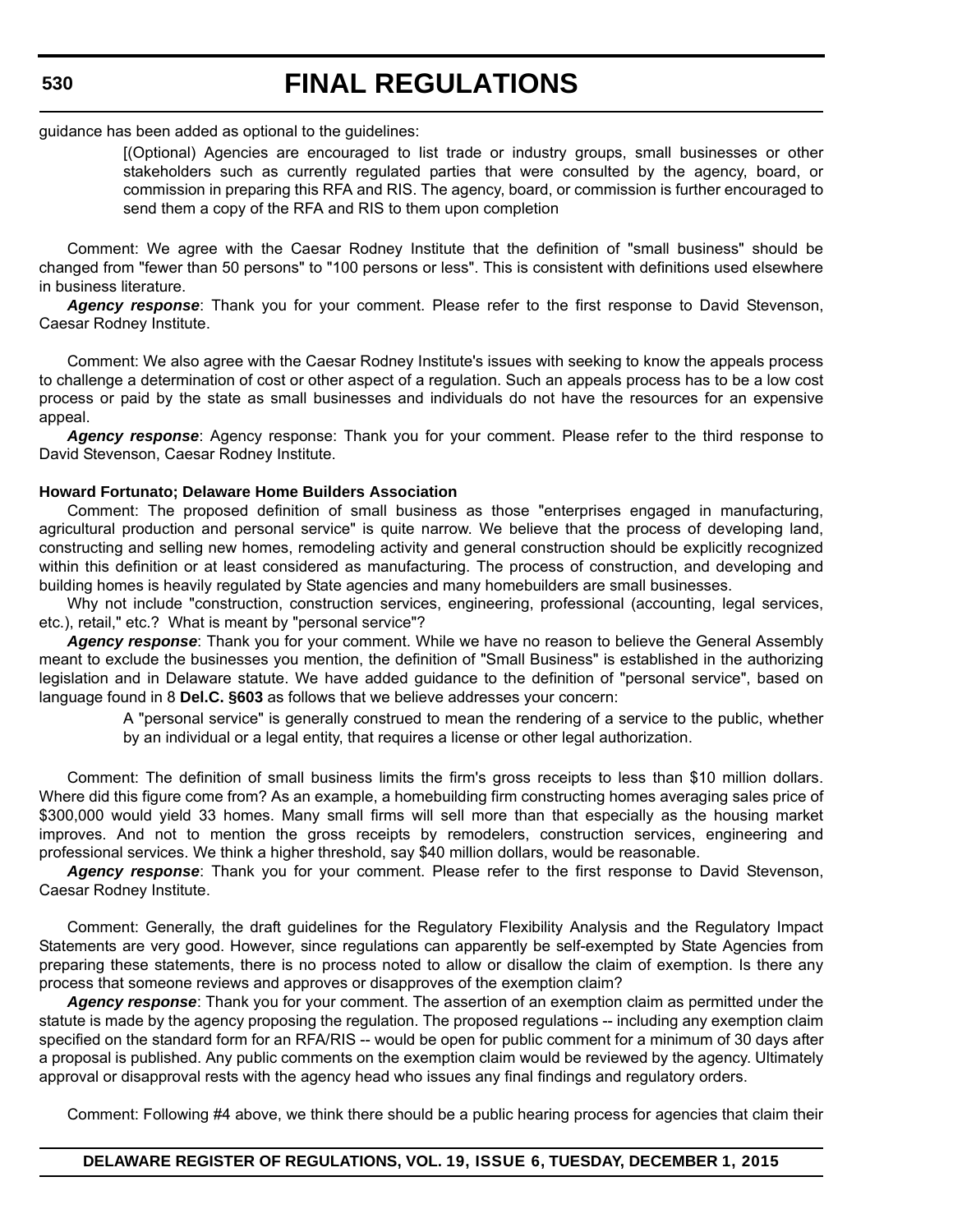guidance has been added as optional to the guidelines:

[(Optional) Agencies are encouraged to list trade or industry groups, small businesses or other stakeholders such as currently regulated parties that were consulted by the agency, board, or commission in preparing this RFA and RIS. The agency, board, or commission is further encouraged to send them a copy of the RFA and RIS to them upon completion

Comment: We agree with the Caesar Rodney Institute that the definition of "small business" should be changed from "fewer than 50 persons" to "100 persons or less". This is consistent with definitions used elsewhere in business literature.

*Agency response*: Thank you for your comment. Please refer to the first response to David Stevenson, Caesar Rodney Institute.

Comment: We also agree with the Caesar Rodney Institute's issues with seeking to know the appeals process to challenge a determination of cost or other aspect of a regulation. Such an appeals process has to be a low cost process or paid by the state as small businesses and individuals do not have the resources for an expensive appeal.

*Agency response*: Agency response: Thank you for your comment. Please refer to the third response to David Stevenson, Caesar Rodney Institute.

#### **Howard Fortunato; Delaware Home Builders Association**

Comment: The proposed definition of small business as those "enterprises engaged in manufacturing, agricultural production and personal service" is quite narrow. We believe that the process of developing land, constructing and selling new homes, remodeling activity and general construction should be explicitly recognized within this definition or at least considered as manufacturing. The process of construction, and developing and building homes is heavily regulated by State agencies and many homebuilders are small businesses.

Why not include "construction, construction services, engineering, professional (accounting, legal services, etc.), retail," etc.? What is meant by "personal service"?

*Agency response*: Thank you for your comment. While we have no reason to believe the General Assembly meant to exclude the businesses you mention, the definition of "Small Business" is established in the authorizing legislation and in Delaware statute. We have added guidance to the definition of "personal service", based on language found in 8 **Del.C. §603** as follows that we believe addresses your concern:

> A "personal service" is generally construed to mean the rendering of a service to the public, whether by an individual or a legal entity, that requires a license or other legal authorization.

Comment: The definition of small business limits the firm's gross receipts to less than \$10 million dollars. Where did this figure come from? As an example, a homebuilding firm constructing homes averaging sales price of \$300,000 would yield 33 homes. Many small firms will sell more than that especially as the housing market improves. And not to mention the gross receipts by remodelers, construction services, engineering and professional services. We think a higher threshold, say \$40 million dollars, would be reasonable.

*Agency response*: Thank you for your comment. Please refer to the first response to David Stevenson, Caesar Rodney Institute.

Comment: Generally, the draft guidelines for the Regulatory Flexibility Analysis and the Regulatory Impact Statements are very good. However, since regulations can apparently be self-exempted by State Agencies from preparing these statements, there is no process noted to allow or disallow the claim of exemption. Is there any process that someone reviews and approves or disapproves of the exemption claim?

*Agency response*: Thank you for your comment. The assertion of an exemption claim as permitted under the statute is made by the agency proposing the regulation. The proposed regulations -- including any exemption claim specified on the standard form for an RFA/RIS -- would be open for public comment for a minimum of 30 days after a proposal is published. Any public comments on the exemption claim would be reviewed by the agency. Ultimately approval or disapproval rests with the agency head who issues any final findings and regulatory orders.

Comment: Following #4 above, we think there should be a public hearing process for agencies that claim their

**DELAWARE REGISTER OF REGULATIONS, VOL. 19, ISSUE 6, TUESDAY, DECEMBER 1, 2015**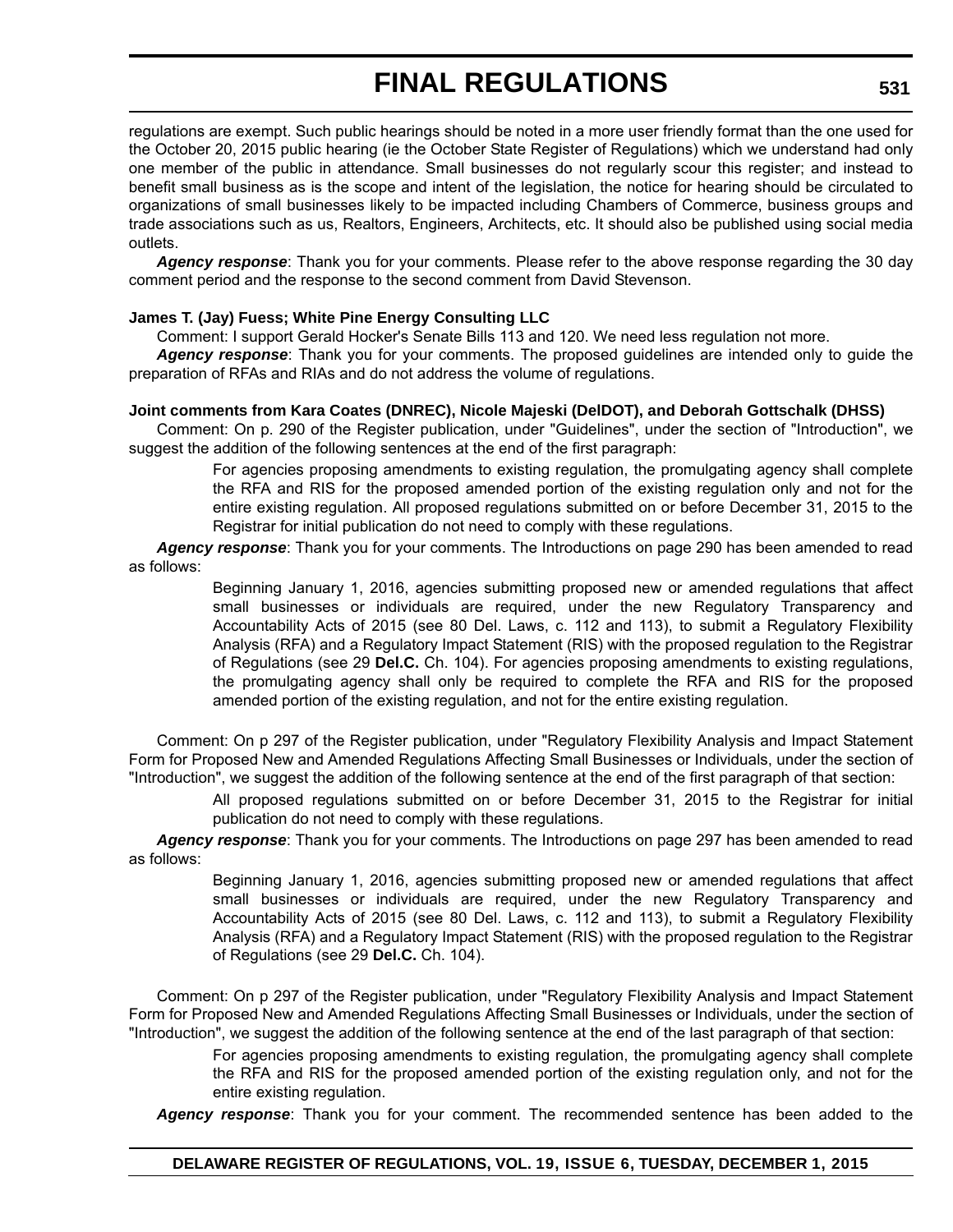regulations are exempt. Such public hearings should be noted in a more user friendly format than the one used for the October 20, 2015 public hearing (ie the October State Register of Regulations) which we understand had only one member of the public in attendance. Small businesses do not regularly scour this register; and instead to benefit small business as is the scope and intent of the legislation, the notice for hearing should be circulated to organizations of small businesses likely to be impacted including Chambers of Commerce, business groups and trade associations such as us, Realtors, Engineers, Architects, etc. It should also be published using social media outlets.

*Agency response*: Thank you for your comments. Please refer to the above response regarding the 30 day comment period and the response to the second comment from David Stevenson.

#### **James T. (Jay) Fuess; White Pine Energy Consulting LLC**

Comment: I support Gerald Hocker's Senate Bills 113 and 120. We need less regulation not more.

*Agency response*: Thank you for your comments. The proposed guidelines are intended only to guide the preparation of RFAs and RIAs and do not address the volume of regulations.

#### **Joint comments from Kara Coates (DNREC), Nicole Majeski (DelDOT), and Deborah Gottschalk (DHSS)**

Comment: On p. 290 of the Register publication, under "Guidelines", under the section of "Introduction", we suggest the addition of the following sentences at the end of the first paragraph:

> For agencies proposing amendments to existing regulation, the promulgating agency shall complete the RFA and RIS for the proposed amended portion of the existing regulation only and not for the entire existing regulation. All proposed regulations submitted on or before December 31, 2015 to the Registrar for initial publication do not need to comply with these regulations.

*Agency response*: Thank you for your comments. The Introductions on page 290 has been amended to read as follows:

> Beginning January 1, 2016, agencies submitting proposed new or amended regulations that affect small businesses or individuals are required, under the new Regulatory Transparency and Accountability Acts of 2015 (see 80 Del. Laws, c. 112 and 113), to submit a Regulatory Flexibility Analysis (RFA) and a Regulatory Impact Statement (RIS) with the proposed regulation to the Registrar of Regulations (see 29 **Del.C.** Ch. 104). For agencies proposing amendments to existing regulations, the promulgating agency shall only be required to complete the RFA and RIS for the proposed amended portion of the existing regulation, and not for the entire existing regulation.

Comment: On p 297 of the Register publication, under "Regulatory Flexibility Analysis and Impact Statement Form for Proposed New and Amended Regulations Affecting Small Businesses or Individuals, under the section of "Introduction", we suggest the addition of the following sentence at the end of the first paragraph of that section:

> All proposed regulations submitted on or before December 31, 2015 to the Registrar for initial publication do not need to comply with these regulations.

*Agency response*: Thank you for your comments. The Introductions on page 297 has been amended to read as follows:

> Beginning January 1, 2016, agencies submitting proposed new or amended regulations that affect small businesses or individuals are required, under the new Regulatory Transparency and Accountability Acts of 2015 (see 80 Del. Laws, c. 112 and 113), to submit a Regulatory Flexibility Analysis (RFA) and a Regulatory Impact Statement (RIS) with the proposed regulation to the Registrar of Regulations (see 29 **Del.C.** Ch. 104).

Comment: On p 297 of the Register publication, under "Regulatory Flexibility Analysis and Impact Statement Form for Proposed New and Amended Regulations Affecting Small Businesses or Individuals, under the section of "Introduction", we suggest the addition of the following sentence at the end of the last paragraph of that section:

> For agencies proposing amendments to existing regulation, the promulgating agency shall complete the RFA and RIS for the proposed amended portion of the existing regulation only, and not for the entire existing regulation.

*Agency response*: Thank you for your comment. The recommended sentence has been added to the

#### **DELAWARE REGISTER OF REGULATIONS, VOL. 19, ISSUE 6, TUESDAY, DECEMBER 1, 2015**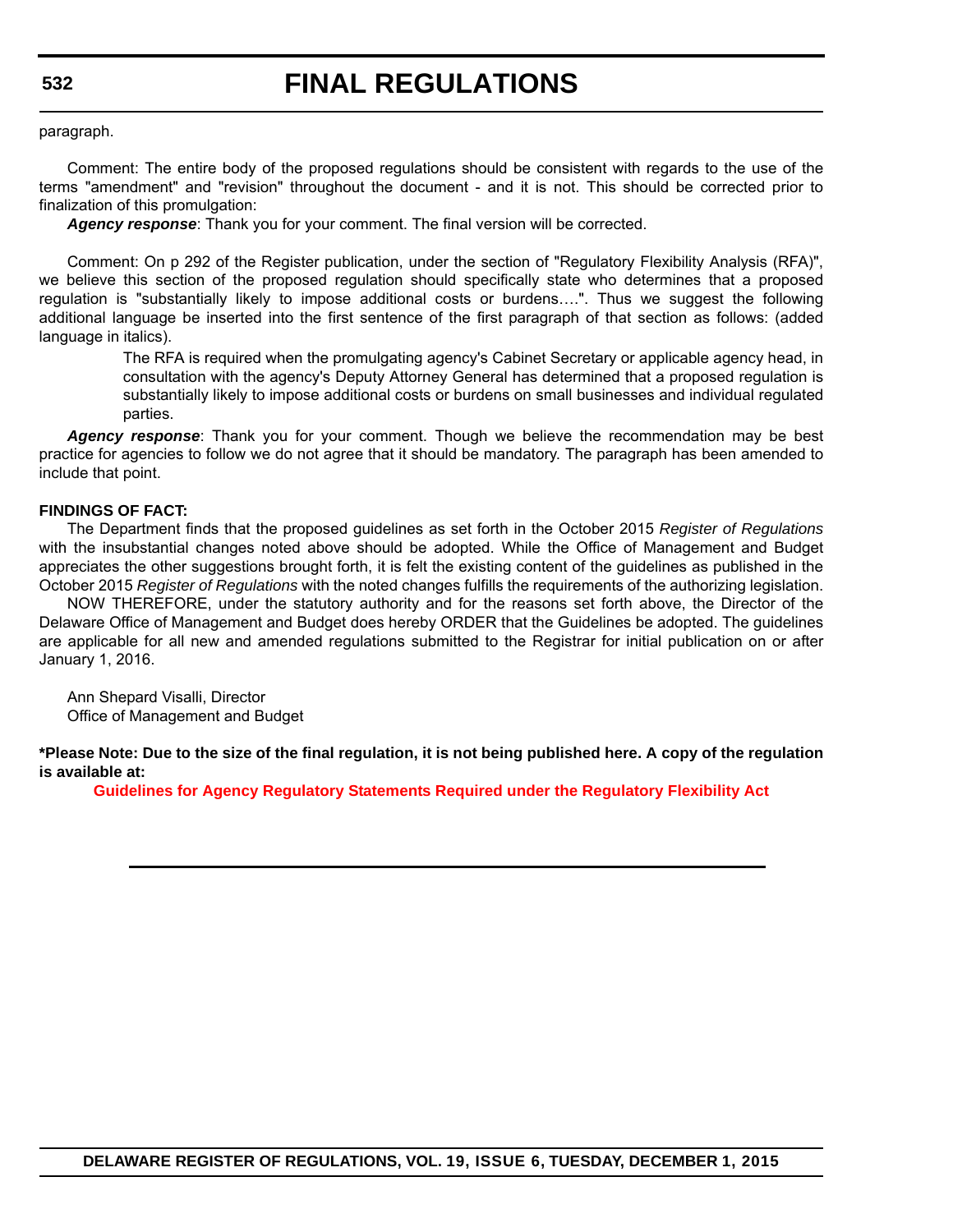paragraph.

Comment: The entire body of the proposed regulations should be consistent with regards to the use of the terms "amendment" and "revision" throughout the document - and it is not. This should be corrected prior to finalization of this promulgation:

*Agency response*: Thank you for your comment. The final version will be corrected.

Comment: On p 292 of the Register publication, under the section of "Regulatory Flexibility Analysis (RFA)", we believe this section of the proposed regulation should specifically state who determines that a proposed regulation is "substantially likely to impose additional costs or burdens….". Thus we suggest the following additional language be inserted into the first sentence of the first paragraph of that section as follows: (added language in italics).

> The RFA is required when the promulgating agency's Cabinet Secretary or applicable agency head, in consultation with the agency's Deputy Attorney General has determined that a proposed regulation is substantially likely to impose additional costs or burdens on small businesses and individual regulated parties.

Agency response: Thank you for your comment. Though we believe the recommendation may be best practice for agencies to follow we do not agree that it should be mandatory. The paragraph has been amended to include that point.

#### **FINDINGS OF FACT:**

The Department finds that the proposed guidelines as set forth in the October 2015 *Register of Regulations* with the insubstantial changes noted above should be adopted. While the Office of Management and Budget appreciates the other suggestions brought forth, it is felt the existing content of the guidelines as published in the October 2015 *Register of Regulations* with the noted changes fulfills the requirements of the authorizing legislation.

NOW THEREFORE, under the statutory authority and for the reasons set forth above, the Director of the Delaware Office of Management and Budget does hereby ORDER that the Guidelines be adopted. The guidelines are applicable for all new and amended regulations submitted to the Registrar for initial publication on or after January 1, 2016.

Ann Shepard Visalli, Director Office of Management and Budget

**\*Please Note: Due to the size of the final regulation, it is not being published here. A copy of the regulation is available at:**

**[Guidelines for Agency Regulatory Statements Required under the Regulatory Flexibility Act](http://regulations.delaware.gov/register/december2015/final/19 DE Reg 528 12-01-15.htm)**

**DELAWARE REGISTER OF REGULATIONS, VOL. 19, ISSUE 6, TUESDAY, DECEMBER 1, 2015**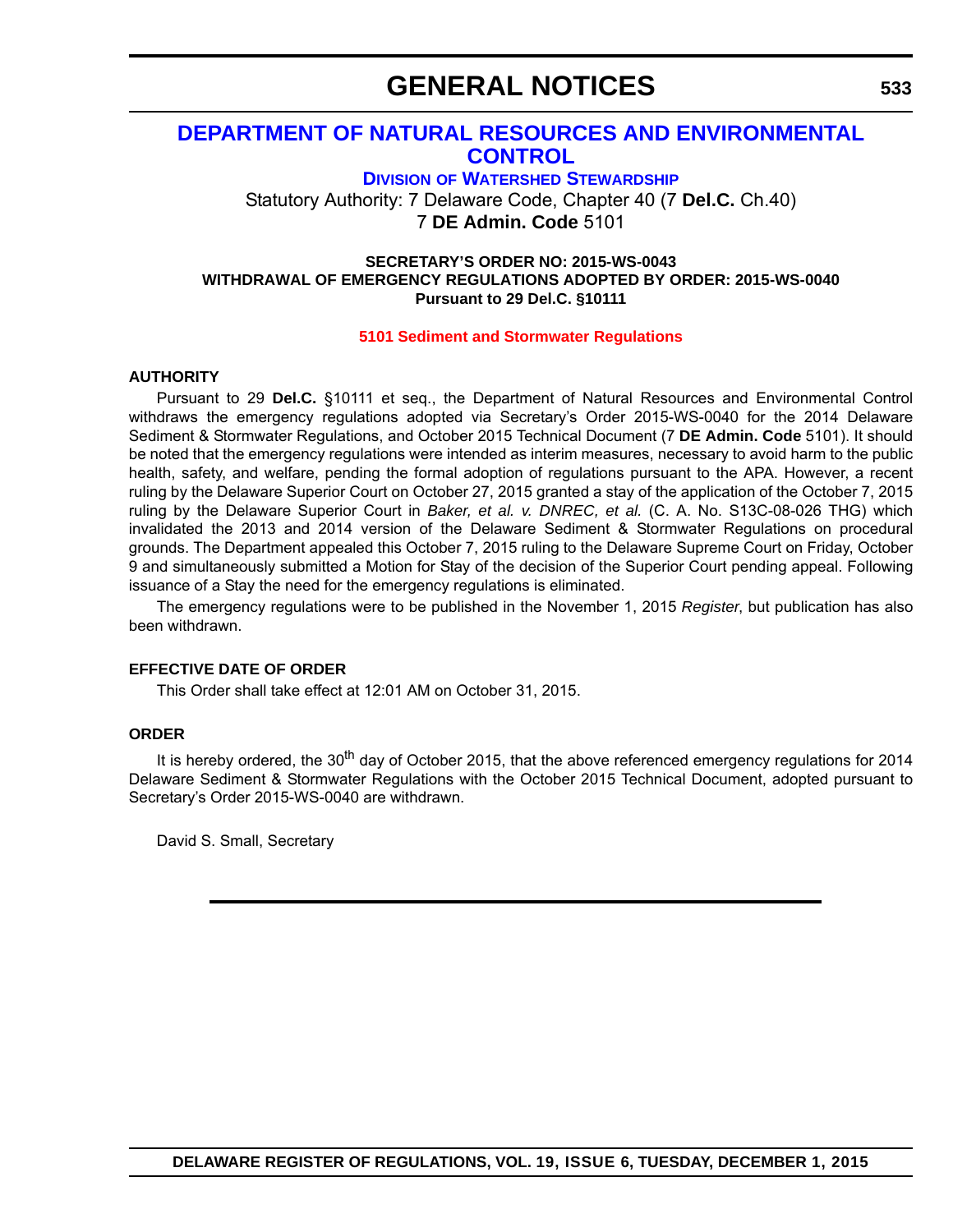## **GENERAL NOTICES**

### **[DEPARTMENT OF NATURAL RESOURCES AND ENVIRONMENTAL](http://www.dnrec.delaware.gov/swc/Pages/portal.aspx)  CONTROL**

**DIVISION OF WATERSHED STEWARDSHIP**

Statutory Authority: 7 Delaware Code, Chapter 40 (7 **Del.C.** Ch.40) 7 **DE Admin. Code** 5101

#### **SECRETARY'S ORDER NO: 2015-WS-0043 WITHDRAWAL OF EMERGENCY REGULATIONS ADOPTED BY ORDER: 2015-WS-0040 Pursuant to 29 Del.C. §10111**

#### **[5101 Sediment and Stormwater Regulations](#page-4-0)**

#### **AUTHORITY**

Pursuant to 29 **Del.C.** §10111 et seq., the Department of Natural Resources and Environmental Control withdraws the emergency regulations adopted via Secretary's Order 2015-WS-0040 for the 2014 Delaware Sediment & Stormwater Regulations, and October 2015 Technical Document (7 **DE Admin. Code** 5101). It should be noted that the emergency regulations were intended as interim measures, necessary to avoid harm to the public health, safety, and welfare, pending the formal adoption of regulations pursuant to the APA. However, a recent ruling by the Delaware Superior Court on October 27, 2015 granted a stay of the application of the October 7, 2015 ruling by the Delaware Superior Court in *Baker, et al. v. DNREC, et al.* (C. A. No. S13C-08-026 THG) which invalidated the 2013 and 2014 version of the Delaware Sediment & Stormwater Regulations on procedural grounds. The Department appealed this October 7, 2015 ruling to the Delaware Supreme Court on Friday, October 9 and simultaneously submitted a Motion for Stay of the decision of the Superior Court pending appeal. Following issuance of a Stay the need for the emergency regulations is eliminated.

The emergency regulations were to be published in the November 1, 2015 *Register*, but publication has also been withdrawn.

#### **EFFECTIVE DATE OF ORDER**

This Order shall take effect at 12:01 AM on October 31, 2015.

### **ORDER**

It is hereby ordered, the  $30<sup>th</sup>$  day of October 2015, that the above referenced emergency regulations for 2014 Delaware Sediment & Stormwater Regulations with the October 2015 Technical Document, adopted pursuant to Secretary's Order 2015-WS-0040 are withdrawn.

David S. Small, Secretary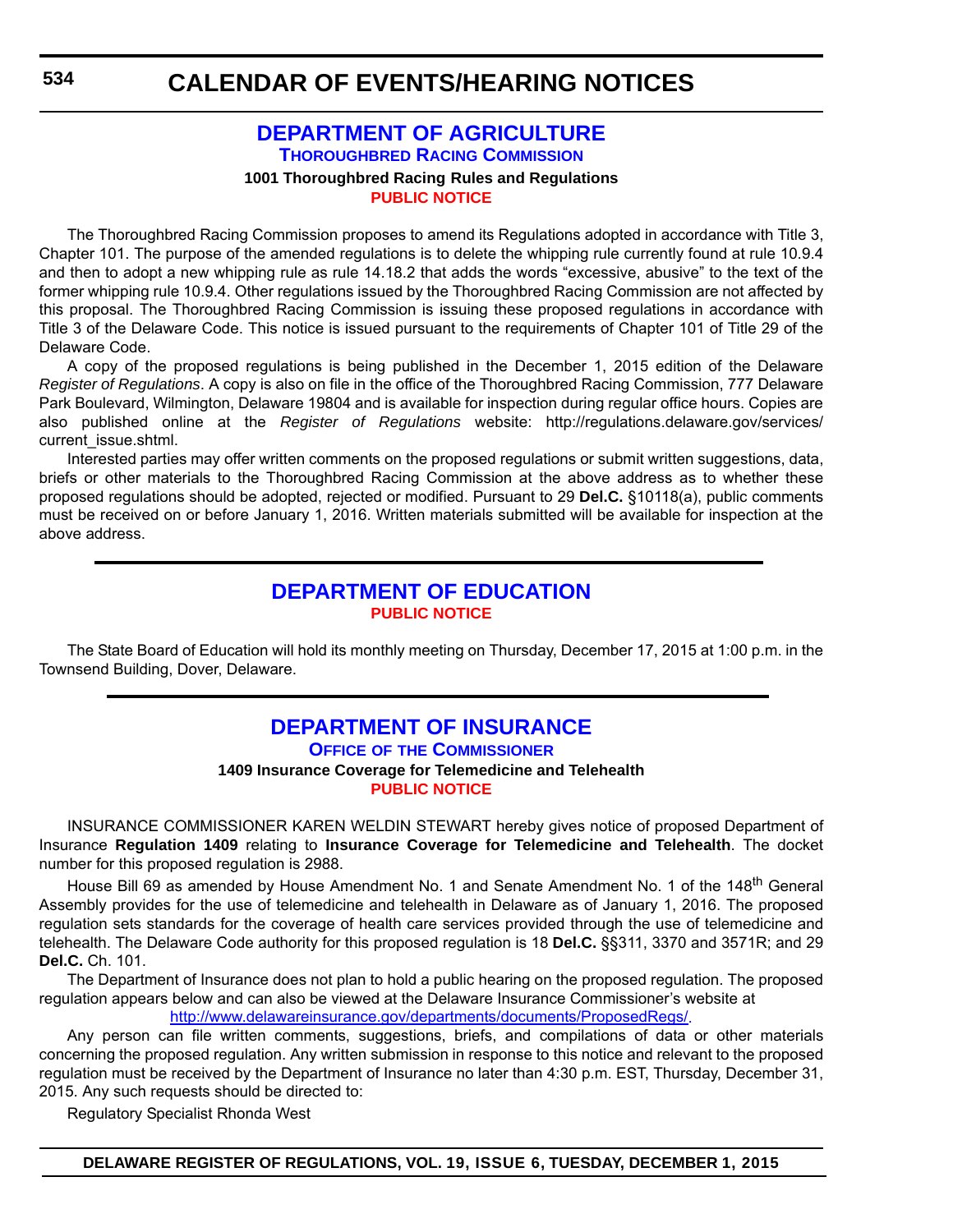### **[DEPARTMENT OF AGRICULTURE](http://dda.delaware.gov/thoroughbred/index.shtml) THOROUGHBRED RACING COMMISSION 1001 Thoroughbred Racing Rules and Regulations [PUBLIC NOTICE](#page-4-0)**

The Thoroughbred Racing Commission proposes to amend its Regulations adopted in accordance with Title 3, Chapter 101. The purpose of the amended regulations is to delete the whipping rule currently found at rule 10.9.4 and then to adopt a new whipping rule as rule 14.18.2 that adds the words "excessive, abusive" to the text of the former whipping rule 10.9.4. Other regulations issued by the Thoroughbred Racing Commission are not affected by this proposal. The Thoroughbred Racing Commission is issuing these proposed regulations in accordance with Title 3 of the Delaware Code. This notice is issued pursuant to the requirements of Chapter 101 of Title 29 of the Delaware Code.

A copy of the proposed regulations is being published in the December 1, 2015 edition of the Delaware *Register of Regulations*. A copy is also on file in the office of the Thoroughbred Racing Commission, 777 Delaware Park Boulevard, Wilmington, Delaware 19804 and is available for inspection during regular office hours. Copies are also published online at the *Register of Regulations* website: http://regulations.delaware.gov/services/ current\_issue.shtml.

Interested parties may offer written comments on the proposed regulations or submit written suggestions, data, briefs or other materials to the Thoroughbred Racing Commission at the above address as to whether these proposed regulations should be adopted, rejected or modified. Pursuant to 29 **Del.C.** §10118(a), public comments must be received on or before January 1, 2016. Written materials submitted will be available for inspection at the above address.

### **[DEPARTMENT OF EDUCATION](http://www.doe.k12.de.us/site/default.aspx?PageID=1) [PUBLIC NOTICE](#page-4-0)**

The State Board of Education will hold its monthly meeting on Thursday, December 17, 2015 at 1:00 p.m. in the Townsend Building, Dover, Delaware.

### **[DEPARTMENT OF INSURANCE](http://www.delawareinsurance.gov/) OFFICE OF THE COMMISSIONER 1409 Insurance Coverage for Telemedicine and Telehealth [PUBLIC NOTICE](#page-4-0)**

INSURANCE COMMISSIONER KAREN WELDIN STEWART hereby gives notice of proposed Department of Insurance **Regulation 1409** relating to **Insurance Coverage for Telemedicine and Telehealth**. The docket number for this proposed regulation is 2988.

House Bill 69 as amended by House Amendment No. 1 and Senate Amendment No. 1 of the 148<sup>th</sup> General Assembly provides for the use of telemedicine and telehealth in Delaware as of January 1, 2016. The proposed regulation sets standards for the coverage of health care services provided through the use of telemedicine and telehealth. The Delaware Code authority for this proposed regulation is 18 **Del.C.** §§311, 3370 and 3571R; and 29 **Del.C.** Ch. 101.

The Department of Insurance does not plan to hold a public hearing on the proposed regulation. The proposed regulation appears below and can also be viewed at the Delaware Insurance Commissioner's website at <http://www.delawareinsurance.gov/departments/documents/ProposedRegs/>.

Any person can file written comments, suggestions, briefs, and compilations of data or other materials concerning the proposed regulation. Any written submission in response to this notice and relevant to the proposed regulation must be received by the Department of Insurance no later than 4:30 p.m. EST, Thursday, December 31, 2015. Any such requests should be directed to:

Regulatory Specialist Rhonda West

**DELAWARE REGISTER OF REGULATIONS, VOL. 19, ISSUE 6, TUESDAY, DECEMBER 1, 2015**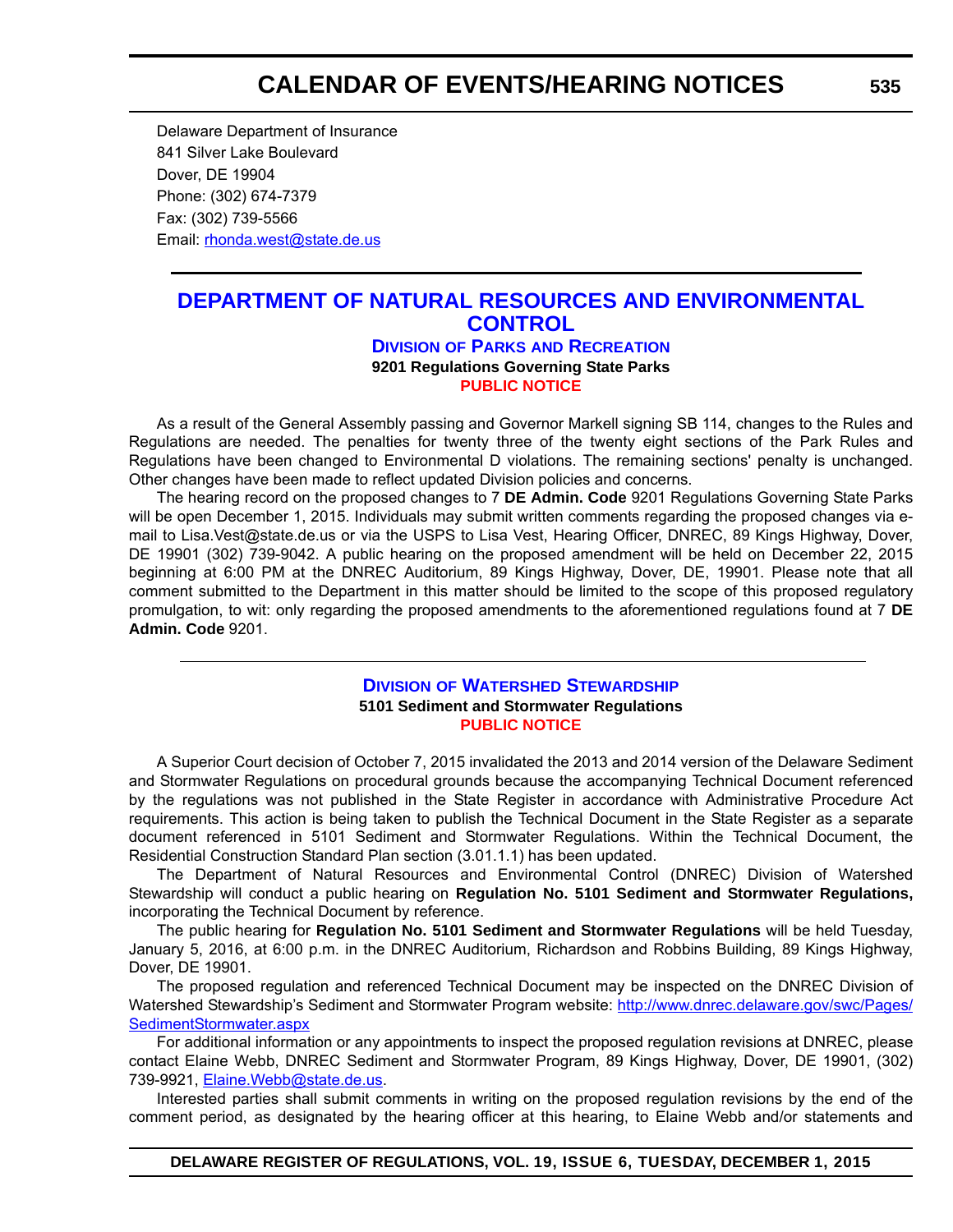## **CALENDAR OF EVENTS/HEARING NOTICES**

Delaware Department of Insurance 841 Silver Lake Boulevard Dover, DE 19904 Phone: (302) 674-7379 Fax: (302) 739-5566 Email: rhonda.west@state.de.us

### **[DEPARTMENT OF NATURAL RESOURCES AND ENVIRONMENTAL](http://www.destateparks.com/)  CONTROL DIVISION OF PARKS AND RECREATION 9201 Regulations Governing State Parks**

**[PUBLIC NOTICE](#page-4-0)**

As a result of the General Assembly passing and Governor Markell signing SB 114, changes to the Rules and Regulations are needed. The penalties for twenty three of the twenty eight sections of the Park Rules and Regulations have been changed to Environmental D violations. The remaining sections' penalty is unchanged. Other changes have been made to reflect updated Division policies and concerns.

The hearing record on the proposed changes to 7 **DE Admin. Code** 9201 Regulations Governing State Parks will be open December 1, 2015. Individuals may submit written comments regarding the proposed changes via email to Lisa.Vest@state.de.us or via the USPS to Lisa Vest, Hearing Officer, DNREC, 89 Kings Highway, Dover, DE 19901 (302) 739-9042. A public hearing on the proposed amendment will be held on December 22, 2015 beginning at 6:00 PM at the DNREC Auditorium, 89 Kings Highway, Dover, DE, 19901. Please note that all comment submitted to the Department in this matter should be limited to the scope of this proposed regulatory promulgation, to wit: only regarding the proposed amendments to the aforementioned regulations found at 7 **DE Admin. Code** 9201.

#### **DIVISION [OF WATERSHED STEWARDSHIP](http://www.dnrec.delaware.gov/swc/Pages/portal.aspx) 5101 Sediment and Stormwater Regulations [PUBLIC NOTICE](#page-4-0)**

A Superior Court decision of October 7, 2015 invalidated the 2013 and 2014 version of the Delaware Sediment and Stormwater Regulations on procedural grounds because the accompanying Technical Document referenced by the regulations was not published in the State Register in accordance with Administrative Procedure Act requirements. This action is being taken to publish the Technical Document in the State Register as a separate document referenced in 5101 Sediment and Stormwater Regulations. Within the Technical Document, the Residential Construction Standard Plan section (3.01.1.1) has been updated.

The Department of Natural Resources and Environmental Control (DNREC) Division of Watershed Stewardship will conduct a public hearing on **Regulation No. 5101 Sediment and Stormwater Regulations,** incorporating the Technical Document by reference.

The public hearing for **Regulation No. 5101 Sediment and Stormwater Regulations** will be held Tuesday, January 5, 2016, at 6:00 p.m. in the DNREC Auditorium, Richardson and Robbins Building, 89 Kings Highway, Dover, DE 19901.

The proposed regulation and referenced Technical Document may be inspected on the DNREC Division of Watershed Stewardship's Sediment and Stormwater Program website: [http://www.dnrec.delaware.gov/swc/Pages/](http://www.dnrec.delaware.gov/swc/Pages/SedimentStormwater.aspx) [SedimentStormwater.aspx](http://www.dnrec.delaware.gov/swc/Pages/SedimentStormwater.aspx)

For additional information or any appointments to inspect the proposed regulation revisions at DNREC, please contact Elaine Webb, DNREC Sediment and Stormwater Program, 89 Kings Highway, Dover, DE 19901, (302) 739-9921, [Elaine.Webb@state.de.us.](mailto:Elaine.Webb@state.de.us)

Interested parties shall submit comments in writing on the proposed regulation revisions by the end of the comment period, as designated by the hearing officer at this hearing, to Elaine Webb and/or statements and

**DELAWARE REGISTER OF REGULATIONS, VOL. 19, ISSUE 6, TUESDAY, DECEMBER 1, 2015**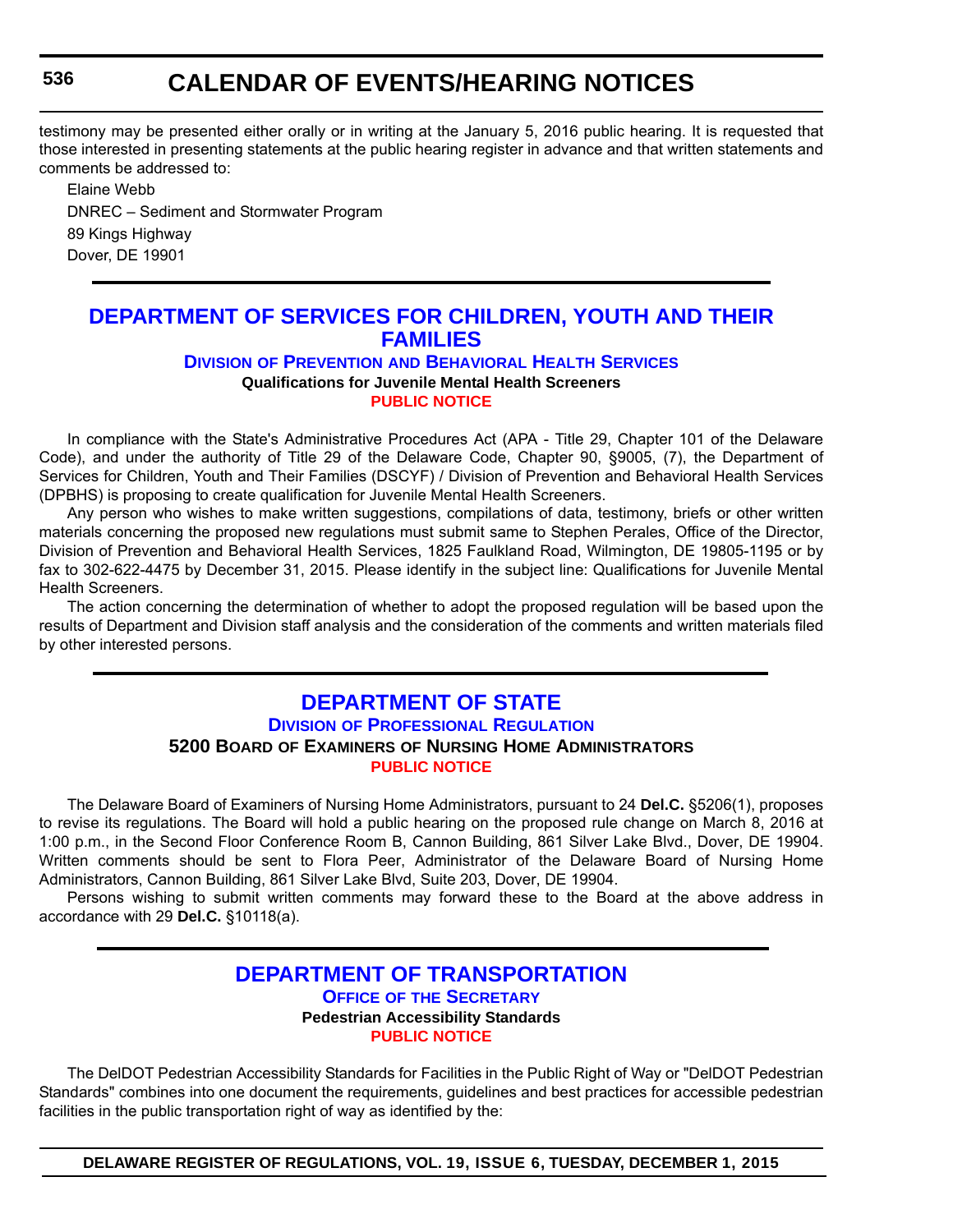## **CALENDAR OF EVENTS/HEARING NOTICES**

testimony may be presented either orally or in writing at the January 5, 2016 public hearing. It is requested that those interested in presenting statements at the public hearing register in advance and that written statements and comments be addressed to:

Elaine Webb DNREC – Sediment and Stormwater Program 89 Kings Highway Dover, DE 19901

## **[DEPARTMENT OF SERVICES FOR CHILDREN, YOUTH AND THEIR](http://kids.delaware.gov/pbhs/pbhs.shtml)  FAMILIES**

#### **DIVISION OF PREVENTION AND BEHAVIORAL HEALTH SERVICES**

**Qualifications for Juvenile Mental Health Screeners**

**[PUBLIC NOTICE](#page-4-0)**

In compliance with the State's Administrative Procedures Act (APA - Title 29, Chapter 101 of the Delaware Code), and under the authority of Title 29 of the Delaware Code, Chapter 90, §9005, (7), the Department of Services for Children, Youth and Their Families (DSCYF) / Division of Prevention and Behavioral Health Services (DPBHS) is proposing to create qualification for Juvenile Mental Health Screeners.

Any person who wishes to make written suggestions, compilations of data, testimony, briefs or other written materials concerning the proposed new regulations must submit same to Stephen Perales, Office of the Director, Division of Prevention and Behavioral Health Services, 1825 Faulkland Road, Wilmington, DE 19805-1195 or by fax to 302-622-4475 by December 31, 2015. Please identify in the subject line: Qualifications for Juvenile Mental Health Screeners.

The action concerning the determination of whether to adopt the proposed regulation will be based upon the results of Department and Division staff analysis and the consideration of the comments and written materials filed by other interested persons.

### **[DEPARTMENT OF STATE](http://dpr.delaware.gov/) DIVISION OF PROFESSIONAL REGULATION 5200 BOARD OF EXAMINERS OF NURSING HOME ADMINISTRATORS [PUBLIC NOTICE](#page-4-0)**

The Delaware Board of Examiners of Nursing Home Administrators, pursuant to 24 **Del.C.** §5206(1), proposes to revise its regulations. The Board will hold a public hearing on the proposed rule change on March 8, 2016 at 1:00 p.m., in the Second Floor Conference Room B, Cannon Building, 861 Silver Lake Blvd., Dover, DE 19904. Written comments should be sent to Flora Peer, Administrator of the Delaware Board of Nursing Home Administrators, Cannon Building, 861 Silver Lake Blvd, Suite 203, Dover, DE 19904.

Persons wishing to submit written comments may forward these to the Board at the above address in accordance with 29 **Del.C.** §10118(a).

## **[DEPARTMENT OF TRANSPORTATION](http://www.deldot.gov/index.shtml)**

**OFFICE OF THE SECRETARY**

**Pedestrian Accessibility Standards [PUBLIC NOTICE](#page-4-0)**

The DelDOT Pedestrian Accessibility Standards for Facilities in the Public Right of Way or "DelDOT Pedestrian Standards" combines into one document the requirements, guidelines and best practices for accessible pedestrian facilities in the public transportation right of way as identified by the:

**DELAWARE REGISTER OF REGULATIONS, VOL. 19, ISSUE 6, TUESDAY, DECEMBER 1, 2015**